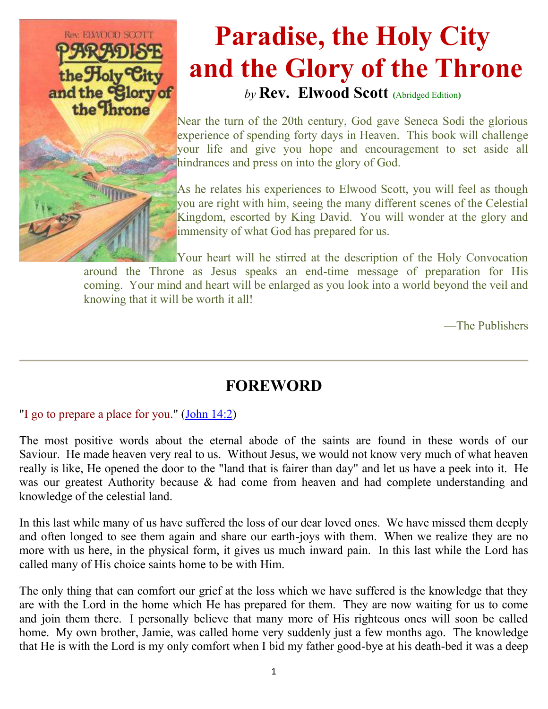# Rev. ELWOOD SCOTT the Holy City and the Colory of the *Throne*

# **Paradise, the Holy City and the Glory of the Throne** *by* **Rev. Elwood Scott (**Abridged Edition**)**

Near the turn of the 20th century, God gave Seneca Sodi the glorious experience of spending forty days in Heaven. This book will challenge your life and give you hope and encouragement to set aside all hindrances and press on into the glory of God.

As he relates his experiences to Elwood Scott, you will feel as though you are right with him, seeing the many different scenes of the Celestial Kingdom, escorted by King David. You will wonder at the glory and immensity of what God has prepared for us.

Your heart will he stirred at the description of the Holy Convocation around the Throne as Jesus speaks an end-time message of preparation for His coming. Your mind and heart will be enlarged as you look into a world beyond the veil and knowing that it will be worth it all!

—The Publishers

# **FOREWORD**

#### "I go to prepare a place for you." [\(John 14:2\)](http://www.biblegateway.com/passage/?search=John%2014:2;&version=31)

The most positive words about the eternal abode of the saints are found in these words of our Saviour. He made heaven very real to us. Without Jesus, we would not know very much of what heaven really is like, He opened the door to the "land that is fairer than day" and let us have a peek into it. He was our greatest Authority because & had come from heaven and had complete understanding and knowledge of the celestial land.

In this last while many of us have suffered the loss of our dear loved ones. We have missed them deeply and often longed to see them again and share our earth-joys with them. When we realize they are no more with us here, in the physical form, it gives us much inward pain. In this last while the Lord has called many of His choice saints home to be with Him.

The only thing that can comfort our grief at the loss which we have suffered is the knowledge that they are with the Lord in the home which He has prepared for them. They are now waiting for us to come and join them there. I personally believe that many more of His righteous ones will soon be called home. My own brother, Jamie, was called home very suddenly just a few months ago. The knowledge that He is with the Lord is my only comfort when I bid my father good-bye at his death-bed it was a deep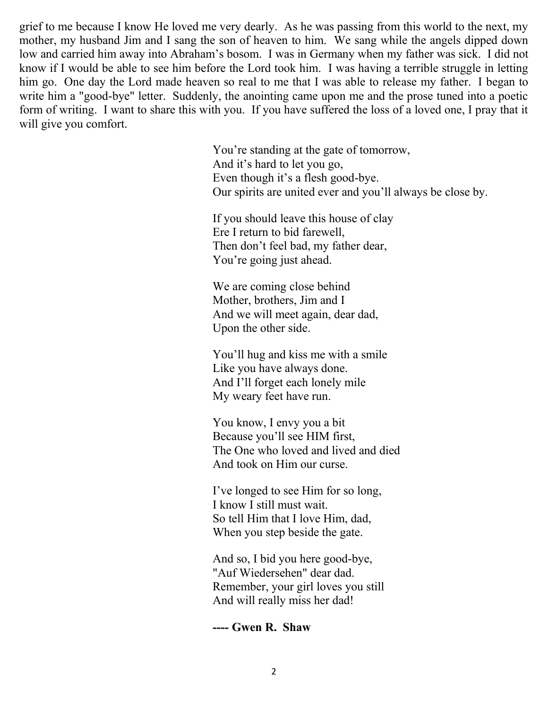grief to me because I know He loved me very dearly. As he was passing from this world to the next, my mother, my husband Jim and I sang the son of heaven to him. We sang while the angels dipped down low and carried him away into Abraham's bosom. I was in Germany when my father was sick. I did not know if I would be able to see him before the Lord took him. I was having a terrible struggle in letting him go. One day the Lord made heaven so real to me that I was able to release my father. I began to write him a "good-bye" letter. Suddenly, the anointing came upon me and the prose tuned into a poetic form of writing. I want to share this with you. If you have suffered the loss of a loved one, I pray that it will give you comfort.

> You're standing at the gate of tomorrow, And it's hard to let you go, Even though it's a flesh good-bye. Our spirits are united ever and you'll always be close by.

If you should leave this house of clay Ere I return to bid farewell, Then don't feel bad, my father dear, You're going just ahead.

We are coming close behind Mother, brothers, Jim and I And we will meet again, dear dad, Upon the other side.

You'll hug and kiss me with a smile Like you have always done. And I'll forget each lonely mile My weary feet have run.

You know, I envy you a bit Because you'll see HIM first, The One who loved and lived and died And took on Him our curse.

I've longed to see Him for so long, I know I still must wait. So tell Him that I love Him, dad, When you step beside the gate.

And so, I bid you here good-bye, "Auf Wiedersehen" dear dad. Remember, your girl loves you still And will really miss her dad!

#### **---- Gwen R. Shaw**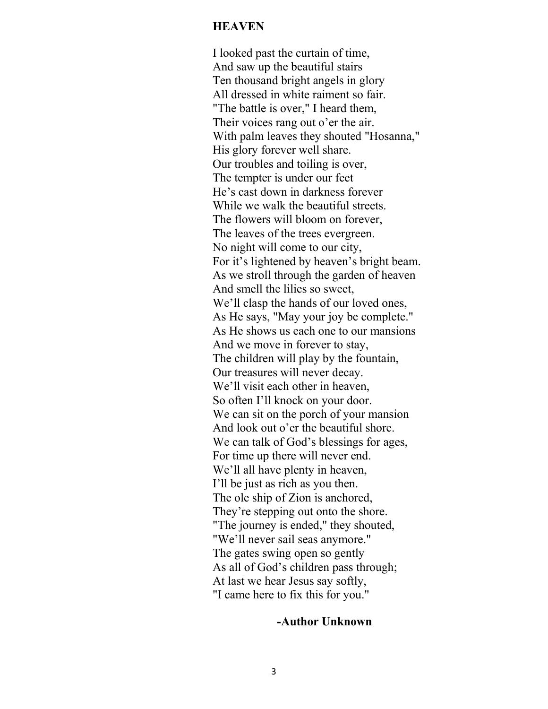#### **HEAVEN**

I looked past the curtain of time, And saw up the beautiful stairs Ten thousand bright angels in glory All dressed in white raiment so fair. "The battle is over," I heard them, Their voices rang out o'er the air. With palm leaves they shouted "Hosanna," His glory forever well share. Our troubles and toiling is over, The tempter is under our feet He's cast down in darkness forever While we walk the beautiful streets. The flowers will bloom on forever, The leaves of the trees evergreen. No night will come to our city, For it's lightened by heaven's bright beam. As we stroll through the garden of heaven And smell the lilies so sweet, We'll clasp the hands of our loved ones, As He says, "May your joy be complete." As He shows us each one to our mansions And we move in forever to stay, The children will play by the fountain, Our treasures will never decay. We'll visit each other in heaven, So often I'll knock on your door. We can sit on the porch of your mansion And look out o'er the beautiful shore. We can talk of God's blessings for ages, For time up there will never end. We'll all have plenty in heaven, I'll be just as rich as you then. The ole ship of Zion is anchored, They're stepping out onto the shore. "The journey is ended," they shouted, "We'll never sail seas anymore." The gates swing open so gently As all of God's children pass through; At last we hear Jesus say softly, "I came here to fix this for you."

#### **-Author Unknown**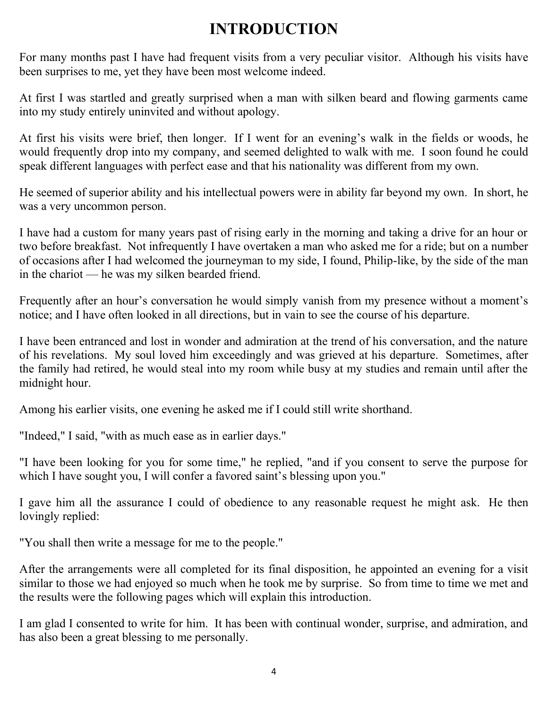# **INTRODUCTION**

For many months past I have had frequent visits from a very peculiar visitor. Although his visits have been surprises to me, yet they have been most welcome indeed.

At first I was startled and greatly surprised when a man with silken beard and flowing garments came into my study entirely uninvited and without apology.

At first his visits were brief, then longer. If I went for an evening's walk in the fields or woods, he would frequently drop into my company, and seemed delighted to walk with me. I soon found he could speak different languages with perfect ease and that his nationality was different from my own.

He seemed of superior ability and his intellectual powers were in ability far beyond my own. In short, he was a very uncommon person.

I have had a custom for many years past of rising early in the morning and taking a drive for an hour or two before breakfast. Not infrequently I have overtaken a man who asked me for a ride; but on a number of occasions after I had welcomed the journeyman to my side, I found, Philip-like, by the side of the man in the chariot — he was my silken bearded friend.

Frequently after an hour's conversation he would simply vanish from my presence without a moment's notice; and I have often looked in all directions, but in vain to see the course of his departure.

I have been entranced and lost in wonder and admiration at the trend of his conversation, and the nature of his revelations. My soul loved him exceedingly and was grieved at his departure. Sometimes, after the family had retired, he would steal into my room while busy at my studies and remain until after the midnight hour.

Among his earlier visits, one evening he asked me if I could still write shorthand.

"Indeed," I said, "with as much ease as in earlier days."

"I have been looking for you for some time," he replied, "and if you consent to serve the purpose for which I have sought you, I will confer a favored saint's blessing upon you."

I gave him all the assurance I could of obedience to any reasonable request he might ask. He then lovingly replied:

"You shall then write a message for me to the people."

After the arrangements were all completed for its final disposition, he appointed an evening for a visit similar to those we had enjoyed so much when he took me by surprise. So from time to time we met and the results were the following pages which will explain this introduction.

I am glad I consented to write for him. It has been with continual wonder, surprise, and admiration, and has also been a great blessing to me personally.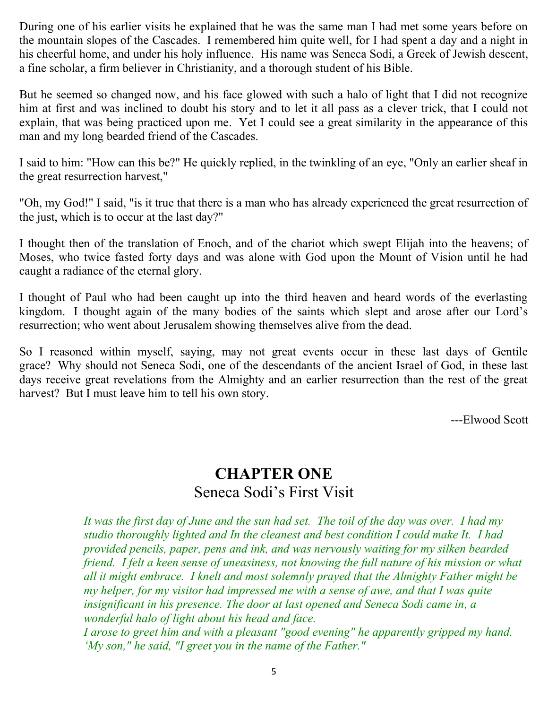During one of his earlier visits he explained that he was the same man I had met some years before on the mountain slopes of the Cascades. I remembered him quite well, for I had spent a day and a night in his cheerful home, and under his holy influence. His name was Seneca Sodi, a Greek of Jewish descent, a fine scholar, a firm believer in Christianity, and a thorough student of his Bible.

But he seemed so changed now, and his face glowed with such a halo of light that I did not recognize him at first and was inclined to doubt his story and to let it all pass as a clever trick, that I could not explain, that was being practiced upon me. Yet I could see a great similarity in the appearance of this man and my long bearded friend of the Cascades.

I said to him: "How can this be?" He quickly replied, in the twinkling of an eye, "Only an earlier sheaf in the great resurrection harvest,"

"Oh, my God!" I said, "is it true that there is a man who has already experienced the great resurrection of the just, which is to occur at the last day?"

I thought then of the translation of Enoch, and of the chariot which swept Elijah into the heavens; of Moses, who twice fasted forty days and was alone with God upon the Mount of Vision until he had caught a radiance of the eternal glory.

I thought of Paul who had been caught up into the third heaven and heard words of the everlasting kingdom. I thought again of the many bodies of the saints which slept and arose after our Lord's resurrection; who went about Jerusalem showing themselves alive from the dead.

So I reasoned within myself, saying, may not great events occur in these last days of Gentile grace? Why should not Seneca Sodi, one of the descendants of the ancient Israel of God, in these last days receive great revelations from the Almighty and an earlier resurrection than the rest of the great harvest? But I must leave him to tell his own story.

---Elwood Scott

# **CHAPTER ONE** Seneca Sodi's First Visit

*It was the first day of June and the sun had set. The toil of the day was over. I had my studio thoroughly lighted and In the cleanest and best condition I could make It. I had provided pencils, paper, pens and ink, and was nervously waiting for my silken bearded friend. I felt a keen sense of uneasiness, not knowing the full nature of his mission or what all it might embrace. I knelt and most solemnly prayed that the Almighty Father might be my helper, for my visitor had impressed me with a sense of awe, and that I was quite insignificant in his presence. The door at last opened and Seneca Sodi came in, a wonderful halo of light about his head and face.*

*I arose to greet him and with a pleasant "good evening" he apparently gripped my hand. 'My son," he said, "I greet you in the name of the Father."*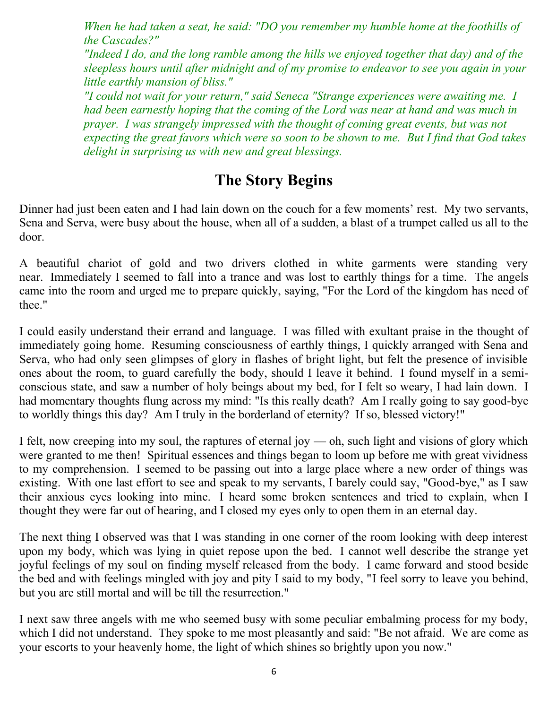*When he had taken a seat, he said: "DO you remember my humble home at the foothills of the Cascades?"*

*"Indeed I do, and the long ramble among the hills we enjoyed together that day) and of the sleepless hours until after midnight and of my promise to endeavor to see you again in your little earthly mansion of bliss."*

*"I could not wait for your return," said Seneca "Strange experiences were awaiting me. I had been earnestly hoping that the coming of the Lord was near at hand and was much in prayer. I was strangely impressed with the thought of coming great events, but was not expecting the great favors which were so soon to be shown to me. But I find that God takes delight in surprising us with new and great blessings.*

### **The Story Begins**

Dinner had just been eaten and I had lain down on the couch for a few moments' rest. My two servants, Sena and Serva, were busy about the house, when all of a sudden, a blast of a trumpet called us all to the door.

A beautiful chariot of gold and two drivers clothed in white garments were standing very near. Immediately I seemed to fall into a trance and was lost to earthly things for a time. The angels came into the room and urged me to prepare quickly, saying, "For the Lord of the kingdom has need of thee."

I could easily understand their errand and language. I was filled with exultant praise in the thought of immediately going home. Resuming consciousness of earthly things, I quickly arranged with Sena and Serva, who had only seen glimpses of glory in flashes of bright light, but felt the presence of invisible ones about the room, to guard carefully the body, should I leave it behind. I found myself in a semiconscious state, and saw a number of holy beings about my bed, for I felt so weary, I had lain down. I had momentary thoughts flung across my mind: "Is this really death? Am I really going to say good-bye to worldly things this day? Am I truly in the borderland of eternity? If so, blessed victory!"

I felt, now creeping into my soul, the raptures of eternal joy — oh, such light and visions of glory which were granted to me then! Spiritual essences and things began to loom up before me with great vividness to my comprehension. I seemed to be passing out into a large place where a new order of things was existing. With one last effort to see and speak to my servants, I barely could say, "Good-bye," as I saw their anxious eyes looking into mine. I heard some broken sentences and tried to explain, when I thought they were far out of hearing, and I closed my eyes only to open them in an eternal day.

The next thing I observed was that I was standing in one corner of the room looking with deep interest upon my body, which was lying in quiet repose upon the bed. I cannot well describe the strange yet joyful feelings of my soul on finding myself released from the body. I came forward and stood beside the bed and with feelings mingled with joy and pity I said to my body, "I feel sorry to leave you behind, but you are still mortal and will be till the resurrection."

I next saw three angels with me who seemed busy with some peculiar embalming process for my body, which I did not understand. They spoke to me most pleasantly and said: "Be not afraid. We are come as your escorts to your heavenly home, the light of which shines so brightly upon you now."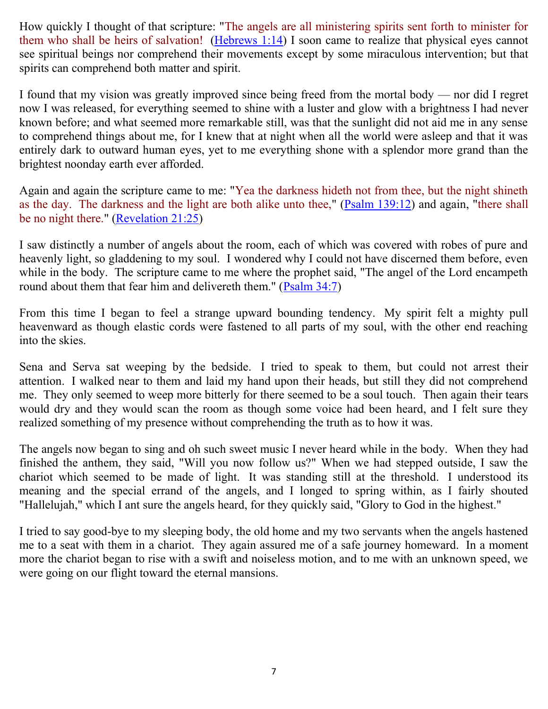How quickly I thought of that scripture: "The angels are all ministering spirits sent forth to minister for them who shall be heirs of salvation! [\(Hebrews 1:14\)](http://www.biblegateway.com/passage/?search=Hebrews%201:%2014;&version=31) I soon came to realize that physical eyes cannot see spiritual beings nor comprehend their movements except by some miraculous intervention; but that spirits can comprehend both matter and spirit.

I found that my vision was greatly improved since being freed from the mortal body — nor did I regret now I was released, for everything seemed to shine with a luster and glow with a brightness I had never known before; and what seemed more remarkable still, was that the sunlight did not aid me in any sense to comprehend things about me, for I knew that at night when all the world were asleep and that it was entirely dark to outward human eyes, yet to me everything shone with a splendor more grand than the brightest noonday earth ever afforded.

Again and again the scripture came to me: "Yea the darkness hideth not from thee, but the night shineth as the day. The darkness and the light are both alike unto thee," [\(Psalm 139:12\)](http://www.biblegateway.com/passage/?search=Psalm%20139:12;&version=31) and again, "there shall be no night there." [\(Revelation 21:25\)](http://www.biblegateway.com/passage/?search=Revelation%2021:25;&version=31)

I saw distinctly a number of angels about the room, each of which was covered with robes of pure and heavenly light, so gladdening to my soul. I wondered why I could not have discerned them before, even while in the body. The scripture came to me where the prophet said, "The angel of the Lord encampeth round about them that fear him and delivereth them." ( $\frac{Psalm}{34:7}$ )

From this time I began to feel a strange upward bounding tendency. My spirit felt a mighty pull heavenward as though elastic cords were fastened to all parts of my soul, with the other end reaching into the skies.

Sena and Serva sat weeping by the bedside. I tried to speak to them, but could not arrest their attention. I walked near to them and laid my hand upon their heads, but still they did not comprehend me. They only seemed to weep more bitterly for there seemed to be a soul touch. Then again their tears would dry and they would scan the room as though some voice had been heard, and I felt sure they realized something of my presence without comprehending the truth as to how it was.

The angels now began to sing and oh such sweet music I never heard while in the body. When they had finished the anthem, they said, "Will you now follow us?" When we had stepped outside, I saw the chariot which seemed to be made of light. It was standing still at the threshold. I understood its meaning and the special errand of the angels, and I longed to spring within, as I fairly shouted "Hallelujah," which I ant sure the angels heard, for they quickly said, "Glory to God in the highest."

I tried to say good-bye to my sleeping body, the old home and my two servants when the angels hastened me to a seat with them in a chariot. They again assured me of a safe journey homeward. In a moment more the chariot began to rise with a swift and noiseless motion, and to me with an unknown speed, we were going on our flight toward the eternal mansions.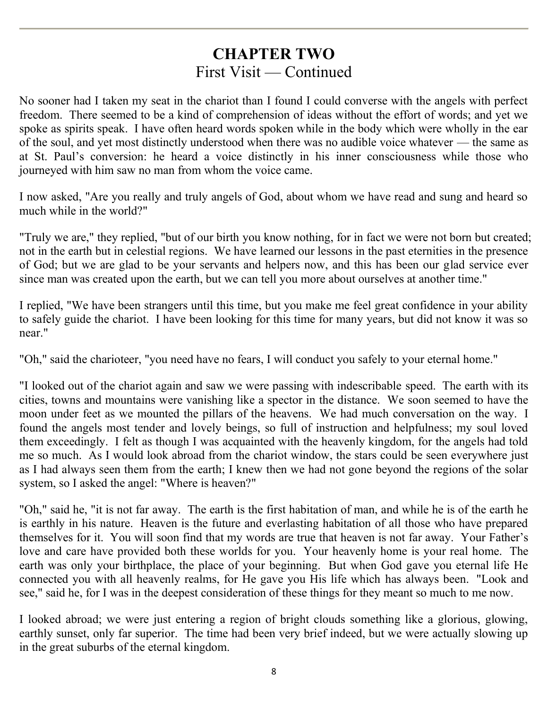# **CHAPTER TWO** First Visit — Continued

No sooner had I taken my seat in the chariot than I found I could converse with the angels with perfect freedom. There seemed to be a kind of comprehension of ideas without the effort of words; and yet we spoke as spirits speak. I have often heard words spoken while in the body which were wholly in the ear of the soul, and yet most distinctly understood when there was no audible voice whatever — the same as at St. Paul's conversion: he heard a voice distinctly in his inner consciousness while those who journeyed with him saw no man from whom the voice came.

I now asked, "Are you really and truly angels of God, about whom we have read and sung and heard so much while in the world?"

"Truly we are," they replied, "but of our birth you know nothing, for in fact we were not born but created; not in the earth but in celestial regions. We have learned our lessons in the past eternities in the presence of God; but we are glad to be your servants and helpers now, and this has been our glad service ever since man was created upon the earth, but we can tell you more about ourselves at another time."

I replied, "We have been strangers until this time, but you make me feel great confidence in your ability to safely guide the chariot. I have been looking for this time for many years, but did not know it was so near."

"Oh," said the charioteer, "you need have no fears, I will conduct you safely to your eternal home."

"I looked out of the chariot again and saw we were passing with indescribable speed. The earth with its cities, towns and mountains were vanishing like a spector in the distance. We soon seemed to have the moon under feet as we mounted the pillars of the heavens. We had much conversation on the way. I found the angels most tender and lovely beings, so full of instruction and helpfulness; my soul loved them exceedingly. I felt as though I was acquainted with the heavenly kingdom, for the angels had told me so much. As I would look abroad from the chariot window, the stars could be seen everywhere just as I had always seen them from the earth; I knew then we had not gone beyond the regions of the solar system, so I asked the angel: "Where is heaven?"

"Oh," said he, "it is not far away. The earth is the first habitation of man, and while he is of the earth he is earthly in his nature. Heaven is the future and everlasting habitation of all those who have prepared themselves for it. You will soon find that my words are true that heaven is not far away. Your Father's love and care have provided both these worlds for you. Your heavenly home is your real home. The earth was only your birthplace, the place of your beginning. But when God gave you eternal life He connected you with all heavenly realms, for He gave you His life which has always been. "Look and see," said he, for I was in the deepest consideration of these things for they meant so much to me now.

I looked abroad; we were just entering a region of bright clouds something like a glorious, glowing, earthly sunset, only far superior. The time had been very brief indeed, but we were actually slowing up in the great suburbs of the eternal kingdom.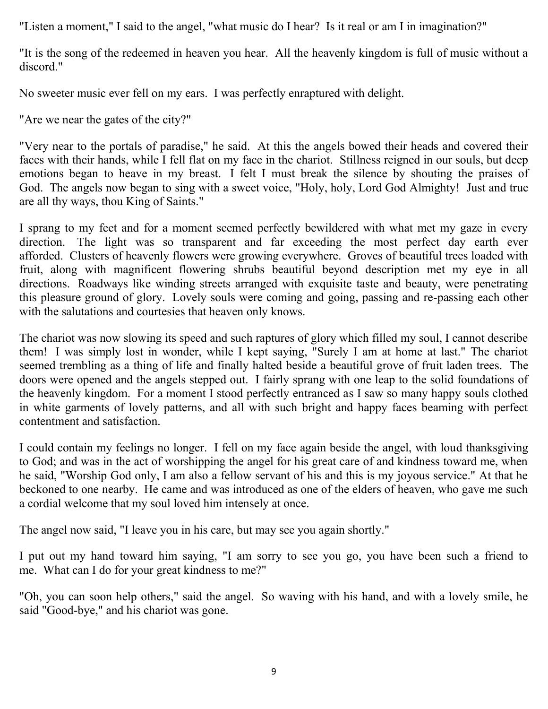"Listen a moment," I said to the angel, "what music do I hear? Is it real or am I in imagination?"

"It is the song of the redeemed in heaven you hear. All the heavenly kingdom is full of music without a discord."

No sweeter music ever fell on my ears. I was perfectly enraptured with delight.

"Are we near the gates of the city?"

"Very near to the portals of paradise," he said. At this the angels bowed their heads and covered their faces with their hands, while I fell flat on my face in the chariot. Stillness reigned in our souls, but deep emotions began to heave in my breast. I felt I must break the silence by shouting the praises of God. The angels now began to sing with a sweet voice, "Holy, holy, Lord God Almighty! Just and true are all thy ways, thou King of Saints."

I sprang to my feet and for a moment seemed perfectly bewildered with what met my gaze in every direction. The light was so transparent and far exceeding the most perfect day earth ever afforded. Clusters of heavenly flowers were growing everywhere. Groves of beautiful trees loaded with fruit, along with magnificent flowering shrubs beautiful beyond description met my eye in all directions. Roadways like winding streets arranged with exquisite taste and beauty, were penetrating this pleasure ground of glory. Lovely souls were coming and going, passing and re-passing each other with the salutations and courtesies that heaven only knows.

The chariot was now slowing its speed and such raptures of glory which filled my soul, I cannot describe them! I was simply lost in wonder, while I kept saying, "Surely I am at home at last." The chariot seemed trembling as a thing of life and finally halted beside a beautiful grove of fruit laden trees. The doors were opened and the angels stepped out. I fairly sprang with one leap to the solid foundations of the heavenly kingdom. For a moment I stood perfectly entranced as I saw so many happy souls clothed in white garments of lovely patterns, and all with such bright and happy faces beaming with perfect contentment and satisfaction.

I could contain my feelings no longer. I fell on my face again beside the angel, with loud thanksgiving to God; and was in the act of worshipping the angel for his great care of and kindness toward me, when he said, "Worship God only, I am also a fellow servant of his and this is my joyous service." At that he beckoned to one nearby. He came and was introduced as one of the elders of heaven, who gave me such a cordial welcome that my soul loved him intensely at once.

The angel now said, "I leave you in his care, but may see you again shortly."

I put out my hand toward him saying, "I am sorry to see you go, you have been such a friend to me. What can I do for your great kindness to me?"

"Oh, you can soon help others," said the angel. So waving with his hand, and with a lovely smile, he said "Good-bye," and his chariot was gone.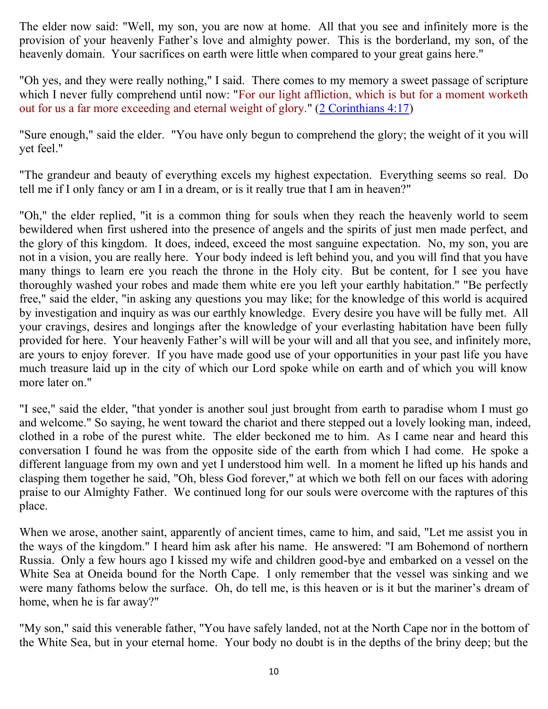The elder now said: "Well, my son, you are now at home. All that you see and infinitely more is the provision of your heavenly Father's love and almighty power. This is the borderland, my son, of the heavenly domain. Your sacrifices on earth were little when compared to your great gains here."

"Oh yes, and they were really nothing," I said. There comes to my memory a sweet passage of scripture which I never fully comprehend until now: "For our light affliction, which is but for a moment worketh out for us a far more exceeding and eternal weight of glory." [\(2 Corinthians 4:17\)](http://www.biblegateway.com/passage/?search=2%20Corinthians%204:17;&version=31)

"Sure enough," said the elder. "You have only begun to comprehend the glory; the weight of it you will yet feel."

"The grandeur and beauty of everything excels my highest expectation. Everything seems so real. Do tell me if I only fancy or am I in a dream, or is it really true that I am in heaven?"

"Oh," the elder replied, "it is a common thing for souls when they reach the heavenly world to seem bewildered when first ushered into the presence of angels and the spirits of just men made perfect, and the glory of this kingdom. It does, indeed, exceed the most sanguine expectation. No, my son, you are not in a vision, you are really here. Your body indeed is left behind you, and you will find that you have many things to learn ere you reach the throne in the Holy city. But be content, for I see you have thoroughly washed your robes and made them white ere you left your earthly habitation." "Be perfectly free," said the elder, "in asking any questions you may like; for the knowledge of this world is acquired by investigation and inquiry as was our earthly knowledge. Every desire you have will be fully met. All your cravings, desires and longings after the knowledge of your everlasting habitation have been fully provided for here. Your heavenly Father's will will be your will and all that you see, and infinitely more, are yours to enjoy forever. If you have made good use of your opportunities in your past life you have much treasure laid up in the city of which our Lord spoke while on earth and of which you will know more later on."

"I see," said the elder, "that yonder is another soul just brought from earth to paradise whom I must go and welcome." So saying, he went toward the chariot and there stepped out a lovely looking man, indeed, clothed in a robe of the purest white. The elder beckoned me to him. As I came near and heard this conversation I found he was from the opposite side of the earth from which I had come. He spoke a different language from my own and yet I understood him well. In a moment he lifted up his hands and clasping them together he said, "Oh, bless God forever," at which we both fell on our faces with adoring praise to our Almighty Father. We continued long for our souls were overcome with the raptures of this place.

When we arose, another saint, apparently of ancient times, came to him, and said, "Let me assist you in the ways of the kingdom." I heard him ask after his name. He answered: "I am Bohemond of northern Russia. Only a few hours ago I kissed my wife and children good-bye and embarked on a vessel on the White Sea at Oneida bound for the North Cape. I only remember that the vessel was sinking and we were many fathoms below the surface. Oh, do tell me, is this heaven or is it but the mariner's dream of home, when he is far away?"

"My son," said this venerable father, "You have safely landed, not at the North Cape nor in the bottom of the White Sea, but in your eternal home. Your body no doubt is in the depths of the briny deep; but the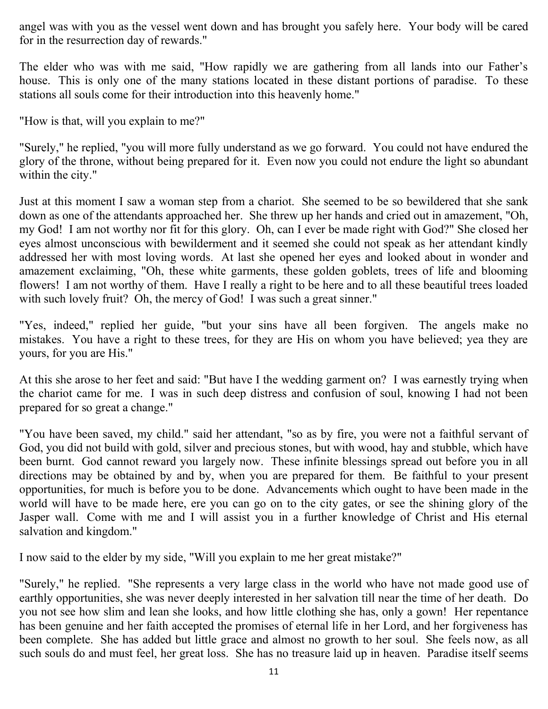angel was with you as the vessel went down and has brought you safely here. Your body will be cared for in the resurrection day of rewards."

The elder who was with me said, "How rapidly we are gathering from all lands into our Father's house. This is only one of the many stations located in these distant portions of paradise. To these stations all souls come for their introduction into this heavenly home."

"How is that, will you explain to me?"

"Surely," he replied, "you will more fully understand as we go forward. You could not have endured the glory of the throne, without being prepared for it. Even now you could not endure the light so abundant within the city."

Just at this moment I saw a woman step from a chariot. She seemed to be so bewildered that she sank down as one of the attendants approached her. She threw up her hands and cried out in amazement, "Oh, my God! I am not worthy nor fit for this glory. Oh, can I ever be made right with God?" She closed her eyes almost unconscious with bewilderment and it seemed she could not speak as her attendant kindly addressed her with most loving words. At last she opened her eyes and looked about in wonder and amazement exclaiming, "Oh, these white garments, these golden goblets, trees of life and blooming flowers! I am not worthy of them. Have I really a right to be here and to all these beautiful trees loaded with such lovely fruit? Oh, the mercy of God! I was such a great sinner."

"Yes, indeed," replied her guide, "but your sins have all been forgiven. The angels make no mistakes. You have a right to these trees, for they are His on whom you have believed; yea they are yours, for you are His."

At this she arose to her feet and said: "But have I the wedding garment on? I was earnestly trying when the chariot came for me. I was in such deep distress and confusion of soul, knowing I had not been prepared for so great a change."

"You have been saved, my child." said her attendant, "so as by fire, you were not a faithful servant of God, you did not build with gold, silver and precious stones, but with wood, hay and stubble, which have been burnt. God cannot reward you largely now. These infinite blessings spread out before you in all directions may be obtained by and by, when you are prepared for them. Be faithful to your present opportunities, for much is before you to be done. Advancements which ought to have been made in the world will have to be made here, ere you can go on to the city gates, or see the shining glory of the Jasper wall. Come with me and I will assist you in a further knowledge of Christ and His eternal salvation and kingdom."

I now said to the elder by my side, "Will you explain to me her great mistake?"

"Surely," he replied. "She represents a very large class in the world who have not made good use of earthly opportunities, she was never deeply interested in her salvation till near the time of her death. Do you not see how slim and lean she looks, and how little clothing she has, only a gown! Her repentance has been genuine and her faith accepted the promises of eternal life in her Lord, and her forgiveness has been complete. She has added but little grace and almost no growth to her soul. She feels now, as all such souls do and must feel, her great loss. She has no treasure laid up in heaven. Paradise itself seems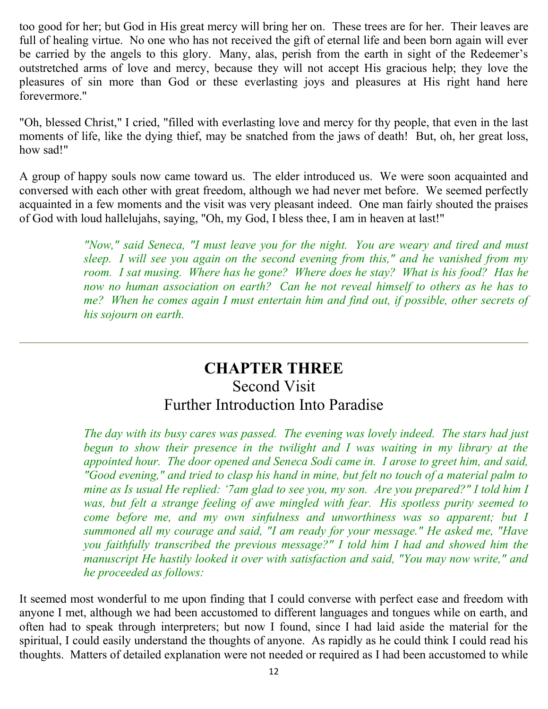too good for her; but God in His great mercy will bring her on. These trees are for her. Their leaves are full of healing virtue. No one who has not received the gift of eternal life and been born again will ever be carried by the angels to this glory. Many, alas, perish from the earth in sight of the Redeemer's outstretched arms of love and mercy, because they will not accept His gracious help; they love the pleasures of sin more than God or these everlasting joys and pleasures at His right hand here forevermore."

"Oh, blessed Christ," I cried, "filled with everlasting love and mercy for thy people, that even in the last moments of life, like the dying thief, may be snatched from the jaws of death! But, oh, her great loss, how sad!"

A group of happy souls now came toward us. The elder introduced us. We were soon acquainted and conversed with each other with great freedom, although we had never met before. We seemed perfectly acquainted in a few moments and the visit was very pleasant indeed. One man fairly shouted the praises of God with loud hallelujahs, saying, "Oh, my God, I bless thee, I am in heaven at last!"

> *"Now," said Seneca, "I must leave you for the night. You are weary and tired and must sleep. I will see you again on the second evening from this," and he vanished from my room. I sat musing. Where has he gone? Where does he stay? What is his food? Has he now no human association on earth? Can he not reveal himself to others as he has to me? When he comes again I must entertain him and find out, if possible, other secrets of his sojourn on earth.*

### **CHAPTER THREE** Second Visit Further Introduction Into Paradise

*The day with its busy cares was passed. The evening was lovely indeed. The stars had just begun to show their presence in the twilight and I was waiting in my library at the appointed hour. The door opened and Seneca Sodi came in. I arose to greet him, and said, "Good evening," and tried to clasp his hand in mine, but felt no touch of a material palm to mine as Is usual He replied: '7am glad to see you, my son. Are you prepared?" I told him I was, but felt a strange feeling of awe mingled with fear. His spotless purity seemed to come before me, and my own sinfulness and unworthiness was so apparent; but I summoned all my courage and said, "I am ready for your message." He asked me, "Have you faithfully transcribed the previous message?" I told him I had and showed him the manuscript He hastily looked it over with satisfaction and said, "You may now write," and he proceeded as follows:*

It seemed most wonderful to me upon finding that I could converse with perfect ease and freedom with anyone I met, although we had been accustomed to different languages and tongues while on earth, and often had to speak through interpreters; but now I found, since I had laid aside the material for the spiritual, I could easily understand the thoughts of anyone. As rapidly as he could think I could read his thoughts. Matters of detailed explanation were not needed or required as I had been accustomed to while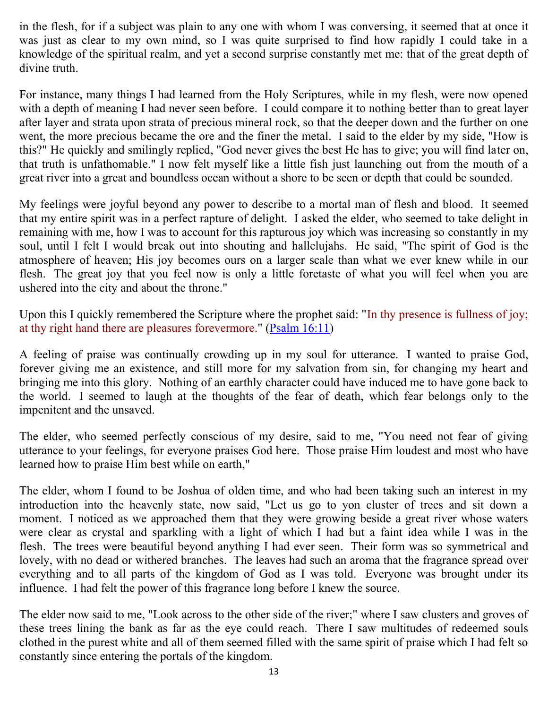in the flesh, for if a subject was plain to any one with whom I was conversing, it seemed that at once it was just as clear to my own mind, so I was quite surprised to find how rapidly I could take in a knowledge of the spiritual realm, and yet a second surprise constantly met me: that of the great depth of divine truth.

For instance, many things I had learned from the Holy Scriptures, while in my flesh, were now opened with a depth of meaning I had never seen before. I could compare it to nothing better than to great layer after layer and strata upon strata of precious mineral rock, so that the deeper down and the further on one went, the more precious became the ore and the finer the metal. I said to the elder by my side, "How is this?" He quickly and smilingly replied, "God never gives the best He has to give; you will find later on, that truth is unfathomable." I now felt myself like a little fish just launching out from the mouth of a great river into a great and boundless ocean without a shore to be seen or depth that could be sounded.

My feelings were joyful beyond any power to describe to a mortal man of flesh and blood. It seemed that my entire spirit was in a perfect rapture of delight. I asked the elder, who seemed to take delight in remaining with me, how I was to account for this rapturous joy which was increasing so constantly in my soul, until I felt I would break out into shouting and hallelujahs. He said, "The spirit of God is the atmosphere of heaven; His joy becomes ours on a larger scale than what we ever knew while in our flesh. The great joy that you feel now is only a little foretaste of what you will feel when you are ushered into the city and about the throne."

Upon this I quickly remembered the Scripture where the prophet said: "In thy presence is fullness of joy; at thy right hand there are pleasures forevermore." [\(Psalm 16:11\)](http://www.biblegateway.com/passage/?search=Psalm%2016:11;&version=31)

A feeling of praise was continually crowding up in my soul for utterance. I wanted to praise God, forever giving me an existence, and still more for my salvation from sin, for changing my heart and bringing me into this glory. Nothing of an earthly character could have induced me to have gone back to the world. I seemed to laugh at the thoughts of the fear of death, which fear belongs only to the impenitent and the unsaved.

The elder, who seemed perfectly conscious of my desire, said to me, "You need not fear of giving utterance to your feelings, for everyone praises God here. Those praise Him loudest and most who have learned how to praise Him best while on earth,"

The elder, whom I found to be Joshua of olden time, and who had been taking such an interest in my introduction into the heavenly state, now said, "Let us go to yon cluster of trees and sit down a moment. I noticed as we approached them that they were growing beside a great river whose waters were clear as crystal and sparkling with a light of which I had but a faint idea while I was in the flesh. The trees were beautiful beyond anything I had ever seen. Their form was so symmetrical and lovely, with no dead or withered branches. The leaves had such an aroma that the fragrance spread over everything and to all parts of the kingdom of God as I was told. Everyone was brought under its influence. I had felt the power of this fragrance long before I knew the source.

The elder now said to me, "Look across to the other side of the river;" where I saw clusters and groves of these trees lining the bank as far as the eye could reach. There I saw multitudes of redeemed souls clothed in the purest white and all of them seemed filled with the same spirit of praise which I had felt so constantly since entering the portals of the kingdom.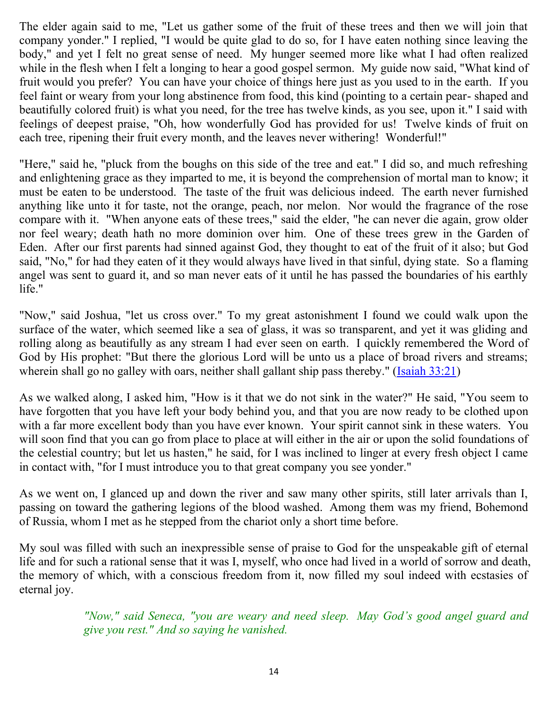The elder again said to me, "Let us gather some of the fruit of these trees and then we will join that company yonder." I replied, "I would be quite glad to do so, for I have eaten nothing since leaving the body," and yet I felt no great sense of need. My hunger seemed more like what I had often realized while in the flesh when I felt a longing to hear a good gospel sermon. My guide now said, "What kind of fruit would you prefer? You can have your choice of things here just as you used to in the earth. If you feel faint or weary from your long abstinence from food, this kind (pointing to a certain pear- shaped and beautifully colored fruit) is what you need, for the tree has twelve kinds, as you see, upon it." I said with feelings of deepest praise, "Oh, how wonderfully God has provided for us! Twelve kinds of fruit on each tree, ripening their fruit every month, and the leaves never withering! Wonderful!"

"Here," said he, "pluck from the boughs on this side of the tree and eat." I did so, and much refreshing and enlightening grace as they imparted to me, it is beyond the comprehension of mortal man to know; it must be eaten to be understood. The taste of the fruit was delicious indeed. The earth never furnished anything like unto it for taste, not the orange, peach, nor melon. Nor would the fragrance of the rose compare with it. "When anyone eats of these trees," said the elder, "he can never die again, grow older nor feel weary; death hath no more dominion over him. One of these trees grew in the Garden of Eden. After our first parents had sinned against God, they thought to eat of the fruit of it also; but God said, "No," for had they eaten of it they would always have lived in that sinful, dying state. So a flaming angel was sent to guard it, and so man never eats of it until he has passed the boundaries of his earthly life."

"Now," said Joshua, "let us cross over." To my great astonishment I found we could walk upon the surface of the water, which seemed like a sea of glass, it was so transparent, and yet it was gliding and rolling along as beautifully as any stream I had ever seen on earth. I quickly remembered the Word of God by His prophet: "But there the glorious Lord will be unto us a place of broad rivers and streams; wherein shall go no galley with oars, neither shall gallant ship pass thereby." [\(Isaiah 33:21\)](http://www.biblegateway.com/passage/?search=Isaiah%2033:21;&version=31)

As we walked along, I asked him, "How is it that we do not sink in the water?" He said, "You seem to have forgotten that you have left your body behind you, and that you are now ready to be clothed upon with a far more excellent body than you have ever known. Your spirit cannot sink in these waters. You will soon find that you can go from place to place at will either in the air or upon the solid foundations of the celestial country; but let us hasten," he said, for I was inclined to linger at every fresh object I came in contact with, "for I must introduce you to that great company you see yonder."

As we went on, I glanced up and down the river and saw many other spirits, still later arrivals than I, passing on toward the gathering legions of the blood washed. Among them was my friend, Bohemond of Russia, whom I met as he stepped from the chariot only a short time before.

My soul was filled with such an inexpressible sense of praise to God for the unspeakable gift of eternal life and for such a rational sense that it was I, myself, who once had lived in a world of sorrow and death, the memory of which, with a conscious freedom from it, now filled my soul indeed with ecstasies of eternal joy.

> *"Now," said Seneca, "you are weary and need sleep. May God's good angel guard and give you rest." And so saying he vanished.*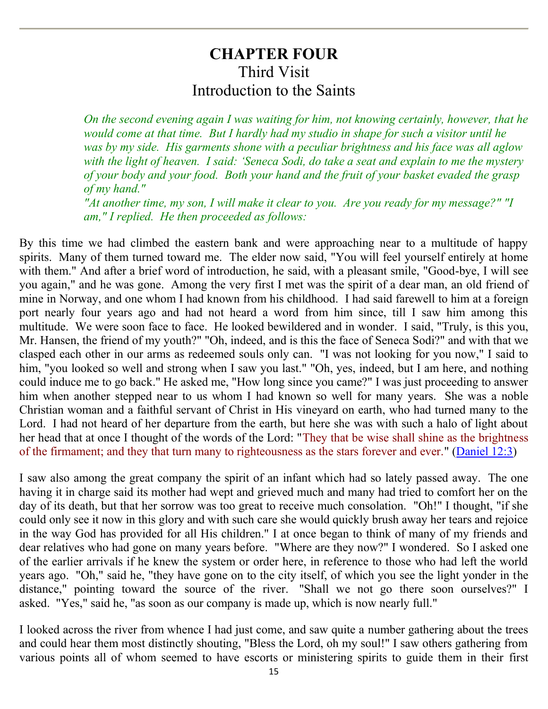### **CHAPTER FOUR** Third Visit Introduction to the Saints

*On the second evening again I was waiting for him, not knowing certainly, however, that he would come at that time. But I hardly had my studio in shape for such a visitor until he was by my side. His garments shone with a peculiar brightness and his face was all aglow with the light of heaven. I said: 'Seneca Sodi, do take a seat and explain to me the mystery of your body and your food. Both your hand and the fruit of your basket evaded the grasp of my hand."*

*"At another time, my son, I will make it clear to you. Are you ready for my message?" "I am," I replied. He then proceeded as follows:*

By this time we had climbed the eastern bank and were approaching near to a multitude of happy spirits. Many of them turned toward me. The elder now said, "You will feel yourself entirely at home with them." And after a brief word of introduction, he said, with a pleasant smile, "Good-bye, I will see you again," and he was gone. Among the very first I met was the spirit of a dear man, an old friend of mine in Norway, and one whom I had known from his childhood. I had said farewell to him at a foreign port nearly four years ago and had not heard a word from him since, till I saw him among this multitude. We were soon face to face. He looked bewildered and in wonder. I said, "Truly, is this you, Mr. Hansen, the friend of my youth?" "Oh, indeed, and is this the face of Seneca Sodi?" and with that we clasped each other in our arms as redeemed souls only can. "I was not looking for you now," I said to him, "you looked so well and strong when I saw you last." "Oh, yes, indeed, but I am here, and nothing could induce me to go back." He asked me, "How long since you came?" I was just proceeding to answer him when another stepped near to us whom I had known so well for many years. She was a noble Christian woman and a faithful servant of Christ in His vineyard on earth, who had turned many to the Lord. I had not heard of her departure from the earth, but here she was with such a halo of light about her head that at once I thought of the words of the Lord: "They that be wise shall shine as the brightness of the firmament; and they that turn many to righteousness as the stars forever and ever." [\(Daniel 12:3\)](http://www.biblegateway.com/passage/?search=Daniel%2012:3;&version=31)

I saw also among the great company the spirit of an infant which had so lately passed away. The one having it in charge said its mother had wept and grieved much and many had tried to comfort her on the day of its death, but that her sorrow was too great to receive much consolation. "Oh!" I thought, "if she could only see it now in this glory and with such care she would quickly brush away her tears and rejoice in the way God has provided for all His children." I at once began to think of many of my friends and dear relatives who had gone on many years before. "Where are they now?" I wondered. So I asked one of the earlier arrivals if he knew the system or order here, in reference to those who had left the world years ago. "Oh," said he, "they have gone on to the city itself, of which you see the light yonder in the distance," pointing toward the source of the river. "Shall we not go there soon ourselves?" I asked. "Yes," said he, "as soon as our company is made up, which is now nearly full."

I looked across the river from whence I had just come, and saw quite a number gathering about the trees and could hear them most distinctly shouting, "Bless the Lord, oh my soul!" I saw others gathering from various points all of whom seemed to have escorts or ministering spirits to guide them in their first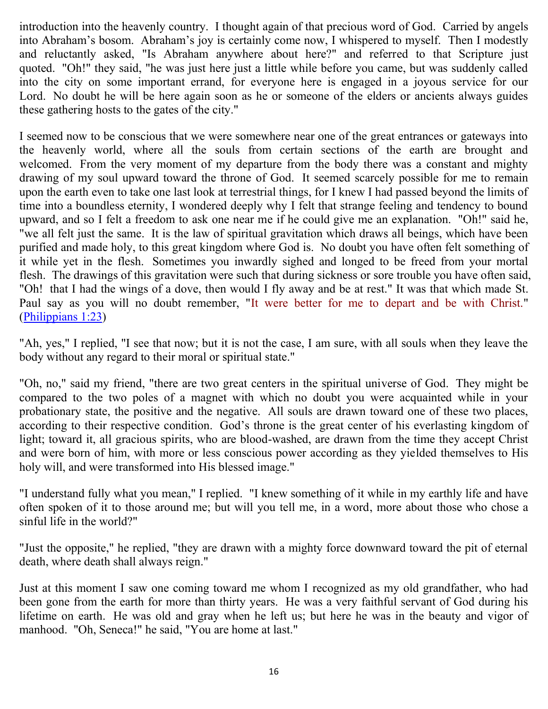introduction into the heavenly country. I thought again of that precious word of God. Carried by angels into Abraham's bosom. Abraham's joy is certainly come now, I whispered to myself. Then I modestly and reluctantly asked, "Is Abraham anywhere about here?" and referred to that Scripture just quoted. "Oh!" they said, "he was just here just a little while before you came, but was suddenly called into the city on some important errand, for everyone here is engaged in a joyous service for our Lord. No doubt he will be here again soon as he or someone of the elders or ancients always guides these gathering hosts to the gates of the city."

I seemed now to be conscious that we were somewhere near one of the great entrances or gateways into the heavenly world, where all the souls from certain sections of the earth are brought and welcomed. From the very moment of my departure from the body there was a constant and mighty drawing of my soul upward toward the throne of God. It seemed scarcely possible for me to remain upon the earth even to take one last look at terrestrial things, for I knew I had passed beyond the limits of time into a boundless eternity, I wondered deeply why I felt that strange feeling and tendency to bound upward, and so I felt a freedom to ask one near me if he could give me an explanation. "Oh!" said he, "we all felt just the same. It is the law of spiritual gravitation which draws all beings, which have been purified and made holy, to this great kingdom where God is. No doubt you have often felt something of it while yet in the flesh. Sometimes you inwardly sighed and longed to be freed from your mortal flesh. The drawings of this gravitation were such that during sickness or sore trouble you have often said, "Oh! that I had the wings of a dove, then would I fly away and be at rest." It was that which made St. Paul say as you will no doubt remember, "It were better for me to depart and be with Christ." [\(Philippians 1:23\)](http://www.biblegateway.com/passage/?search=Philippians%201:23;&version=31)

"Ah, yes," I replied, "I see that now; but it is not the case, I am sure, with all souls when they leave the body without any regard to their moral or spiritual state."

"Oh, no," said my friend, "there are two great centers in the spiritual universe of God. They might be compared to the two poles of a magnet with which no doubt you were acquainted while in your probationary state, the positive and the negative. All souls are drawn toward one of these two places, according to their respective condition. God's throne is the great center of his everlasting kingdom of light; toward it, all gracious spirits, who are blood-washed, are drawn from the time they accept Christ and were born of him, with more or less conscious power according as they yielded themselves to His holy will, and were transformed into His blessed image."

"I understand fully what you mean," I replied. "I knew something of it while in my earthly life and have often spoken of it to those around me; but will you tell me, in a word, more about those who chose a sinful life in the world?"

"Just the opposite," he replied, "they are drawn with a mighty force downward toward the pit of eternal death, where death shall always reign."

Just at this moment I saw one coming toward me whom I recognized as my old grandfather, who had been gone from the earth for more than thirty years. He was a very faithful servant of God during his lifetime on earth. He was old and gray when he left us; but here he was in the beauty and vigor of manhood. "Oh, Seneca!" he said, "You are home at last."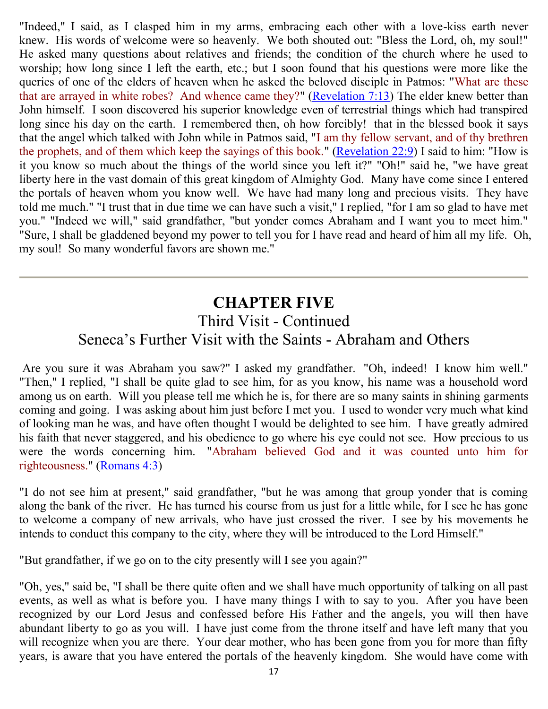"Indeed," I said, as I clasped him in my arms, embracing each other with a love-kiss earth never knew. His words of welcome were so heavenly. We both shouted out: "Bless the Lord, oh, my soul!" He asked many questions about relatives and friends; the condition of the church where he used to worship; how long since I left the earth, etc.; but I soon found that his questions were more like the queries of one of the elders of heaven when he asked the beloved disciple in Patmos: "What are these that are arrayed in white robes? And whence came they?" [\(Revelation 7:13\)](http://www.biblegateway.com/passage/?search=Revelation%207:13;&version=31) The elder knew better than John himself. I soon discovered his superior knowledge even of terrestrial things which had transpired long since his day on the earth. I remembered then, oh how forcibly! that in the blessed book it says that the angel which talked with John while in Patmos said, "I am thy fellow servant, and of thy brethren the prophets, and of them which keep the sayings of this book." [\(Revelation 22:9\)](http://www.biblegateway.com/passage/?search=Revelation%2022:9;&version=31) I said to him: "How is it you know so much about the things of the world since you left it?" "Oh!" said he, "we have great liberty here in the vast domain of this great kingdom of Almighty God. Many have come since I entered the portals of heaven whom you know well. We have had many long and precious visits. They have told me much." "I trust that in due time we can have such a visit," I replied, "for I am so glad to have met you." "Indeed we will," said grandfather, "but yonder comes Abraham and I want you to meet him." "Sure, I shall be gladdened beyond my power to tell you for I have read and heard of him all my life. Oh, my soul! So many wonderful favors are shown me."

### **CHAPTER FIVE** Third Visit - Continued Seneca's Further Visit with the Saints - Abraham and Others

Are you sure it was Abraham you saw?" I asked my grandfather. "Oh, indeed! I know him well." "Then," I replied, "I shall be quite glad to see him, for as you know, his name was a household word among us on earth. Will you please tell me which he is, for there are so many saints in shining garments coming and going. I was asking about him just before I met you. I used to wonder very much what kind of looking man he was, and have often thought I would be delighted to see him. I have greatly admired his faith that never staggered, and his obedience to go where his eye could not see. How precious to us were the words concerning him. "Abraham believed God and it was counted unto him for righteousness." [\(Romans 4:3\)](http://www.biblegateway.com/passage/?search=Romans%204:3;&version=31)

"I do not see him at present," said grandfather, "but he was among that group yonder that is coming along the bank of the river. He has turned his course from us just for a little while, for I see he has gone to welcome a company of new arrivals, who have just crossed the river. I see by his movements he intends to conduct this company to the city, where they will be introduced to the Lord Himself."

"But grandfather, if we go on to the city presently will I see you again?"

"Oh, yes," said be, "I shall be there quite often and we shall have much opportunity of talking on all past events, as well as what is before you. I have many things I with to say to you. After you have been recognized by our Lord Jesus and confessed before His Father and the angels, you will then have abundant liberty to go as you will. I have just come from the throne itself and have left many that you will recognize when you are there. Your dear mother, who has been gone from you for more than fifty years, is aware that you have entered the portals of the heavenly kingdom. She would have come with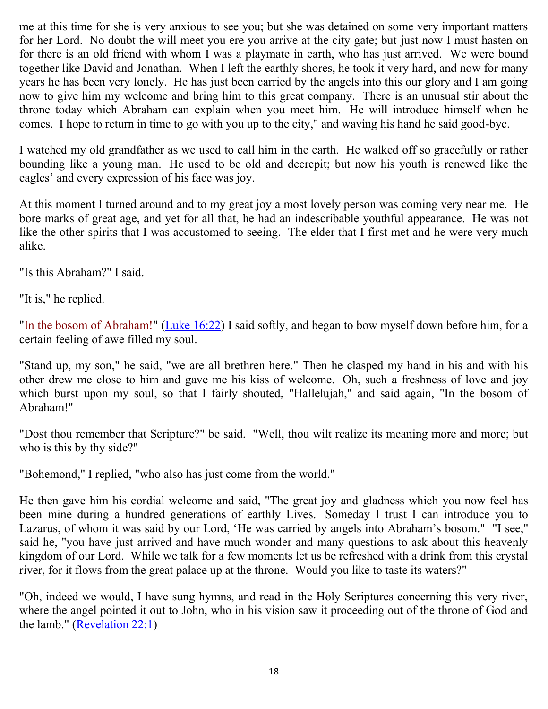me at this time for she is very anxious to see you; but she was detained on some very important matters for her Lord. No doubt the will meet you ere you arrive at the city gate; but just now I must hasten on for there is an old friend with whom I was a playmate in earth, who has just arrived. We were bound together like David and Jonathan. When I left the earthly shores, he took it very hard, and now for many years he has been very lonely. He has just been carried by the angels into this our glory and I am going now to give him my welcome and bring him to this great company. There is an unusual stir about the throne today which Abraham can explain when you meet him. He will introduce himself when he comes. I hope to return in time to go with you up to the city," and waving his hand he said good-bye.

I watched my old grandfather as we used to call him in the earth. He walked off so gracefully or rather bounding like a young man. He used to be old and decrepit; but now his youth is renewed like the eagles' and every expression of his face was joy.

At this moment I turned around and to my great joy a most lovely person was coming very near me. He bore marks of great age, and yet for all that, he had an indescribable youthful appearance. He was not like the other spirits that I was accustomed to seeing. The elder that I first met and he were very much alike.

"Is this Abraham?" I said.

"It is," he replied.

"In the bosom of Abraham!" [\(Luke 16:22\)](http://www.biblegateway.com/passage/?search=Luke%2016:22;&version=31) I said softly, and began to bow myself down before him, for a certain feeling of awe filled my soul.

"Stand up, my son," he said, "we are all brethren here." Then he clasped my hand in his and with his other drew me close to him and gave me his kiss of welcome. Oh, such a freshness of love and joy which burst upon my soul, so that I fairly shouted, "Hallelujah," and said again, "In the bosom of Abraham!"

"Dost thou remember that Scripture?" be said. "Well, thou wilt realize its meaning more and more; but who is this by thy side?"

"Bohemond," I replied, "who also has just come from the world."

He then gave him his cordial welcome and said, "The great joy and gladness which you now feel has been mine during a hundred generations of earthly Lives. Someday I trust I can introduce you to Lazarus, of whom it was said by our Lord, 'He was carried by angels into Abraham's bosom." "I see," said he, "you have just arrived and have much wonder and many questions to ask about this heavenly kingdom of our Lord. While we talk for a few moments let us be refreshed with a drink from this crystal river, for it flows from the great palace up at the throne. Would you like to taste its waters?"

"Oh, indeed we would, I have sung hymns, and read in the Holy Scriptures concerning this very river, where the angel pointed it out to John, who in his vision saw it proceeding out of the throne of God and the lamb." [\(Revelation 22:1\)](http://www.biblegateway.com/passage/?search=Revelation%2022:1;&version=31)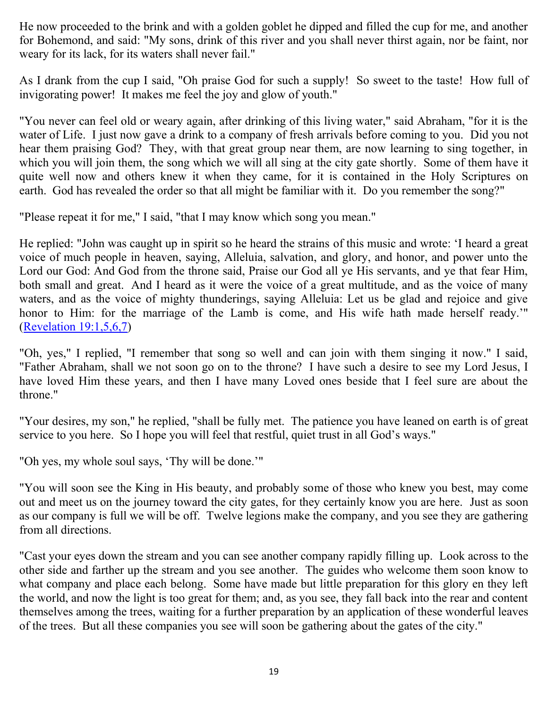He now proceeded to the brink and with a golden goblet he dipped and filled the cup for me, and another for Bohemond, and said: "My sons, drink of this river and you shall never thirst again, nor be faint, nor weary for its lack, for its waters shall never fail."

As I drank from the cup I said, "Oh praise God for such a supply! So sweet to the taste! How full of invigorating power! It makes me feel the joy and glow of youth."

"You never can feel old or weary again, after drinking of this living water," said Abraham, "for it is the water of Life. I just now gave a drink to a company of fresh arrivals before coming to you. Did you not hear them praising God? They, with that great group near them, are now learning to sing together, in which you will join them, the song which we will all sing at the city gate shortly. Some of them have it quite well now and others knew it when they came, for it is contained in the Holy Scriptures on earth. God has revealed the order so that all might be familiar with it. Do you remember the song?"

"Please repeat it for me," I said, "that I may know which song you mean."

He replied: "John was caught up in spirit so he heard the strains of this music and wrote: 'I heard a great voice of much people in heaven, saying, Alleluia, salvation, and glory, and honor, and power unto the Lord our God: And God from the throne said, Praise our God all ye His servants, and ye that fear Him, both small and great. And I heard as it were the voice of a great multitude, and as the voice of many waters, and as the voice of mighty thunderings, saying Alleluia: Let us be glad and rejoice and give honor to Him: for the marriage of the Lamb is come, and His wife hath made herself ready.'" [\(Revelation 19:1,5,6,7\)](http://www.biblegateway.com/passage/?search=Revelation%2019:1,5,6,7;&version=31)

"Oh, yes," I replied, "I remember that song so well and can join with them singing it now." I said, "Father Abraham, shall we not soon go on to the throne? I have such a desire to see my Lord Jesus, I have loved Him these years, and then I have many Loved ones beside that I feel sure are about the throne."

"Your desires, my son," he replied, "shall be fully met. The patience you have leaned on earth is of great service to you here. So I hope you will feel that restful, quiet trust in all God's ways."

"Oh yes, my whole soul says, 'Thy will be done.'"

"You will soon see the King in His beauty, and probably some of those who knew you best, may come out and meet us on the journey toward the city gates, for they certainly know you are here. Just as soon as our company is full we will be off. Twelve legions make the company, and you see they are gathering from all directions.

"Cast your eyes down the stream and you can see another company rapidly filling up. Look across to the other side and farther up the stream and you see another. The guides who welcome them soon know to what company and place each belong. Some have made but little preparation for this glory en they left the world, and now the light is too great for them; and, as you see, they fall back into the rear and content themselves among the trees, waiting for a further preparation by an application of these wonderful leaves of the trees. But all these companies you see will soon be gathering about the gates of the city."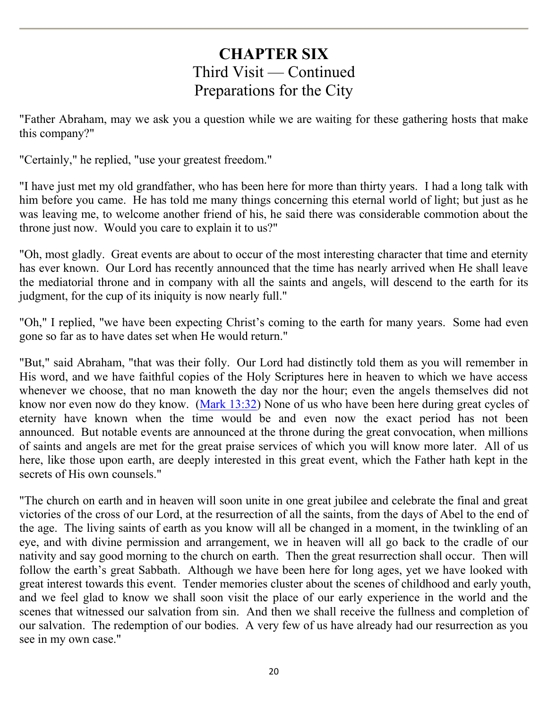# **CHAPTER SIX** Third Visit — Continued Preparations for the City

"Father Abraham, may we ask you a question while we are waiting for these gathering hosts that make this company?"

"Certainly," he replied, "use your greatest freedom."

"I have just met my old grandfather, who has been here for more than thirty years. I had a long talk with him before you came. He has told me many things concerning this eternal world of light; but just as he was leaving me, to welcome another friend of his, he said there was considerable commotion about the throne just now. Would you care to explain it to us?"

"Oh, most gladly. Great events are about to occur of the most interesting character that time and eternity has ever known. Our Lord has recently announced that the time has nearly arrived when He shall leave the mediatorial throne and in company with all the saints and angels, will descend to the earth for its judgment, for the cup of its iniquity is now nearly full."

"Oh," I replied, "we have been expecting Christ's coming to the earth for many years. Some had even gone so far as to have dates set when He would return."

"But," said Abraham, "that was their folly. Our Lord had distinctly told them as you will remember in His word, and we have faithful copies of the Holy Scriptures here in heaven to which we have access whenever we choose, that no man knoweth the day nor the hour; even the angels themselves did not know nor even now do they know. (Mark  $13:32$ ) None of us who have been here during great cycles of eternity have known when the time would be and even now the exact period has not been announced. But notable events are announced at the throne during the great convocation, when millions of saints and angels are met for the great praise services of which you will know more later. All of us here, like those upon earth, are deeply interested in this great event, which the Father hath kept in the secrets of His own counsels."

"The church on earth and in heaven will soon unite in one great jubilee and celebrate the final and great victories of the cross of our Lord, at the resurrection of all the saints, from the days of Abel to the end of the age. The living saints of earth as you know will all be changed in a moment, in the twinkling of an eye, and with divine permission and arrangement, we in heaven will all go back to the cradle of our nativity and say good morning to the church on earth. Then the great resurrection shall occur. Then will follow the earth's great Sabbath. Although we have been here for long ages, yet we have looked with great interest towards this event. Tender memories cluster about the scenes of childhood and early youth, and we feel glad to know we shall soon visit the place of our early experience in the world and the scenes that witnessed our salvation from sin. And then we shall receive the fullness and completion of our salvation. The redemption of our bodies. A very few of us have already had our resurrection as you see in my own case."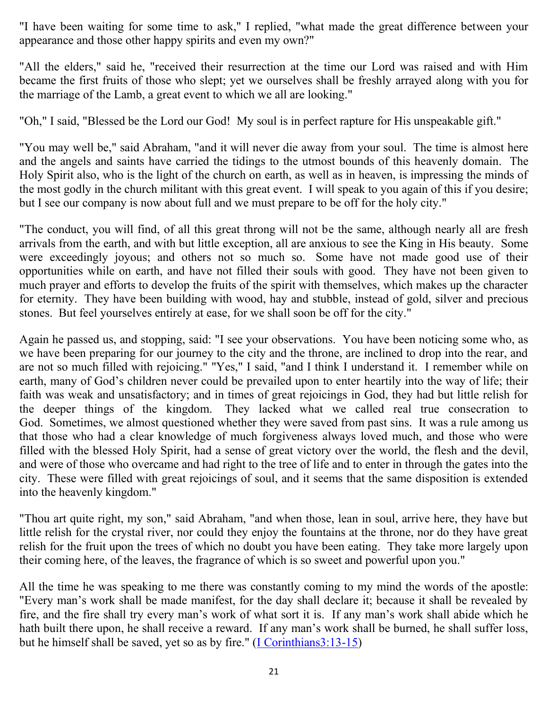"I have been waiting for some time to ask," I replied, "what made the great difference between your appearance and those other happy spirits and even my own?"

"All the elders," said he, "received their resurrection at the time our Lord was raised and with Him became the first fruits of those who slept; yet we ourselves shall be freshly arrayed along with you for the marriage of the Lamb, a great event to which we all are looking."

"Oh," I said, "Blessed be the Lord our God! My soul is in perfect rapture for His unspeakable gift."

"You may well be," said Abraham, "and it will never die away from your soul. The time is almost here and the angels and saints have carried the tidings to the utmost bounds of this heavenly domain. The Holy Spirit also, who is the light of the church on earth, as well as in heaven, is impressing the minds of the most godly in the church militant with this great event. I will speak to you again of this if you desire; but I see our company is now about full and we must prepare to be off for the holy city."

"The conduct, you will find, of all this great throng will not be the same, although nearly all are fresh arrivals from the earth, and with but little exception, all are anxious to see the King in His beauty. Some were exceedingly joyous; and others not so much so. Some have not made good use of their opportunities while on earth, and have not filled their souls with good. They have not been given to much prayer and efforts to develop the fruits of the spirit with themselves, which makes up the character for eternity. They have been building with wood, hay and stubble, instead of gold, silver and precious stones. But feel yourselves entirely at ease, for we shall soon be off for the city."

Again he passed us, and stopping, said: "I see your observations. You have been noticing some who, as we have been preparing for our journey to the city and the throne, are inclined to drop into the rear, and are not so much filled with rejoicing." "Yes," I said, "and I think I understand it. I remember while on earth, many of God's children never could be prevailed upon to enter heartily into the way of life; their faith was weak and unsatisfactory; and in times of great rejoicings in God, they had but little relish for the deeper things of the kingdom. They lacked what we called real true consecration to God. Sometimes, we almost questioned whether they were saved from past sins. It was a rule among us that those who had a clear knowledge of much forgiveness always loved much, and those who were filled with the blessed Holy Spirit, had a sense of great victory over the world, the flesh and the devil, and were of those who overcame and had right to the tree of life and to enter in through the gates into the city. These were filled with great rejoicings of soul, and it seems that the same disposition is extended into the heavenly kingdom."

"Thou art quite right, my son," said Abraham, "and when those, lean in soul, arrive here, they have but little relish for the crystal river, nor could they enjoy the fountains at the throne, nor do they have great relish for the fruit upon the trees of which no doubt you have been eating. They take more largely upon their coming here, of the leaves, the fragrance of which is so sweet and powerful upon you."

All the time he was speaking to me there was constantly coming to my mind the words of the apostle: "Every man's work shall be made manifest, for the day shall declare it; because it shall be revealed by fire, and the fire shall try every man's work of what sort it is. If any man's work shall abide which he hath built there upon, he shall receive a reward. If any man's work shall be burned, he shall suffer loss, but he himself shall be saved, yet so as by fire." [\(I Corinthians3:13-15\)](http://www.biblegateway.com/passage/?search=I%20Corinthians3:13-15;&version=31)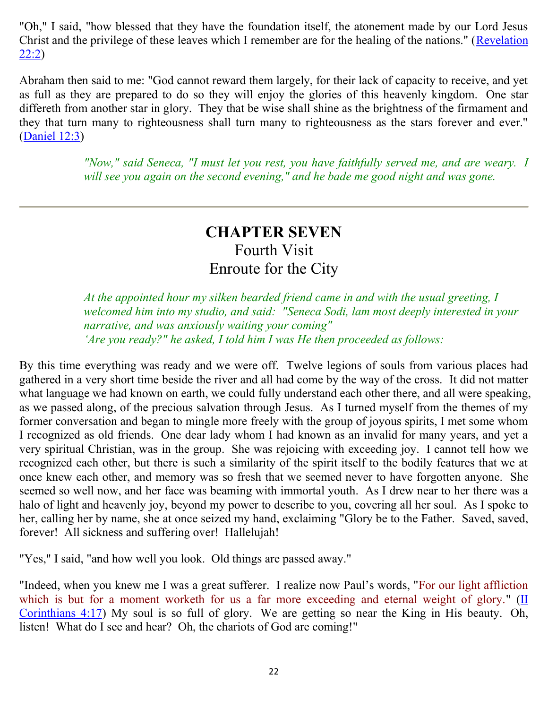"Oh," I said, "how blessed that they have the foundation itself, the atonement made by our Lord Jesus Christ and the privilege of these leaves which I remember are for the healing of the nations." [\(Revelation](http://www.biblegateway.com/passage/?search=Revelation%2022:2;&version=31)  [22:2\)](http://www.biblegateway.com/passage/?search=Revelation%2022:2;&version=31)

Abraham then said to me: "God cannot reward them largely, for their lack of capacity to receive, and yet as full as they are prepared to do so they will enjoy the glories of this heavenly kingdom. One star differeth from another star in glory. They that be wise shall shine as the brightness of the firmament and they that turn many to righteousness shall turn many to righteousness as the stars forever and ever." [\(Daniel 12:3\)](http://www.biblegateway.com/passage/?search=Daniel%2012:3;&version=31)

> *"Now," said Seneca, "I must let you rest, you have faithfully served me, and are weary. I will see you again on the second evening," and he bade me good night and was gone.*

# **CHAPTER SEVEN**

Fourth Visit Enroute for the City

*At the appointed hour my silken bearded friend came in and with the usual greeting, I welcomed him into my studio, and said: "Seneca Sodi, lam most deeply interested in your narrative, and was anxiously waiting your coming" 'Are you ready?" he asked, I told him I was He then proceeded as follows:*

By this time everything was ready and we were off. Twelve legions of souls from various places had gathered in a very short time beside the river and all had come by the way of the cross. It did not matter what language we had known on earth, we could fully understand each other there, and all were speaking, as we passed along, of the precious salvation through Jesus. As I turned myself from the themes of my former conversation and began to mingle more freely with the group of joyous spirits, I met some whom I recognized as old friends. One dear lady whom I had known as an invalid for many years, and yet a very spiritual Christian, was in the group. She was rejoicing with exceeding joy. I cannot tell how we recognized each other, but there is such a similarity of the spirit itself to the bodily features that we at once knew each other, and memory was so fresh that we seemed never to have forgotten anyone. She seemed so well now, and her face was beaming with immortal youth. As I drew near to her there was a halo of light and heavenly joy, beyond my power to describe to you, covering all her soul. As I spoke to her, calling her by name, she at once seized my hand, exclaiming "Glory be to the Father. Saved, saved, forever! All sickness and suffering over! Hallelujah!

"Yes," I said, "and how well you look. Old things are passed away."

"Indeed, when you knew me I was a great sufferer. I realize now Paul's words, "For our light affliction which is but for a moment worketh for us a far more exceeding and eternal weight of glory." ( $\text{II}$ [Corinthians 4:17\)](http://www.biblegateway.com/passage/?search=II%20Corinthians%204:17;&version=31) My soul is so full of glory. We are getting so near the King in His beauty. Oh, listen! What do I see and hear? Oh, the chariots of God are coming!"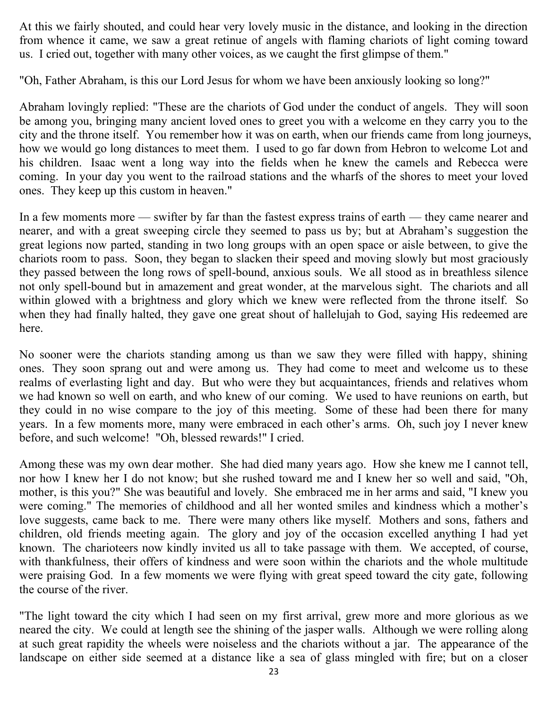At this we fairly shouted, and could hear very lovely music in the distance, and looking in the direction from whence it came, we saw a great retinue of angels with flaming chariots of light coming toward us. I cried out, together with many other voices, as we caught the first glimpse of them."

"Oh, Father Abraham, is this our Lord Jesus for whom we have been anxiously looking so long?"

Abraham lovingly replied: "These are the chariots of God under the conduct of angels. They will soon be among you, bringing many ancient loved ones to greet you with a welcome en they carry you to the city and the throne itself. You remember how it was on earth, when our friends came from long journeys, how we would go long distances to meet them. I used to go far down from Hebron to welcome Lot and his children. Isaac went a long way into the fields when he knew the camels and Rebecca were coming. In your day you went to the railroad stations and the wharfs of the shores to meet your loved ones. They keep up this custom in heaven."

In a few moments more — swifter by far than the fastest express trains of earth — they came nearer and nearer, and with a great sweeping circle they seemed to pass us by; but at Abraham's suggestion the great legions now parted, standing in two long groups with an open space or aisle between, to give the chariots room to pass. Soon, they began to slacken their speed and moving slowly but most graciously they passed between the long rows of spell-bound, anxious souls. We all stood as in breathless silence not only spell-bound but in amazement and great wonder, at the marvelous sight. The chariots and all within glowed with a brightness and glory which we knew were reflected from the throne itself. So when they had finally halted, they gave one great shout of hallelujah to God, saying His redeemed are here.

No sooner were the chariots standing among us than we saw they were filled with happy, shining ones. They soon sprang out and were among us. They had come to meet and welcome us to these realms of everlasting light and day. But who were they but acquaintances, friends and relatives whom we had known so well on earth, and who knew of our coming. We used to have reunions on earth, but they could in no wise compare to the joy of this meeting. Some of these had been there for many years. In a few moments more, many were embraced in each other's arms. Oh, such joy I never knew before, and such welcome! "Oh, blessed rewards!" I cried.

Among these was my own dear mother. She had died many years ago. How she knew me I cannot tell, nor how I knew her I do not know; but she rushed toward me and I knew her so well and said, "Oh, mother, is this you?" She was beautiful and lovely. She embraced me in her arms and said, "I knew you were coming." The memories of childhood and all her wonted smiles and kindness which a mother's love suggests, came back to me. There were many others like myself. Mothers and sons, fathers and children, old friends meeting again. The glory and joy of the occasion excelled anything I had yet known. The charioteers now kindly invited us all to take passage with them. We accepted, of course, with thankfulness, their offers of kindness and were soon within the chariots and the whole multitude were praising God. In a few moments we were flying with great speed toward the city gate, following the course of the river.

"The light toward the city which I had seen on my first arrival, grew more and more glorious as we neared the city. We could at length see the shining of the jasper walls. Although we were rolling along at such great rapidity the wheels were noiseless and the chariots without a jar. The appearance of the landscape on either side seemed at a distance like a sea of glass mingled with fire; but on a closer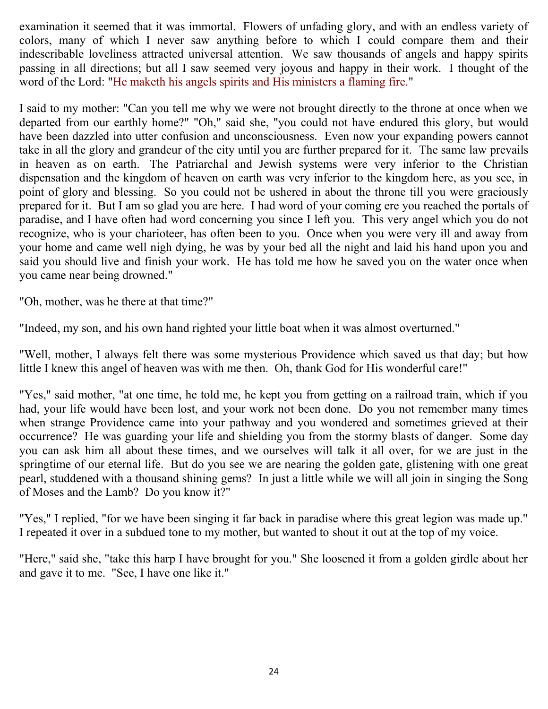examination it seemed that it was immortal. Flowers of unfading glory, and with an endless variety of colors, many of which I never saw anything before to which I could compare them and their indescribable loveliness attracted universal attention. We saw thousands of angels and happy spirits passing in all directions; but all I saw seemed very joyous and happy in their work. I thought of the word of the Lord: "He maketh his angels spirits and His ministers a flaming fire."

I said to my mother: "Can you tell me why we were not brought directly to the throne at once when we departed from our earthly home?" "Oh," said she, "you could not have endured this glory, but would have been dazzled into utter confusion and unconsciousness. Even now your expanding powers cannot take in all the glory and grandeur of the city until you are further prepared for it. The same law prevails in heaven as on earth. The Patriarchal and Jewish systems were very inferior to the Christian dispensation and the kingdom of heaven on earth was very inferior to the kingdom here, as you see, in point of glory and blessing. So you could not be ushered in about the throne till you were graciously prepared for it. But I am so glad you are here. I had word of your coming ere you reached the portals of paradise, and I have often had word concerning you since I left you. This very angel which you do not recognize, who is your charioteer, has often been to you. Once when you were very ill and away from your home and came well nigh dying, he was by your bed all the night and laid his hand upon you and said you should live and finish your work. He has told me how he saved you on the water once when you came near being drowned."

"Oh, mother, was he there at that time?"

"Indeed, my son, and his own hand righted your little boat when it was almost overturned."

"Well, mother, I always felt there was some mysterious Providence which saved us that day; but how little I knew this angel of heaven was with me then. Oh, thank God for His wonderful care!"

"Yes," said mother, "at one time, he told me, he kept you from getting on a railroad train, which if you had, your life would have been lost, and your work not been done. Do you not remember many times when strange Providence came into your pathway and you wondered and sometimes grieved at their occurrence? He was guarding your life and shielding you from the stormy blasts of danger. Some day you can ask him all about these times, and we ourselves will talk it all over, for we are just in the springtime of our eternal life. But do you see we are nearing the golden gate, glistening with one great pearl, studdened with a thousand shining gems? In just a little while we will all join in singing the Song of Moses and the Lamb? Do you know it?"

"Yes," I replied, "for we have been singing it far back in paradise where this great legion was made up." I repeated it over in a subdued tone to my mother, but wanted to shout it out at the top of my voice.

"Here," said she, "take this harp I have brought for you." She loosened it from a golden girdle about her and gave it to me. "See, I have one like it."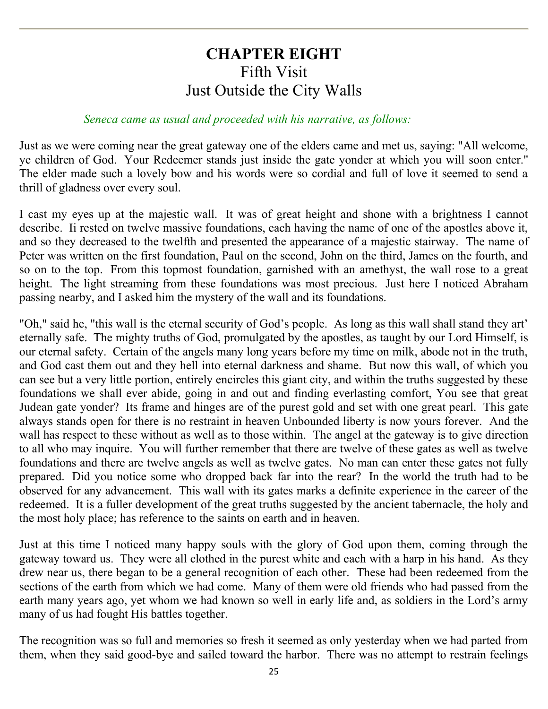# **CHAPTER EIGHT** Fifth Visit Just Outside the City Walls

#### *Seneca came as usual and proceeded with his narrative, as follows:*

Just as we were coming near the great gateway one of the elders came and met us, saying: "All welcome, ye children of God. Your Redeemer stands just inside the gate yonder at which you will soon enter." The elder made such a lovely bow and his words were so cordial and full of love it seemed to send a thrill of gladness over every soul.

I cast my eyes up at the majestic wall. It was of great height and shone with a brightness I cannot describe. Ii rested on twelve massive foundations, each having the name of one of the apostles above it, and so they decreased to the twelfth and presented the appearance of a majestic stairway. The name of Peter was written on the first foundation, Paul on the second, John on the third, James on the fourth, and so on to the top. From this topmost foundation, garnished with an amethyst, the wall rose to a great height. The light streaming from these foundations was most precious. Just here I noticed Abraham passing nearby, and I asked him the mystery of the wall and its foundations.

"Oh," said he, "this wall is the eternal security of God's people. As long as this wall shall stand they art' eternally safe. The mighty truths of God, promulgated by the apostles, as taught by our Lord Himself, is our eternal safety. Certain of the angels many long years before my time on milk, abode not in the truth, and God cast them out and they hell into eternal darkness and shame. But now this wall, of which you can see but a very little portion, entirely encircles this giant city, and within the truths suggested by these foundations we shall ever abide, going in and out and finding everlasting comfort, You see that great Judean gate yonder? Its frame and hinges are of the purest gold and set with one great pearl. This gate always stands open for there is no restraint in heaven Unbounded liberty is now yours forever. And the wall has respect to these without as well as to those within. The angel at the gateway is to give direction to all who may inquire. You will further remember that there are twelve of these gates as well as twelve foundations and there are twelve angels as well as twelve gates. No man can enter these gates not fully prepared. Did you notice some who dropped back far into the rear? In the world the truth had to be observed for any advancement. This wall with its gates marks a definite experience in the career of the redeemed. It is a fuller development of the great truths suggested by the ancient tabernacle, the holy and the most holy place; has reference to the saints on earth and in heaven.

Just at this time I noticed many happy souls with the glory of God upon them, coming through the gateway toward us. They were all clothed in the purest white and each with a harp in his hand. As they drew near us, there began to be a general recognition of each other. These had been redeemed from the sections of the earth from which we had come. Many of them were old friends who had passed from the earth many years ago, yet whom we had known so well in early life and, as soldiers in the Lord's army many of us had fought His battles together.

The recognition was so full and memories so fresh it seemed as only yesterday when we had parted from them, when they said good-bye and sailed toward the harbor. There was no attempt to restrain feelings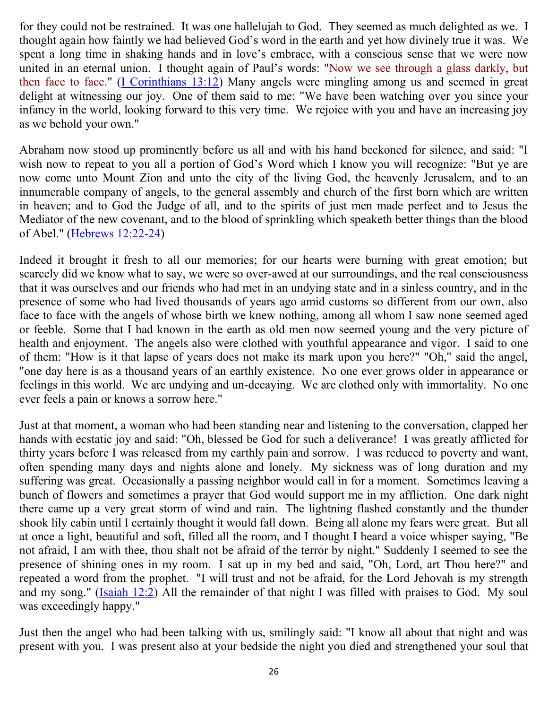for they could not be restrained. It was one hallelujah to God. They seemed as much delighted as we. I thought again how faintly we had believed God's word in the earth and yet how divinely true it was. We spent a long time in shaking hands and in love's embrace, with a conscious sense that we were now united in an eternal union. I thought again of Paul's words: "Now we see through a glass darkly, but then face to face." [\(I Corinthians 13:12\)](http://www.biblegateway.com/passage/?search=I%20Corinthians%2013:12;&version=31) Many angels were mingling among us and seemed in great delight at witnessing our joy. One of them said to me: "We have been watching over you since your infancy in the world, looking forward to this very time. We rejoice with you and have an increasing joy as we behold your own."

Abraham now stood up prominently before us all and with his hand beckoned for silence, and said: "I wish now to repeat to you all a portion of God's Word which I know you will recognize: "But ye are now come unto Mount Zion and unto the city of the living God, the heavenly Jerusalem, and to an innumerable company of angels, to the general assembly and church of the first born which are written in heaven; and to God the Judge of all, and to the spirits of just men made perfect and to Jesus the Mediator of the new covenant, and to the blood of sprinkling which speaketh better things than the blood of Abel." [\(Hebrews 12:22-24\)](http://www.biblegateway.com/passage/?search=Hebrews%2012:22-24;&version=31)

Indeed it brought it fresh to all our memories; for our hearts were burning with great emotion; but scarcely did we know what to say, we were so over-awed at our surroundings, and the real consciousness that it was ourselves and our friends who had met in an undying state and in a sinless country, and in the presence of some who had lived thousands of years ago amid customs so different from our own, also face to face with the angels of whose birth we knew nothing, among all whom I saw none seemed aged or feeble. Some that I had known in the earth as old men now seemed young and the very picture of health and enjoyment. The angels also were clothed with youthful appearance and vigor. I said to one of them: "How is it that lapse of years does not make its mark upon you here?" "Oh," said the angel, "one day here is as a thousand years of an earthly existence. No one ever grows older in appearance or feelings in this world. We are undying and un-decaying. We are clothed only with immortality. No one ever feels a pain or knows a sorrow here."

Just at that moment, a woman who had been standing near and listening to the conversation, clapped her hands with ecstatic joy and said: "Oh, blessed be God for such a deliverance! I was greatly afflicted for thirty years before I was released from my earthly pain and sorrow. I was reduced to poverty and want, often spending many days and nights alone and lonely. My sickness was of long duration and my suffering was great. Occasionally a passing neighbor would call in for a moment. Sometimes leaving a bunch of flowers and sometimes a prayer that God would support me in my affliction. One dark night there came up a very great storm of wind and rain. The lightning flashed constantly and the thunder shook lily cabin until I certainly thought it would fall down. Being all alone my fears were great. But all at once a light, beautiful and soft, filled all the room, and I thought I heard a voice whisper saying, "Be not afraid, I am with thee, thou shalt not be afraid of the terror by night." Suddenly I seemed to see the presence of shining ones in my room. I sat up in my bed and said, "Oh, Lord, art Thou here?" and repeated a word from the prophet. "I will trust and not be afraid, for the Lord Jehovah is my strength and my song." [\(Isaiah 12:2\)](http://www.biblegateway.com/passage/?search=Isaiah%2012:2;&version=31) All the remainder of that night I was filled with praises to God. My soul was exceedingly happy."

Just then the angel who had been talking with us, smilingly said: "I know all about that night and was present with you. I was present also at your bedside the night you died and strengthened your soul that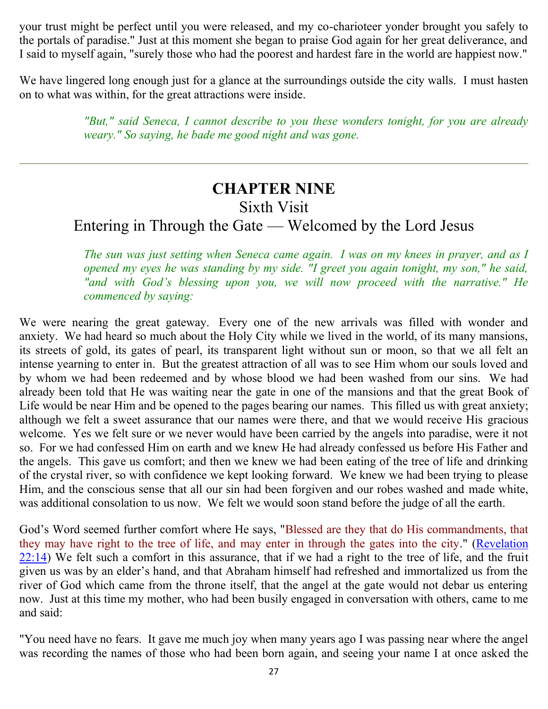your trust might be perfect until you were released, and my co-charioteer yonder brought you safely to the portals of paradise." Just at this moment she began to praise God again for her great deliverance, and I said to myself again, "surely those who had the poorest and hardest fare in the world are happiest now."

We have lingered long enough just for a glance at the surroundings outside the city walls. I must hasten on to what was within, for the great attractions were inside.

> *"But," said Seneca, I cannot describe to you these wonders tonight, for you are already weary." So saying, he bade me good night and was gone.*

### **CHAPTER NINE**

Sixth Visit

### Entering in Through the Gate — Welcomed by the Lord Jesus

*The sun was just setting when Seneca came again. I was on my knees in prayer, and as I opened my eyes he was standing by my side. "I greet you again tonight, my son," he said, "and with God's blessing upon you, we will now proceed with the narrative." He commenced by saying:*

We were nearing the great gateway. Every one of the new arrivals was filled with wonder and anxiety. We had heard so much about the Holy City while we lived in the world, of its many mansions, its streets of gold, its gates of pearl, its transparent light without sun or moon, so that we all felt an intense yearning to enter in. But the greatest attraction of all was to see Him whom our souls loved and by whom we had been redeemed and by whose blood we had been washed from our sins. We had already been told that He was waiting near the gate in one of the mansions and that the great Book of Life would be near Him and be opened to the pages bearing our names. This filled us with great anxiety; although we felt a sweet assurance that our names were there, and that we would receive His gracious welcome. Yes we felt sure or we never would have been carried by the angels into paradise, were it not so. For we had confessed Him on earth and we knew He had already confessed us before His Father and the angels. This gave us comfort; and then we knew we had been eating of the tree of life and drinking of the crystal river, so with confidence we kept looking forward. We knew we had been trying to please Him, and the conscious sense that all our sin had been forgiven and our robes washed and made white, was additional consolation to us now. We felt we would soon stand before the judge of all the earth.

God's Word seemed further comfort where He says, "Blessed are they that do His commandments, that they may have right to the tree of life, and may enter in through the gates into the city." [\(Revelation](http://www.biblegateway.com/passage/?search=Revelation%2022:14;&version=31)  [22:14\)](http://www.biblegateway.com/passage/?search=Revelation%2022:14;&version=31) We felt such a comfort in this assurance, that if we had a right to the tree of life, and the fruit given us was by an elder's hand, and that Abraham himself had refreshed and immortalized us from the river of God which came from the throne itself, that the angel at the gate would not debar us entering now. Just at this time my mother, who had been busily engaged in conversation with others, came to me and said:

"You need have no fears. It gave me much joy when many years ago I was passing near where the angel was recording the names of those who had been born again, and seeing your name I at once asked the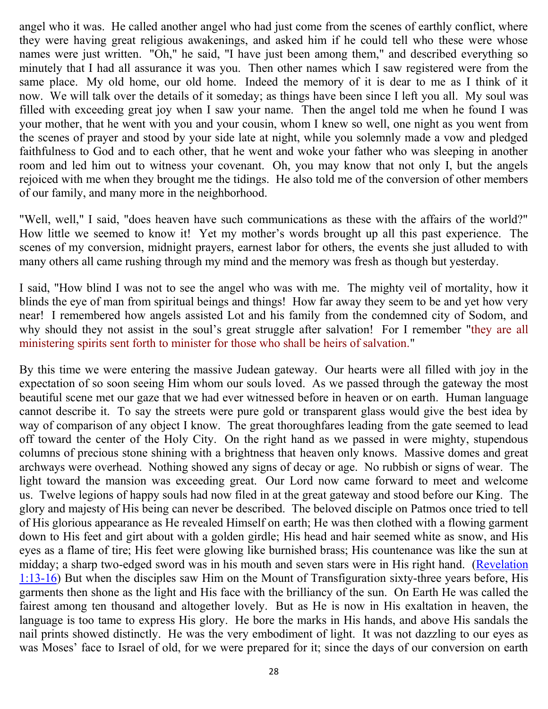angel who it was. He called another angel who had just come from the scenes of earthly conflict, where they were having great religious awakenings, and asked him if he could tell who these were whose names were just written. "Oh," he said, "I have just been among them," and described everything so minutely that I had all assurance it was you. Then other names which I saw registered were from the same place. My old home, our old home. Indeed the memory of it is dear to me as I think of it now. We will talk over the details of it someday; as things have been since I left you all. My soul was filled with exceeding great joy when I saw your name. Then the angel told me when he found I was your mother, that he went with you and your cousin, whom I knew so well, one night as you went from the scenes of prayer and stood by your side late at night, while you solemnly made a vow and pledged faithfulness to God and to each other, that he went and woke your father who was sleeping in another room and led him out to witness your covenant. Oh, you may know that not only I, but the angels rejoiced with me when they brought me the tidings. He also told me of the conversion of other members of our family, and many more in the neighborhood.

"Well, well," I said, "does heaven have such communications as these with the affairs of the world?" How little we seemed to know it! Yet my mother's words brought up all this past experience. The scenes of my conversion, midnight prayers, earnest labor for others, the events she just alluded to with many others all came rushing through my mind and the memory was fresh as though but yesterday.

I said, "How blind I was not to see the angel who was with me. The mighty veil of mortality, how it blinds the eye of man from spiritual beings and things! How far away they seem to be and yet how very near! I remembered how angels assisted Lot and his family from the condemned city of Sodom, and why should they not assist in the soul's great struggle after salvation! For I remember "they are all ministering spirits sent forth to minister for those who shall be heirs of salvation."

By this time we were entering the massive Judean gateway. Our hearts were all filled with joy in the expectation of so soon seeing Him whom our souls loved. As we passed through the gateway the most beautiful scene met our gaze that we had ever witnessed before in heaven or on earth. Human language cannot describe it. To say the streets were pure gold or transparent glass would give the best idea by way of comparison of any object I know. The great thoroughfares leading from the gate seemed to lead off toward the center of the Holy City. On the right hand as we passed in were mighty, stupendous columns of precious stone shining with a brightness that heaven only knows. Massive domes and great archways were overhead. Nothing showed any signs of decay or age. No rubbish or signs of wear. The light toward the mansion was exceeding great. Our Lord now came forward to meet and welcome us. Twelve legions of happy souls had now filed in at the great gateway and stood before our King. The glory and majesty of His being can never be described. The beloved disciple on Patmos once tried to tell of His glorious appearance as He revealed Himself on earth; He was then clothed with a flowing garment down to His feet and girt about with a golden girdle; His head and hair seemed white as snow, and His eyes as a flame of tire; His feet were glowing like burnished brass; His countenance was like the sun at midday; a sharp two-edged sword was in his mouth and seven stars were in His right hand. [\(Revelation](http://www.biblegateway.com/passage/?search=Revelation%201:13-16;&version=31)  [1:13-16\)](http://www.biblegateway.com/passage/?search=Revelation%201:13-16;&version=31) But when the disciples saw Him on the Mount of Transfiguration sixty-three years before, His garments then shone as the light and His face with the brilliancy of the sun. On Earth He was called the fairest among ten thousand and altogether lovely. But as He is now in His exaltation in heaven, the language is too tame to express His glory. He bore the marks in His hands, and above His sandals the nail prints showed distinctly. He was the very embodiment of light. It was not dazzling to our eyes as was Moses' face to Israel of old, for we were prepared for it; since the days of our conversion on earth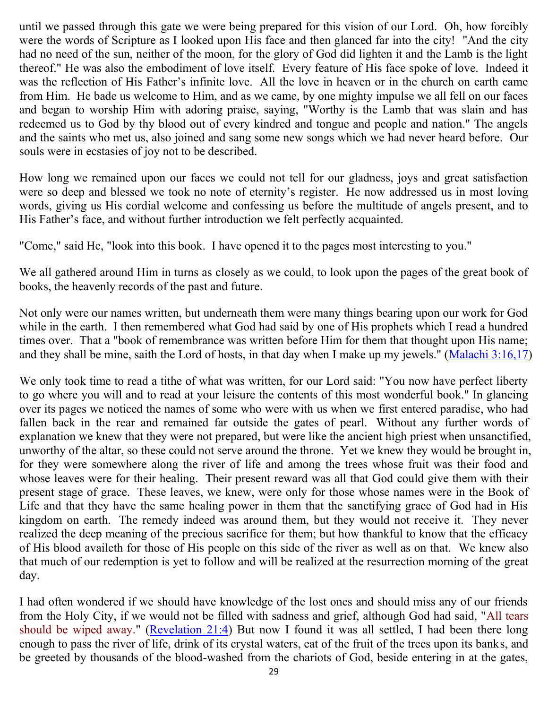until we passed through this gate we were being prepared for this vision of our Lord. Oh, how forcibly were the words of Scripture as I looked upon His face and then glanced far into the city! "And the city had no need of the sun, neither of the moon, for the glory of God did lighten it and the Lamb is the light thereof." He was also the embodiment of love itself. Every feature of His face spoke of love. Indeed it was the reflection of His Father's infinite love. All the love in heaven or in the church on earth came from Him. He bade us welcome to Him, and as we came, by one mighty impulse we all fell on our faces and began to worship Him with adoring praise, saying, "Worthy is the Lamb that was slain and has redeemed us to God by thy blood out of every kindred and tongue and people and nation." The angels and the saints who met us, also joined and sang some new songs which we had never heard before. Our souls were in ecstasies of joy not to be described.

How long we remained upon our faces we could not tell for our gladness, joys and great satisfaction were so deep and blessed we took no note of eternity's register. He now addressed us in most loving words, giving us His cordial welcome and confessing us before the multitude of angels present, and to His Father's face, and without further introduction we felt perfectly acquainted.

"Come," said He, "look into this book. I have opened it to the pages most interesting to you."

We all gathered around Him in turns as closely as we could, to look upon the pages of the great book of books, the heavenly records of the past and future.

Not only were our names written, but underneath them were many things bearing upon our work for God while in the earth. I then remembered what God had said by one of His prophets which I read a hundred times over. That a "book of remembrance was written before Him for them that thought upon His name; and they shall be mine, saith the Lord of hosts, in that day when I make up my jewels." [\(Malachi 3:16,17\)](http://www.biblegateway.com/passage/?search=Malachi%203:16,17;&version=31)

We only took time to read a tithe of what was written, for our Lord said: "You now have perfect liberty to go where you will and to read at your leisure the contents of this most wonderful book." In glancing over its pages we noticed the names of some who were with us when we first entered paradise, who had fallen back in the rear and remained far outside the gates of pearl. Without any further words of explanation we knew that they were not prepared, but were like the ancient high priest when unsanctified, unworthy of the altar, so these could not serve around the throne. Yet we knew they would be brought in, for they were somewhere along the river of life and among the trees whose fruit was their food and whose leaves were for their healing. Their present reward was all that God could give them with their present stage of grace. These leaves, we knew, were only for those whose names were in the Book of Life and that they have the same healing power in them that the sanctifying grace of God had in His kingdom on earth. The remedy indeed was around them, but they would not receive it. They never realized the deep meaning of the precious sacrifice for them; but how thankful to know that the efficacy of His blood availeth for those of His people on this side of the river as well as on that. We knew also that much of our redemption is yet to follow and will be realized at the resurrection morning of the great day.

I had often wondered if we should have knowledge of the lost ones and should miss any of our friends from the Holy City, if we would not be filled with sadness and grief, although God had said, "All tears should be wiped away." [\(Revelation 21:4\)](http://www.biblegateway.com/passage/?search=Revelation%2021:4;&version=31) But now I found it was all settled, I had been there long enough to pass the river of life, drink of its crystal waters, eat of the fruit of the trees upon its banks, and be greeted by thousands of the blood-washed from the chariots of God, beside entering in at the gates,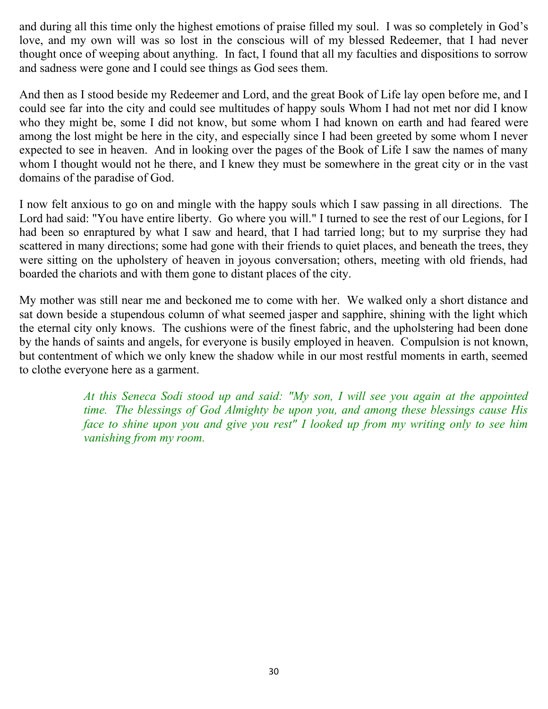and during all this time only the highest emotions of praise filled my soul. I was so completely in God's love, and my own will was so lost in the conscious will of my blessed Redeemer, that I had never thought once of weeping about anything. In fact, I found that all my faculties and dispositions to sorrow and sadness were gone and I could see things as God sees them.

And then as I stood beside my Redeemer and Lord, and the great Book of Life lay open before me, and I could see far into the city and could see multitudes of happy souls Whom I had not met nor did I know who they might be, some I did not know, but some whom I had known on earth and had feared were among the lost might be here in the city, and especially since I had been greeted by some whom I never expected to see in heaven. And in looking over the pages of the Book of Life I saw the names of many whom I thought would not he there, and I knew they must be somewhere in the great city or in the vast domains of the paradise of God.

I now felt anxious to go on and mingle with the happy souls which I saw passing in all directions. The Lord had said: "You have entire liberty. Go where you will." I turned to see the rest of our Legions, for I had been so enraptured by what I saw and heard, that I had tarried long; but to my surprise they had scattered in many directions; some had gone with their friends to quiet places, and beneath the trees, they were sitting on the upholstery of heaven in joyous conversation; others, meeting with old friends, had boarded the chariots and with them gone to distant places of the city.

My mother was still near me and beckoned me to come with her. We walked only a short distance and sat down beside a stupendous column of what seemed jasper and sapphire, shining with the light which the eternal city only knows. The cushions were of the finest fabric, and the upholstering had been done by the hands of saints and angels, for everyone is busily employed in heaven. Compulsion is not known, but contentment of which we only knew the shadow while in our most restful moments in earth, seemed to clothe everyone here as a garment.

> *At this Seneca Sodi stood up and said: "My son, I will see you again at the appointed time. The blessings of God Almighty be upon you, and among these blessings cause His face to shine upon you and give you rest" I looked up from my writing only to see him vanishing from my room.*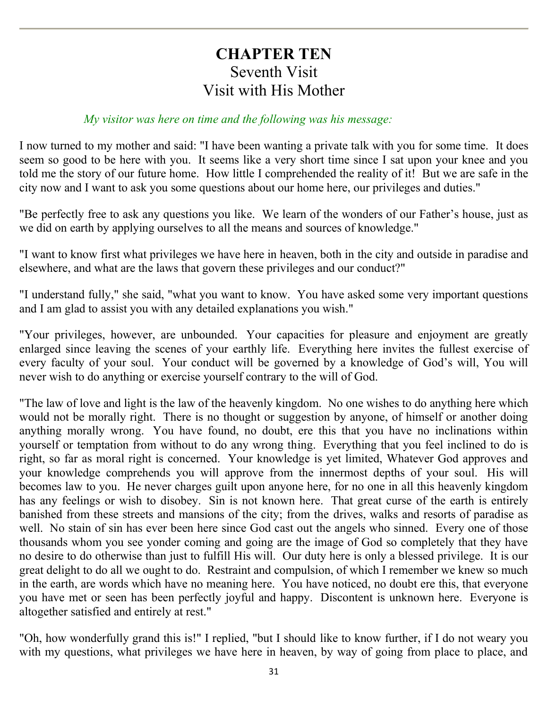# **CHAPTER TEN** Seventh Visit Visit with His Mother

#### *My visitor was here on time and the following was his message:*

I now turned to my mother and said: "I have been wanting a private talk with you for some time. It does seem so good to be here with you. It seems like a very short time since I sat upon your knee and you told me the story of our future home. How little I comprehended the reality of it! But we are safe in the city now and I want to ask you some questions about our home here, our privileges and duties."

"Be perfectly free to ask any questions you like. We learn of the wonders of our Father's house, just as we did on earth by applying ourselves to all the means and sources of knowledge."

"I want to know first what privileges we have here in heaven, both in the city and outside in paradise and elsewhere, and what are the laws that govern these privileges and our conduct?"

"I understand fully," she said, "what you want to know. You have asked some very important questions and I am glad to assist you with any detailed explanations you wish."

"Your privileges, however, are unbounded. Your capacities for pleasure and enjoyment are greatly enlarged since leaving the scenes of your earthly life. Everything here invites the fullest exercise of every faculty of your soul. Your conduct will be governed by a knowledge of God's will, You will never wish to do anything or exercise yourself contrary to the will of God.

"The law of love and light is the law of the heavenly kingdom. No one wishes to do anything here which would not be morally right. There is no thought or suggestion by anyone, of himself or another doing anything morally wrong. You have found, no doubt, ere this that you have no inclinations within yourself or temptation from without to do any wrong thing. Everything that you feel inclined to do is right, so far as moral right is concerned. Your knowledge is yet limited, Whatever God approves and your knowledge comprehends you will approve from the innermost depths of your soul. His will becomes law to you. He never charges guilt upon anyone here, for no one in all this heavenly kingdom has any feelings or wish to disobey. Sin is not known here. That great curse of the earth is entirely banished from these streets and mansions of the city; from the drives, walks and resorts of paradise as well. No stain of sin has ever been here since God cast out the angels who sinned. Every one of those thousands whom you see yonder coming and going are the image of God so completely that they have no desire to do otherwise than just to fulfill His will. Our duty here is only a blessed privilege. It is our great delight to do all we ought to do. Restraint and compulsion, of which I remember we knew so much in the earth, are words which have no meaning here. You have noticed, no doubt ere this, that everyone you have met or seen has been perfectly joyful and happy. Discontent is unknown here. Everyone is altogether satisfied and entirely at rest."

"Oh, how wonderfully grand this is!" I replied, "but I should like to know further, if I do not weary you with my questions, what privileges we have here in heaven, by way of going from place to place, and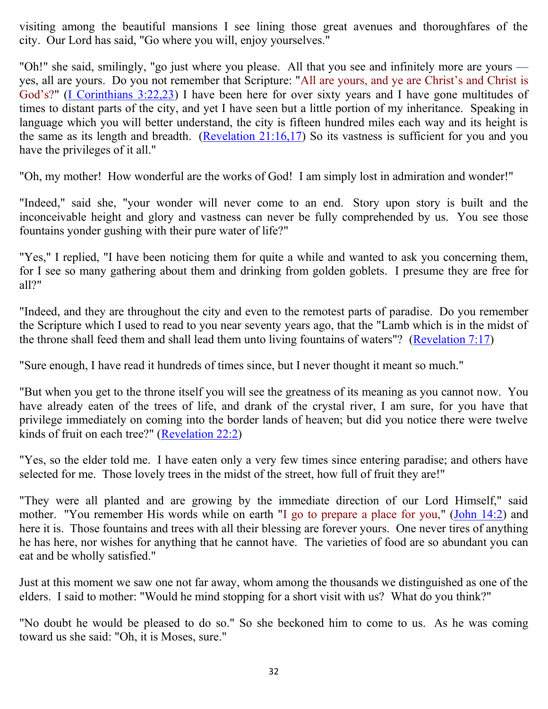visiting among the beautiful mansions I see lining those great avenues and thoroughfares of the city. Our Lord has said, "Go where you will, enjoy yourselves."

"Oh!" she said, smilingly, "go just where you please. All that you see and infinitely more are yours yes, all are yours. Do you not remember that Scripture: "All are yours, and ye are Christ's and Christ is God's?" [\(I Corinthians 3:22,23\)](http://www.biblegateway.com/passage/?search=I%20Corinthians%203:22,23;&version=31) I have been here for over sixty years and I have gone multitudes of times to distant parts of the city, and yet I have seen but a little portion of my inheritance. Speaking in language which you will better understand, the city is fifteen hundred miles each way and its height is the same as its length and breadth. [\(Revelation 21:16,17\)](http://www.biblegateway.com/passage/?search=Revelation%2021:16,17;&version=31) So its vastness is sufficient for you and you have the privileges of it all."

"Oh, my mother! How wonderful are the works of God! I am simply lost in admiration and wonder!"

"Indeed," said she, "your wonder will never come to an end. Story upon story is built and the inconceivable height and glory and vastness can never be fully comprehended by us. You see those fountains yonder gushing with their pure water of life?"

"Yes," I replied, "I have been noticing them for quite a while and wanted to ask you concerning them, for I see so many gathering about them and drinking from golden goblets. I presume they are free for all?"

"Indeed, and they are throughout the city and even to the remotest parts of paradise. Do you remember the Scripture which I used to read to you near seventy years ago, that the "Lamb which is in the midst of the throne shall feed them and shall lead them unto living fountains of waters"? [\(Revelation 7:17\)](http://www.biblegateway.com/passage/?search=Revelation%207:17;&version=31)

"Sure enough, I have read it hundreds of times since, but I never thought it meant so much."

"But when you get to the throne itself you will see the greatness of its meaning as you cannot now. You have already eaten of the trees of life, and drank of the crystal river, I am sure, for you have that privilege immediately on coming into the border lands of heaven; but did you notice there were twelve kinds of fruit on each tree?" [\(Revelation 22:2\)](http://www.biblegateway.com/passage/?search=Revelation%2022:2;&version=31)

"Yes, so the elder told me. I have eaten only a very few times since entering paradise; and others have selected for me. Those lovely trees in the midst of the street, how full of fruit they are!"

"They were all planted and are growing by the immediate direction of our Lord Himself," said mother. "You remember His words while on earth "I go to prepare a place for you," [\(John 14:2\)](http://www.biblegateway.com/passage/?search=John%2014:2;&version=31) and here it is. Those fountains and trees with all their blessing are forever yours. One never tires of anything he has here, nor wishes for anything that he cannot have. The varieties of food are so abundant you can eat and be wholly satisfied."

Just at this moment we saw one not far away, whom among the thousands we distinguished as one of the elders. I said to mother: "Would he mind stopping for a short visit with us? What do you think?"

"No doubt he would be pleased to do so." So she beckoned him to come to us. As he was coming toward us she said: "Oh, it is Moses, sure."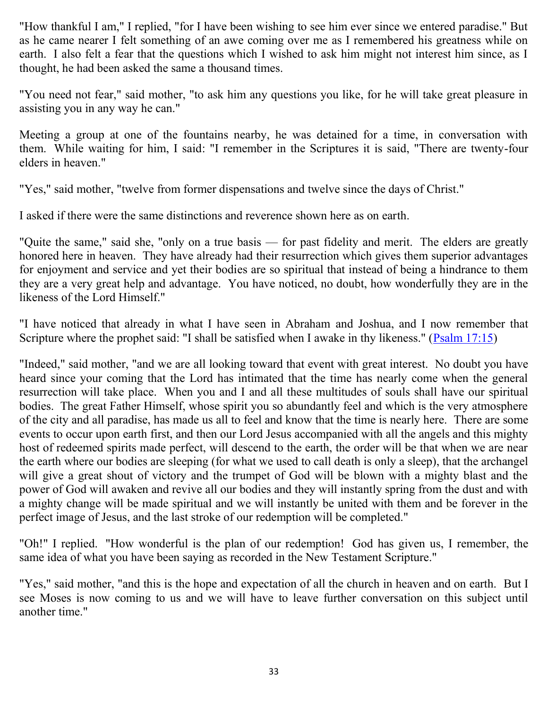"How thankful I am," I replied, "for I have been wishing to see him ever since we entered paradise." But as he came nearer I felt something of an awe coming over me as I remembered his greatness while on earth. I also felt a fear that the questions which I wished to ask him might not interest him since, as I thought, he had been asked the same a thousand times.

"You need not fear," said mother, "to ask him any questions you like, for he will take great pleasure in assisting you in any way he can."

Meeting a group at one of the fountains nearby, he was detained for a time, in conversation with them. While waiting for him, I said: "I remember in the Scriptures it is said, "There are twenty-four elders in heaven."

"Yes," said mother, "twelve from former dispensations and twelve since the days of Christ."

I asked if there were the same distinctions and reverence shown here as on earth.

"Quite the same," said she, "only on a true basis — for past fidelity and merit. The elders are greatly honored here in heaven. They have already had their resurrection which gives them superior advantages for enjoyment and service and yet their bodies are so spiritual that instead of being a hindrance to them they are a very great help and advantage. You have noticed, no doubt, how wonderfully they are in the likeness of the Lord Himself."

"I have noticed that already in what I have seen in Abraham and Joshua, and I now remember that Scripture where the prophet said: "I shall be satisfied when I awake in thy likeness." [\(Psalm 17:15\)](http://www.biblegateway.com/passage/?search=Psalm%2017:15;&version=31)

"Indeed," said mother, "and we are all looking toward that event with great interest. No doubt you have heard since your coming that the Lord has intimated that the time has nearly come when the general resurrection will take place. When you and I and all these multitudes of souls shall have our spiritual bodies. The great Father Himself, whose spirit you so abundantly feel and which is the very atmosphere of the city and all paradise, has made us all to feel and know that the time is nearly here. There are some events to occur upon earth first, and then our Lord Jesus accompanied with all the angels and this mighty host of redeemed spirits made perfect, will descend to the earth, the order will be that when we are near the earth where our bodies are sleeping (for what we used to call death is only a sleep), that the archangel will give a great shout of victory and the trumpet of God will be blown with a mighty blast and the power of God will awaken and revive all our bodies and they will instantly spring from the dust and with a mighty change will be made spiritual and we will instantly be united with them and be forever in the perfect image of Jesus, and the last stroke of our redemption will be completed."

"Oh!" I replied. "How wonderful is the plan of our redemption! God has given us, I remember, the same idea of what you have been saying as recorded in the New Testament Scripture."

"Yes," said mother, "and this is the hope and expectation of all the church in heaven and on earth. But I see Moses is now coming to us and we will have to leave further conversation on this subject until another time."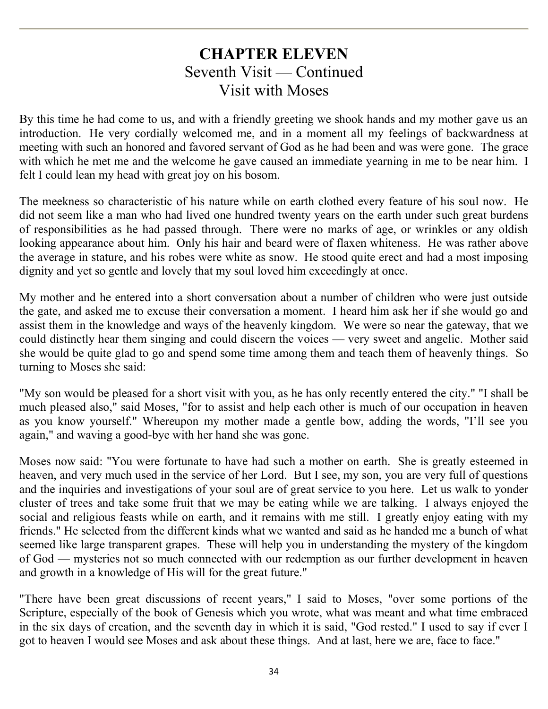# **CHAPTER ELEVEN** Seventh Visit — Continued Visit with Moses

By this time he had come to us, and with a friendly greeting we shook hands and my mother gave us an introduction. He very cordially welcomed me, and in a moment all my feelings of backwardness at meeting with such an honored and favored servant of God as he had been and was were gone. The grace with which he met me and the welcome he gave caused an immediate yearning in me to be near him. I felt I could lean my head with great joy on his bosom.

The meekness so characteristic of his nature while on earth clothed every feature of his soul now. He did not seem like a man who had lived one hundred twenty years on the earth under such great burdens of responsibilities as he had passed through. There were no marks of age, or wrinkles or any oldish looking appearance about him. Only his hair and beard were of flaxen whiteness. He was rather above the average in stature, and his robes were white as snow. He stood quite erect and had a most imposing dignity and yet so gentle and lovely that my soul loved him exceedingly at once.

My mother and he entered into a short conversation about a number of children who were just outside the gate, and asked me to excuse their conversation a moment. I heard him ask her if she would go and assist them in the knowledge and ways of the heavenly kingdom. We were so near the gateway, that we could distinctly hear them singing and could discern the voices — very sweet and angelic. Mother said she would be quite glad to go and spend some time among them and teach them of heavenly things. So turning to Moses she said:

"My son would be pleased for a short visit with you, as he has only recently entered the city." "I shall be much pleased also," said Moses, "for to assist and help each other is much of our occupation in heaven as you know yourself." Whereupon my mother made a gentle bow, adding the words, "I'll see you again," and waving a good-bye with her hand she was gone.

Moses now said: "You were fortunate to have had such a mother on earth. She is greatly esteemed in heaven, and very much used in the service of her Lord. But I see, my son, you are very full of questions and the inquiries and investigations of your soul are of great service to you here. Let us walk to yonder cluster of trees and take some fruit that we may be eating while we are talking. I always enjoyed the social and religious feasts while on earth, and it remains with me still. I greatly enjoy eating with my friends." He selected from the different kinds what we wanted and said as he handed me a bunch of what seemed like large transparent grapes. These will help you in understanding the mystery of the kingdom of God — mysteries not so much connected with our redemption as our further development in heaven and growth in a knowledge of His will for the great future."

"There have been great discussions of recent years," I said to Moses, "over some portions of the Scripture, especially of the book of Genesis which you wrote, what was meant and what time embraced in the six days of creation, and the seventh day in which it is said, "God rested." I used to say if ever I got to heaven I would see Moses and ask about these things. And at last, here we are, face to face."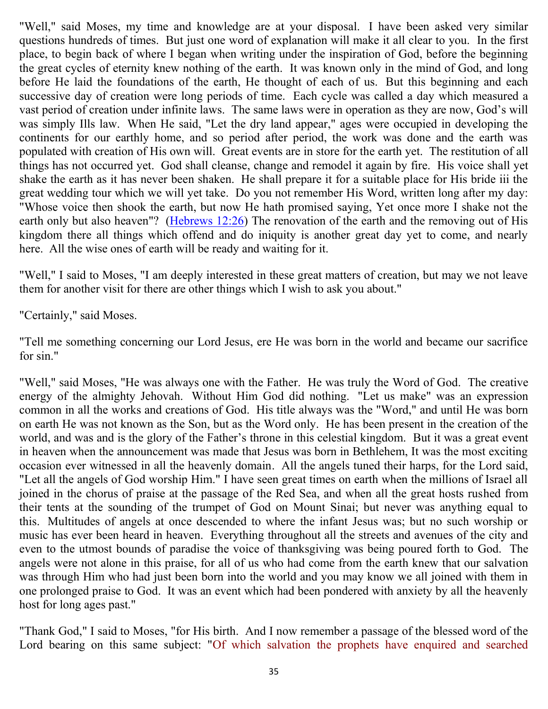"Well," said Moses, my time and knowledge are at your disposal. I have been asked very similar questions hundreds of times. But just one word of explanation will make it all clear to you. In the first place, to begin back of where I began when writing under the inspiration of God, before the beginning the great cycles of eternity knew nothing of the earth. It was known only in the mind of God, and long before He laid the foundations of the earth, He thought of each of us. But this beginning and each successive day of creation were long periods of time. Each cycle was called a day which measured a vast period of creation under infinite laws. The same laws were in operation as they are now, God's will was simply Ills law. When He said, "Let the dry land appear," ages were occupied in developing the continents for our earthly home, and so period after period, the work was done and the earth was populated with creation of His own will. Great events are in store for the earth yet. The restitution of all things has not occurred yet. God shall cleanse, change and remodel it again by fire. His voice shall yet shake the earth as it has never been shaken. He shall prepare it for a suitable place for His bride iii the great wedding tour which we will yet take. Do you not remember His Word, written long after my day: "Whose voice then shook the earth, but now He hath promised saying, Yet once more I shake not the earth only but also heaven"? [\(Hebrews 12:26\)](http://www.biblegateway.com/passage/?search=Hebrews%2012:26;&version=31) The renovation of the earth and the removing out of His kingdom there all things which offend and do iniquity is another great day yet to come, and nearly here. All the wise ones of earth will be ready and waiting for it.

"Well," I said to Moses, "I am deeply interested in these great matters of creation, but may we not leave them for another visit for there are other things which I wish to ask you about."

"Certainly," said Moses.

"Tell me something concerning our Lord Jesus, ere He was born in the world and became our sacrifice for sin."

"Well," said Moses, "He was always one with the Father. He was truly the Word of God. The creative energy of the almighty Jehovah. Without Him God did nothing. "Let us make" was an expression common in all the works and creations of God. His title always was the "Word," and until He was born on earth He was not known as the Son, but as the Word only. He has been present in the creation of the world, and was and is the glory of the Father's throne in this celestial kingdom. But it was a great event in heaven when the announcement was made that Jesus was born in Bethlehem, It was the most exciting occasion ever witnessed in all the heavenly domain. All the angels tuned their harps, for the Lord said, "Let all the angels of God worship Him." I have seen great times on earth when the millions of Israel all joined in the chorus of praise at the passage of the Red Sea, and when all the great hosts rushed from their tents at the sounding of the trumpet of God on Mount Sinai; but never was anything equal to this. Multitudes of angels at once descended to where the infant Jesus was; but no such worship or music has ever been heard in heaven. Everything throughout all the streets and avenues of the city and even to the utmost bounds of paradise the voice of thanksgiving was being poured forth to God. The angels were not alone in this praise, for all of us who had come from the earth knew that our salvation was through Him who had just been born into the world and you may know we all joined with them in one prolonged praise to God. It was an event which had been pondered with anxiety by all the heavenly host for long ages past."

"Thank God," I said to Moses, "for His birth. And I now remember a passage of the blessed word of the Lord bearing on this same subject: "Of which salvation the prophets have enquired and searched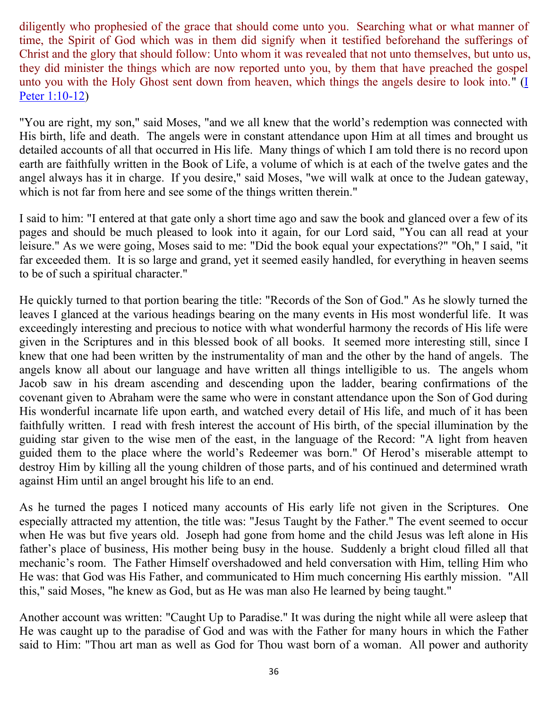diligently who prophesied of the grace that should come unto you. Searching what or what manner of time, the Spirit of God which was in them did signify when it testified beforehand the sufferings of Christ and the glory that should follow: Unto whom it was revealed that not unto themselves, but unto us, they did minister the things which are now reported unto you, by them that have preached the gospel unto you with the Holy Ghost sent down from heaven, which things the angels desire to look into." [\(I](http://www.biblegateway.com/passage/?search=I%20Peter%201:10-12;&version=31)  [Peter 1:10-12\)](http://www.biblegateway.com/passage/?search=I%20Peter%201:10-12;&version=31)

"You are right, my son," said Moses, "and we all knew that the world's redemption was connected with His birth, life and death. The angels were in constant attendance upon Him at all times and brought us detailed accounts of all that occurred in His life. Many things of which I am told there is no record upon earth are faithfully written in the Book of Life, a volume of which is at each of the twelve gates and the angel always has it in charge. If you desire," said Moses, "we will walk at once to the Judean gateway, which is not far from here and see some of the things written therein."

I said to him: "I entered at that gate only a short time ago and saw the book and glanced over a few of its pages and should be much pleased to look into it again, for our Lord said, "You can all read at your leisure." As we were going, Moses said to me: "Did the book equal your expectations?" "Oh," I said, "it far exceeded them. It is so large and grand, yet it seemed easily handled, for everything in heaven seems to be of such a spiritual character."

He quickly turned to that portion bearing the title: "Records of the Son of God." As he slowly turned the leaves I glanced at the various headings bearing on the many events in His most wonderful life. It was exceedingly interesting and precious to notice with what wonderful harmony the records of His life were given in the Scriptures and in this blessed book of all books. It seemed more interesting still, since I knew that one had been written by the instrumentality of man and the other by the hand of angels. The angels know all about our language and have written all things intelligible to us. The angels whom Jacob saw in his dream ascending and descending upon the ladder, bearing confirmations of the covenant given to Abraham were the same who were in constant attendance upon the Son of God during His wonderful incarnate life upon earth, and watched every detail of His life, and much of it has been faithfully written. I read with fresh interest the account of His birth, of the special illumination by the guiding star given to the wise men of the east, in the language of the Record: "A light from heaven guided them to the place where the world's Redeemer was born." Of Herod's miserable attempt to destroy Him by killing all the young children of those parts, and of his continued and determined wrath against Him until an angel brought his life to an end.

As he turned the pages I noticed many accounts of His early life not given in the Scriptures. One especially attracted my attention, the title was: "Jesus Taught by the Father." The event seemed to occur when He was but five years old. Joseph had gone from home and the child Jesus was left alone in His father's place of business, His mother being busy in the house. Suddenly a bright cloud filled all that mechanic's room. The Father Himself overshadowed and held conversation with Him, telling Him who He was: that God was His Father, and communicated to Him much concerning His earthly mission. "All this," said Moses, "he knew as God, but as He was man also He learned by being taught."

Another account was written: "Caught Up to Paradise." It was during the night while all were asleep that He was caught up to the paradise of God and was with the Father for many hours in which the Father said to Him: "Thou art man as well as God for Thou wast born of a woman. All power and authority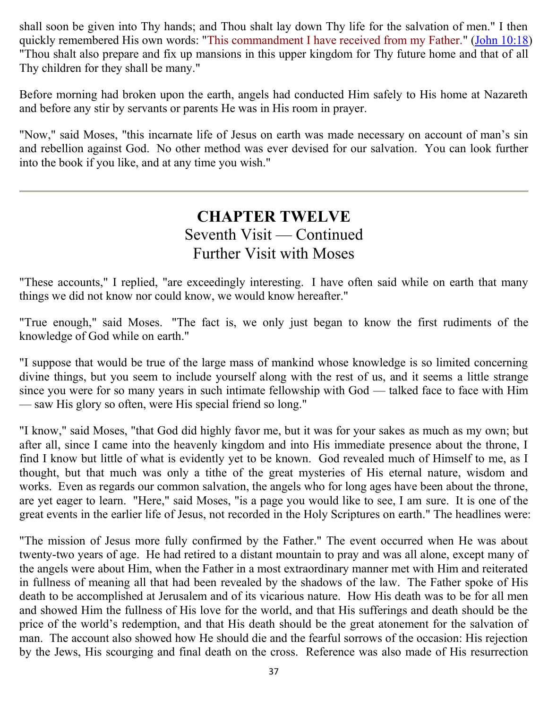shall soon be given into Thy hands; and Thou shalt lay down Thy life for the salvation of men." I then quickly remembered His own words: "This commandment I have received from my Father." [\(John 10:18\)](http://www.biblegateway.com/passage/?search=John%2010:18;&version=31) "Thou shalt also prepare and fix up mansions in this upper kingdom for Thy future home and that of all Thy children for they shall be many."

Before morning had broken upon the earth, angels had conducted Him safely to His home at Nazareth and before any stir by servants or parents He was in His room in prayer.

"Now," said Moses, "this incarnate life of Jesus on earth was made necessary on account of man's sin and rebellion against God. No other method was ever devised for our salvation. You can look further into the book if you like, and at any time you wish."

## **CHAPTER TWELVE**

#### Seventh Visit — Continued Further Visit with Moses

"These accounts," I replied, "are exceedingly interesting. I have often said while on earth that many things we did not know nor could know, we would know hereafter."

"True enough," said Moses. "The fact is, we only just began to know the first rudiments of the knowledge of God while on earth."

"I suppose that would be true of the large mass of mankind whose knowledge is so limited concerning divine things, but you seem to include yourself along with the rest of us, and it seems a little strange since you were for so many years in such intimate fellowship with God — talked face to face with Him — saw His glory so often, were His special friend so long."

"I know," said Moses, "that God did highly favor me, but it was for your sakes as much as my own; but after all, since I came into the heavenly kingdom and into His immediate presence about the throne, I find I know but little of what is evidently yet to be known. God revealed much of Himself to me, as I thought, but that much was only a tithe of the great mysteries of His eternal nature, wisdom and works. Even as regards our common salvation, the angels who for long ages have been about the throne, are yet eager to learn. "Here," said Moses, "is a page you would like to see, I am sure. It is one of the great events in the earlier life of Jesus, not recorded in the Holy Scriptures on earth." The headlines were:

"The mission of Jesus more fully confirmed by the Father." The event occurred when He was about twenty-two years of age. He had retired to a distant mountain to pray and was all alone, except many of the angels were about Him, when the Father in a most extraordinary manner met with Him and reiterated in fullness of meaning all that had been revealed by the shadows of the law. The Father spoke of His death to be accomplished at Jerusalem and of its vicarious nature. How His death was to be for all men and showed Him the fullness of His love for the world, and that His sufferings and death should be the price of the world's redemption, and that His death should be the great atonement for the salvation of man. The account also showed how He should die and the fearful sorrows of the occasion: His rejection by the Jews, His scourging and final death on the cross. Reference was also made of His resurrection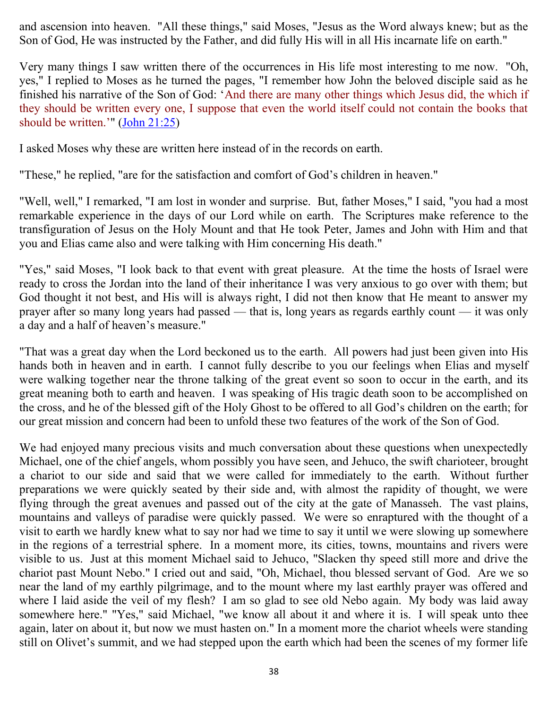and ascension into heaven. "All these things," said Moses, "Jesus as the Word always knew; but as the Son of God, He was instructed by the Father, and did fully His will in all His incarnate life on earth."

Very many things I saw written there of the occurrences in His life most interesting to me now. "Oh, yes," I replied to Moses as he turned the pages, "I remember how John the beloved disciple said as he finished his narrative of the Son of God: 'And there are many other things which Jesus did, the which if they should be written every one, I suppose that even the world itself could not contain the books that should be written.'" [\(John 21:25\)](http://www.biblegateway.com/passage/?search=John%2021:25;&version=31)

I asked Moses why these are written here instead of in the records on earth.

"These," he replied, "are for the satisfaction and comfort of God's children in heaven."

"Well, well," I remarked, "I am lost in wonder and surprise. But, father Moses," I said, "you had a most remarkable experience in the days of our Lord while on earth. The Scriptures make reference to the transfiguration of Jesus on the Holy Mount and that He took Peter, James and John with Him and that you and Elias came also and were talking with Him concerning His death."

"Yes," said Moses, "I look back to that event with great pleasure. At the time the hosts of Israel were ready to cross the Jordan into the land of their inheritance I was very anxious to go over with them; but God thought it not best, and His will is always right, I did not then know that He meant to answer my prayer after so many long years had passed — that is, long years as regards earthly count — it was only a day and a half of heaven's measure."

"That was a great day when the Lord beckoned us to the earth. All powers had just been given into His hands both in heaven and in earth. I cannot fully describe to you our feelings when Elias and myself were walking together near the throne talking of the great event so soon to occur in the earth, and its great meaning both to earth and heaven. I was speaking of His tragic death soon to be accomplished on the cross, and he of the blessed gift of the Holy Ghost to be offered to all God's children on the earth; for our great mission and concern had been to unfold these two features of the work of the Son of God.

We had enjoyed many precious visits and much conversation about these questions when unexpectedly Michael, one of the chief angels, whom possibly you have seen, and Jehuco, the swift charioteer, brought a chariot to our side and said that we were called for immediately to the earth. Without further preparations we were quickly seated by their side and, with almost the rapidity of thought, we were flying through the great avenues and passed out of the city at the gate of Manasseh. The vast plains, mountains and valleys of paradise were quickly passed. We were so enraptured with the thought of a visit to earth we hardly knew what to say nor had we time to say it until we were slowing up somewhere in the regions of a terrestrial sphere. In a moment more, its cities, towns, mountains and rivers were visible to us. Just at this moment Michael said to Jehuco, "Slacken thy speed still more and drive the chariot past Mount Nebo." I cried out and said, "Oh, Michael, thou blessed servant of God. Are we so near the land of my earthly pilgrimage, and to the mount where my last earthly prayer was offered and where I laid aside the veil of my flesh? I am so glad to see old Nebo again. My body was laid away somewhere here." "Yes," said Michael, "we know all about it and where it is. I will speak unto thee again, later on about it, but now we must hasten on." In a moment more the chariot wheels were standing still on Olivet's summit, and we had stepped upon the earth which had been the scenes of my former life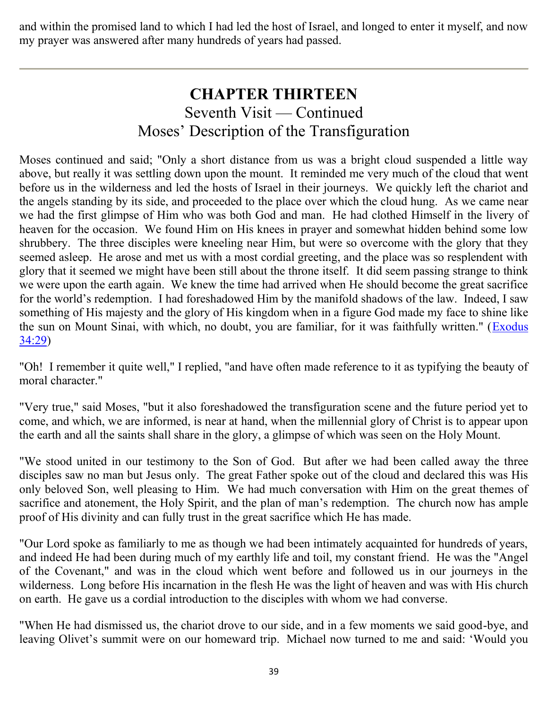and within the promised land to which I had led the host of Israel, and longed to enter it myself, and now my prayer was answered after many hundreds of years had passed.

# **CHAPTER THIRTEEN** Seventh Visit — Continued Moses' Description of the Transfiguration

Moses continued and said; "Only a short distance from us was a bright cloud suspended a little way above, but really it was settling down upon the mount. It reminded me very much of the cloud that went before us in the wilderness and led the hosts of Israel in their journeys. We quickly left the chariot and the angels standing by its side, and proceeded to the place over which the cloud hung. As we came near we had the first glimpse of Him who was both God and man. He had clothed Himself in the livery of heaven for the occasion. We found Him on His knees in prayer and somewhat hidden behind some low shrubbery. The three disciples were kneeling near Him, but were so overcome with the glory that they seemed asleep. He arose and met us with a most cordial greeting, and the place was so resplendent with glory that it seemed we might have been still about the throne itself. It did seem passing strange to think we were upon the earth again. We knew the time had arrived when He should become the great sacrifice for the world's redemption. I had foreshadowed Him by the manifold shadows of the law. Indeed, I saw something of His majesty and the glory of His kingdom when in a figure God made my face to shine like the sun on Mount Sinai, with which, no doubt, you are familiar, for it was faithfully written." [\(Exodus](http://www.biblegateway.com/passage/?search=Exodus%2034:29;&version=31)  [34:29\)](http://www.biblegateway.com/passage/?search=Exodus%2034:29;&version=31)

"Oh! I remember it quite well," I replied, "and have often made reference to it as typifying the beauty of moral character."

"Very true," said Moses, "but it also foreshadowed the transfiguration scene and the future period yet to come, and which, we are informed, is near at hand, when the millennial glory of Christ is to appear upon the earth and all the saints shall share in the glory, a glimpse of which was seen on the Holy Mount.

"We stood united in our testimony to the Son of God. But after we had been called away the three disciples saw no man but Jesus only. The great Father spoke out of the cloud and declared this was His only beloved Son, well pleasing to Him. We had much conversation with Him on the great themes of sacrifice and atonement, the Holy Spirit, and the plan of man's redemption. The church now has ample proof of His divinity and can fully trust in the great sacrifice which He has made.

"Our Lord spoke as familiarly to me as though we had been intimately acquainted for hundreds of years, and indeed He had been during much of my earthly life and toil, my constant friend. He was the "Angel of the Covenant," and was in the cloud which went before and followed us in our journeys in the wilderness. Long before His incarnation in the flesh He was the light of heaven and was with His church on earth. He gave us a cordial introduction to the disciples with whom we had converse.

"When He had dismissed us, the chariot drove to our side, and in a few moments we said good-bye, and leaving Olivet's summit were on our homeward trip. Michael now turned to me and said: 'Would you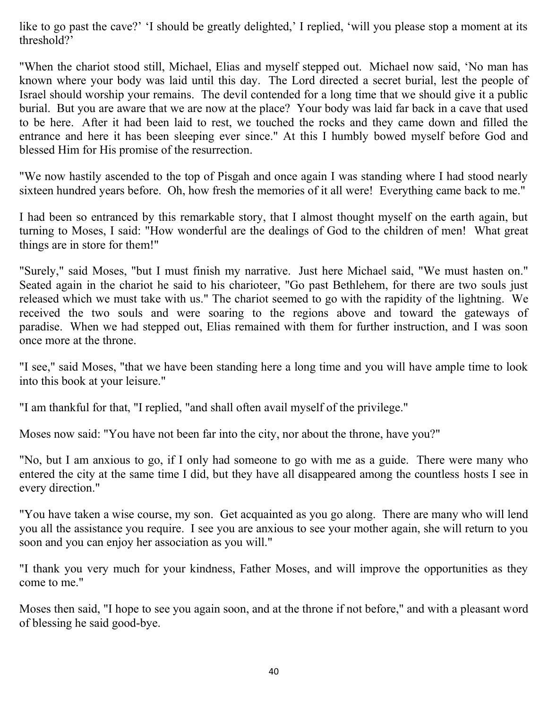like to go past the cave?' 'I should be greatly delighted,' I replied, 'will you please stop a moment at its threshold?'

"When the chariot stood still, Michael, Elias and myself stepped out. Michael now said, 'No man has known where your body was laid until this day. The Lord directed a secret burial, lest the people of Israel should worship your remains. The devil contended for a long time that we should give it a public burial. But you are aware that we are now at the place? Your body was laid far back in a cave that used to be here. After it had been laid to rest, we touched the rocks and they came down and filled the entrance and here it has been sleeping ever since." At this I humbly bowed myself before God and blessed Him for His promise of the resurrection.

"We now hastily ascended to the top of Pisgah and once again I was standing where I had stood nearly sixteen hundred years before. Oh, how fresh the memories of it all were! Everything came back to me."

I had been so entranced by this remarkable story, that I almost thought myself on the earth again, but turning to Moses, I said: "How wonderful are the dealings of God to the children of men! What great things are in store for them!"

"Surely," said Moses, "but I must finish my narrative. Just here Michael said, "We must hasten on." Seated again in the chariot he said to his charioteer, "Go past Bethlehem, for there are two souls just released which we must take with us." The chariot seemed to go with the rapidity of the lightning. We received the two souls and were soaring to the regions above and toward the gateways of paradise. When we had stepped out, Elias remained with them for further instruction, and I was soon once more at the throne.

"I see," said Moses, "that we have been standing here a long time and you will have ample time to look into this book at your leisure."

"I am thankful for that, "I replied, "and shall often avail myself of the privilege."

Moses now said: "You have not been far into the city, nor about the throne, have you?"

"No, but I am anxious to go, if I only had someone to go with me as a guide. There were many who entered the city at the same time I did, but they have all disappeared among the countless hosts I see in every direction."

"You have taken a wise course, my son. Get acquainted as you go along. There are many who will lend you all the assistance you require. I see you are anxious to see your mother again, she will return to you soon and you can enjoy her association as you will."

"I thank you very much for your kindness, Father Moses, and will improve the opportunities as they come to me."

Moses then said, "I hope to see you again soon, and at the throne if not before," and with a pleasant word of blessing he said good-bye.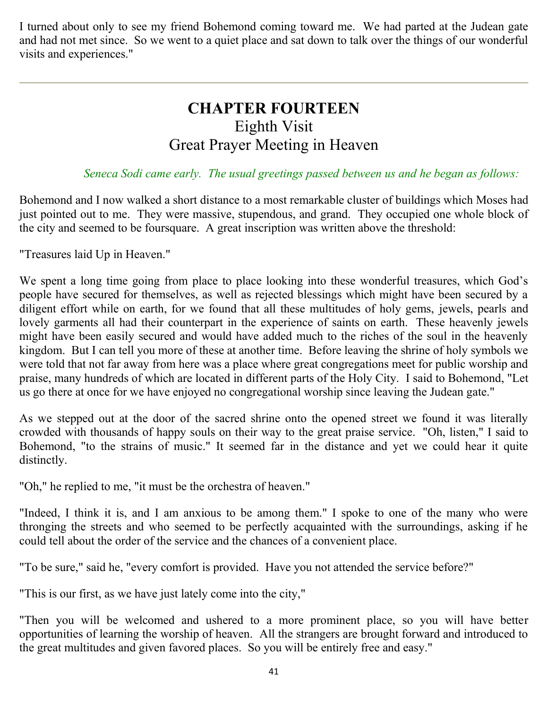I turned about only to see my friend Bohemond coming toward me. We had parted at the Judean gate and had not met since. So we went to a quiet place and sat down to talk over the things of our wonderful visits and experiences."

## **CHAPTER FOURTEEN** Eighth Visit Great Prayer Meeting in Heaven

*Seneca Sodi came early. The usual greetings passed between us and he began as follows:*

Bohemond and I now walked a short distance to a most remarkable cluster of buildings which Moses had just pointed out to me. They were massive, stupendous, and grand. They occupied one whole block of the city and seemed to be foursquare. A great inscription was written above the threshold:

"Treasures laid Up in Heaven."

We spent a long time going from place to place looking into these wonderful treasures, which God's people have secured for themselves, as well as rejected blessings which might have been secured by a diligent effort while on earth, for we found that all these multitudes of holy gems, jewels, pearls and lovely garments all had their counterpart in the experience of saints on earth. These heavenly jewels might have been easily secured and would have added much to the riches of the soul in the heavenly kingdom. But I can tell you more of these at another time. Before leaving the shrine of holy symbols we were told that not far away from here was a place where great congregations meet for public worship and praise, many hundreds of which are located in different parts of the Holy City. I said to Bohemond, "Let us go there at once for we have enjoyed no congregational worship since leaving the Judean gate."

As we stepped out at the door of the sacred shrine onto the opened street we found it was literally crowded with thousands of happy souls on their way to the great praise service. "Oh, listen," I said to Bohemond, "to the strains of music." It seemed far in the distance and yet we could hear it quite distinctly.

"Oh," he replied to me, "it must be the orchestra of heaven."

"Indeed, I think it is, and I am anxious to be among them." I spoke to one of the many who were thronging the streets and who seemed to be perfectly acquainted with the surroundings, asking if he could tell about the order of the service and the chances of a convenient place.

"To be sure," said he, "every comfort is provided. Have you not attended the service before?"

"This is our first, as we have just lately come into the city,"

"Then you will be welcomed and ushered to a more prominent place, so you will have better opportunities of learning the worship of heaven. All the strangers are brought forward and introduced to the great multitudes and given favored places. So you will be entirely free and easy."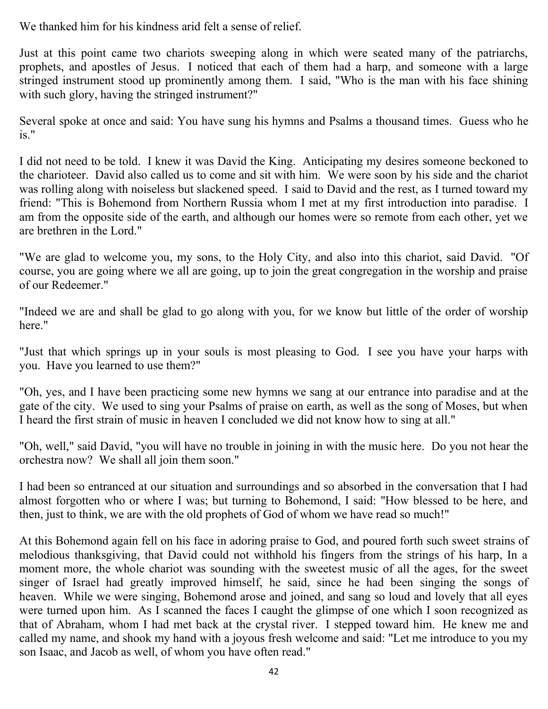We thanked him for his kindness arid felt a sense of relief.

Just at this point came two chariots sweeping along in which were seated many of the patriarchs, prophets, and apostles of Jesus. I noticed that each of them had a harp, and someone with a large stringed instrument stood up prominently among them. I said, "Who is the man with his face shining with such glory, having the stringed instrument?"

Several spoke at once and said: You have sung his hymns and Psalms a thousand times. Guess who he is."

I did not need to be told. I knew it was David the King. Anticipating my desires someone beckoned to the charioteer. David also called us to come and sit with him. We were soon by his side and the chariot was rolling along with noiseless but slackened speed. I said to David and the rest, as I turned toward my friend: "This is Bohemond from Northern Russia whom I met at my first introduction into paradise. I am from the opposite side of the earth, and although our homes were so remote from each other, yet we are brethren in the Lord."

"We are glad to welcome you, my sons, to the Holy City, and also into this chariot, said David. "Of course, you are going where we all are going, up to join the great congregation in the worship and praise of our Redeemer."

"Indeed we are and shall be glad to go along with you, for we know but little of the order of worship here."

"Just that which springs up in your souls is most pleasing to God. I see you have your harps with you. Have you learned to use them?"

"Oh, yes, and I have been practicing some new hymns we sang at our entrance into paradise and at the gate of the city. We used to sing your Psalms of praise on earth, as well as the song of Moses, but when I heard the first strain of music in heaven I concluded we did not know how to sing at all."

"Oh, well," said David, "you will have no trouble in joining in with the music here. Do you not hear the orchestra now? We shall all join them soon."

I had been so entranced at our situation and surroundings and so absorbed in the conversation that I had almost forgotten who or where I was; but turning to Bohemond, I said: "How blessed to be here, and then, just to think, we are with the old prophets of God of whom we have read so much!"

At this Bohemond again fell on his face in adoring praise to God, and poured forth such sweet strains of melodious thanksgiving, that David could not withhold his fingers from the strings of his harp, In a moment more, the whole chariot was sounding with the sweetest music of all the ages, for the sweet singer of Israel had greatly improved himself, he said, since he had been singing the songs of heaven. While we were singing, Bohemond arose and joined, and sang so loud and lovely that all eyes were turned upon him. As I scanned the faces I caught the glimpse of one which I soon recognized as that of Abraham, whom I had met back at the crystal river. I stepped toward him. He knew me and called my name, and shook my hand with a joyous fresh welcome and said: "Let me introduce to you my son Isaac, and Jacob as well, of whom you have often read."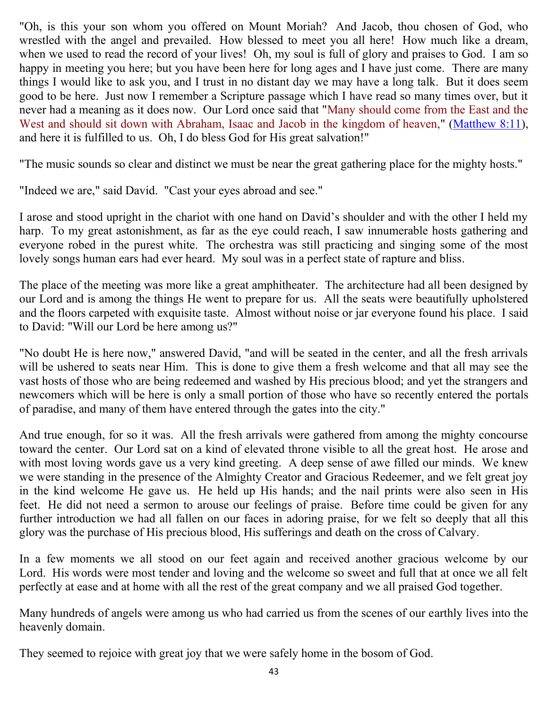"Oh, is this your son whom you offered on Mount Moriah? And Jacob, thou chosen of God, who wrestled with the angel and prevailed. How blessed to meet you all here! How much like a dream, when we used to read the record of your lives! Oh, my soul is full of glory and praises to God. I am so happy in meeting you here; but you have been here for long ages and I have just come. There are many things I would like to ask you, and I trust in no distant day we may have a long talk. But it does seem good to be here. Just now I remember a Scripture passage which I have read so many times over, but it never had a meaning as it does now. Our Lord once said that "Many should come from the East and the West and should sit down with Abraham, Isaac and Jacob in the kingdom of heaven," [\(Matthew 8:11\)](http://www.biblegateway.com/passage/?search=Matthew%208:11;&version=31), and here it is fulfilled to us. Oh, I do bless God for His great salvation!"

"The music sounds so clear and distinct we must be near the great gathering place for the mighty hosts."

"Indeed we are," said David. "Cast your eyes abroad and see."

I arose and stood upright in the chariot with one hand on David's shoulder and with the other I held my harp. To my great astonishment, as far as the eye could reach, I saw innumerable hosts gathering and everyone robed in the purest white. The orchestra was still practicing and singing some of the most lovely songs human ears had ever heard. My soul was in a perfect state of rapture and bliss.

The place of the meeting was more like a great amphitheater. The architecture had all been designed by our Lord and is among the things He went to prepare for us. All the seats were beautifully upholstered and the floors carpeted with exquisite taste. Almost without noise or jar everyone found his place. I said to David: "Will our Lord be here among us?"

"No doubt He is here now," answered David, "and will be seated in the center, and all the fresh arrivals will be ushered to seats near Him. This is done to give them a fresh welcome and that all may see the vast hosts of those who are being redeemed and washed by His precious blood; and yet the strangers and newcomers which will be here is only a small portion of those who have so recently entered the portals of paradise, and many of them have entered through the gates into the city."

And true enough, for so it was. All the fresh arrivals were gathered from among the mighty concourse toward the center. Our Lord sat on a kind of elevated throne visible to all the great host. He arose and with most loving words gave us a very kind greeting. A deep sense of awe filled our minds. We knew we were standing in the presence of the Almighty Creator and Gracious Redeemer, and we felt great joy in the kind welcome He gave us. He held up His hands; and the nail prints were also seen in His feet. He did not need a sermon to arouse our feelings of praise. Before time could be given for any further introduction we had all fallen on our faces in adoring praise, for we felt so deeply that all this glory was the purchase of His precious blood, His sufferings and death on the cross of Calvary.

In a few moments we all stood on our feet again and received another gracious welcome by our Lord. His words were most tender and loving and the welcome so sweet and full that at once we all felt perfectly at ease and at home with all the rest of the great company and we all praised God together.

Many hundreds of angels were among us who had carried us from the scenes of our earthly lives into the heavenly domain.

They seemed to rejoice with great joy that we were safely home in the bosom of God.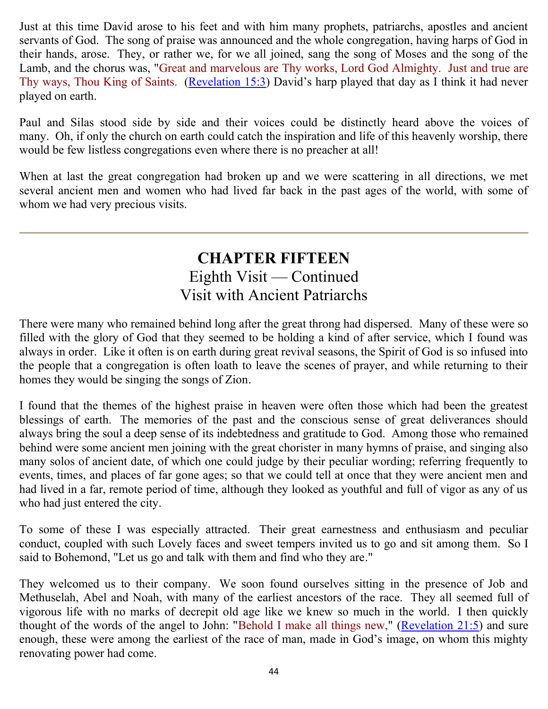Just at this time David arose to his feet and with him many prophets, patriarchs, apostles and ancient servants of God. The song of praise was announced and the whole congregation, having harps of God in their hands, arose. They, or rather we, for we all joined, sang the song of Moses and the song of the Lamb, and the chorus was, "Great and marvelous are Thy works, Lord God Almighty. Just and true are Thy ways, Thou King of Saints. [\(Revelation 15:3](http://www.biblegateway.com/passage/?search=Revelation%2015:3;&version=31)) David's harp played that day as I think it had never played on earth.

Paul and Silas stood side by side and their voices could be distinctly heard above the voices of many. Oh, if only the church on earth could catch the inspiration and life of this heavenly worship, there would be few listless congregations even where there is no preacher at all!

When at last the great congregation had broken up and we were scattering in all directions, we met several ancient men and women who had lived far back in the past ages of the world, with some of whom we had very precious visits.

#### **CHAPTER FIFTEEN** Eighth Visit — Continued Visit with Ancient Patriarchs

There were many who remained behind long after the great throng had dispersed. Many of these were so filled with the glory of God that they seemed to be holding a kind of after service, which I found was always in order. Like it often is on earth during great revival seasons, the Spirit of God is so infused into the people that a congregation is often loath to leave the scenes of prayer, and while returning to their homes they would be singing the songs of Zion.

I found that the themes of the highest praise in heaven were often those which had been the greatest blessings of earth. The memories of the past and the conscious sense of great deliverances should always bring the soul a deep sense of its indebtedness and gratitude to God. Among those who remained behind were some ancient men joining with the great chorister in many hymns of praise, and singing also many solos of ancient date, of which one could judge by their peculiar wording; referring frequently to events, times, and places of far gone ages; so that we could tell at once that they were ancient men and had lived in a far, remote period of time, although they looked as youthful and full of vigor as any of us who had just entered the city.

To some of these I was especially attracted. Their great earnestness and enthusiasm and peculiar conduct, coupled with such Lovely faces and sweet tempers invited us to go and sit among them. So I said to Bohemond, "Let us go and talk with them and find who they are."

They welcomed us to their company. We soon found ourselves sitting in the presence of Job and Methuselah, Abel and Noah, with many of the earliest ancestors of the race. They all seemed full of vigorous life with no marks of decrepit old age like we knew so much in the world. I then quickly thought of the words of the angel to John: "Behold I make all things new," [\(Revelation 21:5\)](http://www.biblegateway.com/passage/?search=Revelation%2021:5;&version=31) and sure enough, these were among the earliest of the race of man, made in God's image, on whom this mighty renovating power had come.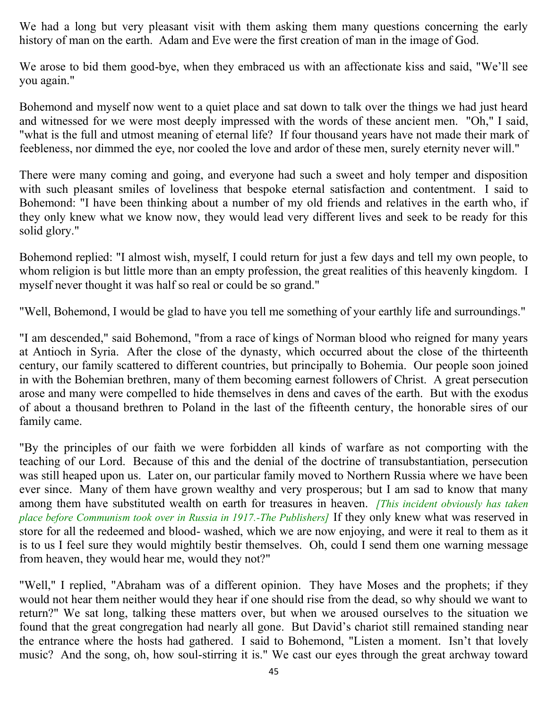We had a long but very pleasant visit with them asking them many questions concerning the early history of man on the earth. Adam and Eve were the first creation of man in the image of God.

We arose to bid them good-bye, when they embraced us with an affectionate kiss and said, "We'll see you again."

Bohemond and myself now went to a quiet place and sat down to talk over the things we had just heard and witnessed for we were most deeply impressed with the words of these ancient men. "Oh," I said, "what is the full and utmost meaning of eternal life? If four thousand years have not made their mark of feebleness, nor dimmed the eye, nor cooled the love and ardor of these men, surely eternity never will."

There were many coming and going, and everyone had such a sweet and holy temper and disposition with such pleasant smiles of loveliness that bespoke eternal satisfaction and contentment. I said to Bohemond: "I have been thinking about a number of my old friends and relatives in the earth who, if they only knew what we know now, they would lead very different lives and seek to be ready for this solid glory."

Bohemond replied: "I almost wish, myself, I could return for just a few days and tell my own people, to whom religion is but little more than an empty profession, the great realities of this heavenly kingdom. I myself never thought it was half so real or could be so grand."

"Well, Bohemond, I would be glad to have you tell me something of your earthly life and surroundings."

"I am descended," said Bohemond, "from a race of kings of Norman blood who reigned for many years at Antioch in Syria. After the close of the dynasty, which occurred about the close of the thirteenth century, our family scattered to different countries, but principally to Bohemia. Our people soon joined in with the Bohemian brethren, many of them becoming earnest followers of Christ. A great persecution arose and many were compelled to hide themselves in dens and caves of the earth. But with the exodus of about a thousand brethren to Poland in the last of the fifteenth century, the honorable sires of our family came.

"By the principles of our faith we were forbidden all kinds of warfare as not comporting with the teaching of our Lord. Because of this and the denial of the doctrine of transubstantiation, persecution was still heaped upon us. Later on, our particular family moved to Northern Russia where we have been ever since. Many of them have grown wealthy and very prosperous; but I am sad to know that many among them have substituted wealth on earth for treasures in heaven. *[This incident obviously has taken place before Communism took over in Russia in 1917.-The Publishers]* If they only knew what was reserved in store for all the redeemed and blood- washed, which we are now enjoying, and were it real to them as it is to us I feel sure they would mightily bestir themselves. Oh, could I send them one warning message from heaven, they would hear me, would they not?"

"Well," I replied, "Abraham was of a different opinion. They have Moses and the prophets; if they would not hear them neither would they hear if one should rise from the dead, so why should we want to return?" We sat long, talking these matters over, but when we aroused ourselves to the situation we found that the great congregation had nearly all gone. But David's chariot still remained standing near the entrance where the hosts had gathered. I said to Bohemond, "Listen a moment. Isn't that lovely music? And the song, oh, how soul-stirring it is." We cast our eyes through the great archway toward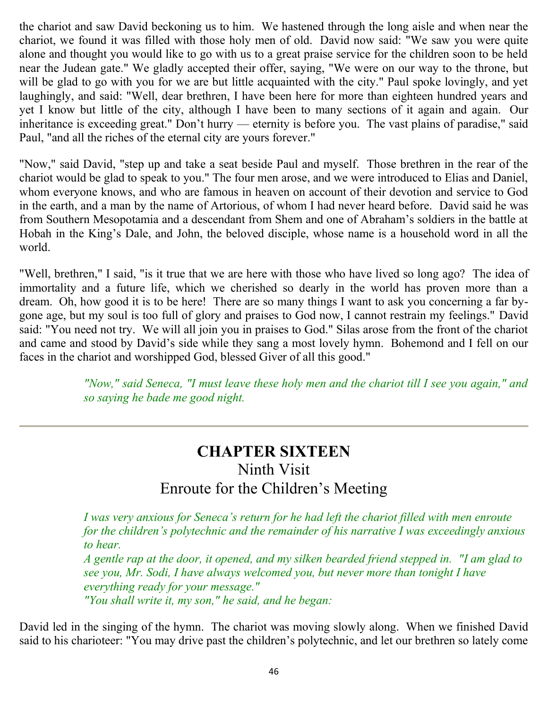the chariot and saw David beckoning us to him. We hastened through the long aisle and when near the chariot, we found it was filled with those holy men of old. David now said: "We saw you were quite alone and thought you would like to go with us to a great praise service for the children soon to be held near the Judean gate." We gladly accepted their offer, saying, "We were on our way to the throne, but will be glad to go with you for we are but little acquainted with the city." Paul spoke lovingly, and yet laughingly, and said: "Well, dear brethren, I have been here for more than eighteen hundred years and yet I know but little of the city, although I have been to many sections of it again and again. Our inheritance is exceeding great." Don't hurry — eternity is before you. The vast plains of paradise," said Paul, "and all the riches of the eternal city are yours forever."

"Now," said David, "step up and take a seat beside Paul and myself. Those brethren in the rear of the chariot would be glad to speak to you." The four men arose, and we were introduced to Elias and Daniel, whom everyone knows, and who are famous in heaven on account of their devotion and service to God in the earth, and a man by the name of Artorious, of whom I had never heard before. David said he was from Southern Mesopotamia and a descendant from Shem and one of Abraham's soldiers in the battle at Hobah in the King's Dale, and John, the beloved disciple, whose name is a household word in all the world.

"Well, brethren," I said, "is it true that we are here with those who have lived so long ago? The idea of immortality and a future life, which we cherished so dearly in the world has proven more than a dream. Oh, how good it is to be here! There are so many things I want to ask you concerning a far bygone age, but my soul is too full of glory and praises to God now, I cannot restrain my feelings." David said: "You need not try. We will all join you in praises to God." Silas arose from the front of the chariot and came and stood by David's side while they sang a most lovely hymn. Bohemond and I fell on our faces in the chariot and worshipped God, blessed Giver of all this good."

> *"Now," said Seneca, "I must leave these holy men and the chariot till I see you again," and so saying he bade me good night.*

## **CHAPTER SIXTEEN** Ninth Visit Enroute for the Children's Meeting

*I was very anxious for Seneca's return for he had left the chariot filled with men enroute for the children's polytechnic and the remainder of his narrative I was exceedingly anxious to hear.*

*A gentle rap at the door, it opened, and my silken bearded friend stepped in. "I am glad to see you, Mr. Sodi, I have always welcomed you, but never more than tonight I have everything ready for your message." "You shall write it, my son," he said, and he began:*

David led in the singing of the hymn. The chariot was moving slowly along. When we finished David said to his charioteer: "You may drive past the children's polytechnic, and let our brethren so lately come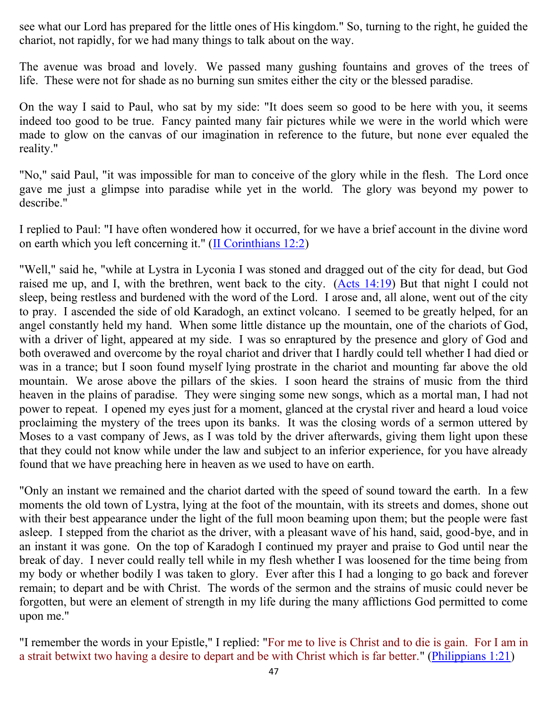see what our Lord has prepared for the little ones of His kingdom." So, turning to the right, he guided the chariot, not rapidly, for we had many things to talk about on the way.

The avenue was broad and lovely. We passed many gushing fountains and groves of the trees of life. These were not for shade as no burning sun smites either the city or the blessed paradise.

On the way I said to Paul, who sat by my side: "It does seem so good to be here with you, it seems indeed too good to be true. Fancy painted many fair pictures while we were in the world which were made to glow on the canvas of our imagination in reference to the future, but none ever equaled the reality."

"No," said Paul, "it was impossible for man to conceive of the glory while in the flesh. The Lord once gave me just a glimpse into paradise while yet in the world. The glory was beyond my power to describe."

I replied to Paul: "I have often wondered how it occurred, for we have a brief account in the divine word on earth which you left concerning it." [\(II Corinthians 12:2\)](http://www.biblegateway.com/passage/?search=II%20Corinthians%2012:2;&version=31)

"Well," said he, "while at Lystra in Lyconia I was stoned and dragged out of the city for dead, but God raised me up, and I, with the brethren, went back to the city. [\(Acts 14:19\)](http://www.biblegateway.com/passage/?search=Acts%2014:19;&version=31) But that night I could not sleep, being restless and burdened with the word of the Lord. I arose and, all alone, went out of the city to pray. I ascended the side of old Karadogh, an extinct volcano. I seemed to be greatly helped, for an angel constantly held my hand. When some little distance up the mountain, one of the chariots of God, with a driver of light, appeared at my side. I was so enraptured by the presence and glory of God and both overawed and overcome by the royal chariot and driver that I hardly could tell whether I had died or was in a trance; but I soon found myself lying prostrate in the chariot and mounting far above the old mountain. We arose above the pillars of the skies. I soon heard the strains of music from the third heaven in the plains of paradise. They were singing some new songs, which as a mortal man, I had not power to repeat. I opened my eyes just for a moment, glanced at the crystal river and heard a loud voice proclaiming the mystery of the trees upon its banks. It was the closing words of a sermon uttered by Moses to a vast company of Jews, as I was told by the driver afterwards, giving them light upon these that they could not know while under the law and subject to an inferior experience, for you have already found that we have preaching here in heaven as we used to have on earth.

"Only an instant we remained and the chariot darted with the speed of sound toward the earth. In a few moments the old town of Lystra, lying at the foot of the mountain, with its streets and domes, shone out with their best appearance under the light of the full moon beaming upon them; but the people were fast asleep. I stepped from the chariot as the driver, with a pleasant wave of his hand, said, good-bye, and in an instant it was gone. On the top of Karadogh I continued my prayer and praise to God until near the break of day. I never could really tell while in my flesh whether I was loosened for the time being from my body or whether bodily I was taken to glory. Ever after this I had a longing to go back and forever remain; to depart and be with Christ. The words of the sermon and the strains of music could never be forgotten, but were an element of strength in my life during the many afflictions God permitted to come upon me."

"I remember the words in your Epistle," I replied: "For me to live is Christ and to die is gain. For I am in a strait betwixt two having a desire to depart and be with Christ which is far better." [\(Philippians 1:21\)](http://www.biblegateway.com/passage/?search=Philippians%201:21;&version=31)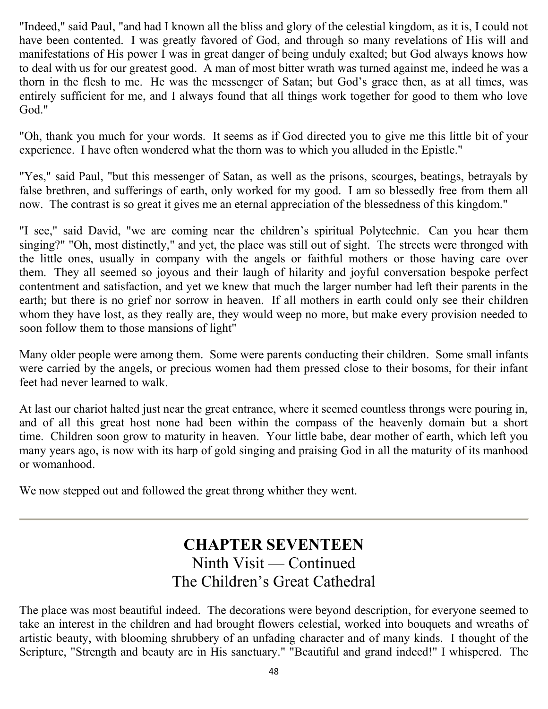"Indeed," said Paul, "and had I known all the bliss and glory of the celestial kingdom, as it is, I could not have been contented. I was greatly favored of God, and through so many revelations of His will and manifestations of His power I was in great danger of being unduly exalted; but God always knows how to deal with us for our greatest good. A man of most bitter wrath was turned against me, indeed he was a thorn in the flesh to me. He was the messenger of Satan; but God's grace then, as at all times, was entirely sufficient for me, and I always found that all things work together for good to them who love God<sup>"</sup>

"Oh, thank you much for your words. It seems as if God directed you to give me this little bit of your experience. I have often wondered what the thorn was to which you alluded in the Epistle."

"Yes," said Paul, "but this messenger of Satan, as well as the prisons, scourges, beatings, betrayals by false brethren, and sufferings of earth, only worked for my good. I am so blessedly free from them all now. The contrast is so great it gives me an eternal appreciation of the blessedness of this kingdom."

"I see," said David, "we are coming near the children's spiritual Polytechnic. Can you hear them singing?" "Oh, most distinctly," and yet, the place was still out of sight. The streets were thronged with the little ones, usually in company with the angels or faithful mothers or those having care over them. They all seemed so joyous and their laugh of hilarity and joyful conversation bespoke perfect contentment and satisfaction, and yet we knew that much the larger number had left their parents in the earth; but there is no grief nor sorrow in heaven. If all mothers in earth could only see their children whom they have lost, as they really are, they would weep no more, but make every provision needed to soon follow them to those mansions of light"

Many older people were among them. Some were parents conducting their children. Some small infants were carried by the angels, or precious women had them pressed close to their bosoms, for their infant feet had never learned to walk.

At last our chariot halted just near the great entrance, where it seemed countless throngs were pouring in, and of all this great host none had been within the compass of the heavenly domain but a short time. Children soon grow to maturity in heaven. Your little babe, dear mother of earth, which left you many years ago, is now with its harp of gold singing and praising God in all the maturity of its manhood or womanhood.

We now stepped out and followed the great throng whither they went.

## **CHAPTER SEVENTEEN** Ninth Visit — Continued The Children's Great Cathedral

The place was most beautiful indeed. The decorations were beyond description, for everyone seemed to take an interest in the children and had brought flowers celestial, worked into bouquets and wreaths of artistic beauty, with blooming shrubbery of an unfading character and of many kinds. I thought of the Scripture, "Strength and beauty are in His sanctuary." "Beautiful and grand indeed!" I whispered. The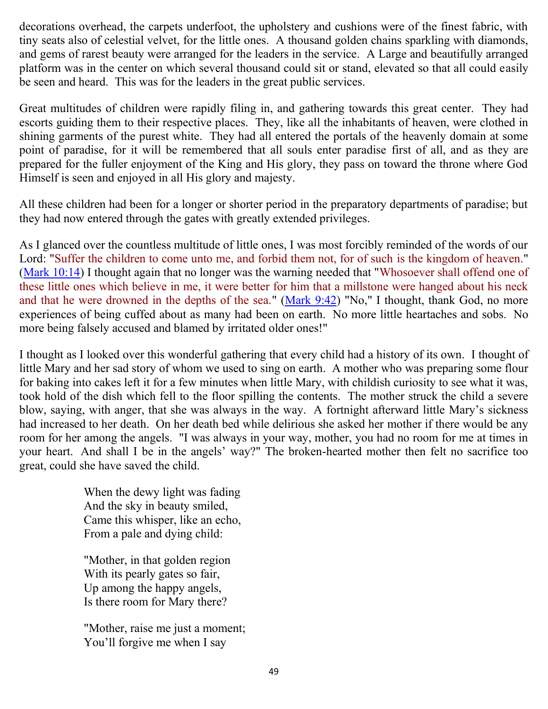decorations overhead, the carpets underfoot, the upholstery and cushions were of the finest fabric, with tiny seats also of celestial velvet, for the little ones. A thousand golden chains sparkling with diamonds, and gems of rarest beauty were arranged for the leaders in the service. A Large and beautifully arranged platform was in the center on which several thousand could sit or stand, elevated so that all could easily be seen and heard. This was for the leaders in the great public services.

Great multitudes of children were rapidly filing in, and gathering towards this great center. They had escorts guiding them to their respective places. They, like all the inhabitants of heaven, were clothed in shining garments of the purest white. They had all entered the portals of the heavenly domain at some point of paradise, for it will be remembered that all souls enter paradise first of all, and as they are prepared for the fuller enjoyment of the King and His glory, they pass on toward the throne where God Himself is seen and enjoyed in all His glory and majesty.

All these children had been for a longer or shorter period in the preparatory departments of paradise; but they had now entered through the gates with greatly extended privileges.

As I glanced over the countless multitude of little ones, I was most forcibly reminded of the words of our Lord: "Suffer the children to come unto me, and forbid them not, for of such is the kingdom of heaven." [\(Mark 10:14\)](http://www.biblegateway.com/passage/?search=Mark%2010:14;&version=31) I thought again that no longer was the warning needed that "Whosoever shall offend one of these little ones which believe in me, it were better for him that a millstone were hanged about his neck and that he were drowned in the depths of the sea." [\(Mark 9:42\)](http://www.biblegateway.com/passage/?search=Mark%209:42;&version=31) "No," I thought, thank God, no more experiences of being cuffed about as many had been on earth. No more little heartaches and sobs. No more being falsely accused and blamed by irritated older ones!"

I thought as I looked over this wonderful gathering that every child had a history of its own. I thought of little Mary and her sad story of whom we used to sing on earth. A mother who was preparing some flour for baking into cakes left it for a few minutes when little Mary, with childish curiosity to see what it was, took hold of the dish which fell to the floor spilling the contents. The mother struck the child a severe blow, saying, with anger, that she was always in the way. A fortnight afterward little Mary's sickness had increased to her death. On her death bed while delirious she asked her mother if there would be any room for her among the angels. "I was always in your way, mother, you had no room for me at times in your heart. And shall I be in the angels' way?" The broken-hearted mother then felt no sacrifice too great, could she have saved the child.

> When the dewy light was fading And the sky in beauty smiled, Came this whisper, like an echo, From a pale and dying child:

"Mother, in that golden region With its pearly gates so fair, Up among the happy angels, Is there room for Mary there?

"Mother, raise me just a moment; You'll forgive me when I say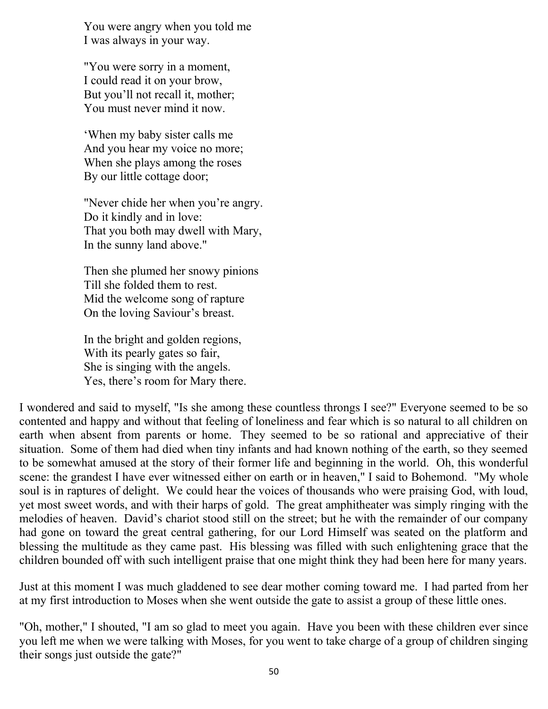You were angry when you told me I was always in your way.

"You were sorry in a moment, I could read it on your brow, But you'll not recall it, mother; You must never mind it now.

'When my baby sister calls me And you hear my voice no more; When she plays among the roses By our little cottage door;

"Never chide her when you're angry. Do it kindly and in love: That you both may dwell with Mary, In the sunny land above."

Then she plumed her snowy pinions Till she folded them to rest. Mid the welcome song of rapture On the loving Saviour's breast.

In the bright and golden regions, With its pearly gates so fair, She is singing with the angels. Yes, there's room for Mary there.

I wondered and said to myself, "Is she among these countless throngs I see?" Everyone seemed to be so contented and happy and without that feeling of loneliness and fear which is so natural to all children on earth when absent from parents or home. They seemed to be so rational and appreciative of their situation. Some of them had died when tiny infants and had known nothing of the earth, so they seemed to be somewhat amused at the story of their former life and beginning in the world. Oh, this wonderful scene: the grandest I have ever witnessed either on earth or in heaven," I said to Bohemond. "My whole soul is in raptures of delight. We could hear the voices of thousands who were praising God, with loud, yet most sweet words, and with their harps of gold. The great amphitheater was simply ringing with the melodies of heaven. David's chariot stood still on the street; but he with the remainder of our company had gone on toward the great central gathering, for our Lord Himself was seated on the platform and blessing the multitude as they came past. His blessing was filled with such enlightening grace that the children bounded off with such intelligent praise that one might think they had been here for many years.

Just at this moment I was much gladdened to see dear mother coming toward me. I had parted from her at my first introduction to Moses when she went outside the gate to assist a group of these little ones.

"Oh, mother," I shouted, "I am so glad to meet you again. Have you been with these children ever since you left me when we were talking with Moses, for you went to take charge of a group of children singing their songs just outside the gate?"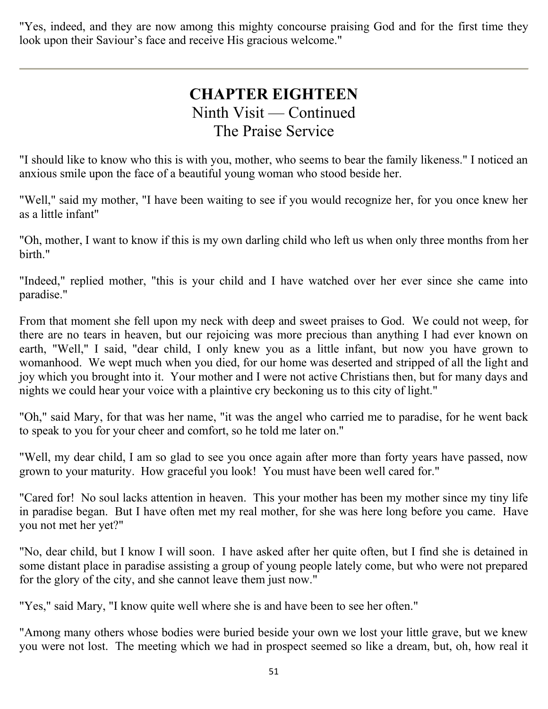"Yes, indeed, and they are now among this mighty concourse praising God and for the first time they look upon their Saviour's face and receive His gracious welcome."

## **CHAPTER EIGHTEEN** Ninth Visit — Continued The Praise Service

"I should like to know who this is with you, mother, who seems to bear the family likeness." I noticed an anxious smile upon the face of a beautiful young woman who stood beside her.

"Well," said my mother, "I have been waiting to see if you would recognize her, for you once knew her as a little infant"

"Oh, mother, I want to know if this is my own darling child who left us when only three months from her birth."

"Indeed," replied mother, "this is your child and I have watched over her ever since she came into paradise."

From that moment she fell upon my neck with deep and sweet praises to God. We could not weep, for there are no tears in heaven, but our rejoicing was more precious than anything I had ever known on earth, "Well," I said, "dear child, I only knew you as a little infant, but now you have grown to womanhood. We wept much when you died, for our home was deserted and stripped of all the light and joy which you brought into it. Your mother and I were not active Christians then, but for many days and nights we could hear your voice with a plaintive cry beckoning us to this city of light."

"Oh," said Mary, for that was her name, "it was the angel who carried me to paradise, for he went back to speak to you for your cheer and comfort, so he told me later on."

"Well, my dear child, I am so glad to see you once again after more than forty years have passed, now grown to your maturity. How graceful you look! You must have been well cared for."

"Cared for! No soul lacks attention in heaven. This your mother has been my mother since my tiny life in paradise began. But I have often met my real mother, for she was here long before you came. Have you not met her yet?"

"No, dear child, but I know I will soon. I have asked after her quite often, but I find she is detained in some distant place in paradise assisting a group of young people lately come, but who were not prepared for the glory of the city, and she cannot leave them just now."

"Yes," said Mary, "I know quite well where she is and have been to see her often."

"Among many others whose bodies were buried beside your own we lost your little grave, but we knew you were not lost. The meeting which we had in prospect seemed so like a dream, but, oh, how real it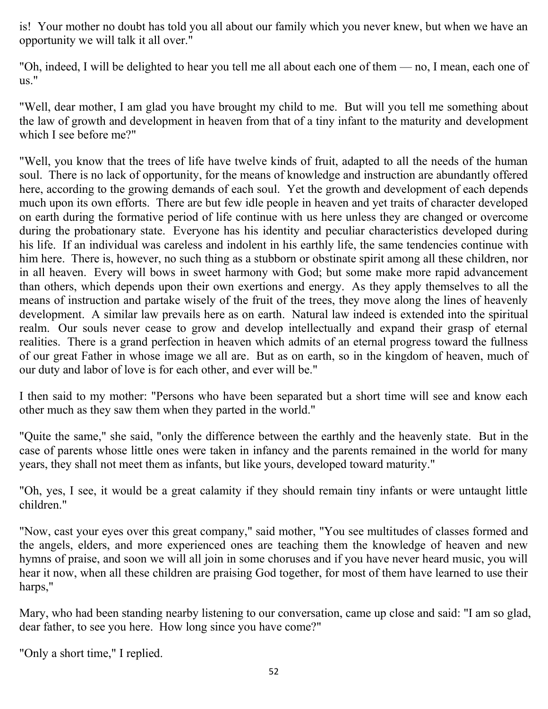is! Your mother no doubt has told you all about our family which you never knew, but when we have an opportunity we will talk it all over."

"Oh, indeed, I will be delighted to hear you tell me all about each one of them — no, I mean, each one of us."

"Well, dear mother, I am glad you have brought my child to me. But will you tell me something about the law of growth and development in heaven from that of a tiny infant to the maturity and development which I see before me?"

"Well, you know that the trees of life have twelve kinds of fruit, adapted to all the needs of the human soul. There is no lack of opportunity, for the means of knowledge and instruction are abundantly offered here, according to the growing demands of each soul. Yet the growth and development of each depends much upon its own efforts. There are but few idle people in heaven and yet traits of character developed on earth during the formative period of life continue with us here unless they are changed or overcome during the probationary state. Everyone has his identity and peculiar characteristics developed during his life. If an individual was careless and indolent in his earthly life, the same tendencies continue with him here. There is, however, no such thing as a stubborn or obstinate spirit among all these children, nor in all heaven. Every will bows in sweet harmony with God; but some make more rapid advancement than others, which depends upon their own exertions and energy. As they apply themselves to all the means of instruction and partake wisely of the fruit of the trees, they move along the lines of heavenly development. A similar law prevails here as on earth. Natural law indeed is extended into the spiritual realm. Our souls never cease to grow and develop intellectually and expand their grasp of eternal realities. There is a grand perfection in heaven which admits of an eternal progress toward the fullness of our great Father in whose image we all are. But as on earth, so in the kingdom of heaven, much of our duty and labor of love is for each other, and ever will be."

I then said to my mother: "Persons who have been separated but a short time will see and know each other much as they saw them when they parted in the world."

"Quite the same," she said, "only the difference between the earthly and the heavenly state. But in the case of parents whose little ones were taken in infancy and the parents remained in the world for many years, they shall not meet them as infants, but like yours, developed toward maturity."

"Oh, yes, I see, it would be a great calamity if they should remain tiny infants or were untaught little children."

"Now, cast your eyes over this great company," said mother, "You see multitudes of classes formed and the angels, elders, and more experienced ones are teaching them the knowledge of heaven and new hymns of praise, and soon we will all join in some choruses and if you have never heard music, you will hear it now, when all these children are praising God together, for most of them have learned to use their harps,"

Mary, who had been standing nearby listening to our conversation, came up close and said: "I am so glad, dear father, to see you here. How long since you have come?"

"Only a short time," I replied.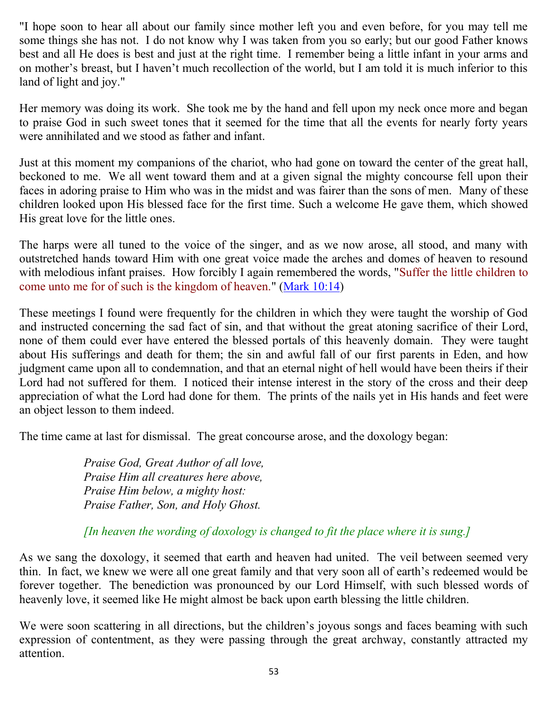"I hope soon to hear all about our family since mother left you and even before, for you may tell me some things she has not. I do not know why I was taken from you so early; but our good Father knows best and all He does is best and just at the right time. I remember being a little infant in your arms and on mother's breast, but I haven't much recollection of the world, but I am told it is much inferior to this land of light and joy."

Her memory was doing its work. She took me by the hand and fell upon my neck once more and began to praise God in such sweet tones that it seemed for the time that all the events for nearly forty years were annihilated and we stood as father and infant.

Just at this moment my companions of the chariot, who had gone on toward the center of the great hall, beckoned to me. We all went toward them and at a given signal the mighty concourse fell upon their faces in adoring praise to Him who was in the midst and was fairer than the sons of men. Many of these children looked upon His blessed face for the first time. Such a welcome He gave them, which showed His great love for the little ones.

The harps were all tuned to the voice of the singer, and as we now arose, all stood, and many with outstretched hands toward Him with one great voice made the arches and domes of heaven to resound with melodious infant praises. How forcibly I again remembered the words, "Suffer the little children to come unto me for of such is the kingdom of heaven." [\(Mark 10:14\)](http://www.biblegateway.com/passage/?search=Mark%2010:14;&version=31)

These meetings I found were frequently for the children in which they were taught the worship of God and instructed concerning the sad fact of sin, and that without the great atoning sacrifice of their Lord, none of them could ever have entered the blessed portals of this heavenly domain. They were taught about His sufferings and death for them; the sin and awful fall of our first parents in Eden, and how judgment came upon all to condemnation, and that an eternal night of hell would have been theirs if their Lord had not suffered for them. I noticed their intense interest in the story of the cross and their deep appreciation of what the Lord had done for them. The prints of the nails yet in His hands and feet were an object lesson to them indeed.

The time came at last for dismissal. The great concourse arose, and the doxology began:

*Praise God, Great Author of all love, Praise Him all creatures here above, Praise Him below, a mighty host: Praise Father, Son, and Holy Ghost.*

*[In heaven the wording of doxology is changed to fit the place where it is sung.]*

As we sang the doxology, it seemed that earth and heaven had united. The veil between seemed very thin. In fact, we knew we were all one great family and that very soon all of earth's redeemed would be forever together. The benediction was pronounced by our Lord Himself, with such blessed words of heavenly love, it seemed like He might almost be back upon earth blessing the little children.

We were soon scattering in all directions, but the children's joyous songs and faces beaming with such expression of contentment, as they were passing through the great archway, constantly attracted my attention.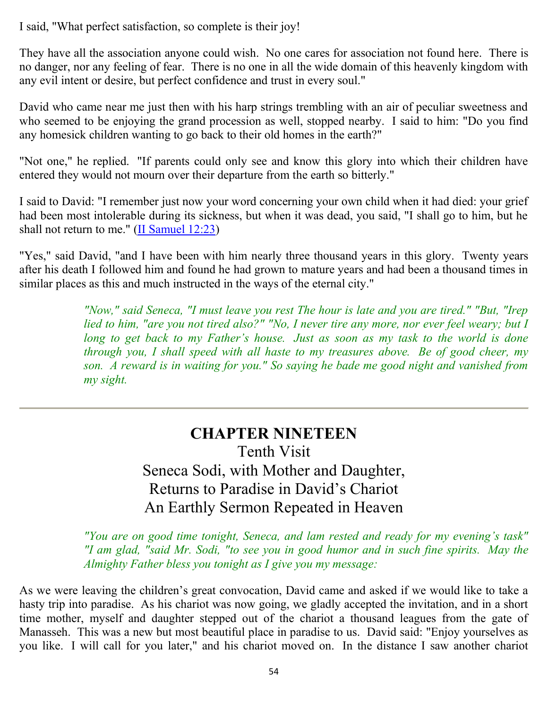I said, "What perfect satisfaction, so complete is their joy!

They have all the association anyone could wish. No one cares for association not found here. There is no danger, nor any feeling of fear. There is no one in all the wide domain of this heavenly kingdom with any evil intent or desire, but perfect confidence and trust in every soul."

David who came near me just then with his harp strings trembling with an air of peculiar sweetness and who seemed to be enjoying the grand procession as well, stopped nearby. I said to him: "Do you find any homesick children wanting to go back to their old homes in the earth?"

"Not one," he replied. "If parents could only see and know this glory into which their children have entered they would not mourn over their departure from the earth so bitterly."

I said to David: "I remember just now your word concerning your own child when it had died: your grief had been most intolerable during its sickness, but when it was dead, you said, "I shall go to him, but he shall not return to me." [\(II Samuel 12:23\)](http://www.biblegateway.com/passage/?search=II%20Samuel%2012:23;&version=31)

"Yes," said David, "and I have been with him nearly three thousand years in this glory. Twenty years after his death I followed him and found he had grown to mature years and had been a thousand times in similar places as this and much instructed in the ways of the eternal city."

> *"Now," said Seneca, "I must leave you rest The hour is late and you are tired." "But, "Irep lied to him, "are you not tired also?" "No, I never tire any more, nor ever feel weary; but I long to get back to my Father's house. Just as soon as my task to the world is done through you, I shall speed with all haste to my treasures above. Be of good cheer, my son. A reward is in waiting for you." So saying he bade me good night and vanished from my sight.*

## **CHAPTER NINETEEN** Tenth Visit Seneca Sodi, with Mother and Daughter, Returns to Paradise in David's Chariot An Earthly Sermon Repeated in Heaven

*"You are on good time tonight, Seneca, and lam rested and ready for my evening's task" "I am glad, "said Mr. Sodi, "to see you in good humor and in such fine spirits. May the Almighty Father bless you tonight as I give you my message:*

As we were leaving the children's great convocation, David came and asked if we would like to take a hasty trip into paradise. As his chariot was now going, we gladly accepted the invitation, and in a short time mother, myself and daughter stepped out of the chariot a thousand leagues from the gate of Manasseh. This was a new but most beautiful place in paradise to us. David said: "Enjoy yourselves as you like. I will call for you later," and his chariot moved on. In the distance I saw another chariot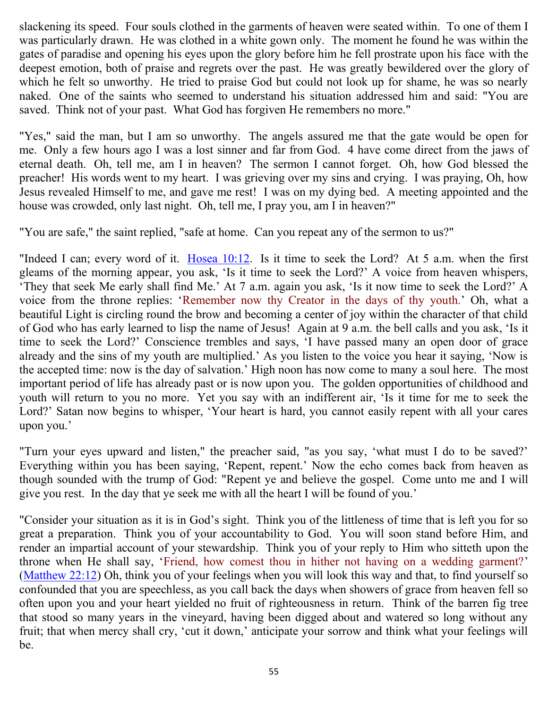slackening its speed. Four souls clothed in the garments of heaven were seated within. To one of them I was particularly drawn. He was clothed in a white gown only. The moment he found he was within the gates of paradise and opening his eyes upon the glory before him he fell prostrate upon his face with the deepest emotion, both of praise and regrets over the past. He was greatly bewildered over the glory of which he felt so unworthy. He tried to praise God but could not look up for shame, he was so nearly naked. One of the saints who seemed to understand his situation addressed him and said: "You are saved. Think not of your past. What God has forgiven He remembers no more."

"Yes," said the man, but I am so unworthy. The angels assured me that the gate would be open for me. Only a few hours ago I was a lost sinner and far from God. 4 have come direct from the jaws of eternal death. Oh, tell me, am I in heaven? The sermon I cannot forget. Oh, how God blessed the preacher! His words went to my heart. I was grieving over my sins and crying. I was praying, Oh, how Jesus revealed Himself to me, and gave me rest! I was on my dying bed. A meeting appointed and the house was crowded, only last night. Oh, tell me, I pray you, am I in heaven?"

"You are safe," the saint replied, "safe at home. Can you repeat any of the sermon to us?"

"Indeed I can; every word of it. [Hosea 10:12.](http://www.biblegateway.com/passage/?search=Hosea%2010:12;&version=31) Is it time to seek the Lord? At 5 a.m. when the first gleams of the morning appear, you ask, 'Is it time to seek the Lord?' A voice from heaven whispers, 'They that seek Me early shall find Me.' At 7 a.m. again you ask, 'Is it now time to seek the Lord?' A voice from the throne replies: 'Remember now thy Creator in the days of thy youth.' Oh, what a beautiful Light is circling round the brow and becoming a center of joy within the character of that child of God who has early learned to lisp the name of Jesus! Again at 9 a.m. the bell calls and you ask, 'Is it time to seek the Lord?' Conscience trembles and says, 'I have passed many an open door of grace already and the sins of my youth are multiplied.' As you listen to the voice you hear it saying, 'Now is the accepted time: now is the day of salvation.' High noon has now come to many a soul here. The most important period of life has already past or is now upon you. The golden opportunities of childhood and youth will return to you no more. Yet you say with an indifferent air, 'Is it time for me to seek the Lord?' Satan now begins to whisper, 'Your heart is hard, you cannot easily repent with all your cares upon you.'

"Turn your eyes upward and listen," the preacher said, "as you say, 'what must I do to be saved?' Everything within you has been saying, 'Repent, repent.' Now the echo comes back from heaven as though sounded with the trump of God: "Repent ye and believe the gospel. Come unto me and I will give you rest. In the day that ye seek me with all the heart I will be found of you.'

"Consider your situation as it is in God's sight. Think you of the littleness of time that is left you for so great a preparation. Think you of your accountability to God. You will soon stand before Him, and render an impartial account of your stewardship. Think you of your reply to Him who sitteth upon the throne when He shall say, 'Friend, how comest thou in hither not having on a wedding garment?' [\(Matthew 22:12\)](http://www.biblegateway.com/passage/?search=Matthew%2022:12;&version=31) Oh, think you of your feelings when you will look this way and that, to find yourself so confounded that you are speechless, as you call back the days when showers of grace from heaven fell so often upon you and your heart yielded no fruit of righteousness in return. Think of the barren fig tree that stood so many years in the vineyard, having been digged about and watered so long without any fruit; that when mercy shall cry, 'cut it down,' anticipate your sorrow and think what your feelings will be.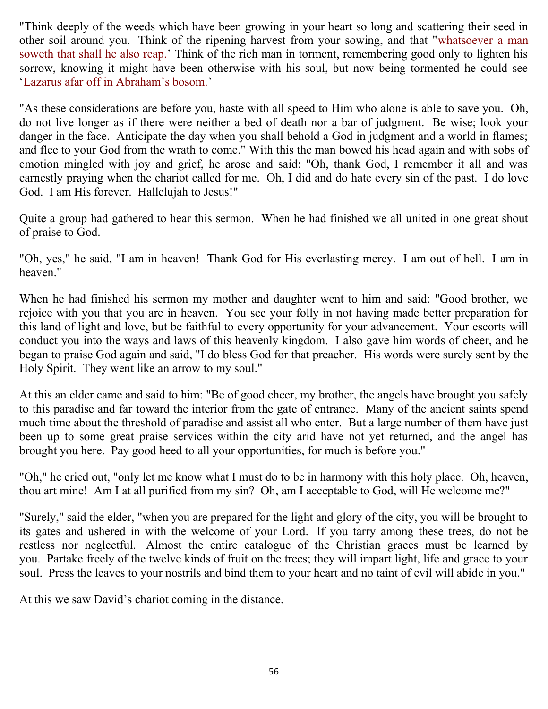"Think deeply of the weeds which have been growing in your heart so long and scattering their seed in other soil around you. Think of the ripening harvest from your sowing, and that "whatsoever a man soweth that shall he also reap.' Think of the rich man in torment, remembering good only to lighten his sorrow, knowing it might have been otherwise with his soul, but now being tormented he could see 'Lazarus afar off in Abraham's bosom.'

"As these considerations are before you, haste with all speed to Him who alone is able to save you. Oh, do not live longer as if there were neither a bed of death nor a bar of judgment. Be wise; look your danger in the face. Anticipate the day when you shall behold a God in judgment and a world in flames; and flee to your God from the wrath to come." With this the man bowed his head again and with sobs of emotion mingled with joy and grief, he arose and said: "Oh, thank God, I remember it all and was earnestly praying when the chariot called for me. Oh, I did and do hate every sin of the past. I do love God. I am His forever. Hallelujah to Jesus!"

Quite a group had gathered to hear this sermon. When he had finished we all united in one great shout of praise to God.

"Oh, yes," he said, "I am in heaven! Thank God for His everlasting mercy. I am out of hell. I am in heaven."

When he had finished his sermon my mother and daughter went to him and said: "Good brother, we rejoice with you that you are in heaven. You see your folly in not having made better preparation for this land of light and love, but be faithful to every opportunity for your advancement. Your escorts will conduct you into the ways and laws of this heavenly kingdom. I also gave him words of cheer, and he began to praise God again and said, "I do bless God for that preacher. His words were surely sent by the Holy Spirit. They went like an arrow to my soul."

At this an elder came and said to him: "Be of good cheer, my brother, the angels have brought you safely to this paradise and far toward the interior from the gate of entrance. Many of the ancient saints spend much time about the threshold of paradise and assist all who enter. But a large number of them have just been up to some great praise services within the city arid have not yet returned, and the angel has brought you here. Pay good heed to all your opportunities, for much is before you."

"Oh," he cried out, "only let me know what I must do to be in harmony with this holy place. Oh, heaven, thou art mine! Am I at all purified from my sin? Oh, am I acceptable to God, will He welcome me?"

"Surely," said the elder, "when you are prepared for the light and glory of the city, you will be brought to its gates and ushered in with the welcome of your Lord. If you tarry among these trees, do not be restless nor neglectful. Almost the entire catalogue of the Christian graces must be learned by you. Partake freely of the twelve kinds of fruit on the trees; they will impart light, life and grace to your soul. Press the leaves to your nostrils and bind them to your heart and no taint of evil will abide in you."

At this we saw David's chariot coming in the distance.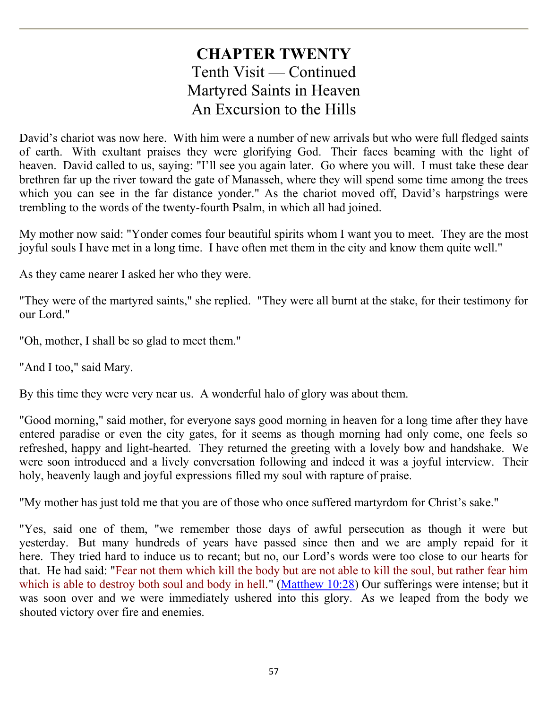#### **CHAPTER TWENTY** Tenth Visit — Continued Martyred Saints in Heaven An Excursion to the Hills

David's chariot was now here. With him were a number of new arrivals but who were full fledged saints of earth. With exultant praises they were glorifying God. Their faces beaming with the light of heaven. David called to us, saying: "I'll see you again later. Go where you will. I must take these dear brethren far up the river toward the gate of Manasseh, where they will spend some time among the trees which you can see in the far distance yonder." As the chariot moved off, David's harpstrings were trembling to the words of the twenty-fourth Psalm, in which all had joined.

My mother now said: "Yonder comes four beautiful spirits whom I want you to meet. They are the most joyful souls I have met in a long time. I have often met them in the city and know them quite well."

As they came nearer I asked her who they were.

"They were of the martyred saints," she replied. "They were all burnt at the stake, for their testimony for our Lord."

"Oh, mother, I shall be so glad to meet them."

"And I too," said Mary.

By this time they were very near us. A wonderful halo of glory was about them.

"Good morning," said mother, for everyone says good morning in heaven for a long time after they have entered paradise or even the city gates, for it seems as though morning had only come, one feels so refreshed, happy and light-hearted. They returned the greeting with a lovely bow and handshake. We were soon introduced and a lively conversation following and indeed it was a joyful interview. Their holy, heavenly laugh and joyful expressions filled my soul with rapture of praise.

"My mother has just told me that you are of those who once suffered martyrdom for Christ's sake."

"Yes, said one of them, "we remember those days of awful persecution as though it were but yesterday. But many hundreds of years have passed since then and we are amply repaid for it here. They tried hard to induce us to recant; but no, our Lord's words were too close to our hearts for that. He had said: "Fear not them which kill the body but are not able to kill the soul, but rather fear him which is able to destroy both soul and body in hell." [\(Matthew 10:28\)](http://www.biblegateway.com/passage/?search=Matthew%2010:28;&version=31) Our sufferings were intense; but it was soon over and we were immediately ushered into this glory. As we leaped from the body we shouted victory over fire and enemies.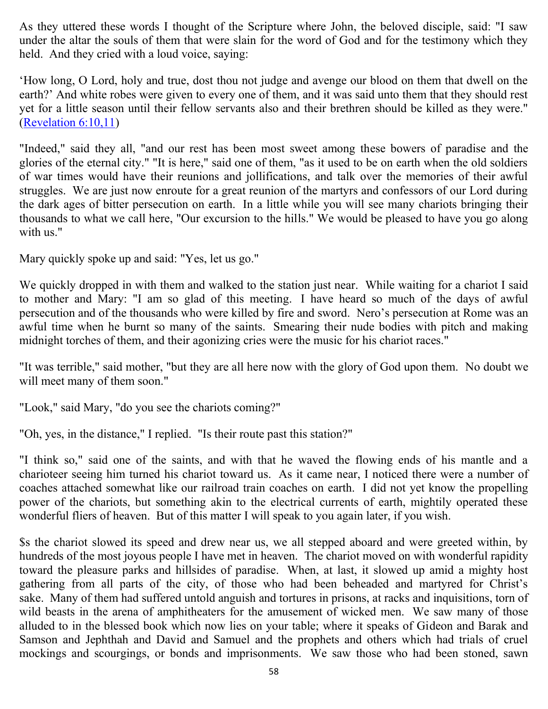As they uttered these words I thought of the Scripture where John, the beloved disciple, said: "I saw under the altar the souls of them that were slain for the word of God and for the testimony which they held. And they cried with a loud voice, saying:

'How long, O Lord, holy and true, dost thou not judge and avenge our blood on them that dwell on the earth?' And white robes were given to every one of them, and it was said unto them that they should rest yet for a little season until their fellow servants also and their brethren should be killed as they were." [\(Revelation 6:10,11\)](http://www.biblegateway.com/passage/?search=Revelation%206:10,11;&version=31)

"Indeed," said they all, "and our rest has been most sweet among these bowers of paradise and the glories of the eternal city." "It is here," said one of them, "as it used to be on earth when the old soldiers of war times would have their reunions and jollifications, and talk over the memories of their awful struggles. We are just now enroute for a great reunion of the martyrs and confessors of our Lord during the dark ages of bitter persecution on earth. In a little while you will see many chariots bringing their thousands to what we call here, "Our excursion to the hills." We would be pleased to have you go along with us."

Mary quickly spoke up and said: "Yes, let us go."

We quickly dropped in with them and walked to the station just near. While waiting for a chariot I said to mother and Mary: "I am so glad of this meeting. I have heard so much of the days of awful persecution and of the thousands who were killed by fire and sword. Nero's persecution at Rome was an awful time when he burnt so many of the saints. Smearing their nude bodies with pitch and making midnight torches of them, and their agonizing cries were the music for his chariot races."

"It was terrible," said mother, "but they are all here now with the glory of God upon them. No doubt we will meet many of them soon."

"Look," said Mary, "do you see the chariots coming?"

"Oh, yes, in the distance," I replied. "Is their route past this station?"

"I think so," said one of the saints, and with that he waved the flowing ends of his mantle and a charioteer seeing him turned his chariot toward us. As it came near, I noticed there were a number of coaches attached somewhat like our railroad train coaches on earth. I did not yet know the propelling power of the chariots, but something akin to the electrical currents of earth, mightily operated these wonderful fliers of heaven. But of this matter I will speak to you again later, if you wish.

\$s the chariot slowed its speed and drew near us, we all stepped aboard and were greeted within, by hundreds of the most joyous people I have met in heaven. The chariot moved on with wonderful rapidity toward the pleasure parks and hillsides of paradise. When, at last, it slowed up amid a mighty host gathering from all parts of the city, of those who had been beheaded and martyred for Christ's sake. Many of them had suffered untold anguish and tortures in prisons, at racks and inquisitions, torn of wild beasts in the arena of amphitheaters for the amusement of wicked men. We saw many of those alluded to in the blessed book which now lies on your table; where it speaks of Gideon and Barak and Samson and Jephthah and David and Samuel and the prophets and others which had trials of cruel mockings and scourgings, or bonds and imprisonments. We saw those who had been stoned, sawn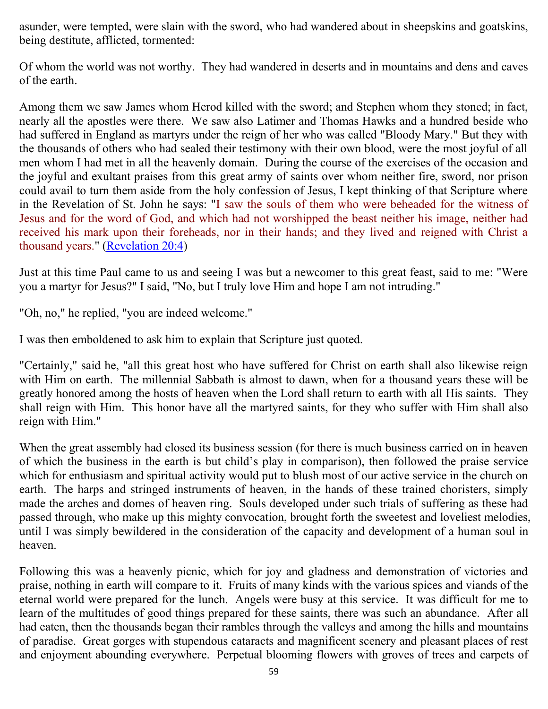asunder, were tempted, were slain with the sword, who had wandered about in sheepskins and goatskins, being destitute, afflicted, tormented:

Of whom the world was not worthy. They had wandered in deserts and in mountains and dens and caves of the earth.

Among them we saw James whom Herod killed with the sword; and Stephen whom they stoned; in fact, nearly all the apostles were there. We saw also Latimer and Thomas Hawks and a hundred beside who had suffered in England as martyrs under the reign of her who was called "Bloody Mary." But they with the thousands of others who had sealed their testimony with their own blood, were the most joyful of all men whom I had met in all the heavenly domain. During the course of the exercises of the occasion and the joyful and exultant praises from this great army of saints over whom neither fire, sword, nor prison could avail to turn them aside from the holy confession of Jesus, I kept thinking of that Scripture where in the Revelation of St. John he says: "I saw the souls of them who were beheaded for the witness of Jesus and for the word of God, and which had not worshipped the beast neither his image, neither had received his mark upon their foreheads, nor in their hands; and they lived and reigned with Christ a thousand years." [\(Revelation 20:4\)](http://www.biblegateway.com/passage/?search=Revelation%2020:4;&version=31)

Just at this time Paul came to us and seeing I was but a newcomer to this great feast, said to me: "Were you a martyr for Jesus?" I said, "No, but I truly love Him and hope I am not intruding."

"Oh, no," he replied, "you are indeed welcome."

I was then emboldened to ask him to explain that Scripture just quoted.

"Certainly," said he, "all this great host who have suffered for Christ on earth shall also likewise reign with Him on earth. The millennial Sabbath is almost to dawn, when for a thousand years these will be greatly honored among the hosts of heaven when the Lord shall return to earth with all His saints. They shall reign with Him. This honor have all the martyred saints, for they who suffer with Him shall also reign with Him."

When the great assembly had closed its business session (for there is much business carried on in heaven of which the business in the earth is but child's play in comparison), then followed the praise service which for enthusiasm and spiritual activity would put to blush most of our active service in the church on earth. The harps and stringed instruments of heaven, in the hands of these trained choristers, simply made the arches and domes of heaven ring. Souls developed under such trials of suffering as these had passed through, who make up this mighty convocation, brought forth the sweetest and loveliest melodies, until I was simply bewildered in the consideration of the capacity and development of a human soul in heaven.

Following this was a heavenly picnic, which for joy and gladness and demonstration of victories and praise, nothing in earth will compare to it. Fruits of many kinds with the various spices and viands of the eternal world were prepared for the lunch. Angels were busy at this service. It was difficult for me to learn of the multitudes of good things prepared for these saints, there was such an abundance. After all had eaten, then the thousands began their rambles through the valleys and among the hills and mountains of paradise. Great gorges with stupendous cataracts and magnificent scenery and pleasant places of rest and enjoyment abounding everywhere. Perpetual blooming flowers with groves of trees and carpets of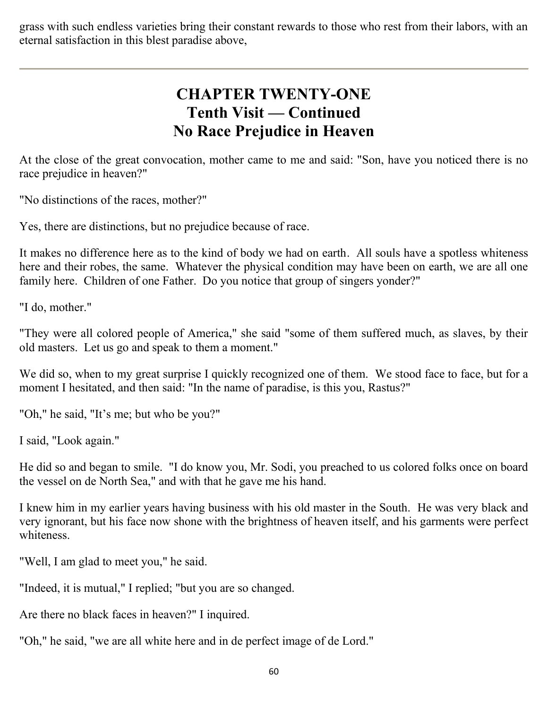grass with such endless varieties bring their constant rewards to those who rest from their labors, with an eternal satisfaction in this blest paradise above,

## **CHAPTER TWENTY-ONE Tenth Visit — Continued No Race Prejudice in Heaven**

At the close of the great convocation, mother came to me and said: "Son, have you noticed there is no race prejudice in heaven?"

"No distinctions of the races, mother?"

Yes, there are distinctions, but no prejudice because of race.

It makes no difference here as to the kind of body we had on earth. All souls have a spotless whiteness here and their robes, the same. Whatever the physical condition may have been on earth, we are all one family here. Children of one Father. Do you notice that group of singers yonder?"

"I do, mother."

"They were all colored people of America," she said "some of them suffered much, as slaves, by their old masters. Let us go and speak to them a moment."

We did so, when to my great surprise I quickly recognized one of them. We stood face to face, but for a moment I hesitated, and then said: "In the name of paradise, is this you, Rastus?"

"Oh," he said, "It's me; but who be you?"

I said, "Look again."

He did so and began to smile. "I do know you, Mr. Sodi, you preached to us colored folks once on board the vessel on de North Sea," and with that he gave me his hand.

I knew him in my earlier years having business with his old master in the South. He was very black and very ignorant, but his face now shone with the brightness of heaven itself, and his garments were perfect whiteness.

"Well, I am glad to meet you," he said.

"Indeed, it is mutual," I replied; "but you are so changed.

Are there no black faces in heaven?" I inquired.

"Oh," he said, "we are all white here and in de perfect image of de Lord."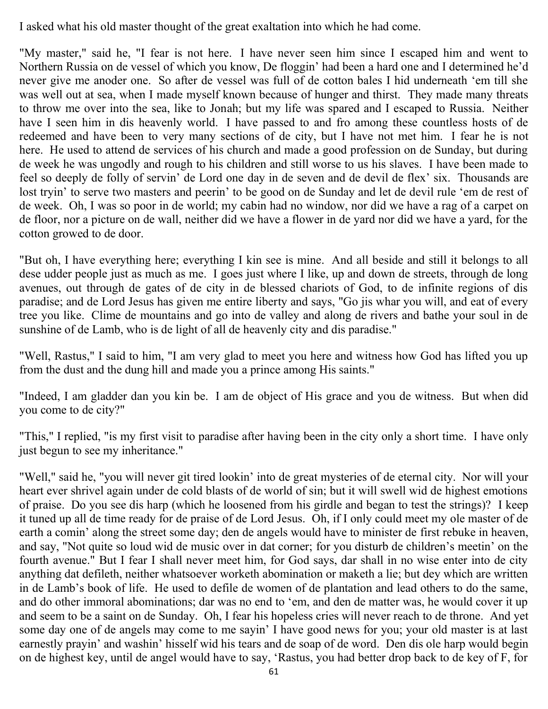I asked what his old master thought of the great exaltation into which he had come.

"My master," said he, "I fear is not here. I have never seen him since I escaped him and went to Northern Russia on de vessel of which you know, De floggin' had been a hard one and I determined he'd never give me anoder one. So after de vessel was full of de cotton bales I hid underneath 'em till she was well out at sea, when I made myself known because of hunger and thirst. They made many threats to throw me over into the sea, like to Jonah; but my life was spared and I escaped to Russia. Neither have I seen him in dis heavenly world. I have passed to and fro among these countless hosts of de redeemed and have been to very many sections of de city, but I have not met him. I fear he is not here. He used to attend de services of his church and made a good profession on de Sunday, but during de week he was ungodly and rough to his children and still worse to us his slaves. I have been made to feel so deeply de folly of servin' de Lord one day in de seven and de devil de flex' six. Thousands are lost tryin' to serve two masters and peerin' to be good on de Sunday and let de devil rule 'em de rest of de week. Oh, I was so poor in de world; my cabin had no window, nor did we have a rag of a carpet on de floor, nor a picture on de wall, neither did we have a flower in de yard nor did we have a yard, for the cotton growed to de door.

"But oh, I have everything here; everything I kin see is mine. And all beside and still it belongs to all dese udder people just as much as me. I goes just where I like, up and down de streets, through de long avenues, out through de gates of de city in de blessed chariots of God, to de infinite regions of dis paradise; and de Lord Jesus has given me entire liberty and says, "Go jis whar you will, and eat of every tree you like. Clime de mountains and go into de valley and along de rivers and bathe your soul in de sunshine of de Lamb, who is de light of all de heavenly city and dis paradise."

"Well, Rastus," I said to him, "I am very glad to meet you here and witness how God has lifted you up from the dust and the dung hill and made you a prince among His saints."

"Indeed, I am gladder dan you kin be. I am de object of His grace and you de witness. But when did you come to de city?"

"This," I replied, "is my first visit to paradise after having been in the city only a short time. I have only just begun to see my inheritance."

"Well," said he, "you will never git tired lookin' into de great mysteries of de eternal city. Nor will your heart ever shrivel again under de cold blasts of de world of sin; but it will swell wid de highest emotions of praise. Do you see dis harp (which he loosened from his girdle and began to test the strings)? I keep it tuned up all de time ready for de praise of de Lord Jesus. Oh, if I only could meet my ole master of de earth a comin' along the street some day; den de angels would have to minister de first rebuke in heaven, and say, "Not quite so loud wid de music over in dat corner; for you disturb de children's meetin' on the fourth avenue." But I fear I shall never meet him, for God says, dar shall in no wise enter into de city anything dat defileth, neither whatsoever worketh abomination or maketh a lie; but dey which are written in de Lamb's book of life. He used to defile de women of de plantation and lead others to do the same, and do other immoral abominations; dar was no end to 'em, and den de matter was, he would cover it up and seem to be a saint on de Sunday. Oh, I fear his hopeless cries will never reach to de throne. And yet some day one of de angels may come to me sayin' I have good news for you; your old master is at last earnestly prayin' and washin' hisself wid his tears and de soap of de word. Den dis ole harp would begin on de highest key, until de angel would have to say, 'Rastus, you had better drop back to de key of F, for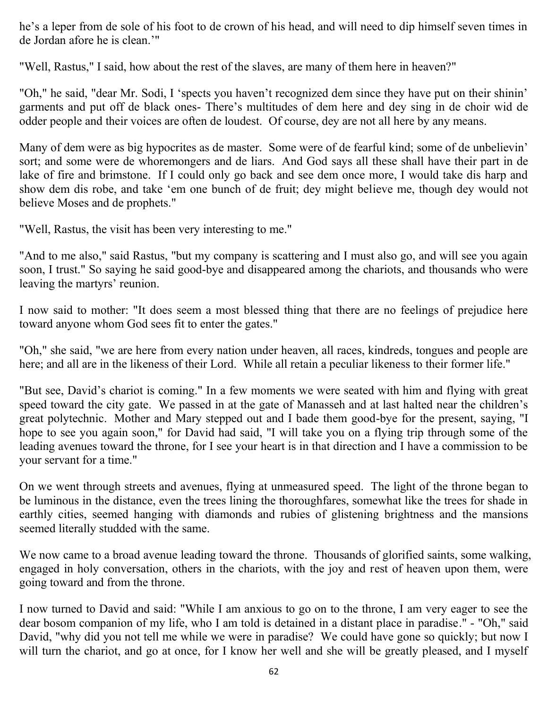he's a leper from de sole of his foot to de crown of his head, and will need to dip himself seven times in de Jordan afore he is clean.'"

"Well, Rastus," I said, how about the rest of the slaves, are many of them here in heaven?"

"Oh," he said, "dear Mr. Sodi, I 'spects you haven't recognized dem since they have put on their shinin' garments and put off de black ones- There's multitudes of dem here and dey sing in de choir wid de odder people and their voices are often de loudest. Of course, dey are not all here by any means.

Many of dem were as big hypocrites as de master. Some were of de fearful kind; some of de unbelievin' sort; and some were de whoremongers and de liars. And God says all these shall have their part in de lake of fire and brimstone. If I could only go back and see dem once more, I would take dis harp and show dem dis robe, and take 'em one bunch of de fruit; dey might believe me, though dey would not believe Moses and de prophets."

"Well, Rastus, the visit has been very interesting to me."

"And to me also," said Rastus, "but my company is scattering and I must also go, and will see you again soon, I trust." So saying he said good-bye and disappeared among the chariots, and thousands who were leaving the martyrs' reunion.

I now said to mother: "It does seem a most blessed thing that there are no feelings of prejudice here toward anyone whom God sees fit to enter the gates."

"Oh," she said, "we are here from every nation under heaven, all races, kindreds, tongues and people are here; and all are in the likeness of their Lord. While all retain a peculiar likeness to their former life."

"But see, David's chariot is coming." In a few moments we were seated with him and flying with great speed toward the city gate. We passed in at the gate of Manasseh and at last halted near the children's great polytechnic. Mother and Mary stepped out and I bade them good-bye for the present, saying, "I hope to see you again soon," for David had said, "I will take you on a flying trip through some of the leading avenues toward the throne, for I see your heart is in that direction and I have a commission to be your servant for a time."

On we went through streets and avenues, flying at unmeasured speed. The light of the throne began to be luminous in the distance, even the trees lining the thoroughfares, somewhat like the trees for shade in earthly cities, seemed hanging with diamonds and rubies of glistening brightness and the mansions seemed literally studded with the same.

We now came to a broad avenue leading toward the throne. Thousands of glorified saints, some walking, engaged in holy conversation, others in the chariots, with the joy and rest of heaven upon them, were going toward and from the throne.

I now turned to David and said: "While I am anxious to go on to the throne, I am very eager to see the dear bosom companion of my life, who I am told is detained in a distant place in paradise." - "Oh," said David, "why did you not tell me while we were in paradise? We could have gone so quickly; but now I will turn the chariot, and go at once, for I know her well and she will be greatly pleased, and I myself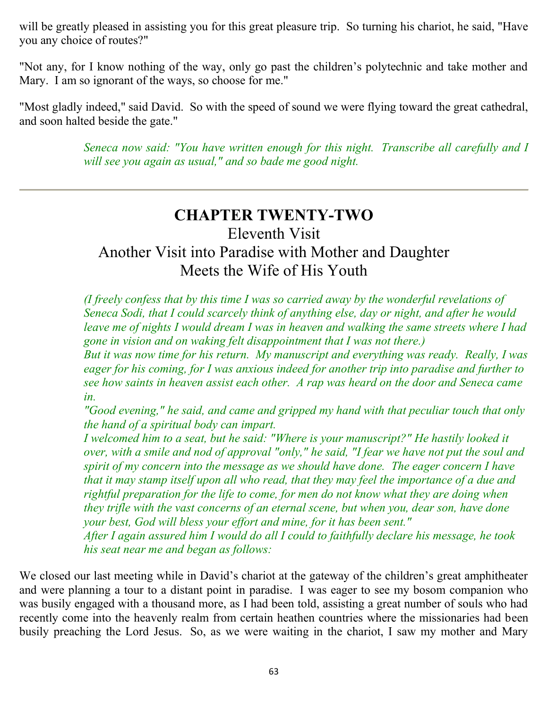will be greatly pleased in assisting you for this great pleasure trip. So turning his chariot, he said, "Have you any choice of routes?"

"Not any, for I know nothing of the way, only go past the children's polytechnic and take mother and Mary. I am so ignorant of the ways, so choose for me."

"Most gladly indeed," said David. So with the speed of sound we were flying toward the great cathedral, and soon halted beside the gate."

> *Seneca now said: "You have written enough for this night. Transcribe all carefully and I will see you again as usual," and so bade me good night.*

#### **CHAPTER TWENTY-TWO**

Eleventh Visit

#### Another Visit into Paradise with Mother and Daughter Meets the Wife of His Youth

*(I freely confess that by this time I was so carried away by the wonderful revelations of Seneca Sodi, that I could scarcely think of anything else, day or night, and after he would leave me of nights I would dream I was in heaven and walking the same streets where I had gone in vision and on waking felt disappointment that I was not there.)*

*But it was now time for his return. My manuscript and everything was ready. Really, I was eager for his coming, for I was anxious indeed for another trip into paradise and further to see how saints in heaven assist each other. A rap was heard on the door and Seneca came in.*

*"Good evening," he said, and came and gripped my hand with that peculiar touch that only the hand of a spiritual body can impart.*

*I welcomed him to a seat, but he said: "Where is your manuscript?" He hastily looked it over, with a smile and nod of approval "only," he said, "I fear we have not put the soul and spirit of my concern into the message as we should have done. The eager concern I have that it may stamp itself upon all who read, that they may feel the importance of a due and rightful preparation for the life to come, for men do not know what they are doing when they trifle with the vast concerns of an eternal scene, but when you, dear son, have done your best, God will bless your effort and mine, for it has been sent."*

*After I again assured him I would do all I could to faithfully declare his message, he took his seat near me and began as follows:*

We closed our last meeting while in David's chariot at the gateway of the children's great amphitheater and were planning a tour to a distant point in paradise. I was eager to see my bosom companion who was busily engaged with a thousand more, as I had been told, assisting a great number of souls who had recently come into the heavenly realm from certain heathen countries where the missionaries had been busily preaching the Lord Jesus. So, as we were waiting in the chariot, I saw my mother and Mary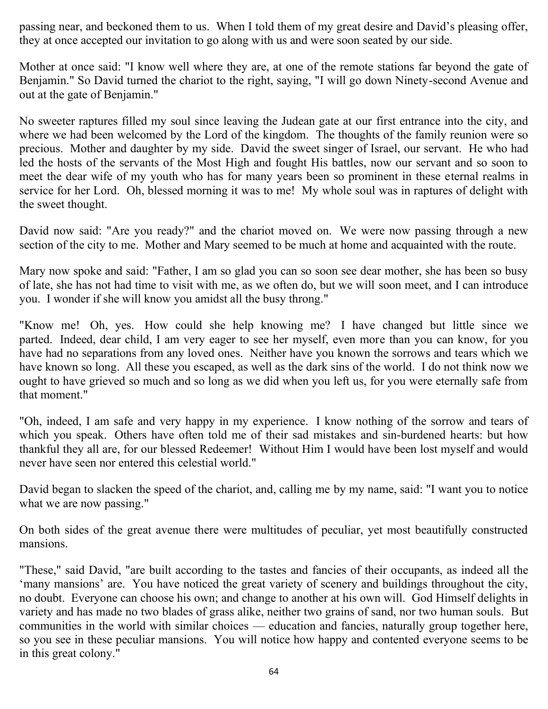passing near, and beckoned them to us. When I told them of my great desire and David's pleasing offer, they at once accepted our invitation to go along with us and were soon seated by our side.

Mother at once said: "I know well where they are, at one of the remote stations far beyond the gate of Benjamin." So David turned the chariot to the right, saying, "I will go down Ninety-second Avenue and out at the gate of Benjamin."

No sweeter raptures filled my soul since leaving the Judean gate at our first entrance into the city, and where we had been welcomed by the Lord of the kingdom. The thoughts of the family reunion were so precious. Mother and daughter by my side. David the sweet singer of Israel, our servant. He who had led the hosts of the servants of the Most High and fought His battles, now our servant and so soon to meet the dear wife of my youth who has for many years been so prominent in these eternal realms in service for her Lord. Oh, blessed morning it was to me! My whole soul was in raptures of delight with the sweet thought.

David now said: "Are you ready?" and the chariot moved on. We were now passing through a new section of the city to me. Mother and Mary seemed to be much at home and acquainted with the route.

Mary now spoke and said: "Father, I am so glad you can so soon see dear mother, she has been so busy of late, she has not had time to visit with me, as we often do, but we will soon meet, and I can introduce you. I wonder if she will know you amidst all the busy throng."

"Know me! Oh, yes. How could she help knowing me? I have changed but little since we parted. Indeed, dear child, I am very eager to see her myself, even more than you can know, for you have had no separations from any loved ones. Neither have you known the sorrows and tears which we have known so long. All these you escaped, as well as the dark sins of the world. I do not think now we ought to have grieved so much and so long as we did when you left us, for you were eternally safe from that moment."

"Oh, indeed, I am safe and very happy in my experience. I know nothing of the sorrow and tears of which you speak. Others have often told me of their sad mistakes and sin-burdened hearts: but how thankful they all are, for our blessed Redeemer! Without Him I would have been lost myself and would never have seen nor entered this celestial world."

David began to slacken the speed of the chariot, and, calling me by my name, said: "I want you to notice what we are now passing."

On both sides of the great avenue there were multitudes of peculiar, yet most beautifully constructed mansions.

"These," said David, "are built according to the tastes and fancies of their occupants, as indeed all the 'many mansions' are. You have noticed the great variety of scenery and buildings throughout the city, no doubt. Everyone can choose his own; and change to another at his own will. God Himself delights in variety and has made no two blades of grass alike, neither two grains of sand, nor two human souls. But communities in the world with similar choices — education and fancies, naturally group together here, so you see in these peculiar mansions. You will notice how happy and contented everyone seems to be in this great colony."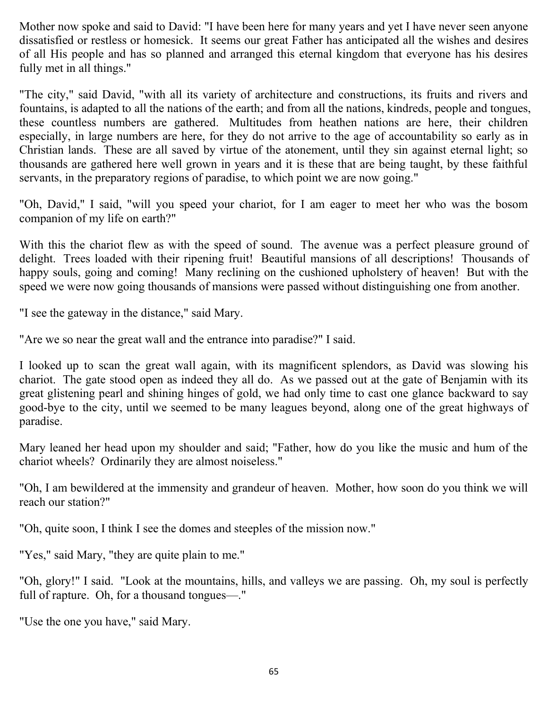Mother now spoke and said to David: "I have been here for many years and yet I have never seen anyone dissatisfied or restless or homesick. It seems our great Father has anticipated all the wishes and desires of all His people and has so planned and arranged this eternal kingdom that everyone has his desires fully met in all things."

"The city," said David, "with all its variety of architecture and constructions, its fruits and rivers and fountains, is adapted to all the nations of the earth; and from all the nations, kindreds, people and tongues, these countless numbers are gathered. Multitudes from heathen nations are here, their children especially, in large numbers are here, for they do not arrive to the age of accountability so early as in Christian lands. These are all saved by virtue of the atonement, until they sin against eternal light; so thousands are gathered here well grown in years and it is these that are being taught, by these faithful servants, in the preparatory regions of paradise, to which point we are now going."

"Oh, David," I said, "will you speed your chariot, for I am eager to meet her who was the bosom companion of my life on earth?"

With this the chariot flew as with the speed of sound. The avenue was a perfect pleasure ground of delight. Trees loaded with their ripening fruit! Beautiful mansions of all descriptions! Thousands of happy souls, going and coming! Many reclining on the cushioned upholstery of heaven! But with the speed we were now going thousands of mansions were passed without distinguishing one from another.

"I see the gateway in the distance," said Mary.

"Are we so near the great wall and the entrance into paradise?" I said.

I looked up to scan the great wall again, with its magnificent splendors, as David was slowing his chariot. The gate stood open as indeed they all do. As we passed out at the gate of Benjamin with its great glistening pearl and shining hinges of gold, we had only time to cast one glance backward to say good-bye to the city, until we seemed to be many leagues beyond, along one of the great highways of paradise.

Mary leaned her head upon my shoulder and said; "Father, how do you like the music and hum of the chariot wheels? Ordinarily they are almost noiseless."

"Oh, I am bewildered at the immensity and grandeur of heaven. Mother, how soon do you think we will reach our station?"

"Oh, quite soon, I think I see the domes and steeples of the mission now."

"Yes," said Mary, "they are quite plain to me."

"Oh, glory!" I said. "Look at the mountains, hills, and valleys we are passing. Oh, my soul is perfectly full of rapture. Oh, for a thousand tongues—."

"Use the one you have," said Mary.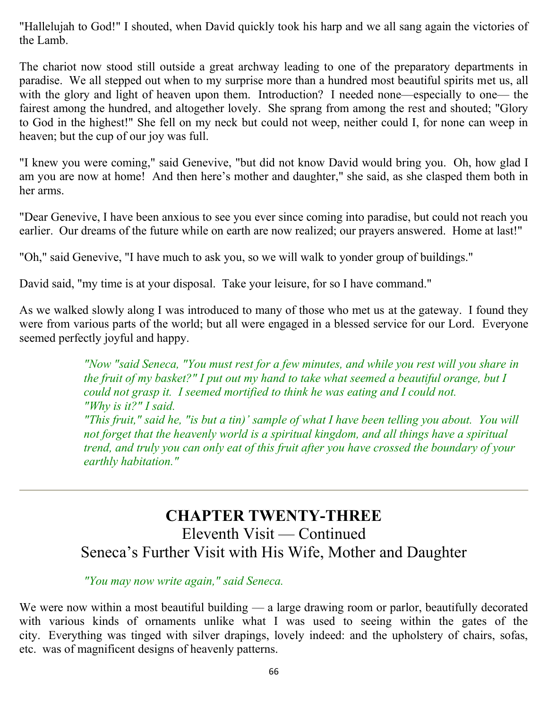"Hallelujah to God!" I shouted, when David quickly took his harp and we all sang again the victories of the Lamb.

The chariot now stood still outside a great archway leading to one of the preparatory departments in paradise. We all stepped out when to my surprise more than a hundred most beautiful spirits met us, all with the glory and light of heaven upon them. Introduction? I needed none—especially to one— the fairest among the hundred, and altogether lovely. She sprang from among the rest and shouted; "Glory to God in the highest!" She fell on my neck but could not weep, neither could I, for none can weep in heaven; but the cup of our joy was full.

"I knew you were coming," said Genevive, "but did not know David would bring you. Oh, how glad I am you are now at home! And then here's mother and daughter," she said, as she clasped them both in her arms.

"Dear Genevive, I have been anxious to see you ever since coming into paradise, but could not reach you earlier. Our dreams of the future while on earth are now realized; our prayers answered. Home at last!"

"Oh," said Genevive, "I have much to ask you, so we will walk to yonder group of buildings."

David said, "my time is at your disposal. Take your leisure, for so I have command."

As we walked slowly along I was introduced to many of those who met us at the gateway. I found they were from various parts of the world; but all were engaged in a blessed service for our Lord. Everyone seemed perfectly joyful and happy.

> *"Now "said Seneca, "You must rest for a few minutes, and while you rest will you share in the fruit of my basket?" I put out my hand to take what seemed a beautiful orange, but I could not grasp it. I seemed mortified to think he was eating and I could not. "Why is it?" I said. "This fruit," said he, "is but a tin)' sample of what I have been telling you about. You will*  not forget that the heavenly world is a spiritual kingdom, and all things have a spiritual *trend, and truly you can only eat of this fruit after you have crossed the boundary of your earthly habitation."*

#### **CHAPTER TWENTY-THREE**

Eleventh Visit — Continued Seneca's Further Visit with His Wife, Mother and Daughter

*"You may now write again," said Seneca.*

We were now within a most beautiful building — a large drawing room or parlor, beautifully decorated with various kinds of ornaments unlike what I was used to seeing within the gates of the city. Everything was tinged with silver drapings, lovely indeed: and the upholstery of chairs, sofas, etc. was of magnificent designs of heavenly patterns.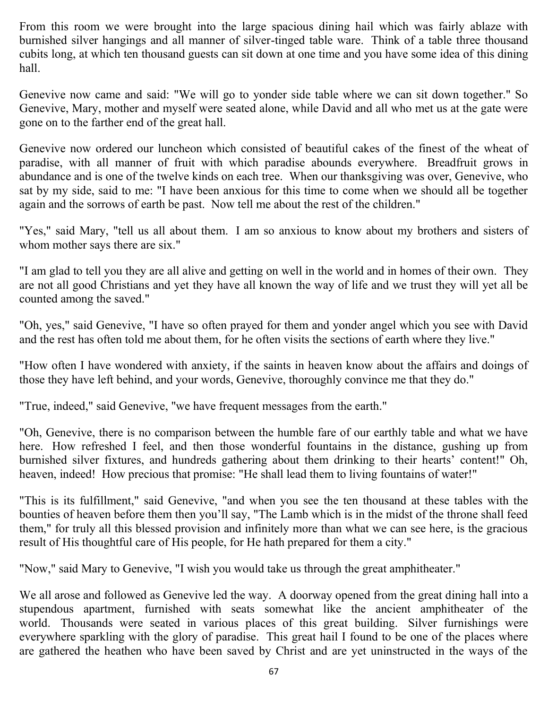From this room we were brought into the large spacious dining hail which was fairly ablaze with burnished silver hangings and all manner of silver-tinged table ware. Think of a table three thousand cubits long, at which ten thousand guests can sit down at one time and you have some idea of this dining hall.

Genevive now came and said: "We will go to yonder side table where we can sit down together." So Genevive, Mary, mother and myself were seated alone, while David and all who met us at the gate were gone on to the farther end of the great hall.

Genevive now ordered our luncheon which consisted of beautiful cakes of the finest of the wheat of paradise, with all manner of fruit with which paradise abounds everywhere. Breadfruit grows in abundance and is one of the twelve kinds on each tree. When our thanksgiving was over, Genevive, who sat by my side, said to me: "I have been anxious for this time to come when we should all be together again and the sorrows of earth be past. Now tell me about the rest of the children."

"Yes," said Mary, "tell us all about them. I am so anxious to know about my brothers and sisters of whom mother says there are six."

"I am glad to tell you they are all alive and getting on well in the world and in homes of their own. They are not all good Christians and yet they have all known the way of life and we trust they will yet all be counted among the saved."

"Oh, yes," said Genevive, "I have so often prayed for them and yonder angel which you see with David and the rest has often told me about them, for he often visits the sections of earth where they live."

"How often I have wondered with anxiety, if the saints in heaven know about the affairs and doings of those they have left behind, and your words, Genevive, thoroughly convince me that they do."

"True, indeed," said Genevive, "we have frequent messages from the earth."

"Oh, Genevive, there is no comparison between the humble fare of our earthly table and what we have here. How refreshed I feel, and then those wonderful fountains in the distance, gushing up from burnished silver fixtures, and hundreds gathering about them drinking to their hearts' content!" Oh, heaven, indeed! How precious that promise: "He shall lead them to living fountains of water!"

"This is its fulfillment," said Genevive, "and when you see the ten thousand at these tables with the bounties of heaven before them then you'll say, "The Lamb which is in the midst of the throne shall feed them," for truly all this blessed provision and infinitely more than what we can see here, is the gracious result of His thoughtful care of His people, for He hath prepared for them a city."

"Now," said Mary to Genevive, "I wish you would take us through the great amphitheater."

We all arose and followed as Genevive led the way. A doorway opened from the great dining hall into a stupendous apartment, furnished with seats somewhat like the ancient amphitheater of the world. Thousands were seated in various places of this great building. Silver furnishings were everywhere sparkling with the glory of paradise. This great hail I found to be one of the places where are gathered the heathen who have been saved by Christ and are yet uninstructed in the ways of the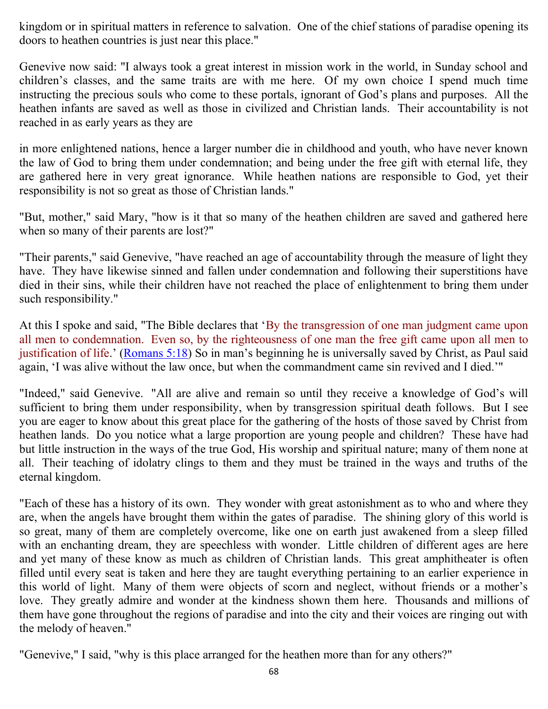kingdom or in spiritual matters in reference to salvation. One of the chief stations of paradise opening its doors to heathen countries is just near this place."

Genevive now said: "I always took a great interest in mission work in the world, in Sunday school and children's classes, and the same traits are with me here. Of my own choice I spend much time instructing the precious souls who come to these portals, ignorant of God's plans and purposes. All the heathen infants are saved as well as those in civilized and Christian lands. Their accountability is not reached in as early years as they are

in more enlightened nations, hence a larger number die in childhood and youth, who have never known the law of God to bring them under condemnation; and being under the free gift with eternal life, they are gathered here in very great ignorance. While heathen nations are responsible to God, yet their responsibility is not so great as those of Christian lands."

"But, mother," said Mary, "how is it that so many of the heathen children are saved and gathered here when so many of their parents are lost?"

"Their parents," said Genevive, "have reached an age of accountability through the measure of light they have. They have likewise sinned and fallen under condemnation and following their superstitions have died in their sins, while their children have not reached the place of enlightenment to bring them under such responsibility."

At this I spoke and said, "The Bible declares that 'By the transgression of one man judgment came upon all men to condemnation. Even so, by the righteousness of one man the free gift came upon all men to justification of life.' ([Romans 5:18](http://www.biblegateway.com/passage/?search=Romans%205:18;&version=31)) So in man's beginning he is universally saved by Christ, as Paul said again, 'I was alive without the law once, but when the commandment came sin revived and I died.'"

"Indeed," said Genevive. "All are alive and remain so until they receive a knowledge of God's will sufficient to bring them under responsibility, when by transgression spiritual death follows. But I see you are eager to know about this great place for the gathering of the hosts of those saved by Christ from heathen lands. Do you notice what a large proportion are young people and children? These have had but little instruction in the ways of the true God, His worship and spiritual nature; many of them none at all. Their teaching of idolatry clings to them and they must be trained in the ways and truths of the eternal kingdom.

"Each of these has a history of its own. They wonder with great astonishment as to who and where they are, when the angels have brought them within the gates of paradise. The shining glory of this world is so great, many of them are completely overcome, like one on earth just awakened from a sleep filled with an enchanting dream, they are speechless with wonder. Little children of different ages are here and yet many of these know as much as children of Christian lands. This great amphitheater is often filled until every seat is taken and here they are taught everything pertaining to an earlier experience in this world of light. Many of them were objects of scorn and neglect, without friends or a mother's love. They greatly admire and wonder at the kindness shown them here. Thousands and millions of them have gone throughout the regions of paradise and into the city and their voices are ringing out with the melody of heaven."

"Genevive," I said, "why is this place arranged for the heathen more than for any others?"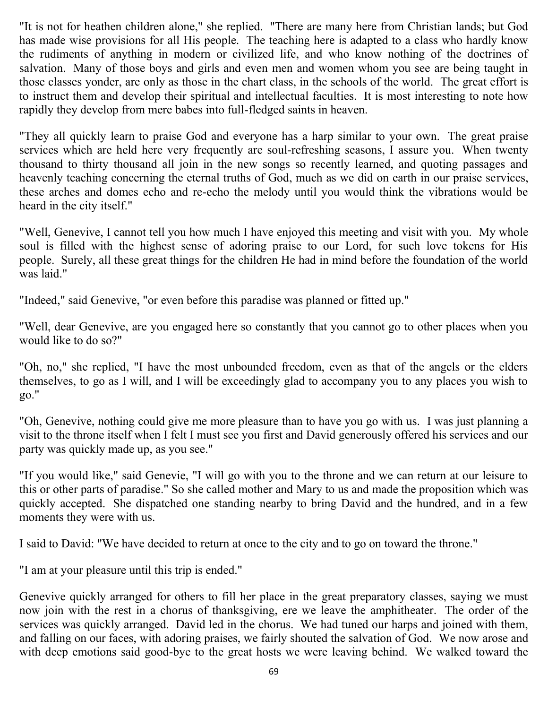"It is not for heathen children alone," she replied. "There are many here from Christian lands; but God has made wise provisions for all His people. The teaching here is adapted to a class who hardly know the rudiments of anything in modern or civilized life, and who know nothing of the doctrines of salvation. Many of those boys and girls and even men and women whom you see are being taught in those classes yonder, are only as those in the chart class, in the schools of the world. The great effort is to instruct them and develop their spiritual and intellectual faculties. It is most interesting to note how rapidly they develop from mere babes into full-fledged saints in heaven.

"They all quickly learn to praise God and everyone has a harp similar to your own. The great praise services which are held here very frequently are soul-refreshing seasons, I assure you. When twenty thousand to thirty thousand all join in the new songs so recently learned, and quoting passages and heavenly teaching concerning the eternal truths of God, much as we did on earth in our praise services, these arches and domes echo and re-echo the melody until you would think the vibrations would be heard in the city itself."

"Well, Genevive, I cannot tell you how much I have enjoyed this meeting and visit with you. My whole soul is filled with the highest sense of adoring praise to our Lord, for such love tokens for His people. Surely, all these great things for the children He had in mind before the foundation of the world was laid."

"Indeed," said Genevive, "or even before this paradise was planned or fitted up."

"Well, dear Genevive, are you engaged here so constantly that you cannot go to other places when you would like to do so?"

"Oh, no," she replied, "I have the most unbounded freedom, even as that of the angels or the elders themselves, to go as I will, and I will be exceedingly glad to accompany you to any places you wish to go."

"Oh, Genevive, nothing could give me more pleasure than to have you go with us. I was just planning a visit to the throne itself when I felt I must see you first and David generously offered his services and our party was quickly made up, as you see."

"If you would like," said Genevie, "I will go with you to the throne and we can return at our leisure to this or other parts of paradise." So she called mother and Mary to us and made the proposition which was quickly accepted. She dispatched one standing nearby to bring David and the hundred, and in a few moments they were with us.

I said to David: "We have decided to return at once to the city and to go on toward the throne."

"I am at your pleasure until this trip is ended."

Genevive quickly arranged for others to fill her place in the great preparatory classes, saying we must now join with the rest in a chorus of thanksgiving, ere we leave the amphitheater. The order of the services was quickly arranged. David led in the chorus. We had tuned our harps and joined with them, and falling on our faces, with adoring praises, we fairly shouted the salvation of God. We now arose and with deep emotions said good-bye to the great hosts we were leaving behind. We walked toward the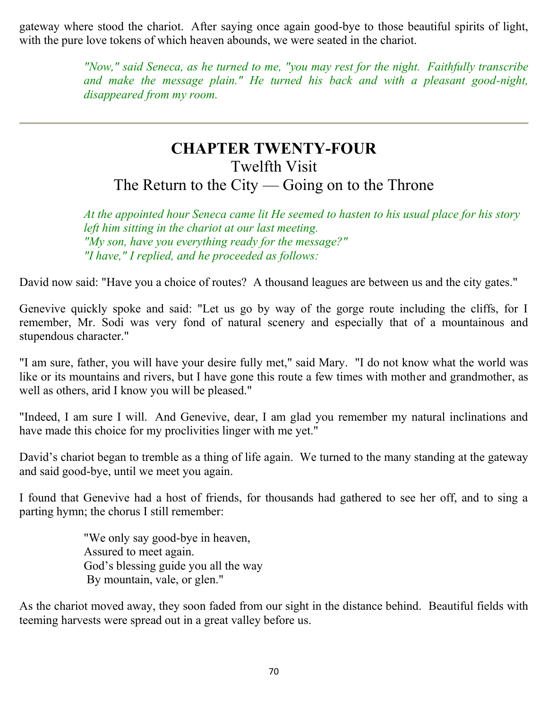gateway where stood the chariot. After saying once again good-bye to those beautiful spirits of light, with the pure love tokens of which heaven abounds, we were seated in the chariot.

> *"Now," said Seneca, as he turned to me, "you may rest for the night. Faithfully transcribe and make the message plain." He turned his back and with a pleasant good-night, disappeared from my room.*

## **CHAPTER TWENTY-FOUR** Twelfth Visit The Return to the City — Going on to the Throne

*At the appointed hour Seneca came lit He seemed to hasten to his usual place for his story left him sitting in the chariot at our last meeting. "My son, have you everything ready for the message?" "I have," I replied, and he proceeded as follows:*

David now said: "Have you a choice of routes? A thousand leagues are between us and the city gates."

Genevive quickly spoke and said: "Let us go by way of the gorge route including the cliffs, for I remember, Mr. Sodi was very fond of natural scenery and especially that of a mountainous and stupendous character."

"I am sure, father, you will have your desire fully met," said Mary. "I do not know what the world was like or its mountains and rivers, but I have gone this route a few times with mother and grandmother, as well as others, arid I know you will be pleased."

"Indeed, I am sure I will. And Genevive, dear, I am glad you remember my natural inclinations and have made this choice for my proclivities linger with me yet."

David's chariot began to tremble as a thing of life again. We turned to the many standing at the gateway and said good-bye, until we meet you again.

I found that Genevive had a host of friends, for thousands had gathered to see her off, and to sing a parting hymn; the chorus I still remember:

> "We only say good-bye in heaven, Assured to meet again. God's blessing guide you all the way By mountain, vale, or glen."

As the chariot moved away, they soon faded from our sight in the distance behind. Beautiful fields with teeming harvests were spread out in a great valley before us.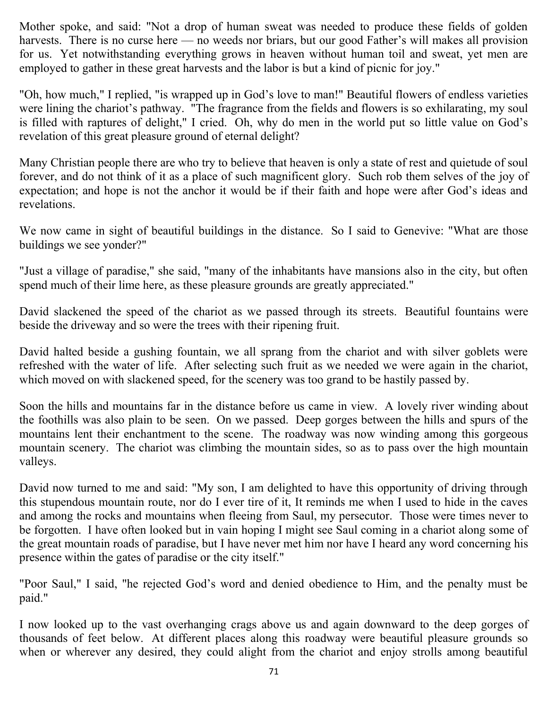Mother spoke, and said: "Not a drop of human sweat was needed to produce these fields of golden harvests. There is no curse here — no weeds nor briars, but our good Father's will makes all provision for us. Yet notwithstanding everything grows in heaven without human toil and sweat, yet men are employed to gather in these great harvests and the labor is but a kind of picnic for joy."

"Oh, how much," I replied, "is wrapped up in God's love to man!" Beautiful flowers of endless varieties were lining the chariot's pathway. "The fragrance from the fields and flowers is so exhilarating, my soul is filled with raptures of delight," I cried. Oh, why do men in the world put so little value on God's revelation of this great pleasure ground of eternal delight?

Many Christian people there are who try to believe that heaven is only a state of rest and quietude of soul forever, and do not think of it as a place of such magnificent glory. Such rob them selves of the joy of expectation; and hope is not the anchor it would be if their faith and hope were after God's ideas and revelations.

We now came in sight of beautiful buildings in the distance. So I said to Genevive: "What are those buildings we see yonder?"

"Just a village of paradise," she said, "many of the inhabitants have mansions also in the city, but often spend much of their lime here, as these pleasure grounds are greatly appreciated."

David slackened the speed of the chariot as we passed through its streets. Beautiful fountains were beside the driveway and so were the trees with their ripening fruit.

David halted beside a gushing fountain, we all sprang from the chariot and with silver goblets were refreshed with the water of life. After selecting such fruit as we needed we were again in the chariot, which moved on with slackened speed, for the scenery was too grand to be hastily passed by.

Soon the hills and mountains far in the distance before us came in view. A lovely river winding about the foothills was also plain to be seen. On we passed. Deep gorges between the hills and spurs of the mountains lent their enchantment to the scene. The roadway was now winding among this gorgeous mountain scenery. The chariot was climbing the mountain sides, so as to pass over the high mountain valleys.

David now turned to me and said: "My son, I am delighted to have this opportunity of driving through this stupendous mountain route, nor do I ever tire of it, It reminds me when I used to hide in the caves and among the rocks and mountains when fleeing from Saul, my persecutor. Those were times never to be forgotten. I have often looked but in vain hoping I might see Saul coming in a chariot along some of the great mountain roads of paradise, but I have never met him nor have I heard any word concerning his presence within the gates of paradise or the city itself."

"Poor Saul," I said, "he rejected God's word and denied obedience to Him, and the penalty must be paid."

I now looked up to the vast overhanging crags above us and again downward to the deep gorges of thousands of feet below. At different places along this roadway were beautiful pleasure grounds so when or wherever any desired, they could alight from the chariot and enjoy strolls among beautiful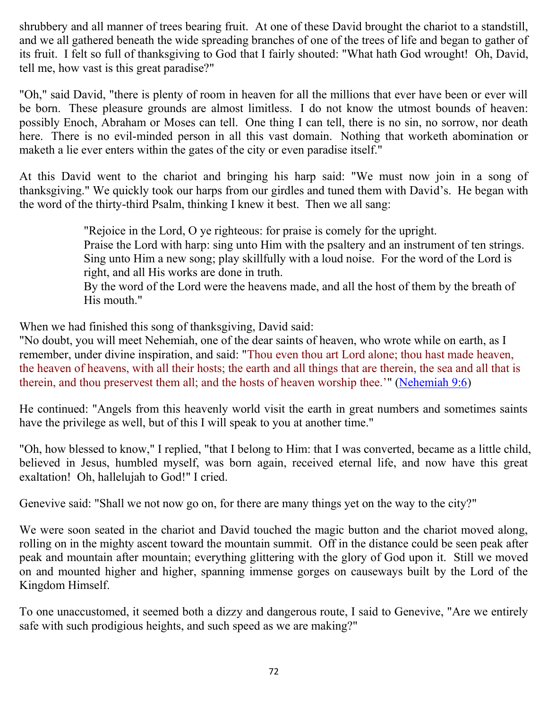shrubbery and all manner of trees bearing fruit. At one of these David brought the chariot to a standstill, and we all gathered beneath the wide spreading branches of one of the trees of life and began to gather of its fruit. I felt so full of thanksgiving to God that I fairly shouted: "What hath God wrought! Oh, David, tell me, how vast is this great paradise?"

"Oh," said David, "there is plenty of room in heaven for all the millions that ever have been or ever will be born. These pleasure grounds are almost limitless. I do not know the utmost bounds of heaven: possibly Enoch, Abraham or Moses can tell. One thing I can tell, there is no sin, no sorrow, nor death here. There is no evil-minded person in all this vast domain. Nothing that worketh abomination or maketh a lie ever enters within the gates of the city or even paradise itself."

At this David went to the chariot and bringing his harp said: "We must now join in a song of thanksgiving." We quickly took our harps from our girdles and tuned them with David's. He began with the word of the thirty-third Psalm, thinking I knew it best. Then we all sang:

> "Rejoice in the Lord, O ye righteous: for praise is comely for the upright. Praise the Lord with harp: sing unto Him with the psaltery and an instrument of ten strings. Sing unto Him a new song; play skillfully with a loud noise. For the word of the Lord is right, and all His works are done in truth.

By the word of the Lord were the heavens made, and all the host of them by the breath of His mouth."

When we had finished this song of thanksgiving, David said:

"No doubt, you will meet Nehemiah, one of the dear saints of heaven, who wrote while on earth, as I remember, under divine inspiration, and said: "Thou even thou art Lord alone; thou hast made heaven, the heaven of heavens, with all their hosts; the earth and all things that are therein, the sea and all that is therein, and thou preservest them all; and the hosts of heaven worship thee.'" [\(Nehemiah 9:6\)](http://www.biblegateway.com/passage/?search=Nehemiah%209:6;&version=31)

He continued: "Angels from this heavenly world visit the earth in great numbers and sometimes saints have the privilege as well, but of this I will speak to you at another time."

"Oh, how blessed to know," I replied, "that I belong to Him: that I was converted, became as a little child, believed in Jesus, humbled myself, was born again, received eternal life, and now have this great exaltation! Oh, hallelujah to God!" I cried.

Genevive said: "Shall we not now go on, for there are many things yet on the way to the city?"

We were soon seated in the chariot and David touched the magic button and the chariot moved along, rolling on in the mighty ascent toward the mountain summit. Off in the distance could be seen peak after peak and mountain after mountain; everything glittering with the glory of God upon it. Still we moved on and mounted higher and higher, spanning immense gorges on causeways built by the Lord of the Kingdom Himself.

To one unaccustomed, it seemed both a dizzy and dangerous route, I said to Genevive, "Are we entirely safe with such prodigious heights, and such speed as we are making?"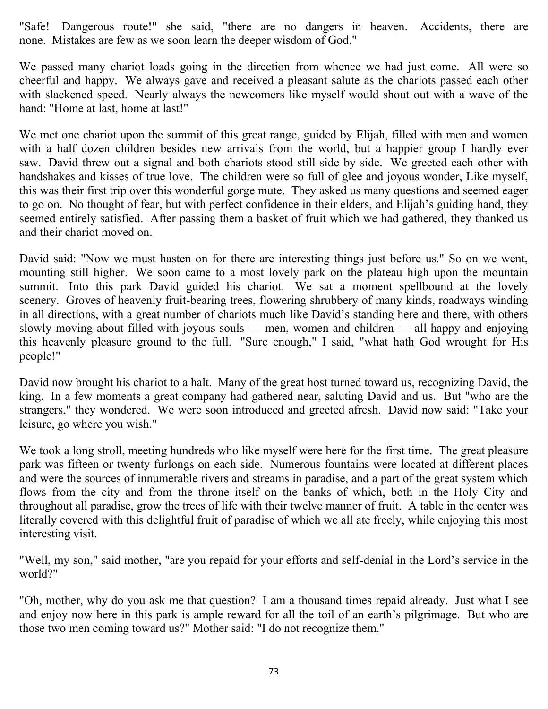"Safe! Dangerous route!" she said, "there are no dangers in heaven. Accidents, there are none. Mistakes are few as we soon learn the deeper wisdom of God."

We passed many chariot loads going in the direction from whence we had just come. All were so cheerful and happy. We always gave and received a pleasant salute as the chariots passed each other with slackened speed. Nearly always the newcomers like myself would shout out with a wave of the hand: "Home at last, home at last!"

We met one chariot upon the summit of this great range, guided by Elijah, filled with men and women with a half dozen children besides new arrivals from the world, but a happier group I hardly ever saw. David threw out a signal and both chariots stood still side by side. We greeted each other with handshakes and kisses of true love. The children were so full of glee and joyous wonder, Like myself, this was their first trip over this wonderful gorge mute. They asked us many questions and seemed eager to go on. No thought of fear, but with perfect confidence in their elders, and Elijah's guiding hand, they seemed entirely satisfied. After passing them a basket of fruit which we had gathered, they thanked us and their chariot moved on.

David said: "Now we must hasten on for there are interesting things just before us." So on we went, mounting still higher. We soon came to a most lovely park on the plateau high upon the mountain summit. Into this park David guided his chariot. We sat a moment spellbound at the lovely scenery. Groves of heavenly fruit-bearing trees, flowering shrubbery of many kinds, roadways winding in all directions, with a great number of chariots much like David's standing here and there, with others slowly moving about filled with joyous souls — men, women and children — all happy and enjoying this heavenly pleasure ground to the full. "Sure enough," I said, "what hath God wrought for His people!"

David now brought his chariot to a halt. Many of the great host turned toward us, recognizing David, the king. In a few moments a great company had gathered near, saluting David and us. But "who are the strangers," they wondered. We were soon introduced and greeted afresh. David now said: "Take your leisure, go where you wish."

We took a long stroll, meeting hundreds who like myself were here for the first time. The great pleasure park was fifteen or twenty furlongs on each side. Numerous fountains were located at different places and were the sources of innumerable rivers and streams in paradise, and a part of the great system which flows from the city and from the throne itself on the banks of which, both in the Holy City and throughout all paradise, grow the trees of life with their twelve manner of fruit. A table in the center was literally covered with this delightful fruit of paradise of which we all ate freely, while enjoying this most interesting visit.

"Well, my son," said mother, "are you repaid for your efforts and self-denial in the Lord's service in the world?"

"Oh, mother, why do you ask me that question? I am a thousand times repaid already. Just what I see and enjoy now here in this park is ample reward for all the toil of an earth's pilgrimage. But who are those two men coming toward us?" Mother said: "I do not recognize them."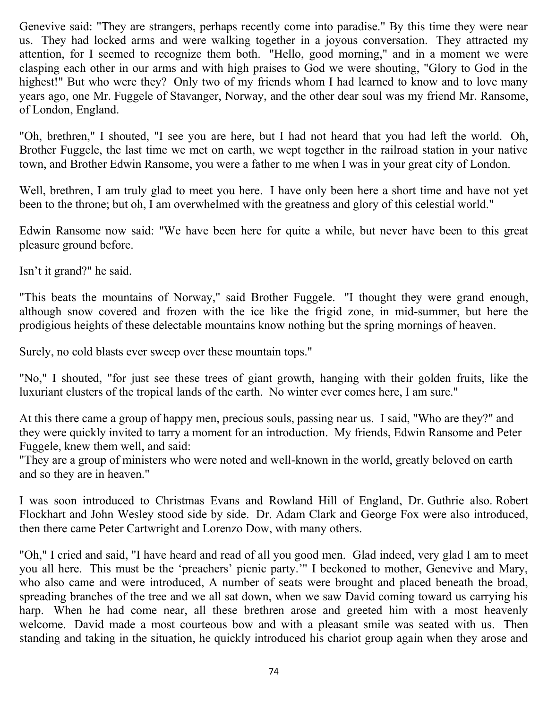Genevive said: "They are strangers, perhaps recently come into paradise." By this time they were near us. They had locked arms and were walking together in a joyous conversation. They attracted my attention, for I seemed to recognize them both. "Hello, good morning," and in a moment we were clasping each other in our arms and with high praises to God we were shouting, "Glory to God in the highest!" But who were they? Only two of my friends whom I had learned to know and to love many years ago, one Mr. Fuggele of Stavanger, Norway, and the other dear soul was my friend Mr. Ransome, of London, England.

"Oh, brethren," I shouted, "I see you are here, but I had not heard that you had left the world. Oh, Brother Fuggele, the last time we met on earth, we wept together in the railroad station in your native town, and Brother Edwin Ransome, you were a father to me when I was in your great city of London.

Well, brethren, I am truly glad to meet you here. I have only been here a short time and have not yet been to the throne; but oh, I am overwhelmed with the greatness and glory of this celestial world."

Edwin Ransome now said: "We have been here for quite a while, but never have been to this great pleasure ground before.

Isn't it grand?" he said.

"This beats the mountains of Norway," said Brother Fuggele. "I thought they were grand enough, although snow covered and frozen with the ice like the frigid zone, in mid-summer, but here the prodigious heights of these delectable mountains know nothing but the spring mornings of heaven.

Surely, no cold blasts ever sweep over these mountain tops."

"No," I shouted, "for just see these trees of giant growth, hanging with their golden fruits, like the luxuriant clusters of the tropical lands of the earth. No winter ever comes here, I am sure."

At this there came a group of happy men, precious souls, passing near us. I said, "Who are they?" and they were quickly invited to tarry a moment for an introduction. My friends, Edwin Ransome and Peter Fuggele, knew them well, and said:

"They are a group of ministers who were noted and well-known in the world, greatly beloved on earth and so they are in heaven."

I was soon introduced to Christmas Evans and Rowland Hill of England, Dr. Guthrie also. Robert Flockhart and John Wesley stood side by side. Dr. Adam Clark and George Fox were also introduced, then there came Peter Cartwright and Lorenzo Dow, with many others.

"Oh," I cried and said, "I have heard and read of all you good men. Glad indeed, very glad I am to meet you all here. This must be the 'preachers' picnic party.'" I beckoned to mother, Genevive and Mary, who also came and were introduced. A number of seats were brought and placed beneath the broad, spreading branches of the tree and we all sat down, when we saw David coming toward us carrying his harp. When he had come near, all these brethren arose and greeted him with a most heavenly welcome. David made a most courteous bow and with a pleasant smile was seated with us. Then standing and taking in the situation, he quickly introduced his chariot group again when they arose and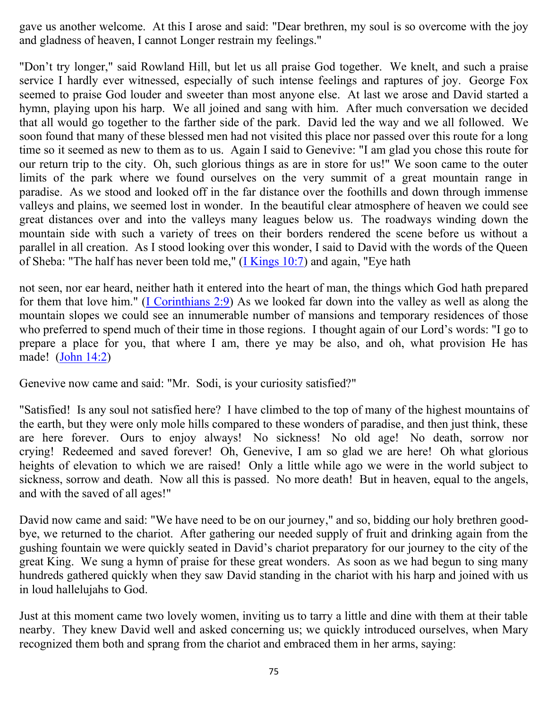gave us another welcome. At this I arose and said: "Dear brethren, my soul is so overcome with the joy and gladness of heaven, I cannot Longer restrain my feelings."

"Don't try longer," said Rowland Hill, but let us all praise God together. We knelt, and such a praise service I hardly ever witnessed, especially of such intense feelings and raptures of joy. George Fox seemed to praise God louder and sweeter than most anyone else. At last we arose and David started a hymn, playing upon his harp. We all joined and sang with him. After much conversation we decided that all would go together to the farther side of the park. David led the way and we all followed. We soon found that many of these blessed men had not visited this place nor passed over this route for a long time so it seemed as new to them as to us. Again I said to Genevive: "I am glad you chose this route for our return trip to the city. Oh, such glorious things as are in store for us!" We soon came to the outer limits of the park where we found ourselves on the very summit of a great mountain range in paradise. As we stood and looked off in the far distance over the foothills and down through immense valleys and plains, we seemed lost in wonder. In the beautiful clear atmosphere of heaven we could see great distances over and into the valleys many leagues below us. The roadways winding down the mountain side with such a variety of trees on their borders rendered the scene before us without a parallel in all creation. As I stood looking over this wonder, I said to David with the words of the Queen of Sheba: "The half has never been told me," [\(I Kings 10:7\)](http://www.biblegateway.com/passage/?search=I%20Kings%2010:7;&version=31) and again, "Eye hath

not seen, nor ear heard, neither hath it entered into the heart of man, the things which God hath prepared for them that love him." [\(I Corinthians 2:9\)](http://www.biblegateway.com/passage/?search=I%20Corinthians%202:9;&version=31) As we looked far down into the valley as well as along the mountain slopes we could see an innumerable number of mansions and temporary residences of those who preferred to spend much of their time in those regions. I thought again of our Lord's words: "I go to prepare a place for you, that where I am, there ye may be also, and oh, what provision He has made! [\(John 14:2\)](http://www.biblegateway.com/passage/?search=John%2014:2;&version=31)

Genevive now came and said: "Mr. Sodi, is your curiosity satisfied?"

"Satisfied! Is any soul not satisfied here? I have climbed to the top of many of the highest mountains of the earth, but they were only mole hills compared to these wonders of paradise, and then just think, these are here forever. Ours to enjoy always! No sickness! No old age! No death, sorrow nor crying! Redeemed and saved forever! Oh, Genevive, I am so glad we are here! Oh what glorious heights of elevation to which we are raised! Only a little while ago we were in the world subject to sickness, sorrow and death. Now all this is passed. No more death! But in heaven, equal to the angels, and with the saved of all ages!"

David now came and said: "We have need to be on our journey," and so, bidding our holy brethren goodbye, we returned to the chariot. After gathering our needed supply of fruit and drinking again from the gushing fountain we were quickly seated in David's chariot preparatory for our journey to the city of the great King. We sung a hymn of praise for these great wonders. As soon as we had begun to sing many hundreds gathered quickly when they saw David standing in the chariot with his harp and joined with us in loud hallelujahs to God.

Just at this moment came two lovely women, inviting us to tarry a little and dine with them at their table nearby. They knew David well and asked concerning us; we quickly introduced ourselves, when Mary recognized them both and sprang from the chariot and embraced them in her arms, saying: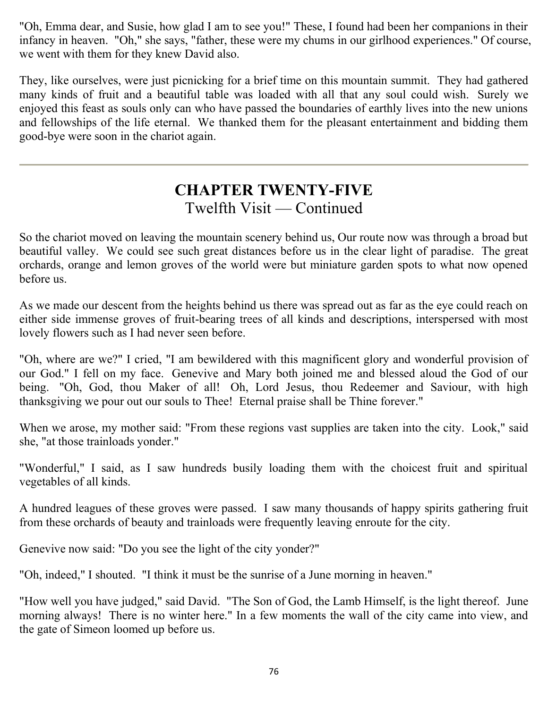"Oh, Emma dear, and Susie, how glad I am to see you!" These, I found had been her companions in their infancy in heaven. "Oh," she says, "father, these were my chums in our girlhood experiences." Of course, we went with them for they knew David also.

They, like ourselves, were just picnicking for a brief time on this mountain summit. They had gathered many kinds of fruit and a beautiful table was loaded with all that any soul could wish. Surely we enjoyed this feast as souls only can who have passed the boundaries of earthly lives into the new unions and fellowships of the life eternal. We thanked them for the pleasant entertainment and bidding them good-bye were soon in the chariot again.

# **CHAPTER TWENTY-FIVE** Twelfth Visit — Continued

So the chariot moved on leaving the mountain scenery behind us, Our route now was through a broad but beautiful valley. We could see such great distances before us in the clear light of paradise. The great orchards, orange and lemon groves of the world were but miniature garden spots to what now opened before us.

As we made our descent from the heights behind us there was spread out as far as the eye could reach on either side immense groves of fruit-bearing trees of all kinds and descriptions, interspersed with most lovely flowers such as I had never seen before.

"Oh, where are we?" I cried, "I am bewildered with this magnificent glory and wonderful provision of our God." I fell on my face. Genevive and Mary both joined me and blessed aloud the God of our being. "Oh, God, thou Maker of all! Oh, Lord Jesus, thou Redeemer and Saviour, with high thanksgiving we pour out our souls to Thee! Eternal praise shall be Thine forever."

When we arose, my mother said: "From these regions vast supplies are taken into the city. Look," said she, "at those trainloads yonder."

"Wonderful," I said, as I saw hundreds busily loading them with the choicest fruit and spiritual vegetables of all kinds.

A hundred leagues of these groves were passed. I saw many thousands of happy spirits gathering fruit from these orchards of beauty and trainloads were frequently leaving enroute for the city.

Genevive now said: "Do you see the light of the city yonder?"

"Oh, indeed," I shouted. "I think it must be the sunrise of a June morning in heaven."

"How well you have judged," said David. "The Son of God, the Lamb Himself, is the light thereof. June morning always! There is no winter here." In a few moments the wall of the city came into view, and the gate of Simeon loomed up before us.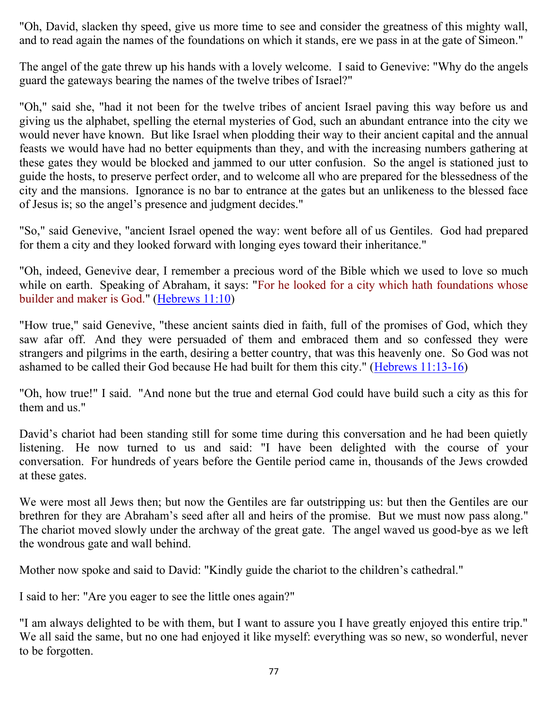"Oh, David, slacken thy speed, give us more time to see and consider the greatness of this mighty wall, and to read again the names of the foundations on which it stands, ere we pass in at the gate of Simeon."

The angel of the gate threw up his hands with a lovely welcome. I said to Genevive: "Why do the angels guard the gateways bearing the names of the twelve tribes of Israel?"

"Oh," said she, "had it not been for the twelve tribes of ancient Israel paving this way before us and giving us the alphabet, spelling the eternal mysteries of God, such an abundant entrance into the city we would never have known. But like Israel when plodding their way to their ancient capital and the annual feasts we would have had no better equipments than they, and with the increasing numbers gathering at these gates they would be blocked and jammed to our utter confusion. So the angel is stationed just to guide the hosts, to preserve perfect order, and to welcome all who are prepared for the blessedness of the city and the mansions. Ignorance is no bar to entrance at the gates but an unlikeness to the blessed face of Jesus is; so the angel's presence and judgment decides."

"So," said Genevive, "ancient Israel opened the way: went before all of us Gentiles. God had prepared for them a city and they looked forward with longing eyes toward their inheritance."

"Oh, indeed, Genevive dear, I remember a precious word of the Bible which we used to love so much while on earth. Speaking of Abraham, it says: "For he looked for a city which hath foundations whose builder and maker is God." [\(Hebrews 11:10\)](http://www.biblegateway.com/passage/?search=Hebrews%2011:10;&version=31)

"How true," said Genevive, "these ancient saints died in faith, full of the promises of God, which they saw afar off. And they were persuaded of them and embraced them and so confessed they were strangers and pilgrims in the earth, desiring a better country, that was this heavenly one. So God was not ashamed to be called their God because He had built for them this city." [\(Hebrews 11:13-16\)](http://www.biblegateway.com/passage/?search=Hebrews%2011:13-16;&version=31)

"Oh, how true!" I said. "And none but the true and eternal God could have build such a city as this for them and us."

David's chariot had been standing still for some time during this conversation and he had been quietly listening. He now turned to us and said: "I have been delighted with the course of your conversation. For hundreds of years before the Gentile period came in, thousands of the Jews crowded at these gates.

We were most all Jews then; but now the Gentiles are far outstripping us: but then the Gentiles are our brethren for they are Abraham's seed after all and heirs of the promise. But we must now pass along." The chariot moved slowly under the archway of the great gate. The angel waved us good-bye as we left the wondrous gate and wall behind.

Mother now spoke and said to David: "Kindly guide the chariot to the children's cathedral."

I said to her: "Are you eager to see the little ones again?"

"I am always delighted to be with them, but I want to assure you I have greatly enjoyed this entire trip." We all said the same, but no one had enjoyed it like myself: everything was so new, so wonderful, never to be forgotten.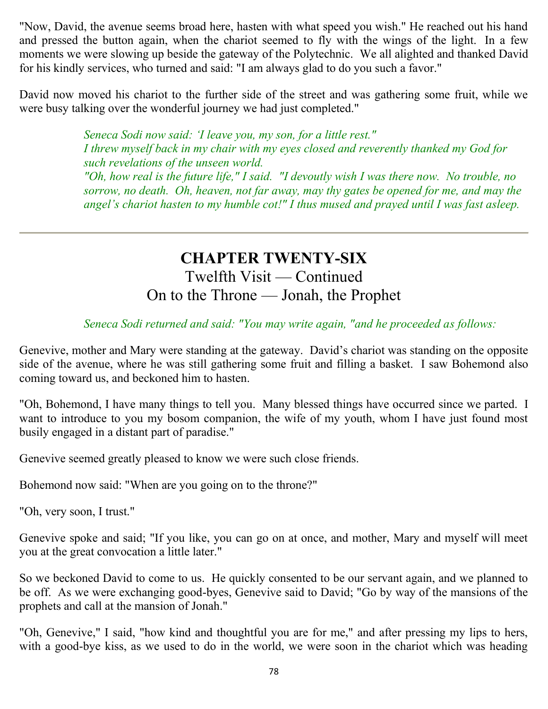"Now, David, the avenue seems broad here, hasten with what speed you wish." He reached out his hand and pressed the button again, when the chariot seemed to fly with the wings of the light. In a few moments we were slowing up beside the gateway of the Polytechnic. We all alighted and thanked David for his kindly services, who turned and said: "I am always glad to do you such a favor."

David now moved his chariot to the further side of the street and was gathering some fruit, while we were busy talking over the wonderful journey we had just completed."

> *Seneca Sodi now said: 'I leave you, my son, for a little rest." I threw myself back in my chair with my eyes closed and reverently thanked my God for such revelations of the unseen world. "Oh, how real is the future life," I said. "I devoutly wish I was there now. No trouble, no sorrow, no death. Oh, heaven, not far away, may thy gates be opened for me, and may the*

> *angel's chariot hasten to my humble cot!" I thus mused and prayed until I was fast asleep.*

# **CHAPTER TWENTY-SIX** Twelfth Visit — Continued On to the Throne — Jonah, the Prophet

*Seneca Sodi returned and said: "You may write again, "and he proceeded as follows:*

Genevive, mother and Mary were standing at the gateway. David's chariot was standing on the opposite side of the avenue, where he was still gathering some fruit and filling a basket. I saw Bohemond also coming toward us, and beckoned him to hasten.

"Oh, Bohemond, I have many things to tell you. Many blessed things have occurred since we parted. I want to introduce to you my bosom companion, the wife of my youth, whom I have just found most busily engaged in a distant part of paradise."

Genevive seemed greatly pleased to know we were such close friends.

Bohemond now said: "When are you going on to the throne?"

"Oh, very soon, I trust."

Genevive spoke and said; "If you like, you can go on at once, and mother, Mary and myself will meet you at the great convocation a little later."

So we beckoned David to come to us. He quickly consented to be our servant again, and we planned to be off. As we were exchanging good-byes, Genevive said to David; "Go by way of the mansions of the prophets and call at the mansion of Jonah."

"Oh, Genevive," I said, "how kind and thoughtful you are for me," and after pressing my lips to hers, with a good-bye kiss, as we used to do in the world, we were soon in the chariot which was heading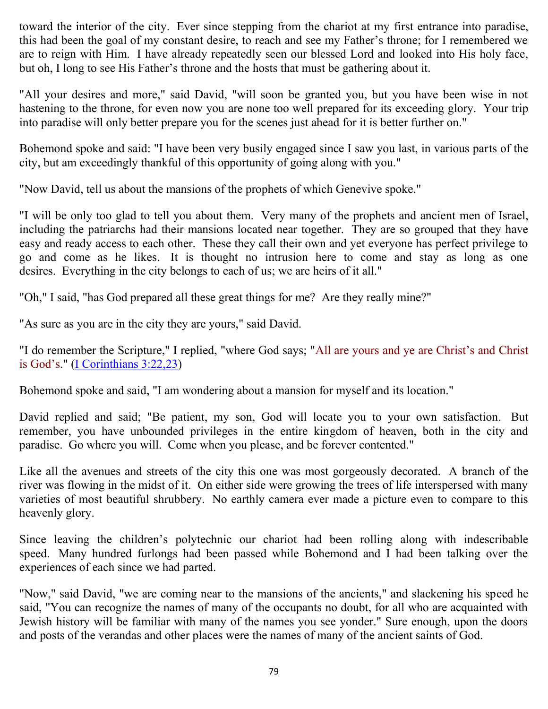toward the interior of the city. Ever since stepping from the chariot at my first entrance into paradise, this had been the goal of my constant desire, to reach and see my Father's throne; for I remembered we are to reign with Him. I have already repeatedly seen our blessed Lord and looked into His holy face, but oh, I long to see His Father's throne and the hosts that must be gathering about it.

"All your desires and more," said David, "will soon be granted you, but you have been wise in not hastening to the throne, for even now you are none too well prepared for its exceeding glory. Your trip into paradise will only better prepare you for the scenes just ahead for it is better further on."

Bohemond spoke and said: "I have been very busily engaged since I saw you last, in various parts of the city, but am exceedingly thankful of this opportunity of going along with you."

"Now David, tell us about the mansions of the prophets of which Genevive spoke."

"I will be only too glad to tell you about them. Very many of the prophets and ancient men of Israel, including the patriarchs had their mansions located near together. They are so grouped that they have easy and ready access to each other. These they call their own and yet everyone has perfect privilege to go and come as he likes. It is thought no intrusion here to come and stay as long as one desires. Everything in the city belongs to each of us; we are heirs of it all."

"Oh," I said, "has God prepared all these great things for me? Are they really mine?"

"As sure as you are in the city they are yours," said David.

"I do remember the Scripture," I replied, "where God says; "All are yours and ye are Christ's and Christ is God's." [\(I Corinthians 3:22,23\)](http://www.biblegateway.com/passage/?search=I%20Corinthians%203:22,23;&version=31)

Bohemond spoke and said, "I am wondering about a mansion for myself and its location."

David replied and said; "Be patient, my son, God will locate you to your own satisfaction. But remember, you have unbounded privileges in the entire kingdom of heaven, both in the city and paradise. Go where you will. Come when you please, and be forever contented."

Like all the avenues and streets of the city this one was most gorgeously decorated. A branch of the river was flowing in the midst of it. On either side were growing the trees of life interspersed with many varieties of most beautiful shrubbery. No earthly camera ever made a picture even to compare to this heavenly glory.

Since leaving the children's polytechnic our chariot had been rolling along with indescribable speed. Many hundred furlongs had been passed while Bohemond and I had been talking over the experiences of each since we had parted.

"Now," said David, "we are coming near to the mansions of the ancients," and slackening his speed he said, "You can recognize the names of many of the occupants no doubt, for all who are acquainted with Jewish history will be familiar with many of the names you see yonder." Sure enough, upon the doors and posts of the verandas and other places were the names of many of the ancient saints of God.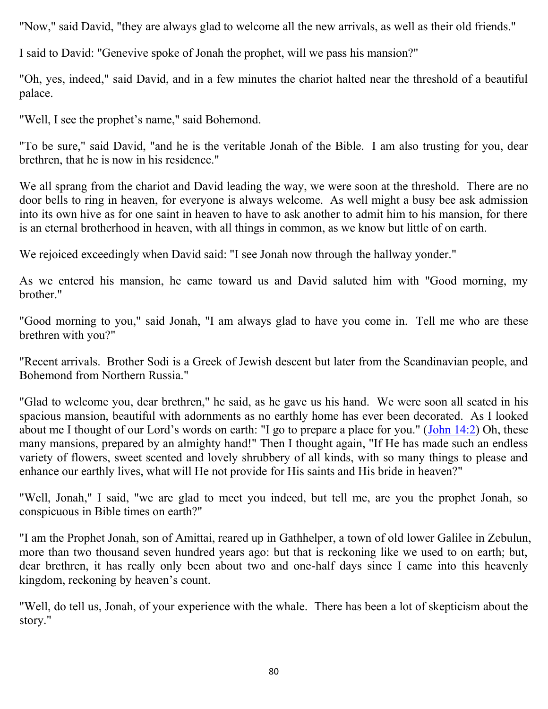"Now," said David, "they are always glad to welcome all the new arrivals, as well as their old friends."

I said to David: "Genevive spoke of Jonah the prophet, will we pass his mansion?"

"Oh, yes, indeed," said David, and in a few minutes the chariot halted near the threshold of a beautiful palace.

"Well, I see the prophet's name," said Bohemond.

"To be sure," said David, "and he is the veritable Jonah of the Bible. I am also trusting for you, dear brethren, that he is now in his residence."

We all sprang from the chariot and David leading the way, we were soon at the threshold. There are no door bells to ring in heaven, for everyone is always welcome. As well might a busy bee ask admission into its own hive as for one saint in heaven to have to ask another to admit him to his mansion, for there is an eternal brotherhood in heaven, with all things in common, as we know but little of on earth.

We rejoiced exceedingly when David said: "I see Jonah now through the hallway yonder."

As we entered his mansion, he came toward us and David saluted him with "Good morning, my brother."

"Good morning to you," said Jonah, "I am always glad to have you come in. Tell me who are these brethren with you?"

"Recent arrivals. Brother Sodi is a Greek of Jewish descent but later from the Scandinavian people, and Bohemond from Northern Russia."

"Glad to welcome you, dear brethren," he said, as he gave us his hand. We were soon all seated in his spacious mansion, beautiful with adornments as no earthly home has ever been decorated. As I looked about me I thought of our Lord's words on earth: "I go to prepare a place for you." ([John 14:2\)](http://www.biblegateway.com/passage/?search=John%2014:2;&version=31) Oh, these many mansions, prepared by an almighty hand!" Then I thought again, "If He has made such an endless variety of flowers, sweet scented and lovely shrubbery of all kinds, with so many things to please and enhance our earthly lives, what will He not provide for His saints and His bride in heaven?"

"Well, Jonah," I said, "we are glad to meet you indeed, but tell me, are you the prophet Jonah, so conspicuous in Bible times on earth?"

"I am the Prophet Jonah, son of Amittai, reared up in Gathhelper, a town of old lower Galilee in Zebulun, more than two thousand seven hundred years ago: but that is reckoning like we used to on earth; but, dear brethren, it has really only been about two and one-half days since I came into this heavenly kingdom, reckoning by heaven's count.

"Well, do tell us, Jonah, of your experience with the whale. There has been a lot of skepticism about the story."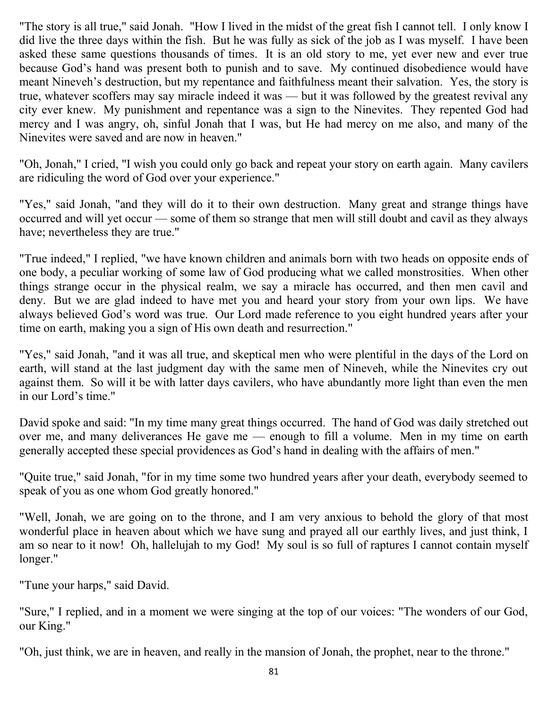"The story is all true," said Jonah. "How I lived in the midst of the great fish I cannot tell. I only know I did live the three days within the fish. But he was fully as sick of the job as I was myself. I have been asked these same questions thousands of times. It is an old story to me, yet ever new and ever true because God's hand was present both to punish and to save. My continued disobedience would have meant Nineveh's destruction, but my repentance and faithfulness meant their salvation. Yes, the story is true, whatever scoffers may say miracle indeed it was — but it was followed by the greatest revival any city ever knew. My punishment and repentance was a sign to the Ninevites. They repented God had mercy and I was angry, oh, sinful Jonah that I was, but He had mercy on me also, and many of the Ninevites were saved and are now in heaven."

"Oh, Jonah," I cried, "I wish you could only go back and repeat your story on earth again. Many cavilers are ridiculing the word of God over your experience."

"Yes," said Jonah, "and they will do it to their own destruction. Many great and strange things have occurred and will yet occur — some of them so strange that men will still doubt and cavil as they always have; nevertheless they are true."

"True indeed," I replied, "we have known children and animals born with two heads on opposite ends of one body, a peculiar working of some law of God producing what we called monstrosities. When other things strange occur in the physical realm, we say a miracle has occurred, and then men cavil and deny. But we are glad indeed to have met you and heard your story from your own lips. We have always believed God's word was true. Our Lord made reference to you eight hundred years after your time on earth, making you a sign of His own death and resurrection."

"Yes," said Jonah, "and it was all true, and skeptical men who were plentiful in the days of the Lord on earth, will stand at the last judgment day with the same men of Nineveh, while the Ninevites cry out against them. So will it be with latter days cavilers, who have abundantly more light than even the men in our Lord's time."

David spoke and said: "In my time many great things occurred. The hand of God was daily stretched out over me, and many deliverances He gave me — enough to fill a volume. Men in my time on earth generally accepted these special providences as God's hand in dealing with the affairs of men."

"Quite true," said Jonah, "for in my time some two hundred years after your death, everybody seemed to speak of you as one whom God greatly honored."

"Well, Jonah, we are going on to the throne, and I am very anxious to behold the glory of that most wonderful place in heaven about which we have sung and prayed all our earthly lives, and just think, I am so near to it now! Oh, hallelujah to my God! My soul is so full of raptures I cannot contain myself longer."

"Tune your harps," said David.

"Sure," I replied, and in a moment we were singing at the top of our voices: "The wonders of our God, our King."

"Oh, just think, we are in heaven, and really in the mansion of Jonah, the prophet, near to the throne."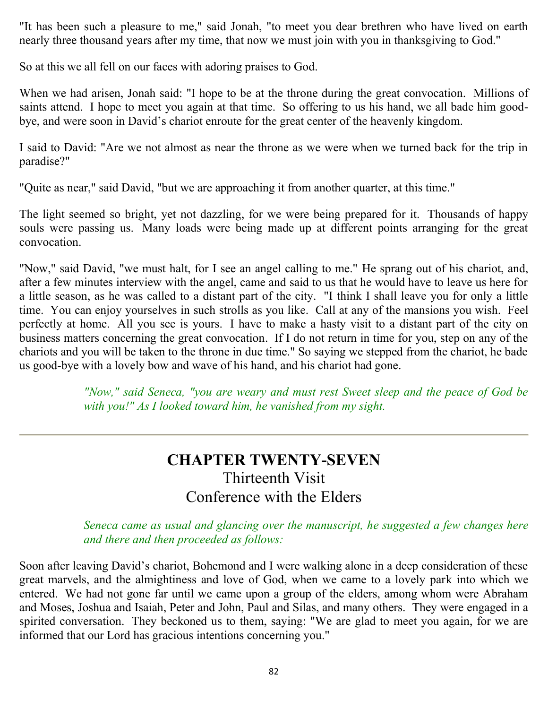"It has been such a pleasure to me," said Jonah, "to meet you dear brethren who have lived on earth nearly three thousand years after my time, that now we must join with you in thanksgiving to God."

So at this we all fell on our faces with adoring praises to God.

When we had arisen, Jonah said: "I hope to be at the throne during the great convocation. Millions of saints attend. I hope to meet you again at that time. So offering to us his hand, we all bade him goodbye, and were soon in David's chariot enroute for the great center of the heavenly kingdom.

I said to David: "Are we not almost as near the throne as we were when we turned back for the trip in paradise?"

"Quite as near," said David, "but we are approaching it from another quarter, at this time."

The light seemed so bright, yet not dazzling, for we were being prepared for it. Thousands of happy souls were passing us. Many loads were being made up at different points arranging for the great convocation.

"Now," said David, "we must halt, for I see an angel calling to me." He sprang out of his chariot, and, after a few minutes interview with the angel, came and said to us that he would have to leave us here for a little season, as he was called to a distant part of the city. "I think I shall leave you for only a little time. You can enjoy yourselves in such strolls as you like. Call at any of the mansions you wish. Feel perfectly at home. All you see is yours. I have to make a hasty visit to a distant part of the city on business matters concerning the great convocation. If I do not return in time for you, step on any of the chariots and you will be taken to the throne in due time." So saying we stepped from the chariot, he bade us good-bye with a lovely bow and wave of his hand, and his chariot had gone.

> *"Now," said Seneca, "you are weary and must rest Sweet sleep and the peace of God be with you!" As I looked toward him, he vanished from my sight.*

## **CHAPTER TWENTY-SEVEN** Thirteenth Visit Conference with the Elders

#### *Seneca came as usual and glancing over the manuscript, he suggested a few changes here and there and then proceeded as follows:*

Soon after leaving David's chariot, Bohemond and I were walking alone in a deep consideration of these great marvels, and the almightiness and love of God, when we came to a lovely park into which we entered. We had not gone far until we came upon a group of the elders, among whom were Abraham and Moses, Joshua and Isaiah, Peter and John, Paul and Silas, and many others. They were engaged in a spirited conversation. They beckoned us to them, saying: "We are glad to meet you again, for we are informed that our Lord has gracious intentions concerning you."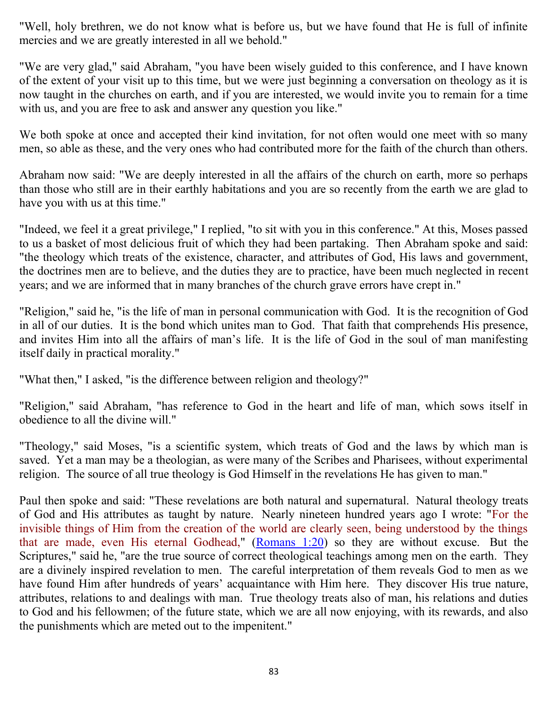"Well, holy brethren, we do not know what is before us, but we have found that He is full of infinite mercies and we are greatly interested in all we behold."

"We are very glad," said Abraham, "you have been wisely guided to this conference, and I have known of the extent of your visit up to this time, but we were just beginning a conversation on theology as it is now taught in the churches on earth, and if you are interested, we would invite you to remain for a time with us, and you are free to ask and answer any question you like."

We both spoke at once and accepted their kind invitation, for not often would one meet with so many men, so able as these, and the very ones who had contributed more for the faith of the church than others.

Abraham now said: "We are deeply interested in all the affairs of the church on earth, more so perhaps than those who still are in their earthly habitations and you are so recently from the earth we are glad to have you with us at this time."

"Indeed, we feel it a great privilege," I replied, "to sit with you in this conference." At this, Moses passed to us a basket of most delicious fruit of which they had been partaking. Then Abraham spoke and said: "the theology which treats of the existence, character, and attributes of God, His laws and government, the doctrines men are to believe, and the duties they are to practice, have been much neglected in recent years; and we are informed that in many branches of the church grave errors have crept in."

"Religion," said he, "is the life of man in personal communication with God. It is the recognition of God in all of our duties. It is the bond which unites man to God. That faith that comprehends His presence, and invites Him into all the affairs of man's life. It is the life of God in the soul of man manifesting itself daily in practical morality."

"What then," I asked, "is the difference between religion and theology?"

"Religion," said Abraham, "has reference to God in the heart and life of man, which sows itself in obedience to all the divine will."

"Theology," said Moses, "is a scientific system, which treats of God and the laws by which man is saved. Yet a man may be a theologian, as were many of the Scribes and Pharisees, without experimental religion. The source of all true theology is God Himself in the revelations He has given to man."

Paul then spoke and said: "These revelations are both natural and supernatural. Natural theology treats of God and His attributes as taught by nature. Nearly nineteen hundred years ago I wrote: "For the invisible things of Him from the creation of the world are clearly seen, being understood by the things that are made, even His eternal Godhead," [\(Romans 1:20\)](http://www.biblegateway.com/passage/?search=Romans%201:20;&version=31) so they are without excuse. But the Scriptures," said he, "are the true source of correct theological teachings among men on the earth. They are a divinely inspired revelation to men. The careful interpretation of them reveals God to men as we have found Him after hundreds of years' acquaintance with Him here. They discover His true nature, attributes, relations to and dealings with man. True theology treats also of man, his relations and duties to God and his fellowmen; of the future state, which we are all now enjoying, with its rewards, and also the punishments which are meted out to the impenitent."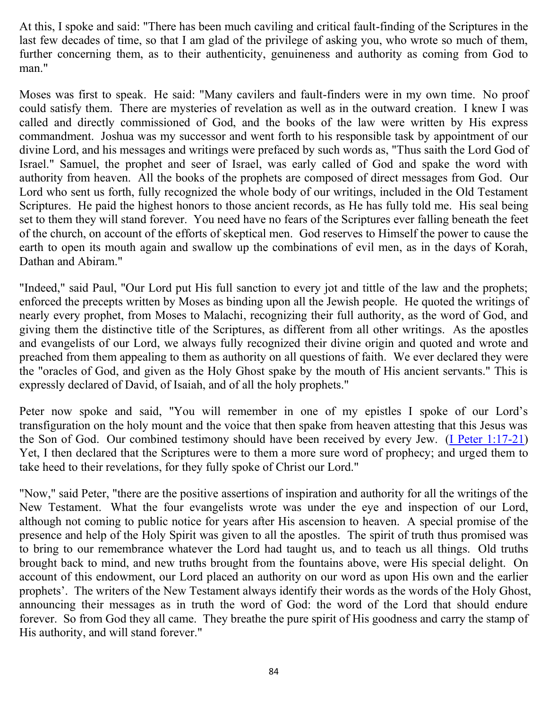At this, I spoke and said: "There has been much caviling and critical fault-finding of the Scriptures in the last few decades of time, so that I am glad of the privilege of asking you, who wrote so much of them, further concerning them, as to their authenticity, genuineness and authority as coming from God to man."

Moses was first to speak. He said: "Many cavilers and fault-finders were in my own time. No proof could satisfy them. There are mysteries of revelation as well as in the outward creation. I knew I was called and directly commissioned of God, and the books of the law were written by His express commandment. Joshua was my successor and went forth to his responsible task by appointment of our divine Lord, and his messages and writings were prefaced by such words as, "Thus saith the Lord God of Israel." Samuel, the prophet and seer of Israel, was early called of God and spake the word with authority from heaven. All the books of the prophets are composed of direct messages from God. Our Lord who sent us forth, fully recognized the whole body of our writings, included in the Old Testament Scriptures. He paid the highest honors to those ancient records, as He has fully told me. His seal being set to them they will stand forever. You need have no fears of the Scriptures ever falling beneath the feet of the church, on account of the efforts of skeptical men. God reserves to Himself the power to cause the earth to open its mouth again and swallow up the combinations of evil men, as in the days of Korah, Dathan and Abiram."

"Indeed," said Paul, "Our Lord put His full sanction to every jot and tittle of the law and the prophets; enforced the precepts written by Moses as binding upon all the Jewish people. He quoted the writings of nearly every prophet, from Moses to Malachi, recognizing their full authority, as the word of God, and giving them the distinctive title of the Scriptures, as different from all other writings. As the apostles and evangelists of our Lord, we always fully recognized their divine origin and quoted and wrote and preached from them appealing to them as authority on all questions of faith. We ever declared they were the "oracles of God, and given as the Holy Ghost spake by the mouth of His ancient servants." This is expressly declared of David, of Isaiah, and of all the holy prophets."

Peter now spoke and said, "You will remember in one of my epistles I spoke of our Lord's transfiguration on the holy mount and the voice that then spake from heaven attesting that this Jesus was the Son of God. Our combined testimony should have been received by every Jew. [\(I Peter 1:17-21\)](http://www.biblegateway.com/passage/?search=I%20Peter%201:17-21;&version=31) Yet, I then declared that the Scriptures were to them a more sure word of prophecy; and urged them to take heed to their revelations, for they fully spoke of Christ our Lord."

"Now," said Peter, "there are the positive assertions of inspiration and authority for all the writings of the New Testament. What the four evangelists wrote was under the eye and inspection of our Lord, although not coming to public notice for years after His ascension to heaven. A special promise of the presence and help of the Holy Spirit was given to all the apostles. The spirit of truth thus promised was to bring to our remembrance whatever the Lord had taught us, and to teach us all things. Old truths brought back to mind, and new truths brought from the fountains above, were His special delight. On account of this endowment, our Lord placed an authority on our word as upon His own and the earlier prophets'. The writers of the New Testament always identify their words as the words of the Holy Ghost, announcing their messages as in truth the word of God: the word of the Lord that should endure forever. So from God they all came. They breathe the pure spirit of His goodness and carry the stamp of His authority, and will stand forever."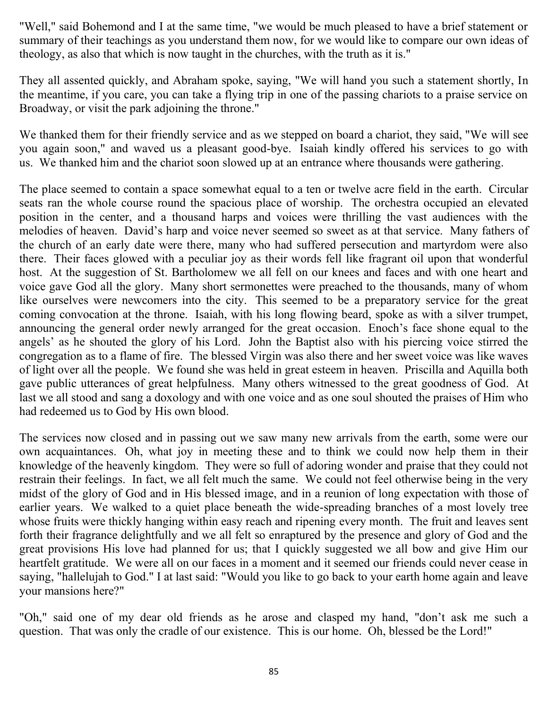"Well," said Bohemond and I at the same time, "we would be much pleased to have a brief statement or summary of their teachings as you understand them now, for we would like to compare our own ideas of theology, as also that which is now taught in the churches, with the truth as it is."

They all assented quickly, and Abraham spoke, saying, "We will hand you such a statement shortly, In the meantime, if you care, you can take a flying trip in one of the passing chariots to a praise service on Broadway, or visit the park adjoining the throne."

We thanked them for their friendly service and as we stepped on board a chariot, they said, "We will see you again soon," and waved us a pleasant good-bye. Isaiah kindly offered his services to go with us. We thanked him and the chariot soon slowed up at an entrance where thousands were gathering.

The place seemed to contain a space somewhat equal to a ten or twelve acre field in the earth. Circular seats ran the whole course round the spacious place of worship. The orchestra occupied an elevated position in the center, and a thousand harps and voices were thrilling the vast audiences with the melodies of heaven. David's harp and voice never seemed so sweet as at that service. Many fathers of the church of an early date were there, many who had suffered persecution and martyrdom were also there. Their faces glowed with a peculiar joy as their words fell like fragrant oil upon that wonderful host. At the suggestion of St. Bartholomew we all fell on our knees and faces and with one heart and voice gave God all the glory. Many short sermonettes were preached to the thousands, many of whom like ourselves were newcomers into the city. This seemed to be a preparatory service for the great coming convocation at the throne. Isaiah, with his long flowing beard, spoke as with a silver trumpet, announcing the general order newly arranged for the great occasion. Enoch's face shone equal to the angels' as he shouted the glory of his Lord. John the Baptist also with his piercing voice stirred the congregation as to a flame of fire. The blessed Virgin was also there and her sweet voice was like waves of light over all the people. We found she was held in great esteem in heaven. Priscilla and Aquilla both gave public utterances of great helpfulness. Many others witnessed to the great goodness of God. At last we all stood and sang a doxology and with one voice and as one soul shouted the praises of Him who had redeemed us to God by His own blood.

The services now closed and in passing out we saw many new arrivals from the earth, some were our own acquaintances. Oh, what joy in meeting these and to think we could now help them in their knowledge of the heavenly kingdom. They were so full of adoring wonder and praise that they could not restrain their feelings. In fact, we all felt much the same. We could not feel otherwise being in the very midst of the glory of God and in His blessed image, and in a reunion of long expectation with those of earlier years. We walked to a quiet place beneath the wide-spreading branches of a most lovely tree whose fruits were thickly hanging within easy reach and ripening every month. The fruit and leaves sent forth their fragrance delightfully and we all felt so enraptured by the presence and glory of God and the great provisions His love had planned for us; that I quickly suggested we all bow and give Him our heartfelt gratitude. We were all on our faces in a moment and it seemed our friends could never cease in saying, "hallelujah to God." I at last said: "Would you like to go back to your earth home again and leave your mansions here?"

"Oh," said one of my dear old friends as he arose and clasped my hand, "don't ask me such a question. That was only the cradle of our existence. This is our home. Oh, blessed be the Lord!"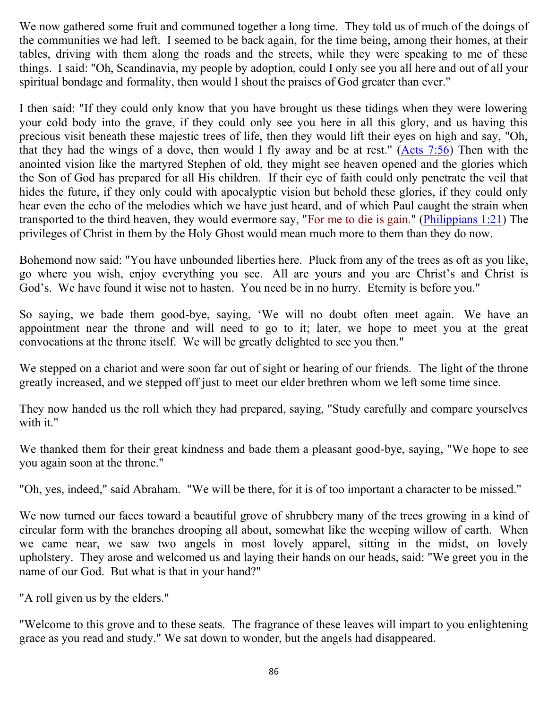We now gathered some fruit and communed together a long time. They told us of much of the doings of the communities we had left. I seemed to be back again, for the time being, among their homes, at their tables, driving with them along the roads and the streets, while they were speaking to me of these things. I said: "Oh, Scandinavia, my people by adoption, could I only see you all here and out of all your spiritual bondage and formality, then would I shout the praises of God greater than ever."

I then said: "If they could only know that you have brought us these tidings when they were lowering your cold body into the grave, if they could only see you here in all this glory, and us having this precious visit beneath these majestic trees of life, then they would lift their eyes on high and say, "Oh, that they had the wings of a dove, then would I fly away and be at rest." ( $\Delta \text{cts } 7:56$ ) Then with the anointed vision like the martyred Stephen of old, they might see heaven opened and the glories which the Son of God has prepared for all His children. If their eye of faith could only penetrate the veil that hides the future, if they only could with apocalyptic vision but behold these glories, if they could only hear even the echo of the melodies which we have just heard, and of which Paul caught the strain when transported to the third heaven, they would evermore say, "For me to die is gain." [\(Philippians 1:21\)](http://www.biblegateway.com/passage/?search=Philippians%201:21;&version=31) The privileges of Christ in them by the Holy Ghost would mean much more to them than they do now.

Bohemond now said: "You have unbounded liberties here. Pluck from any of the trees as oft as you like, go where you wish, enjoy everything you see. All are yours and you are Christ's and Christ is God's. We have found it wise not to hasten. You need be in no hurry. Eternity is before you."

So saying, we bade them good-bye, saying, 'We will no doubt often meet again. We have an appointment near the throne and will need to go to it; later, we hope to meet you at the great convocations at the throne itself. We will be greatly delighted to see you then."

We stepped on a chariot and were soon far out of sight or hearing of our friends. The light of the throne greatly increased, and we stepped off just to meet our elder brethren whom we left some time since.

They now handed us the roll which they had prepared, saying, "Study carefully and compare yourselves with it."

We thanked them for their great kindness and bade them a pleasant good-bye, saying, "We hope to see you again soon at the throne."

"Oh, yes, indeed," said Abraham. "We will be there, for it is of too important a character to be missed."

We now turned our faces toward a beautiful grove of shrubbery many of the trees growing in a kind of circular form with the branches drooping all about, somewhat like the weeping willow of earth. When we came near, we saw two angels in most lovely apparel, sitting in the midst, on lovely upholstery. They arose and welcomed us and laying their hands on our heads, said: "We greet you in the name of our God. But what is that in your hand?"

"A roll given us by the elders."

"Welcome to this grove and to these seats. The fragrance of these leaves will impart to you enlightening grace as you read and study." We sat down to wonder, but the angels had disappeared.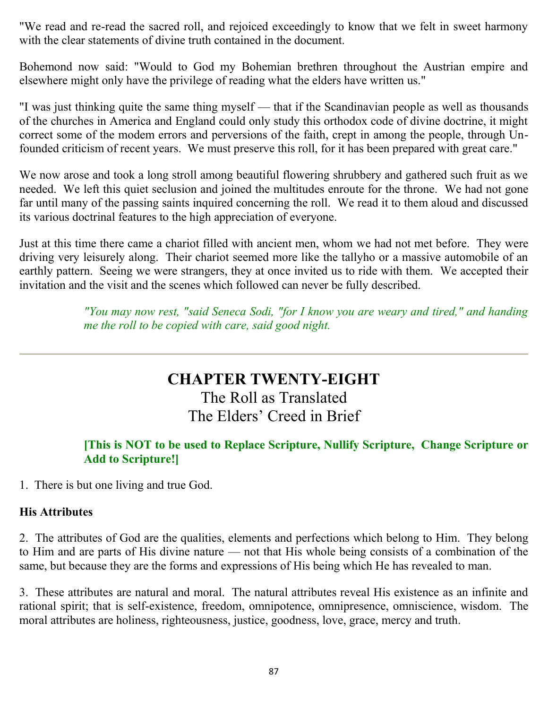"We read and re-read the sacred roll, and rejoiced exceedingly to know that we felt in sweet harmony with the clear statements of divine truth contained in the document.

Bohemond now said: "Would to God my Bohemian brethren throughout the Austrian empire and elsewhere might only have the privilege of reading what the elders have written us."

"I was just thinking quite the same thing myself — that if the Scandinavian people as well as thousands of the churches in America and England could only study this orthodox code of divine doctrine, it might correct some of the modem errors and perversions of the faith, crept in among the people, through Unfounded criticism of recent years. We must preserve this roll, for it has been prepared with great care."

We now arose and took a long stroll among beautiful flowering shrubbery and gathered such fruit as we needed. We left this quiet seclusion and joined the multitudes enroute for the throne. We had not gone far until many of the passing saints inquired concerning the roll. We read it to them aloud and discussed its various doctrinal features to the high appreciation of everyone.

Just at this time there came a chariot filled with ancient men, whom we had not met before. They were driving very leisurely along. Their chariot seemed more like the tallyho or a massive automobile of an earthly pattern. Seeing we were strangers, they at once invited us to ride with them. We accepted their invitation and the visit and the scenes which followed can never be fully described.

> *"You may now rest, "said Seneca Sodi, "for I know you are weary and tired," and handing me the roll to be copied with care, said good night.*

# **CHAPTER TWENTY-EIGHT**

## The Roll as Translated The Elders' Creed in Brief

### **[This is NOT to be used to Replace Scripture, Nullify Scripture, Change Scripture or Add to Scripture!]**

1. There is but one living and true God.

#### **His Attributes**

2. The attributes of God are the qualities, elements and perfections which belong to Him. They belong to Him and are parts of His divine nature — not that His whole being consists of a combination of the same, but because they are the forms and expressions of His being which He has revealed to man.

3. These attributes are natural and moral. The natural attributes reveal His existence as an infinite and rational spirit; that is self-existence, freedom, omnipotence, omnipresence, omniscience, wisdom. The moral attributes are holiness, righteousness, justice, goodness, love, grace, mercy and truth.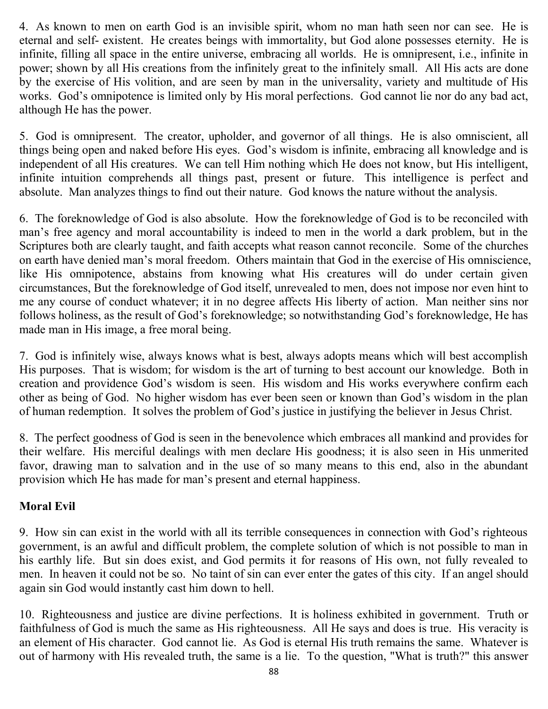4. As known to men on earth God is an invisible spirit, whom no man hath seen nor can see. He is eternal and self- existent. He creates beings with immortality, but God alone possesses eternity. He is infinite, filling all space in the entire universe, embracing all worlds. He is omnipresent, i.e., infinite in power; shown by all His creations from the infinitely great to the infinitely small. All His acts are done by the exercise of His volition, and are seen by man in the universality, variety and multitude of His works. God's omnipotence is limited only by His moral perfections. God cannot lie nor do any bad act, although He has the power.

5. God is omnipresent. The creator, upholder, and governor of all things. He is also omniscient, all things being open and naked before His eyes. God's wisdom is infinite, embracing all knowledge and is independent of all His creatures. We can tell Him nothing which He does not know, but His intelligent, infinite intuition comprehends all things past, present or future. This intelligence is perfect and absolute. Man analyzes things to find out their nature. God knows the nature without the analysis.

6. The foreknowledge of God is also absolute. How the foreknowledge of God is to be reconciled with man's free agency and moral accountability is indeed to men in the world a dark problem, but in the Scriptures both are clearly taught, and faith accepts what reason cannot reconcile. Some of the churches on earth have denied man's moral freedom. Others maintain that God in the exercise of His omniscience, like His omnipotence, abstains from knowing what His creatures will do under certain given circumstances, But the foreknowledge of God itself, unrevealed to men, does not impose nor even hint to me any course of conduct whatever; it in no degree affects His liberty of action. Man neither sins nor follows holiness, as the result of God's foreknowledge; so notwithstanding God's foreknowledge, He has made man in His image, a free moral being.

7. God is infinitely wise, always knows what is best, always adopts means which will best accomplish His purposes. That is wisdom; for wisdom is the art of turning to best account our knowledge. Both in creation and providence God's wisdom is seen. His wisdom and His works everywhere confirm each other as being of God. No higher wisdom has ever been seen or known than God's wisdom in the plan of human redemption. It solves the problem of God's justice in justifying the believer in Jesus Christ.

8. The perfect goodness of God is seen in the benevolence which embraces all mankind and provides for their welfare. His merciful dealings with men declare His goodness; it is also seen in His unmerited favor, drawing man to salvation and in the use of so many means to this end, also in the abundant provision which He has made for man's present and eternal happiness.

### **Moral Evil**

9. How sin can exist in the world with all its terrible consequences in connection with God's righteous government, is an awful and difficult problem, the complete solution of which is not possible to man in his earthly life. But sin does exist, and God permits it for reasons of His own, not fully revealed to men. In heaven it could not be so. No taint of sin can ever enter the gates of this city. If an angel should again sin God would instantly cast him down to hell.

10. Righteousness and justice are divine perfections. It is holiness exhibited in government. Truth or faithfulness of God is much the same as His righteousness. All He says and does is true. His veracity is an element of His character. God cannot lie. As God is eternal His truth remains the same. Whatever is out of harmony with His revealed truth, the same is a lie. To the question, "What is truth?" this answer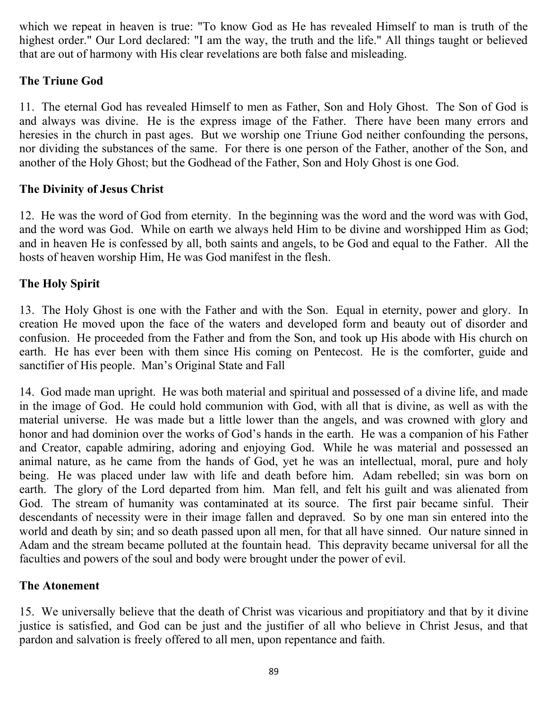which we repeat in heaven is true: "To know God as He has revealed Himself to man is truth of the highest order." Our Lord declared: "I am the way, the truth and the life." All things taught or believed that are out of harmony with His clear revelations are both false and misleading.

### **The Triune God**

11. The eternal God has revealed Himself to men as Father, Son and Holy Ghost. The Son of God is and always was divine. He is the express image of the Father. There have been many errors and heresies in the church in past ages. But we worship one Triune God neither confounding the persons, nor dividing the substances of the same. For there is one person of the Father, another of the Son, and another of the Holy Ghost; but the Godhead of the Father, Son and Holy Ghost is one God.

#### **The Divinity of Jesus Christ**

12. He was the word of God from eternity. In the beginning was the word and the word was with God, and the word was God. While on earth we always held Him to be divine and worshipped Him as God; and in heaven He is confessed by all, both saints and angels, to be God and equal to the Father. All the hosts of heaven worship Him, He was God manifest in the flesh.

#### **The Holy Spirit**

13. The Holy Ghost is one with the Father and with the Son. Equal in eternity, power and glory. In creation He moved upon the face of the waters and developed form and beauty out of disorder and confusion. He proceeded from the Father and from the Son, and took up His abode with His church on earth. He has ever been with them since His coming on Pentecost. He is the comforter, guide and sanctifier of His people. Man's Original State and Fall

14. God made man upright. He was both material and spiritual and possessed of a divine life, and made in the image of God. He could hold communion with God, with all that is divine, as well as with the material universe. He was made but a little lower than the angels, and was crowned with glory and honor and had dominion over the works of God's hands in the earth. He was a companion of his Father and Creator, capable admiring, adoring and enjoying God. While he was material and possessed an animal nature, as he came from the hands of God, yet he was an intellectual, moral, pure and holy being. He was placed under law with life and death before him. Adam rebelled; sin was born on earth. The glory of the Lord departed from him. Man fell, and felt his guilt and was alienated from God. The stream of humanity was contaminated at its source. The first pair became sinful. Their descendants of necessity were in their image fallen and depraved. So by one man sin entered into the world and death by sin; and so death passed upon all men, for that all have sinned. Our nature sinned in Adam and the stream became polluted at the fountain head. This depravity became universal for all the faculties and powers of the soul and body were brought under the power of evil.

#### **The Atonement**

15. We universally believe that the death of Christ was vicarious and propitiatory and that by it divine justice is satisfied, and God can be just and the justifier of all who believe in Christ Jesus, and that pardon and salvation is freely offered to all men, upon repentance and faith.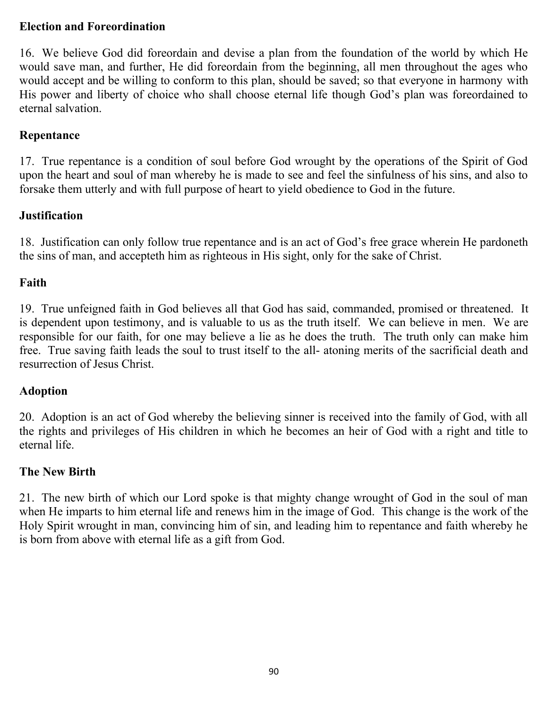### **Election and Foreordination**

16. We believe God did foreordain and devise a plan from the foundation of the world by which He would save man, and further, He did foreordain from the beginning, all men throughout the ages who would accept and be willing to conform to this plan, should be saved; so that everyone in harmony with His power and liberty of choice who shall choose eternal life though God's plan was foreordained to eternal salvation.

### **Repentance**

17. True repentance is a condition of soul before God wrought by the operations of the Spirit of God upon the heart and soul of man whereby he is made to see and feel the sinfulness of his sins, and also to forsake them utterly and with full purpose of heart to yield obedience to God in the future.

### **Justification**

18. Justification can only follow true repentance and is an act of God's free grace wherein He pardoneth the sins of man, and accepteth him as righteous in His sight, only for the sake of Christ.

### **Faith**

19. True unfeigned faith in God believes all that God has said, commanded, promised or threatened. It is dependent upon testimony, and is valuable to us as the truth itself. We can believe in men. We are responsible for our faith, for one may believe a lie as he does the truth. The truth only can make him free. True saving faith leads the soul to trust itself to the all- atoning merits of the sacrificial death and resurrection of Jesus Christ.

### **Adoption**

20. Adoption is an act of God whereby the believing sinner is received into the family of God, with all the rights and privileges of His children in which he becomes an heir of God with a right and title to eternal life.

### **The New Birth**

21. The new birth of which our Lord spoke is that mighty change wrought of God in the soul of man when He imparts to him eternal life and renews him in the image of God. This change is the work of the Holy Spirit wrought in man, convincing him of sin, and leading him to repentance and faith whereby he is born from above with eternal life as a gift from God.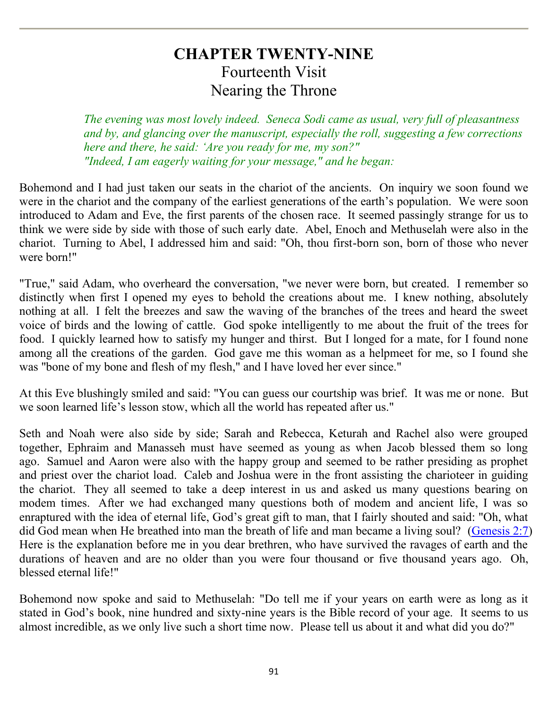## **CHAPTER TWENTY-NINE** Fourteenth Visit Nearing the Throne

*The evening was most lovely indeed. Seneca Sodi came as usual, very full of pleasantness and by, and glancing over the manuscript, especially the roll, suggesting a few corrections here and there, he said: 'Are you ready for me, my son?" "Indeed, I am eagerly waiting for your message," and he began:*

Bohemond and I had just taken our seats in the chariot of the ancients. On inquiry we soon found we were in the chariot and the company of the earliest generations of the earth's population. We were soon introduced to Adam and Eve, the first parents of the chosen race. It seemed passingly strange for us to think we were side by side with those of such early date. Abel, Enoch and Methuselah were also in the chariot. Turning to Abel, I addressed him and said: "Oh, thou first-born son, born of those who never were born!"

"True," said Adam, who overheard the conversation, "we never were born, but created. I remember so distinctly when first I opened my eyes to behold the creations about me. I knew nothing, absolutely nothing at all. I felt the breezes and saw the waving of the branches of the trees and heard the sweet voice of birds and the lowing of cattle. God spoke intelligently to me about the fruit of the trees for food. I quickly learned how to satisfy my hunger and thirst. But I longed for a mate, for I found none among all the creations of the garden. God gave me this woman as a helpmeet for me, so I found she was "bone of my bone and flesh of my flesh," and I have loved her ever since."

At this Eve blushingly smiled and said: "You can guess our courtship was brief. It was me or none. But we soon learned life's lesson stow, which all the world has repeated after us."

Seth and Noah were also side by side; Sarah and Rebecca, Keturah and Rachel also were grouped together, Ephraim and Manasseh must have seemed as young as when Jacob blessed them so long ago. Samuel and Aaron were also with the happy group and seemed to be rather presiding as prophet and priest over the chariot load. Caleb and Joshua were in the front assisting the charioteer in guiding the chariot. They all seemed to take a deep interest in us and asked us many questions bearing on modem times. After we had exchanged many questions both of modem and ancient life, I was so enraptured with the idea of eternal life, God's great gift to man, that I fairly shouted and said: "Oh, what did God mean when He breathed into man the breath of life and man became a living soul? [\(Genesis 2:7\)](http://www.biblegateway.com/passage/?search=Genesis%202:7;&version=31) Here is the explanation before me in you dear brethren, who have survived the ravages of earth and the durations of heaven and are no older than you were four thousand or five thousand years ago. Oh, blessed eternal life!"

Bohemond now spoke and said to Methuselah: "Do tell me if your years on earth were as long as it stated in God's book, nine hundred and sixty-nine years is the Bible record of your age. It seems to us almost incredible, as we only live such a short time now. Please tell us about it and what did you do?"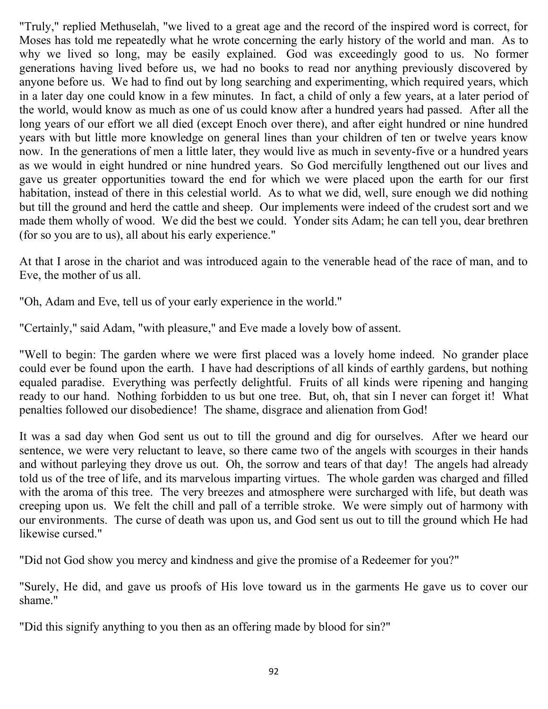"Truly," replied Methuselah, "we lived to a great age and the record of the inspired word is correct, for Moses has told me repeatedly what he wrote concerning the early history of the world and man. As to why we lived so long, may be easily explained. God was exceedingly good to us. No former generations having lived before us, we had no books to read nor anything previously discovered by anyone before us. We had to find out by long searching and experimenting, which required years, which in a later day one could know in a few minutes. In fact, a child of only a few years, at a later period of the world, would know as much as one of us could know after a hundred years had passed. After all the long years of our effort we all died (except Enoch over there), and after eight hundred or nine hundred years with but little more knowledge on general lines than your children of ten or twelve years know now. In the generations of men a little later, they would live as much in seventy-five or a hundred years as we would in eight hundred or nine hundred years. So God mercifully lengthened out our lives and gave us greater opportunities toward the end for which we were placed upon the earth for our first habitation, instead of there in this celestial world. As to what we did, well, sure enough we did nothing but till the ground and herd the cattle and sheep. Our implements were indeed of the crudest sort and we made them wholly of wood. We did the best we could. Yonder sits Adam; he can tell you, dear brethren (for so you are to us), all about his early experience."

At that I arose in the chariot and was introduced again to the venerable head of the race of man, and to Eve, the mother of us all.

"Oh, Adam and Eve, tell us of your early experience in the world."

"Certainly," said Adam, "with pleasure," and Eve made a lovely bow of assent.

"Well to begin: The garden where we were first placed was a lovely home indeed. No grander place could ever be found upon the earth. I have had descriptions of all kinds of earthly gardens, but nothing equaled paradise. Everything was perfectly delightful. Fruits of all kinds were ripening and hanging ready to our hand. Nothing forbidden to us but one tree. But, oh, that sin I never can forget it! What penalties followed our disobedience! The shame, disgrace and alienation from God!

It was a sad day when God sent us out to till the ground and dig for ourselves. After we heard our sentence, we were very reluctant to leave, so there came two of the angels with scourges in their hands and without parleying they drove us out. Oh, the sorrow and tears of that day! The angels had already told us of the tree of life, and its marvelous imparting virtues. The whole garden was charged and filled with the aroma of this tree. The very breezes and atmosphere were surcharged with life, but death was creeping upon us. We felt the chill and pall of a terrible stroke. We were simply out of harmony with our environments. The curse of death was upon us, and God sent us out to till the ground which He had likewise cursed."

"Did not God show you mercy and kindness and give the promise of a Redeemer for you?"

"Surely, He did, and gave us proofs of His love toward us in the garments He gave us to cover our shame."

"Did this signify anything to you then as an offering made by blood for sin?"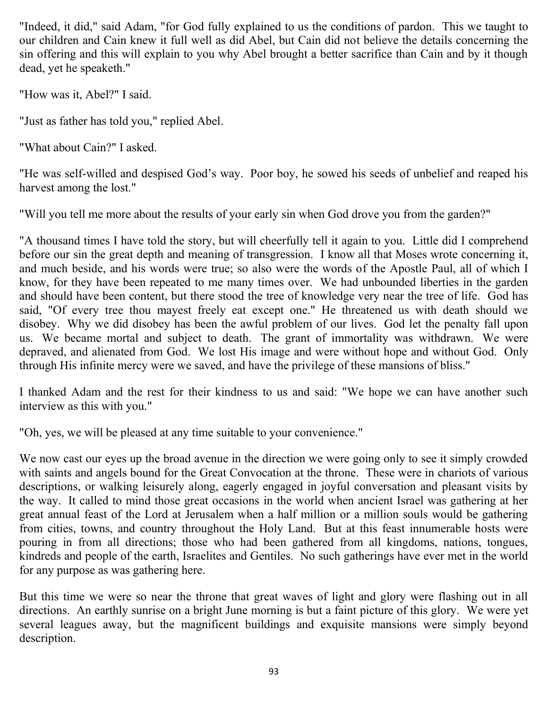"Indeed, it did," said Adam, "for God fully explained to us the conditions of pardon. This we taught to our children and Cain knew it full well as did Abel, but Cain did not believe the details concerning the sin offering and this will explain to you why Abel brought a better sacrifice than Cain and by it though dead, yet he speaketh."

"How was it, Abel?" I said.

"Just as father has told you," replied Abel.

"What about Cain?" I asked.

"He was self-willed and despised God's way. Poor boy, he sowed his seeds of unbelief and reaped his harvest among the lost."

"Will you tell me more about the results of your early sin when God drove you from the garden?"

"A thousand times I have told the story, but will cheerfully tell it again to you. Little did I comprehend before our sin the great depth and meaning of transgression. I know all that Moses wrote concerning it, and much beside, and his words were true; so also were the words of the Apostle Paul, all of which I know, for they have been repeated to me many times over. We had unbounded liberties in the garden and should have been content, but there stood the tree of knowledge very near the tree of life. God has said, "Of every tree thou mayest freely eat except one." He threatened us with death should we disobey. Why we did disobey has been the awful problem of our lives. God let the penalty fall upon us. We became mortal and subject to death. The grant of immortality was withdrawn. We were depraved, and alienated from God. We lost His image and were without hope and without God. Only through His infinite mercy were we saved, and have the privilege of these mansions of bliss."

I thanked Adam and the rest for their kindness to us and said: "We hope we can have another such interview as this with you."

"Oh, yes, we will be pleased at any time suitable to your convenience."

We now cast our eyes up the broad avenue in the direction we were going only to see it simply crowded with saints and angels bound for the Great Convocation at the throne. These were in chariots of various descriptions, or walking leisurely along, eagerly engaged in joyful conversation and pleasant visits by the way. It called to mind those great occasions in the world when ancient Israel was gathering at her great annual feast of the Lord at Jerusalem when a half million or a million souls would be gathering from cities, towns, and country throughout the Holy Land. But at this feast innumerable hosts were pouring in from all directions; those who had been gathered from all kingdoms, nations, tongues, kindreds and people of the earth, Israelites and Gentiles. No such gatherings have ever met in the world for any purpose as was gathering here.

But this time we were so near the throne that great waves of light and glory were flashing out in all directions. An earthly sunrise on a bright June morning is but a faint picture of this glory. We were yet several leagues away, but the magnificent buildings and exquisite mansions were simply beyond description.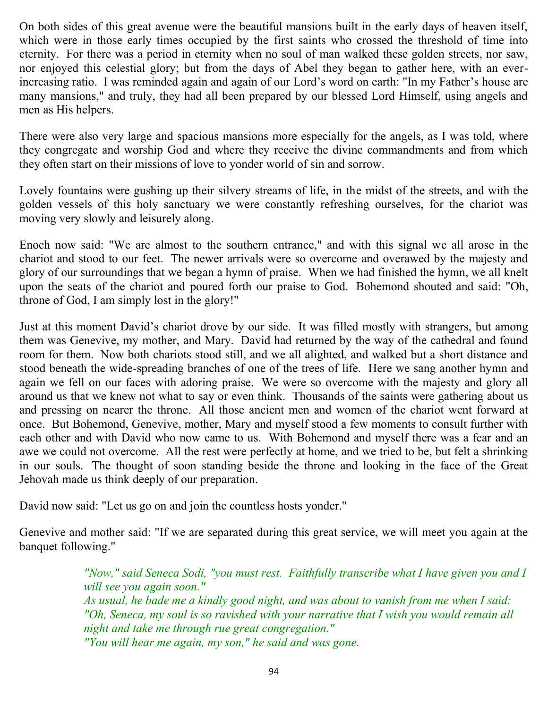On both sides of this great avenue were the beautiful mansions built in the early days of heaven itself, which were in those early times occupied by the first saints who crossed the threshold of time into eternity. For there was a period in eternity when no soul of man walked these golden streets, nor saw, nor enjoyed this celestial glory; but from the days of Abel they began to gather here, with an everincreasing ratio. I was reminded again and again of our Lord's word on earth: "In my Father's house are many mansions," and truly, they had all been prepared by our blessed Lord Himself, using angels and men as His helpers.

There were also very large and spacious mansions more especially for the angels, as I was told, where they congregate and worship God and where they receive the divine commandments and from which they often start on their missions of love to yonder world of sin and sorrow.

Lovely fountains were gushing up their silvery streams of life, in the midst of the streets, and with the golden vessels of this holy sanctuary we were constantly refreshing ourselves, for the chariot was moving very slowly and leisurely along.

Enoch now said: "We are almost to the southern entrance," and with this signal we all arose in the chariot and stood to our feet. The newer arrivals were so overcome and overawed by the majesty and glory of our surroundings that we began a hymn of praise. When we had finished the hymn, we all knelt upon the seats of the chariot and poured forth our praise to God. Bohemond shouted and said: "Oh, throne of God, I am simply lost in the glory!"

Just at this moment David's chariot drove by our side. It was filled mostly with strangers, but among them was Genevive, my mother, and Mary. David had returned by the way of the cathedral and found room for them. Now both chariots stood still, and we all alighted, and walked but a short distance and stood beneath the wide-spreading branches of one of the trees of life. Here we sang another hymn and again we fell on our faces with adoring praise. We were so overcome with the majesty and glory all around us that we knew not what to say or even think. Thousands of the saints were gathering about us and pressing on nearer the throne. All those ancient men and women of the chariot went forward at once. But Bohemond, Genevive, mother, Mary and myself stood a few moments to consult further with each other and with David who now came to us. With Bohemond and myself there was a fear and an awe we could not overcome. All the rest were perfectly at home, and we tried to be, but felt a shrinking in our souls. The thought of soon standing beside the throne and looking in the face of the Great Jehovah made us think deeply of our preparation.

David now said: "Let us go on and join the countless hosts yonder."

Genevive and mother said: "If we are separated during this great service, we will meet you again at the banquet following."

> *"Now," said Seneca Sodi, "you must rest. Faithfully transcribe what I have given you and I will see you again soon." As usual, he bade me a kindly good night, and was about to vanish from me when I said: "Oh, Seneca, my soul is so ravished with your narrative that I wish you would remain all night and take me through rue great congregation." "You will hear me again, my son," he said and was gone.*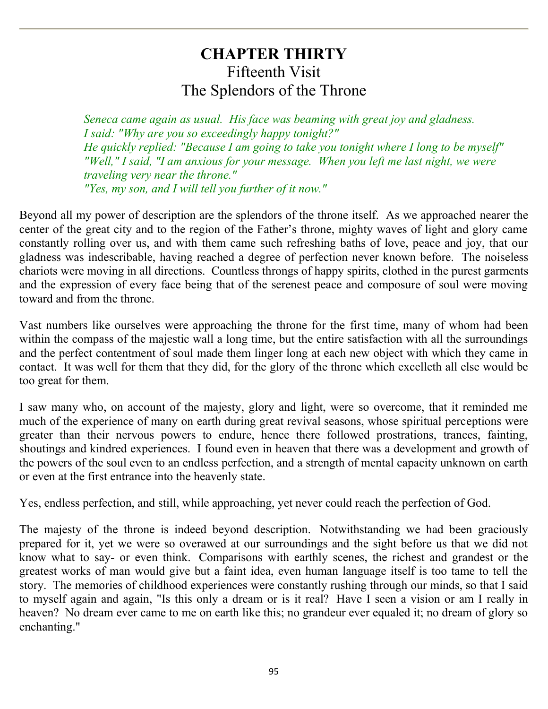# **CHAPTER THIRTY** Fifteenth Visit The Splendors of the Throne

*Seneca came again as usual. His face was beaming with great joy and gladness. I said: "Why are you so exceedingly happy tonight?" He quickly replied: "Because I am going to take you tonight where I long to be myself" "Well," I said, "I am anxious for your message. When you left me last night, we were traveling very near the throne." "Yes, my son, and I will tell you further of it now."*

Beyond all my power of description are the splendors of the throne itself. As we approached nearer the center of the great city and to the region of the Father's throne, mighty waves of light and glory came constantly rolling over us, and with them came such refreshing baths of love, peace and joy, that our gladness was indescribable, having reached a degree of perfection never known before. The noiseless chariots were moving in all directions. Countless throngs of happy spirits, clothed in the purest garments and the expression of every face being that of the serenest peace and composure of soul were moving toward and from the throne.

Vast numbers like ourselves were approaching the throne for the first time, many of whom had been within the compass of the majestic wall a long time, but the entire satisfaction with all the surroundings and the perfect contentment of soul made them linger long at each new object with which they came in contact. It was well for them that they did, for the glory of the throne which excelleth all else would be too great for them.

I saw many who, on account of the majesty, glory and light, were so overcome, that it reminded me much of the experience of many on earth during great revival seasons, whose spiritual perceptions were greater than their nervous powers to endure, hence there followed prostrations, trances, fainting, shoutings and kindred experiences. I found even in heaven that there was a development and growth of the powers of the soul even to an endless perfection, and a strength of mental capacity unknown on earth or even at the first entrance into the heavenly state.

Yes, endless perfection, and still, while approaching, yet never could reach the perfection of God.

The majesty of the throne is indeed beyond description. Notwithstanding we had been graciously prepared for it, yet we were so overawed at our surroundings and the sight before us that we did not know what to say- or even think. Comparisons with earthly scenes, the richest and grandest or the greatest works of man would give but a faint idea, even human language itself is too tame to tell the story. The memories of childhood experiences were constantly rushing through our minds, so that I said to myself again and again, "Is this only a dream or is it real? Have I seen a vision or am I really in heaven? No dream ever came to me on earth like this; no grandeur ever equaled it; no dream of glory so enchanting."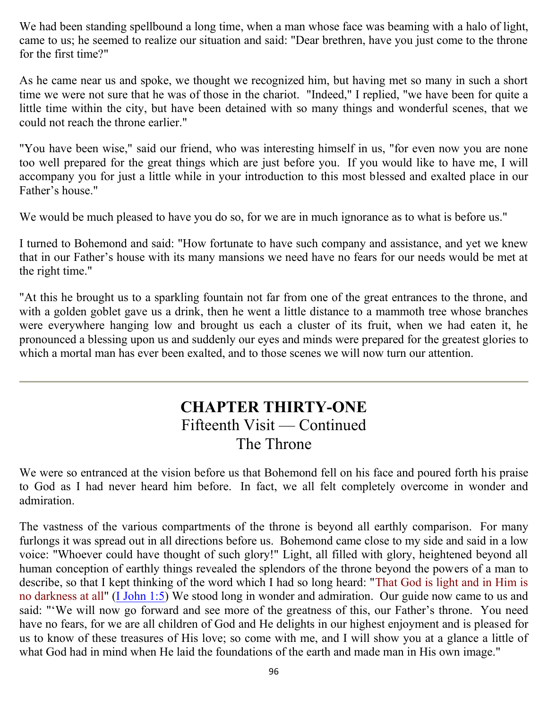We had been standing spellbound a long time, when a man whose face was beaming with a halo of light, came to us; he seemed to realize our situation and said: "Dear brethren, have you just come to the throne for the first time?"

As he came near us and spoke, we thought we recognized him, but having met so many in such a short time we were not sure that he was of those in the chariot. "Indeed," I replied, "we have been for quite a little time within the city, but have been detained with so many things and wonderful scenes, that we could not reach the throne earlier."

"You have been wise," said our friend, who was interesting himself in us, "for even now you are none too well prepared for the great things which are just before you. If you would like to have me, I will accompany you for just a little while in your introduction to this most blessed and exalted place in our Father's house."

We would be much pleased to have you do so, for we are in much ignorance as to what is before us."

I turned to Bohemond and said: "How fortunate to have such company and assistance, and yet we knew that in our Father's house with its many mansions we need have no fears for our needs would be met at the right time."

"At this he brought us to a sparkling fountain not far from one of the great entrances to the throne, and with a golden goblet gave us a drink, then he went a little distance to a mammoth tree whose branches were everywhere hanging low and brought us each a cluster of its fruit, when we had eaten it, he pronounced a blessing upon us and suddenly our eyes and minds were prepared for the greatest glories to which a mortal man has ever been exalted, and to those scenes we will now turn our attention.

## **CHAPTER THIRTY-ONE** Fifteenth Visit — Continued The Throne

We were so entranced at the vision before us that Bohemond fell on his face and poured forth his praise to God as I had never heard him before. In fact, we all felt completely overcome in wonder and admiration.

The vastness of the various compartments of the throne is beyond all earthly comparison. For many furlongs it was spread out in all directions before us. Bohemond came close to my side and said in a low voice: "Whoever could have thought of such glory!" Light, all filled with glory, heightened beyond all human conception of earthly things revealed the splendors of the throne beyond the powers of a man to describe, so that I kept thinking of the word which I had so long heard: "That God is light and in Him is no darkness at all" [\(I John 1:5\)](http://www.biblegateway.com/passage/?search=I%20John%201:5;&version=31) We stood long in wonder and admiration. Our guide now came to us and said: "'We will now go forward and see more of the greatness of this, our Father's throne. You need have no fears, for we are all children of God and He delights in our highest enjoyment and is pleased for us to know of these treasures of His love; so come with me, and I will show you at a glance a little of what God had in mind when He laid the foundations of the earth and made man in His own image."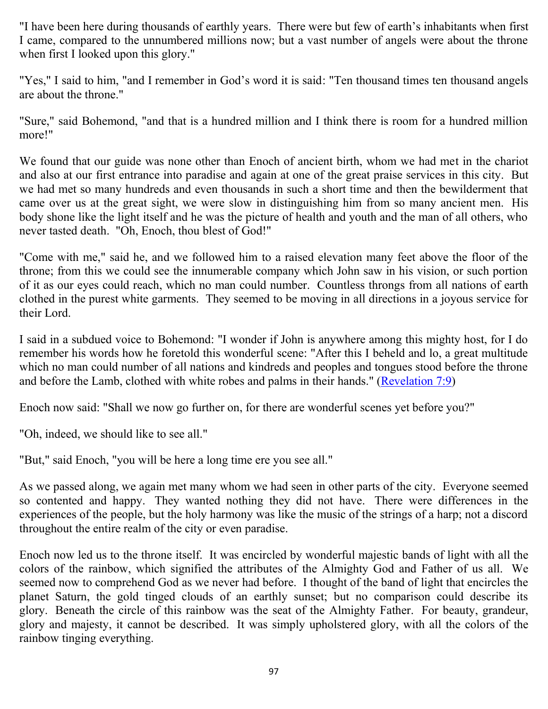"I have been here during thousands of earthly years. There were but few of earth's inhabitants when first I came, compared to the unnumbered millions now; but a vast number of angels were about the throne when first I looked upon this glory."

"Yes," I said to him, "and I remember in God's word it is said: "Ten thousand times ten thousand angels are about the throne."

"Sure," said Bohemond, "and that is a hundred million and I think there is room for a hundred million more!"

We found that our guide was none other than Enoch of ancient birth, whom we had met in the chariot and also at our first entrance into paradise and again at one of the great praise services in this city. But we had met so many hundreds and even thousands in such a short time and then the bewilderment that came over us at the great sight, we were slow in distinguishing him from so many ancient men. His body shone like the light itself and he was the picture of health and youth and the man of all others, who never tasted death. "Oh, Enoch, thou blest of God!"

"Come with me," said he, and we followed him to a raised elevation many feet above the floor of the throne; from this we could see the innumerable company which John saw in his vision, or such portion of it as our eyes could reach, which no man could number. Countless throngs from all nations of earth clothed in the purest white garments. They seemed to be moving in all directions in a joyous service for their Lord.

I said in a subdued voice to Bohemond: "I wonder if John is anywhere among this mighty host, for I do remember his words how he foretold this wonderful scene: "After this I beheld and lo, a great multitude which no man could number of all nations and kindreds and peoples and tongues stood before the throne and before the Lamb, clothed with white robes and palms in their hands." [\(Revelation 7:9\)](http://www.biblegateway.com/passage/?search=Revelation%207:9;&version=31)

Enoch now said: "Shall we now go further on, for there are wonderful scenes yet before you?"

"Oh, indeed, we should like to see all."

"But," said Enoch, "you will be here a long time ere you see all."

As we passed along, we again met many whom we had seen in other parts of the city. Everyone seemed so contented and happy. They wanted nothing they did not have. There were differences in the experiences of the people, but the holy harmony was like the music of the strings of a harp; not a discord throughout the entire realm of the city or even paradise.

Enoch now led us to the throne itself. It was encircled by wonderful majestic bands of light with all the colors of the rainbow, which signified the attributes of the Almighty God and Father of us all. We seemed now to comprehend God as we never had before. I thought of the band of light that encircles the planet Saturn, the gold tinged clouds of an earthly sunset; but no comparison could describe its glory. Beneath the circle of this rainbow was the seat of the Almighty Father. For beauty, grandeur, glory and majesty, it cannot be described. It was simply upholstered glory, with all the colors of the rainbow tinging everything.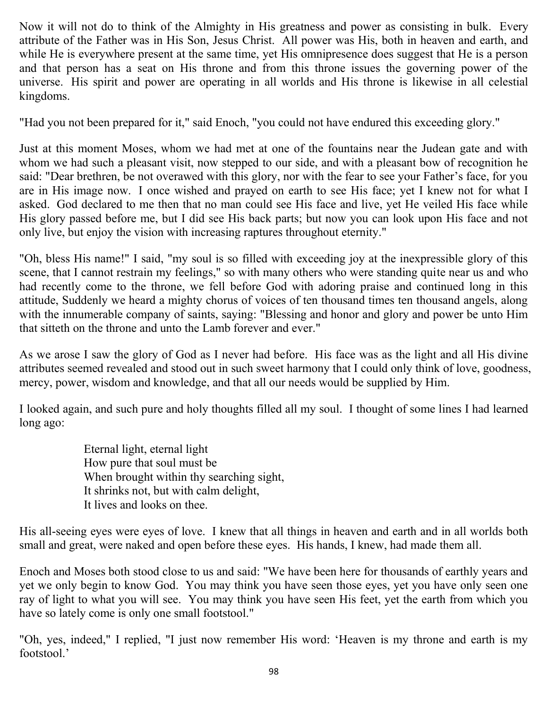Now it will not do to think of the Almighty in His greatness and power as consisting in bulk. Every attribute of the Father was in His Son, Jesus Christ. All power was His, both in heaven and earth, and while He is everywhere present at the same time, yet His omnipresence does suggest that He is a person and that person has a seat on His throne and from this throne issues the governing power of the universe. His spirit and power are operating in all worlds and His throne is likewise in all celestial kingdoms.

"Had you not been prepared for it," said Enoch, "you could not have endured this exceeding glory."

Just at this moment Moses, whom we had met at one of the fountains near the Judean gate and with whom we had such a pleasant visit, now stepped to our side, and with a pleasant bow of recognition he said: "Dear brethren, be not overawed with this glory, nor with the fear to see your Father's face, for you are in His image now. I once wished and prayed on earth to see His face; yet I knew not for what I asked. God declared to me then that no man could see His face and live, yet He veiled His face while His glory passed before me, but I did see His back parts; but now you can look upon His face and not only live, but enjoy the vision with increasing raptures throughout eternity."

"Oh, bless His name!" I said, "my soul is so filled with exceeding joy at the inexpressible glory of this scene, that I cannot restrain my feelings," so with many others who were standing quite near us and who had recently come to the throne, we fell before God with adoring praise and continued long in this attitude, Suddenly we heard a mighty chorus of voices of ten thousand times ten thousand angels, along with the innumerable company of saints, saying: "Blessing and honor and glory and power be unto Him that sitteth on the throne and unto the Lamb forever and ever."

As we arose I saw the glory of God as I never had before. His face was as the light and all His divine attributes seemed revealed and stood out in such sweet harmony that I could only think of love, goodness, mercy, power, wisdom and knowledge, and that all our needs would be supplied by Him.

I looked again, and such pure and holy thoughts filled all my soul. I thought of some lines I had learned long ago:

> Eternal light, eternal light How pure that soul must be When brought within thy searching sight, It shrinks not, but with calm delight, It lives and looks on thee.

His all-seeing eyes were eyes of love. I knew that all things in heaven and earth and in all worlds both small and great, were naked and open before these eyes. His hands, I knew, had made them all.

Enoch and Moses both stood close to us and said: "We have been here for thousands of earthly years and yet we only begin to know God. You may think you have seen those eyes, yet you have only seen one ray of light to what you will see. You may think you have seen His feet, yet the earth from which you have so lately come is only one small footstool."

"Oh, yes, indeed," I replied, "I just now remember His word: 'Heaven is my throne and earth is my footstool.'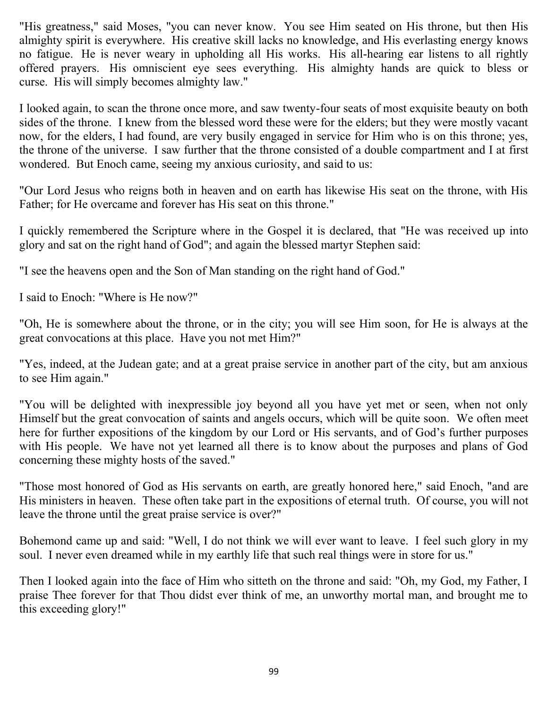"His greatness," said Moses, "you can never know. You see Him seated on His throne, but then His almighty spirit is everywhere. His creative skill lacks no knowledge, and His everlasting energy knows no fatigue. He is never weary in upholding all His works. His all-hearing ear listens to all rightly offered prayers. His omniscient eye sees everything. His almighty hands are quick to bless or curse. His will simply becomes almighty law."

I looked again, to scan the throne once more, and saw twenty-four seats of most exquisite beauty on both sides of the throne. I knew from the blessed word these were for the elders; but they were mostly vacant now, for the elders, I had found, are very busily engaged in service for Him who is on this throne; yes, the throne of the universe. I saw further that the throne consisted of a double compartment and I at first wondered. But Enoch came, seeing my anxious curiosity, and said to us:

"Our Lord Jesus who reigns both in heaven and on earth has likewise His seat on the throne, with His Father; for He overcame and forever has His seat on this throne."

I quickly remembered the Scripture where in the Gospel it is declared, that "He was received up into glory and sat on the right hand of God"; and again the blessed martyr Stephen said:

"I see the heavens open and the Son of Man standing on the right hand of God."

I said to Enoch: "Where is He now?"

"Oh, He is somewhere about the throne, or in the city; you will see Him soon, for He is always at the great convocations at this place. Have you not met Him?"

"Yes, indeed, at the Judean gate; and at a great praise service in another part of the city, but am anxious to see Him again."

"You will be delighted with inexpressible joy beyond all you have yet met or seen, when not only Himself but the great convocation of saints and angels occurs, which will be quite soon. We often meet here for further expositions of the kingdom by our Lord or His servants, and of God's further purposes with His people. We have not yet learned all there is to know about the purposes and plans of God concerning these mighty hosts of the saved."

"Those most honored of God as His servants on earth, are greatly honored here," said Enoch, "and are His ministers in heaven. These often take part in the expositions of eternal truth. Of course, you will not leave the throne until the great praise service is over?"

Bohemond came up and said: "Well, I do not think we will ever want to leave. I feel such glory in my soul. I never even dreamed while in my earthly life that such real things were in store for us."

Then I looked again into the face of Him who sitteth on the throne and said: "Oh, my God, my Father, I praise Thee forever for that Thou didst ever think of me, an unworthy mortal man, and brought me to this exceeding glory!"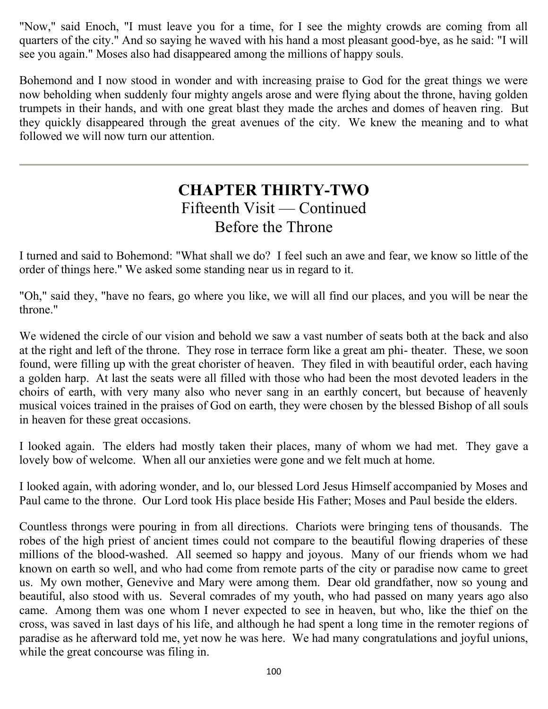"Now," said Enoch, "I must leave you for a time, for I see the mighty crowds are coming from all quarters of the city." And so saying he waved with his hand a most pleasant good-bye, as he said: "I will see you again." Moses also had disappeared among the millions of happy souls.

Bohemond and I now stood in wonder and with increasing praise to God for the great things we were now beholding when suddenly four mighty angels arose and were flying about the throne, having golden trumpets in their hands, and with one great blast they made the arches and domes of heaven ring. But they quickly disappeared through the great avenues of the city. We knew the meaning and to what followed we will now turn our attention.

# **CHAPTER THIRTY-TWO** Fifteenth Visit — Continued Before the Throne

I turned and said to Bohemond: "What shall we do? I feel such an awe and fear, we know so little of the order of things here." We asked some standing near us in regard to it.

"Oh," said they, "have no fears, go where you like, we will all find our places, and you will be near the throne."

We widened the circle of our vision and behold we saw a vast number of seats both at the back and also at the right and left of the throne. They rose in terrace form like a great am phi- theater. These, we soon found, were filling up with the great chorister of heaven. They filed in with beautiful order, each having a golden harp. At last the seats were all filled with those who had been the most devoted leaders in the choirs of earth, with very many also who never sang in an earthly concert, but because of heavenly musical voices trained in the praises of God on earth, they were chosen by the blessed Bishop of all souls in heaven for these great occasions.

I looked again. The elders had mostly taken their places, many of whom we had met. They gave a lovely bow of welcome. When all our anxieties were gone and we felt much at home.

I looked again, with adoring wonder, and lo, our blessed Lord Jesus Himself accompanied by Moses and Paul came to the throne. Our Lord took His place beside His Father; Moses and Paul beside the elders.

Countless throngs were pouring in from all directions. Chariots were bringing tens of thousands. The robes of the high priest of ancient times could not compare to the beautiful flowing draperies of these millions of the blood-washed. All seemed so happy and joyous. Many of our friends whom we had known on earth so well, and who had come from remote parts of the city or paradise now came to greet us. My own mother, Genevive and Mary were among them. Dear old grandfather, now so young and beautiful, also stood with us. Several comrades of my youth, who had passed on many years ago also came. Among them was one whom I never expected to see in heaven, but who, like the thief on the cross, was saved in last days of his life, and although he had spent a long time in the remoter regions of paradise as he afterward told me, yet now he was here. We had many congratulations and joyful unions, while the great concourse was filing in.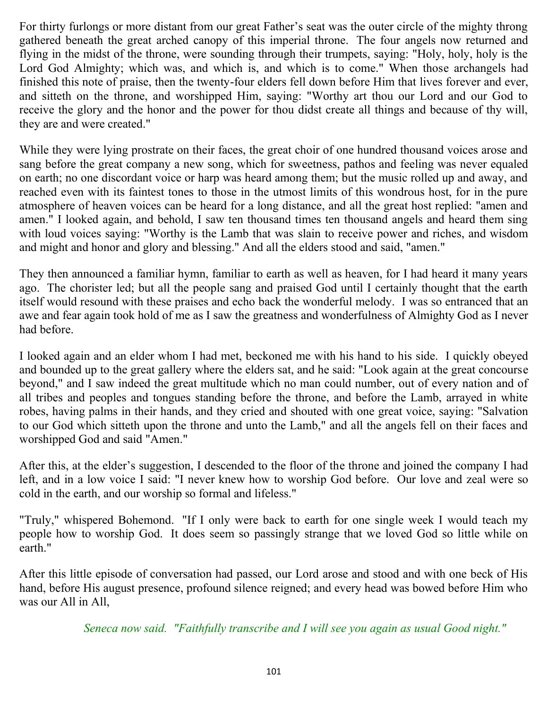For thirty furlongs or more distant from our great Father's seat was the outer circle of the mighty throng gathered beneath the great arched canopy of this imperial throne. The four angels now returned and flying in the midst of the throne, were sounding through their trumpets, saying: "Holy, holy, holy is the Lord God Almighty; which was, and which is, and which is to come." When those archangels had finished this note of praise, then the twenty-four elders fell down before Him that lives forever and ever, and sitteth on the throne, and worshipped Him, saying: "Worthy art thou our Lord and our God to receive the glory and the honor and the power for thou didst create all things and because of thy will, they are and were created."

While they were lying prostrate on their faces, the great choir of one hundred thousand voices arose and sang before the great company a new song, which for sweetness, pathos and feeling was never equaled on earth; no one discordant voice or harp was heard among them; but the music rolled up and away, and reached even with its faintest tones to those in the utmost limits of this wondrous host, for in the pure atmosphere of heaven voices can be heard for a long distance, and all the great host replied: "amen and amen." I looked again, and behold, I saw ten thousand times ten thousand angels and heard them sing with loud voices saying: "Worthy is the Lamb that was slain to receive power and riches, and wisdom and might and honor and glory and blessing." And all the elders stood and said, "amen."

They then announced a familiar hymn, familiar to earth as well as heaven, for I had heard it many years ago. The chorister led; but all the people sang and praised God until I certainly thought that the earth itself would resound with these praises and echo back the wonderful melody. I was so entranced that an awe and fear again took hold of me as I saw the greatness and wonderfulness of Almighty God as I never had before.

I looked again and an elder whom I had met, beckoned me with his hand to his side. I quickly obeyed and bounded up to the great gallery where the elders sat, and he said: "Look again at the great concourse beyond," and I saw indeed the great multitude which no man could number, out of every nation and of all tribes and peoples and tongues standing before the throne, and before the Lamb, arrayed in white robes, having palms in their hands, and they cried and shouted with one great voice, saying: "Salvation to our God which sitteth upon the throne and unto the Lamb," and all the angels fell on their faces and worshipped God and said "Amen."

After this, at the elder's suggestion, I descended to the floor of the throne and joined the company I had left, and in a low voice I said: "I never knew how to worship God before. Our love and zeal were so cold in the earth, and our worship so formal and lifeless."

"Truly," whispered Bohemond. "If I only were back to earth for one single week I would teach my people how to worship God. It does seem so passingly strange that we loved God so little while on earth."

After this little episode of conversation had passed, our Lord arose and stood and with one beck of His hand, before His august presence, profound silence reigned; and every head was bowed before Him who was our All in All,

*Seneca now said. "Faithfully transcribe and I will see you again as usual Good night."*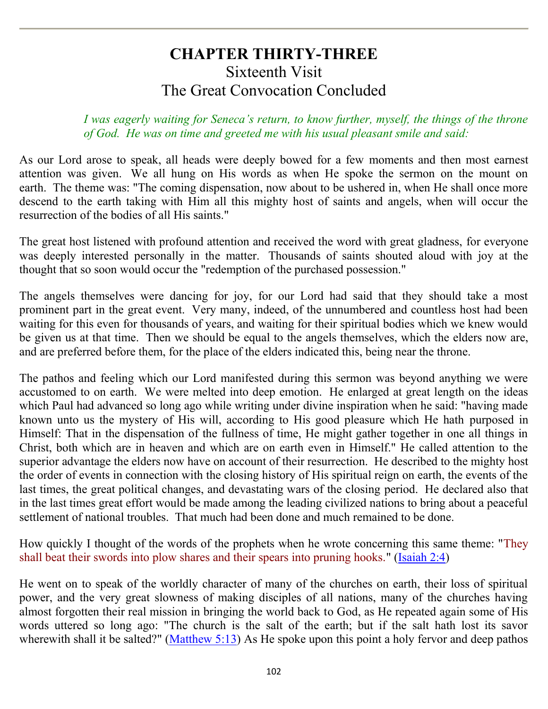## **CHAPTER THIRTY-THREE** Sixteenth Visit The Great Convocation Concluded

#### *I was eagerly waiting for Seneca's return, to know further, myself, the things of the throne of God. He was on time and greeted me with his usual pleasant smile and said:*

As our Lord arose to speak, all heads were deeply bowed for a few moments and then most earnest attention was given. We all hung on His words as when He spoke the sermon on the mount on earth. The theme was: "The coming dispensation, now about to be ushered in, when He shall once more descend to the earth taking with Him all this mighty host of saints and angels, when will occur the resurrection of the bodies of all His saints."

The great host listened with profound attention and received the word with great gladness, for everyone was deeply interested personally in the matter. Thousands of saints shouted aloud with joy at the thought that so soon would occur the "redemption of the purchased possession."

The angels themselves were dancing for joy, for our Lord had said that they should take a most prominent part in the great event. Very many, indeed, of the unnumbered and countless host had been waiting for this even for thousands of years, and waiting for their spiritual bodies which we knew would be given us at that time. Then we should be equal to the angels themselves, which the elders now are, and are preferred before them, for the place of the elders indicated this, being near the throne.

The pathos and feeling which our Lord manifested during this sermon was beyond anything we were accustomed to on earth. We were melted into deep emotion. He enlarged at great length on the ideas which Paul had advanced so long ago while writing under divine inspiration when he said: "having made known unto us the mystery of His will, according to His good pleasure which He hath purposed in Himself: That in the dispensation of the fullness of time, He might gather together in one all things in Christ, both which are in heaven and which are on earth even in Himself." He called attention to the superior advantage the elders now have on account of their resurrection. He described to the mighty host the order of events in connection with the closing history of His spiritual reign on earth, the events of the last times, the great political changes, and devastating wars of the closing period. He declared also that in the last times great effort would be made among the leading civilized nations to bring about a peaceful settlement of national troubles. That much had been done and much remained to be done.

How quickly I thought of the words of the prophets when he wrote concerning this same theme: "They shall beat their swords into plow shares and their spears into pruning hooks." [\(Isaiah 2:4\)](http://www.biblegateway.com/passage/?search=Isaiah%202:4;&version=31)

He went on to speak of the worldly character of many of the churches on earth, their loss of spiritual power, and the very great slowness of making disciples of all nations, many of the churches having almost forgotten their real mission in bringing the world back to God, as He repeated again some of His words uttered so long ago: "The church is the salt of the earth; but if the salt hath lost its savor wherewith shall it be salted?" [\(Matthew 5:13\)](http://www.biblegateway.com/passage/?search=Matthew%205:13;&version=31) As He spoke upon this point a holy fervor and deep pathos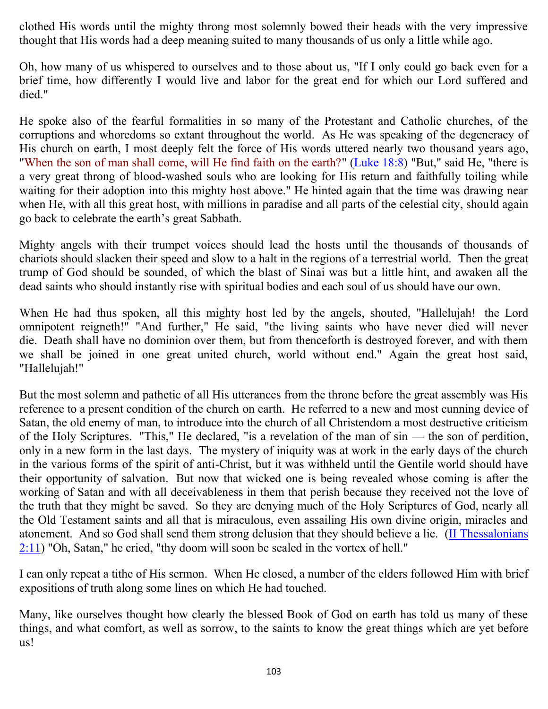clothed His words until the mighty throng most solemnly bowed their heads with the very impressive thought that His words had a deep meaning suited to many thousands of us only a little while ago.

Oh, how many of us whispered to ourselves and to those about us, "If I only could go back even for a brief time, how differently I would live and labor for the great end for which our Lord suffered and died."

He spoke also of the fearful formalities in so many of the Protestant and Catholic churches, of the corruptions and whoredoms so extant throughout the world. As He was speaking of the degeneracy of His church on earth, I most deeply felt the force of His words uttered nearly two thousand years ago, "When the son of man shall come, will He find faith on the earth?" [\(Luke 18:8\)](http://www.biblegateway.com/passage/?search=Luke%2018:8;&version=31) "But," said He, "there is a very great throng of blood-washed souls who are looking for His return and faithfully toiling while waiting for their adoption into this mighty host above." He hinted again that the time was drawing near when He, with all this great host, with millions in paradise and all parts of the celestial city, should again go back to celebrate the earth's great Sabbath.

Mighty angels with their trumpet voices should lead the hosts until the thousands of thousands of chariots should slacken their speed and slow to a halt in the regions of a terrestrial world. Then the great trump of God should be sounded, of which the blast of Sinai was but a little hint, and awaken all the dead saints who should instantly rise with spiritual bodies and each soul of us should have our own.

When He had thus spoken, all this mighty host led by the angels, shouted, "Hallelujah! the Lord omnipotent reigneth!" "And further," He said, "the living saints who have never died will never die. Death shall have no dominion over them, but from thenceforth is destroyed forever, and with them we shall be joined in one great united church, world without end." Again the great host said, "Hallelujah!"

But the most solemn and pathetic of all His utterances from the throne before the great assembly was His reference to a present condition of the church on earth. He referred to a new and most cunning device of Satan, the old enemy of man, to introduce into the church of all Christendom a most destructive criticism of the Holy Scriptures. "This," He declared, "is a revelation of the man of sin — the son of perdition, only in a new form in the last days. The mystery of iniquity was at work in the early days of the church in the various forms of the spirit of anti-Christ, but it was withheld until the Gentile world should have their opportunity of salvation. But now that wicked one is being revealed whose coming is after the working of Satan and with all deceivableness in them that perish because they received not the love of the truth that they might be saved. So they are denying much of the Holy Scriptures of God, nearly all the Old Testament saints and all that is miraculous, even assailing His own divine origin, miracles and atonement. And so God shall send them strong delusion that they should believe a lie. [\(II Thessalonians](http://www.biblegateway.com/passage/?search=II%20Thessalonians%202:11;&version=31)  [2:11\)](http://www.biblegateway.com/passage/?search=II%20Thessalonians%202:11;&version=31) "Oh, Satan," he cried, "thy doom will soon be sealed in the vortex of hell."

I can only repeat a tithe of His sermon. When He closed, a number of the elders followed Him with brief expositions of truth along some lines on which He had touched.

Many, like ourselves thought how clearly the blessed Book of God on earth has told us many of these things, and what comfort, as well as sorrow, to the saints to know the great things which are yet before us!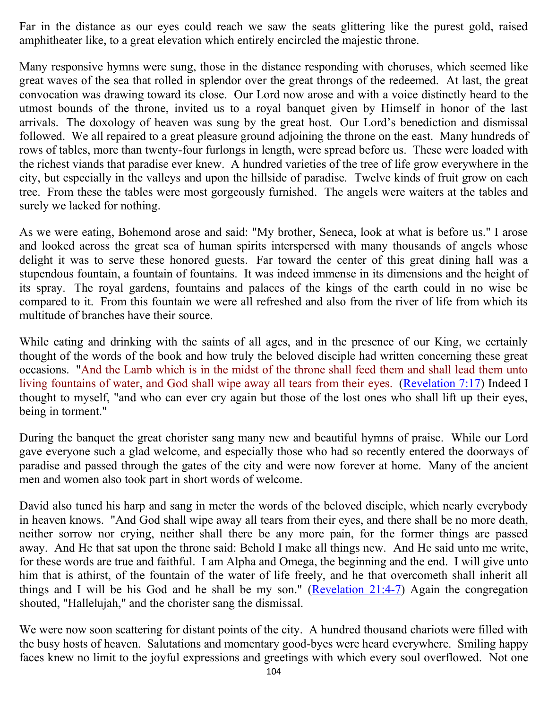Far in the distance as our eyes could reach we saw the seats glittering like the purest gold, raised amphitheater like, to a great elevation which entirely encircled the majestic throne.

Many responsive hymns were sung, those in the distance responding with choruses, which seemed like great waves of the sea that rolled in splendor over the great throngs of the redeemed. At last, the great convocation was drawing toward its close. Our Lord now arose and with a voice distinctly heard to the utmost bounds of the throne, invited us to a royal banquet given by Himself in honor of the last arrivals. The doxology of heaven was sung by the great host. Our Lord's benediction and dismissal followed. We all repaired to a great pleasure ground adjoining the throne on the east. Many hundreds of rows of tables, more than twenty-four furlongs in length, were spread before us. These were loaded with the richest viands that paradise ever knew. A hundred varieties of the tree of life grow everywhere in the city, but especially in the valleys and upon the hillside of paradise. Twelve kinds of fruit grow on each tree. From these the tables were most gorgeously furnished. The angels were waiters at the tables and surely we lacked for nothing.

As we were eating, Bohemond arose and said: "My brother, Seneca, look at what is before us." I arose and looked across the great sea of human spirits interspersed with many thousands of angels whose delight it was to serve these honored guests. Far toward the center of this great dining hall was a stupendous fountain, a fountain of fountains. It was indeed immense in its dimensions and the height of its spray. The royal gardens, fountains and palaces of the kings of the earth could in no wise be compared to it. From this fountain we were all refreshed and also from the river of life from which its multitude of branches have their source.

While eating and drinking with the saints of all ages, and in the presence of our King, we certainly thought of the words of the book and how truly the beloved disciple had written concerning these great occasions. "And the Lamb which is in the midst of the throne shall feed them and shall lead them unto living fountains of water, and God shall wipe away all tears from their eyes. [\(Revelation 7:17\)](http://www.biblegateway.com/passage/?search=Revelation%207:17;&version=31) Indeed I thought to myself, "and who can ever cry again but those of the lost ones who shall lift up their eyes, being in torment."

During the banquet the great chorister sang many new and beautiful hymns of praise. While our Lord gave everyone such a glad welcome, and especially those who had so recently entered the doorways of paradise and passed through the gates of the city and were now forever at home. Many of the ancient men and women also took part in short words of welcome.

David also tuned his harp and sang in meter the words of the beloved disciple, which nearly everybody in heaven knows. "And God shall wipe away all tears from their eyes, and there shall be no more death, neither sorrow nor crying, neither shall there be any more pain, for the former things are passed away. And He that sat upon the throne said: Behold I make all things new. And He said unto me write, for these words are true and faithful. I am Alpha and Omega, the beginning and the end. I will give unto him that is athirst, of the fountain of the water of life freely, and he that overcometh shall inherit all things and I will be his God and he shall be my son." (Revelation  $21:4-7$ ) Again the congregation shouted, "Hallelujah," and the chorister sang the dismissal.

We were now soon scattering for distant points of the city. A hundred thousand chariots were filled with the busy hosts of heaven. Salutations and momentary good-byes were heard everywhere. Smiling happy faces knew no limit to the joyful expressions and greetings with which every soul overflowed. Not one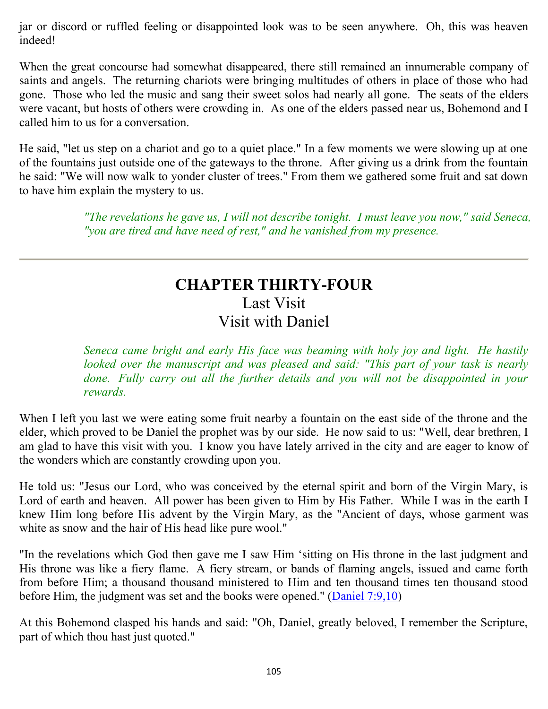jar or discord or ruffled feeling or disappointed look was to be seen anywhere. Oh, this was heaven indeed!

When the great concourse had somewhat disappeared, there still remained an innumerable company of saints and angels. The returning chariots were bringing multitudes of others in place of those who had gone. Those who led the music and sang their sweet solos had nearly all gone. The seats of the elders were vacant, but hosts of others were crowding in. As one of the elders passed near us, Bohemond and I called him to us for a conversation.

He said, "let us step on a chariot and go to a quiet place." In a few moments we were slowing up at one of the fountains just outside one of the gateways to the throne. After giving us a drink from the fountain he said: "We will now walk to yonder cluster of trees." From them we gathered some fruit and sat down to have him explain the mystery to us.

> *"The revelations he gave us, I will not describe tonight. I must leave you now," said Seneca, "you are tired and have need of rest," and he vanished from my presence.*

## **CHAPTER THIRTY-FOUR** Last Visit Visit with Daniel

*Seneca came bright and early His face was beaming with holy joy and light. He hastily looked over the manuscript and was pleased and said: "This part of your task is nearly done. Fully carry out all the further details and you will not be disappointed in your rewards.*

When I left you last we were eating some fruit nearby a fountain on the east side of the throne and the elder, which proved to be Daniel the prophet was by our side. He now said to us: "Well, dear brethren, I am glad to have this visit with you. I know you have lately arrived in the city and are eager to know of the wonders which are constantly crowding upon you.

He told us: "Jesus our Lord, who was conceived by the eternal spirit and born of the Virgin Mary, is Lord of earth and heaven. All power has been given to Him by His Father. While I was in the earth I knew Him long before His advent by the Virgin Mary, as the "Ancient of days, whose garment was white as snow and the hair of His head like pure wool."

"In the revelations which God then gave me I saw Him 'sitting on His throne in the last judgment and His throne was like a fiery flame. A fiery stream, or bands of flaming angels, issued and came forth from before Him; a thousand thousand ministered to Him and ten thousand times ten thousand stood before Him, the judgment was set and the books were opened." [\(Daniel 7:9,10\)](http://www.biblegateway.com/passage/?search=Daniel%207:9,10;&version=31)

At this Bohemond clasped his hands and said: "Oh, Daniel, greatly beloved, I remember the Scripture, part of which thou hast just quoted."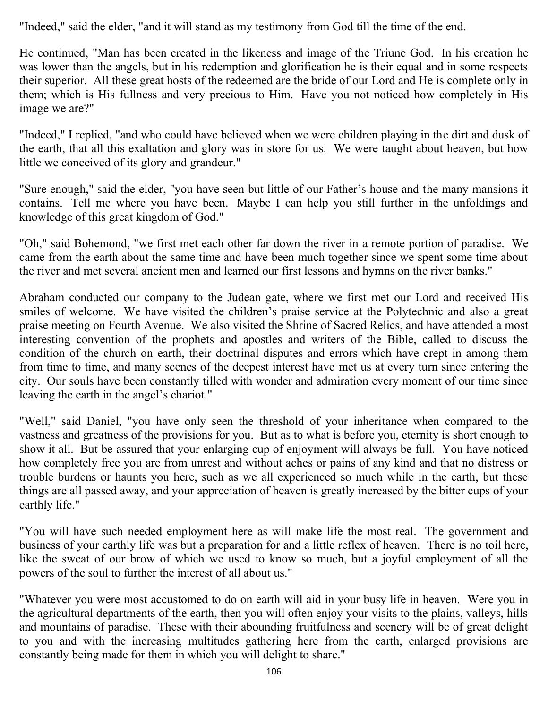"Indeed," said the elder, "and it will stand as my testimony from God till the time of the end.

He continued, "Man has been created in the likeness and image of the Triune God. In his creation he was lower than the angels, but in his redemption and glorification he is their equal and in some respects their superior. All these great hosts of the redeemed are the bride of our Lord and He is complete only in them; which is His fullness and very precious to Him. Have you not noticed how completely in His image we are?"

"Indeed," I replied, "and who could have believed when we were children playing in the dirt and dusk of the earth, that all this exaltation and glory was in store for us. We were taught about heaven, but how little we conceived of its glory and grandeur."

"Sure enough," said the elder, "you have seen but little of our Father's house and the many mansions it contains. Tell me where you have been. Maybe I can help you still further in the unfoldings and knowledge of this great kingdom of God."

"Oh," said Bohemond, "we first met each other far down the river in a remote portion of paradise. We came from the earth about the same time and have been much together since we spent some time about the river and met several ancient men and learned our first lessons and hymns on the river banks."

Abraham conducted our company to the Judean gate, where we first met our Lord and received His smiles of welcome. We have visited the children's praise service at the Polytechnic and also a great praise meeting on Fourth Avenue. We also visited the Shrine of Sacred Relics, and have attended a most interesting convention of the prophets and apostles and writers of the Bible, called to discuss the condition of the church on earth, their doctrinal disputes and errors which have crept in among them from time to time, and many scenes of the deepest interest have met us at every turn since entering the city. Our souls have been constantly tilled with wonder and admiration every moment of our time since leaving the earth in the angel's chariot."

"Well," said Daniel, "you have only seen the threshold of your inheritance when compared to the vastness and greatness of the provisions for you. But as to what is before you, eternity is short enough to show it all. But be assured that your enlarging cup of enjoyment will always be full. You have noticed how completely free you are from unrest and without aches or pains of any kind and that no distress or trouble burdens or haunts you here, such as we all experienced so much while in the earth, but these things are all passed away, and your appreciation of heaven is greatly increased by the bitter cups of your earthly life."

"You will have such needed employment here as will make life the most real. The government and business of your earthly life was but a preparation for and a little reflex of heaven. There is no toil here, like the sweat of our brow of which we used to know so much, but a joyful employment of all the powers of the soul to further the interest of all about us."

"Whatever you were most accustomed to do on earth will aid in your busy life in heaven. Were you in the agricultural departments of the earth, then you will often enjoy your visits to the plains, valleys, hills and mountains of paradise. These with their abounding fruitfulness and scenery will be of great delight to you and with the increasing multitudes gathering here from the earth, enlarged provisions are constantly being made for them in which you will delight to share."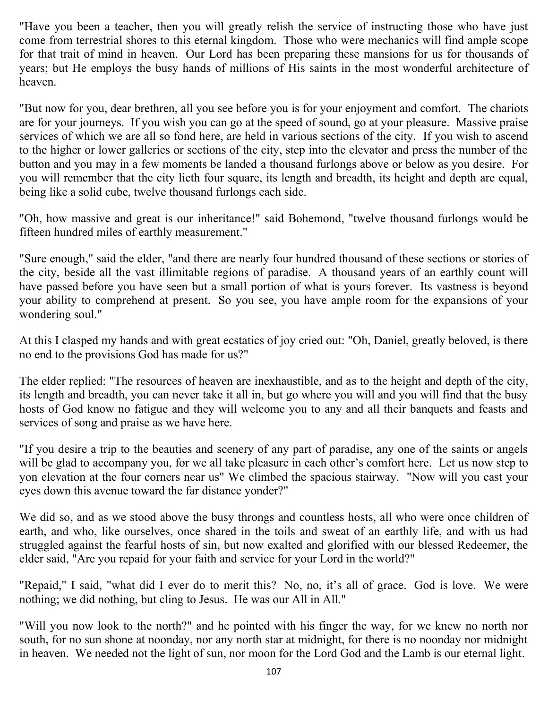"Have you been a teacher, then you will greatly relish the service of instructing those who have just come from terrestrial shores to this eternal kingdom. Those who were mechanics will find ample scope for that trait of mind in heaven. Our Lord has been preparing these mansions for us for thousands of years; but He employs the busy hands of millions of His saints in the most wonderful architecture of heaven.

"But now for you, dear brethren, all you see before you is for your enjoyment and comfort. The chariots are for your journeys. If you wish you can go at the speed of sound, go at your pleasure. Massive praise services of which we are all so fond here, are held in various sections of the city. If you wish to ascend to the higher or lower galleries or sections of the city, step into the elevator and press the number of the button and you may in a few moments be landed a thousand furlongs above or below as you desire. For you will remember that the city lieth four square, its length and breadth, its height and depth are equal, being like a solid cube, twelve thousand furlongs each side.

"Oh, how massive and great is our inheritance!" said Bohemond, "twelve thousand furlongs would be fifteen hundred miles of earthly measurement."

"Sure enough," said the elder, "and there are nearly four hundred thousand of these sections or stories of the city, beside all the vast illimitable regions of paradise. A thousand years of an earthly count will have passed before you have seen but a small portion of what is yours forever. Its vastness is beyond your ability to comprehend at present. So you see, you have ample room for the expansions of your wondering soul."

At this I clasped my hands and with great ecstatics of joy cried out: "Oh, Daniel, greatly beloved, is there no end to the provisions God has made for us?"

The elder replied: "The resources of heaven are inexhaustible, and as to the height and depth of the city, its length and breadth, you can never take it all in, but go where you will and you will find that the busy hosts of God know no fatigue and they will welcome you to any and all their banquets and feasts and services of song and praise as we have here.

"If you desire a trip to the beauties and scenery of any part of paradise, any one of the saints or angels will be glad to accompany you, for we all take pleasure in each other's comfort here. Let us now step to yon elevation at the four corners near us" We climbed the spacious stairway. "Now will you cast your eyes down this avenue toward the far distance yonder?"

We did so, and as we stood above the busy throngs and countless hosts, all who were once children of earth, and who, like ourselves, once shared in the toils and sweat of an earthly life, and with us had struggled against the fearful hosts of sin, but now exalted and glorified with our blessed Redeemer, the elder said, "Are you repaid for your faith and service for your Lord in the world?"

"Repaid," I said, "what did I ever do to merit this? No, no, it's all of grace. God is love. We were nothing; we did nothing, but cling to Jesus. He was our All in All."

"Will you now look to the north?" and he pointed with his finger the way, for we knew no north nor south, for no sun shone at noonday, nor any north star at midnight, for there is no noonday nor midnight in heaven. We needed not the light of sun, nor moon for the Lord God and the Lamb is our eternal light.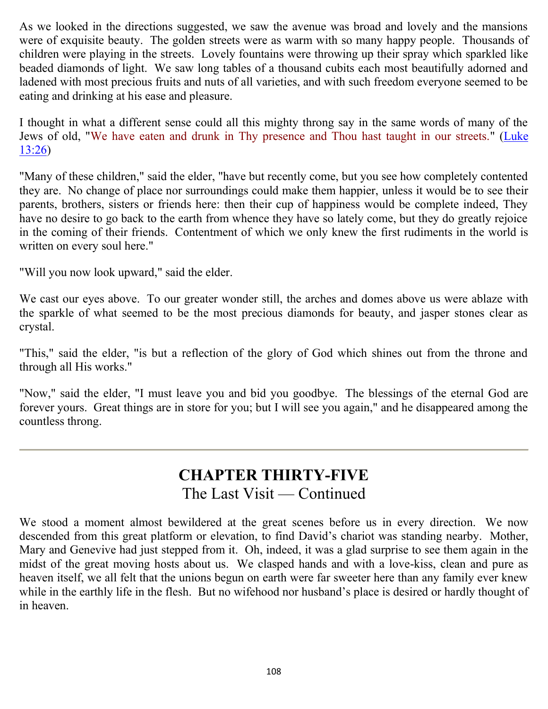As we looked in the directions suggested, we saw the avenue was broad and lovely and the mansions were of exquisite beauty. The golden streets were as warm with so many happy people. Thousands of children were playing in the streets. Lovely fountains were throwing up their spray which sparkled like beaded diamonds of light. We saw long tables of a thousand cubits each most beautifully adorned and ladened with most precious fruits and nuts of all varieties, and with such freedom everyone seemed to be eating and drinking at his ease and pleasure.

I thought in what a different sense could all this mighty throng say in the same words of many of the Jews of old, "We have eaten and drunk in Thy presence and Thou hast taught in our streets." [\(Luke](http://www.biblegateway.com/passage/?search=Luke%2013:26;&version=31)  [13:26\)](http://www.biblegateway.com/passage/?search=Luke%2013:26;&version=31)

"Many of these children," said the elder, "have but recently come, but you see how completely contented they are. No change of place nor surroundings could make them happier, unless it would be to see their parents, brothers, sisters or friends here: then their cup of happiness would be complete indeed, They have no desire to go back to the earth from whence they have so lately come, but they do greatly rejoice in the coming of their friends. Contentment of which we only knew the first rudiments in the world is written on every soul here."

"Will you now look upward," said the elder.

We cast our eyes above. To our greater wonder still, the arches and domes above us were ablaze with the sparkle of what seemed to be the most precious diamonds for beauty, and jasper stones clear as crystal.

"This," said the elder, "is but a reflection of the glory of God which shines out from the throne and through all His works."

"Now," said the elder, "I must leave you and bid you goodbye. The blessings of the eternal God are forever yours. Great things are in store for you; but I will see you again," and he disappeared among the countless throng.

## **CHAPTER THIRTY-FIVE** The Last Visit — Continued

We stood a moment almost bewildered at the great scenes before us in every direction. We now descended from this great platform or elevation, to find David's chariot was standing nearby. Mother, Mary and Genevive had just stepped from it. Oh, indeed, it was a glad surprise to see them again in the midst of the great moving hosts about us. We clasped hands and with a love-kiss, clean and pure as heaven itself, we all felt that the unions begun on earth were far sweeter here than any family ever knew while in the earthly life in the flesh. But no wifehood nor husband's place is desired or hardly thought of in heaven.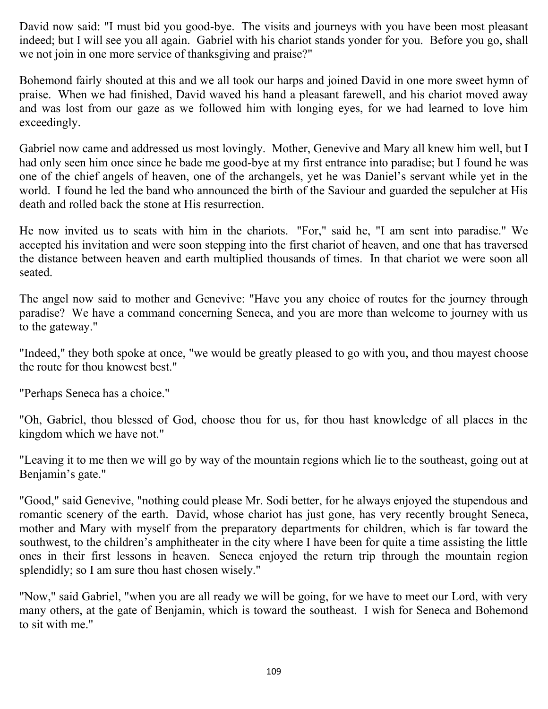David now said: "I must bid you good-bye. The visits and journeys with you have been most pleasant indeed; but I will see you all again. Gabriel with his chariot stands yonder for you. Before you go, shall we not join in one more service of thanksgiving and praise?"

Bohemond fairly shouted at this and we all took our harps and joined David in one more sweet hymn of praise. When we had finished, David waved his hand a pleasant farewell, and his chariot moved away and was lost from our gaze as we followed him with longing eyes, for we had learned to love him exceedingly.

Gabriel now came and addressed us most lovingly. Mother, Genevive and Mary all knew him well, but I had only seen him once since he bade me good-bye at my first entrance into paradise; but I found he was one of the chief angels of heaven, one of the archangels, yet he was Daniel's servant while yet in the world. I found he led the band who announced the birth of the Saviour and guarded the sepulcher at His death and rolled back the stone at His resurrection.

He now invited us to seats with him in the chariots. "For," said he, "I am sent into paradise." We accepted his invitation and were soon stepping into the first chariot of heaven, and one that has traversed the distance between heaven and earth multiplied thousands of times. In that chariot we were soon all seated.

The angel now said to mother and Genevive: "Have you any choice of routes for the journey through paradise? We have a command concerning Seneca, and you are more than welcome to journey with us to the gateway."

"Indeed," they both spoke at once, "we would be greatly pleased to go with you, and thou mayest choose the route for thou knowest best."

"Perhaps Seneca has a choice."

"Oh, Gabriel, thou blessed of God, choose thou for us, for thou hast knowledge of all places in the kingdom which we have not."

"Leaving it to me then we will go by way of the mountain regions which lie to the southeast, going out at Benjamin's gate."

"Good," said Genevive, "nothing could please Mr. Sodi better, for he always enjoyed the stupendous and romantic scenery of the earth. David, whose chariot has just gone, has very recently brought Seneca, mother and Mary with myself from the preparatory departments for children, which is far toward the southwest, to the children's amphitheater in the city where I have been for quite a time assisting the little ones in their first lessons in heaven. Seneca enjoyed the return trip through the mountain region splendidly; so I am sure thou hast chosen wisely."

"Now," said Gabriel, "when you are all ready we will be going, for we have to meet our Lord, with very many others, at the gate of Benjamin, which is toward the southeast. I wish for Seneca and Bohemond to sit with me."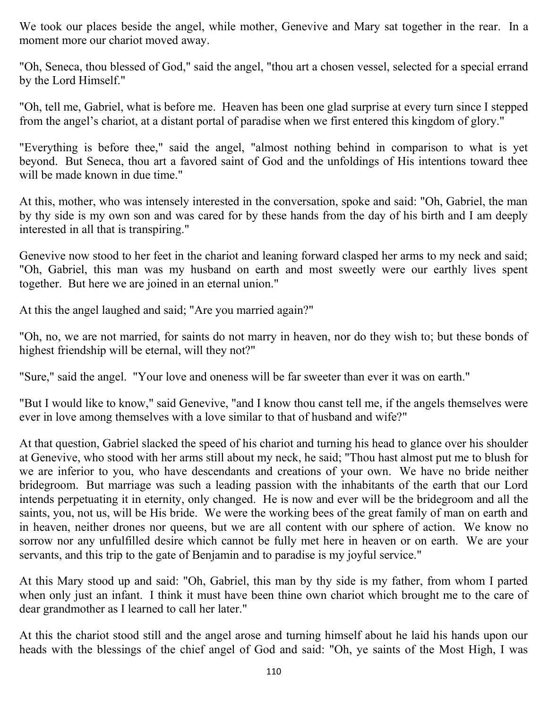We took our places beside the angel, while mother, Genevive and Mary sat together in the rear. In a moment more our chariot moved away.

"Oh, Seneca, thou blessed of God," said the angel, "thou art a chosen vessel, selected for a special errand by the Lord Himself."

"Oh, tell me, Gabriel, what is before me. Heaven has been one glad surprise at every turn since I stepped from the angel's chariot, at a distant portal of paradise when we first entered this kingdom of glory."

"Everything is before thee," said the angel, "almost nothing behind in comparison to what is yet beyond. But Seneca, thou art a favored saint of God and the unfoldings of His intentions toward thee will be made known in due time."

At this, mother, who was intensely interested in the conversation, spoke and said: "Oh, Gabriel, the man by thy side is my own son and was cared for by these hands from the day of his birth and I am deeply interested in all that is transpiring."

Genevive now stood to her feet in the chariot and leaning forward clasped her arms to my neck and said; "Oh, Gabriel, this man was my husband on earth and most sweetly were our earthly lives spent together. But here we are joined in an eternal union."

At this the angel laughed and said; "Are you married again?"

"Oh, no, we are not married, for saints do not marry in heaven, nor do they wish to; but these bonds of highest friendship will be eternal, will they not?"

"Sure," said the angel. "Your love and oneness will be far sweeter than ever it was on earth."

"But I would like to know," said Genevive, "and I know thou canst tell me, if the angels themselves were ever in love among themselves with a love similar to that of husband and wife?"

At that question, Gabriel slacked the speed of his chariot and turning his head to glance over his shoulder at Genevive, who stood with her arms still about my neck, he said; "Thou hast almost put me to blush for we are inferior to you, who have descendants and creations of your own. We have no bride neither bridegroom. But marriage was such a leading passion with the inhabitants of the earth that our Lord intends perpetuating it in eternity, only changed. He is now and ever will be the bridegroom and all the saints, you, not us, will be His bride. We were the working bees of the great family of man on earth and in heaven, neither drones nor queens, but we are all content with our sphere of action. We know no sorrow nor any unfulfilled desire which cannot be fully met here in heaven or on earth. We are your servants, and this trip to the gate of Benjamin and to paradise is my joyful service."

At this Mary stood up and said: "Oh, Gabriel, this man by thy side is my father, from whom I parted when only just an infant. I think it must have been thine own chariot which brought me to the care of dear grandmother as I learned to call her later."

At this the chariot stood still and the angel arose and turning himself about he laid his hands upon our heads with the blessings of the chief angel of God and said: "Oh, ye saints of the Most High, I was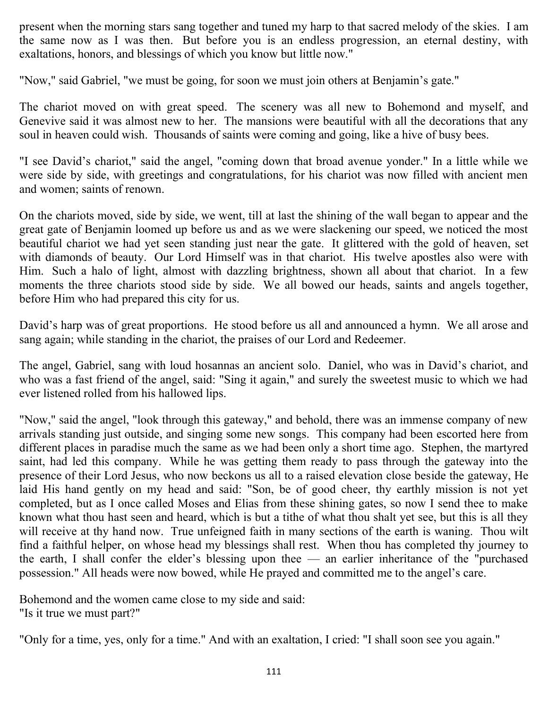present when the morning stars sang together and tuned my harp to that sacred melody of the skies. I am the same now as I was then. But before you is an endless progression, an eternal destiny, with exaltations, honors, and blessings of which you know but little now."

"Now," said Gabriel, "we must be going, for soon we must join others at Benjamin's gate."

The chariot moved on with great speed. The scenery was all new to Bohemond and myself, and Genevive said it was almost new to her. The mansions were beautiful with all the decorations that any soul in heaven could wish. Thousands of saints were coming and going, like a hive of busy bees.

"I see David's chariot," said the angel, "coming down that broad avenue yonder." In a little while we were side by side, with greetings and congratulations, for his chariot was now filled with ancient men and women; saints of renown.

On the chariots moved, side by side, we went, till at last the shining of the wall began to appear and the great gate of Benjamin loomed up before us and as we were slackening our speed, we noticed the most beautiful chariot we had yet seen standing just near the gate. It glittered with the gold of heaven, set with diamonds of beauty. Our Lord Himself was in that chariot. His twelve apostles also were with Him. Such a halo of light, almost with dazzling brightness, shown all about that chariot. In a few moments the three chariots stood side by side. We all bowed our heads, saints and angels together, before Him who had prepared this city for us.

David's harp was of great proportions. He stood before us all and announced a hymn. We all arose and sang again; while standing in the chariot, the praises of our Lord and Redeemer.

The angel, Gabriel, sang with loud hosannas an ancient solo. Daniel, who was in David's chariot, and who was a fast friend of the angel, said: "Sing it again," and surely the sweetest music to which we had ever listened rolled from his hallowed lips.

"Now," said the angel, "look through this gateway," and behold, there was an immense company of new arrivals standing just outside, and singing some new songs. This company had been escorted here from different places in paradise much the same as we had been only a short time ago. Stephen, the martyred saint, had led this company. While he was getting them ready to pass through the gateway into the presence of their Lord Jesus, who now beckons us all to a raised elevation close beside the gateway, He laid His hand gently on my head and said: "Son, be of good cheer, thy earthly mission is not yet completed, but as I once called Moses and Elias from these shining gates, so now I send thee to make known what thou hast seen and heard, which is but a tithe of what thou shalt yet see, but this is all they will receive at thy hand now. True unfeigned faith in many sections of the earth is waning. Thou wilt find a faithful helper, on whose head my blessings shall rest. When thou has completed thy journey to the earth, I shall confer the elder's blessing upon thee — an earlier inheritance of the "purchased possession." All heads were now bowed, while He prayed and committed me to the angel's care.

Bohemond and the women came close to my side and said: "Is it true we must part?"

"Only for a time, yes, only for a time." And with an exaltation, I cried: "I shall soon see you again."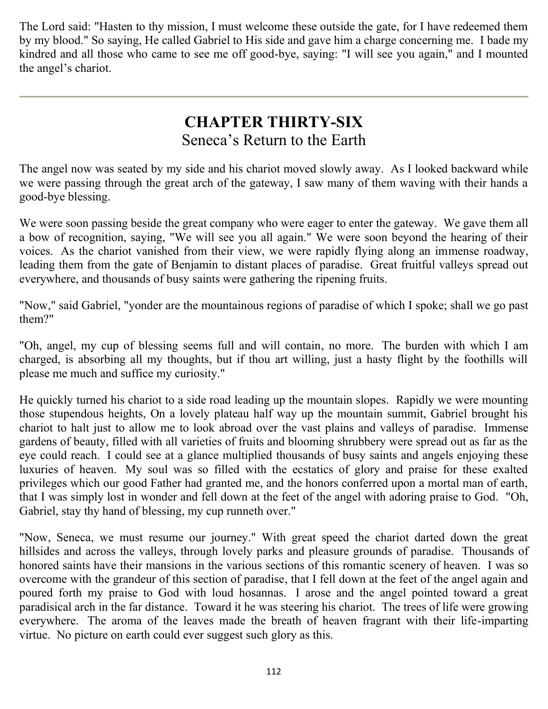The Lord said: "Hasten to thy mission, I must welcome these outside the gate, for I have redeemed them by my blood." So saying, He called Gabriel to His side and gave him a charge concerning me. I bade my kindred and all those who came to see me off good-bye, saying: "I will see you again," and I mounted the angel's chariot.

## **CHAPTER THIRTY-SIX** Seneca's Return to the Earth

The angel now was seated by my side and his chariot moved slowly away. As I looked backward while we were passing through the great arch of the gateway, I saw many of them waving with their hands a good-bye blessing.

We were soon passing beside the great company who were eager to enter the gateway. We gave them all a bow of recognition, saying, "We will see you all again." We were soon beyond the hearing of their voices. As the chariot vanished from their view, we were rapidly flying along an immense roadway, leading them from the gate of Benjamin to distant places of paradise. Great fruitful valleys spread out everywhere, and thousands of busy saints were gathering the ripening fruits.

"Now," said Gabriel, "yonder are the mountainous regions of paradise of which I spoke; shall we go past them?"

"Oh, angel, my cup of blessing seems full and will contain, no more. The burden with which I am charged, is absorbing all my thoughts, but if thou art willing, just a hasty flight by the foothills will please me much and suffice my curiosity."

He quickly turned his chariot to a side road leading up the mountain slopes. Rapidly we were mounting those stupendous heights, On a lovely plateau half way up the mountain summit, Gabriel brought his chariot to halt just to allow me to look abroad over the vast plains and valleys of paradise. Immense gardens of beauty, filled with all varieties of fruits and blooming shrubbery were spread out as far as the eye could reach. I could see at a glance multiplied thousands of busy saints and angels enjoying these luxuries of heaven. My soul was so filled with the ecstatics of glory and praise for these exalted privileges which our good Father had granted me, and the honors conferred upon a mortal man of earth, that I was simply lost in wonder and fell down at the feet of the angel with adoring praise to God. "Oh, Gabriel, stay thy hand of blessing, my cup runneth over."

"Now, Seneca, we must resume our journey." With great speed the chariot darted down the great hillsides and across the valleys, through lovely parks and pleasure grounds of paradise. Thousands of honored saints have their mansions in the various sections of this romantic scenery of heaven. I was so overcome with the grandeur of this section of paradise, that I fell down at the feet of the angel again and poured forth my praise to God with loud hosannas. I arose and the angel pointed toward a great paradisical arch in the far distance. Toward it he was steering his chariot. The trees of life were growing everywhere. The aroma of the leaves made the breath of heaven fragrant with their life-imparting virtue. No picture on earth could ever suggest such glory as this.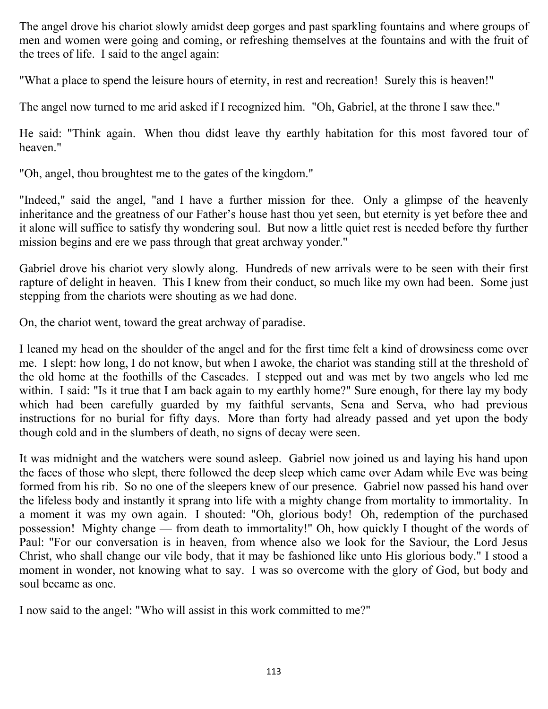The angel drove his chariot slowly amidst deep gorges and past sparkling fountains and where groups of men and women were going and coming, or refreshing themselves at the fountains and with the fruit of the trees of life. I said to the angel again:

"What a place to spend the leisure hours of eternity, in rest and recreation! Surely this is heaven!"

The angel now turned to me arid asked if I recognized him. "Oh, Gabriel, at the throne I saw thee."

He said: "Think again. When thou didst leave thy earthly habitation for this most favored tour of heaven."

"Oh, angel, thou broughtest me to the gates of the kingdom."

"Indeed," said the angel, "and I have a further mission for thee. Only a glimpse of the heavenly inheritance and the greatness of our Father's house hast thou yet seen, but eternity is yet before thee and it alone will suffice to satisfy thy wondering soul. But now a little quiet rest is needed before thy further mission begins and ere we pass through that great archway yonder."

Gabriel drove his chariot very slowly along. Hundreds of new arrivals were to be seen with their first rapture of delight in heaven. This I knew from their conduct, so much like my own had been. Some just stepping from the chariots were shouting as we had done.

On, the chariot went, toward the great archway of paradise.

I leaned my head on the shoulder of the angel and for the first time felt a kind of drowsiness come over me. I slept: how long, I do not know, but when I awoke, the chariot was standing still at the threshold of the old home at the foothills of the Cascades. I stepped out and was met by two angels who led me within. I said: "Is it true that I am back again to my earthly home?" Sure enough, for there lay my body which had been carefully guarded by my faithful servants, Sena and Serva, who had previous instructions for no burial for fifty days. More than forty had already passed and yet upon the body though cold and in the slumbers of death, no signs of decay were seen.

It was midnight and the watchers were sound asleep. Gabriel now joined us and laying his hand upon the faces of those who slept, there followed the deep sleep which came over Adam while Eve was being formed from his rib. So no one of the sleepers knew of our presence. Gabriel now passed his hand over the lifeless body and instantly it sprang into life with a mighty change from mortality to immortality. In a moment it was my own again. I shouted: "Oh, glorious body! Oh, redemption of the purchased possession! Mighty change — from death to immortality!" Oh, how quickly I thought of the words of Paul: "For our conversation is in heaven, from whence also we look for the Saviour, the Lord Jesus Christ, who shall change our vile body, that it may be fashioned like unto His glorious body." I stood a moment in wonder, not knowing what to say. I was so overcome with the glory of God, but body and soul became as one.

I now said to the angel: "Who will assist in this work committed to me?"